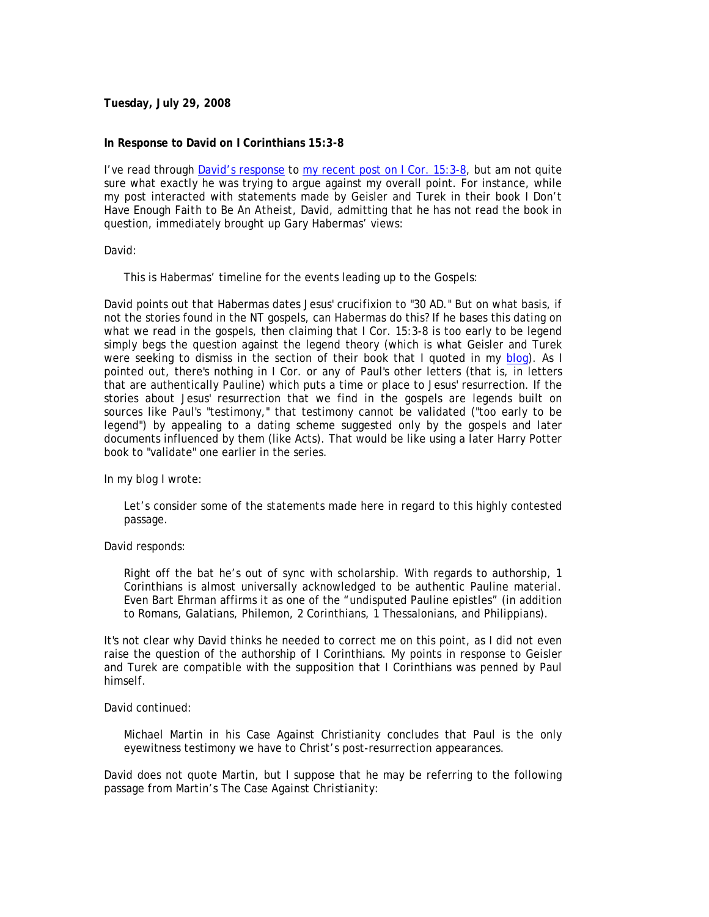## **Tuesday, July 29, 2008**

### **In Response to David on I Corinthians 15:3-8**

I've read through David's response to my recent post on I Cor. 15:3-8, but am not quite sure what exactly he was trying to argue against my overall point. For instance, while my post interacted with statements made by Geisler and Turek in their book *I Don't Have Enough Faith to Be An Atheist*, David, admitting that he has not read the book in question, immediately brought up Gary Habermas' views:

#### David:

This is Habermas' timeline for the events leading up to the Gospels:

David points out that Habermas dates Jesus' crucifixion to "30 AD." But on what basis, if not the stories found in the NT gospels, can Habermas do this? If he bases this dating on what we read in the gospels, then claiming that I Cor. 15:3-8 is too early to be legend simply begs the question against the legend theory (which is what Geisler and Turek were seeking to dismiss in the section of their book that I quoted in my blog). As I pointed out, there's nothing in I Cor. or any of Paul's other letters (that is, in letters that are authentically Pauline) which puts a time or place to Jesus' resurrection. If the stories about Jesus' resurrection that we find in the gospels are legends built on sources like Paul's "testimony," that testimony cannot be validated ("too early to be legend") by appealing to a dating scheme suggested only by the gospels and later documents influenced by them (like Acts). That would be like using a later Harry Potter book to "validate" one earlier in the series.

In my blog I wrote:

Let's consider some of the statements made here in regard to this highly contested passage.

#### David responds:

Right off the bat he's out of sync with scholarship. With regards to authorship, 1 Corinthians is almost universally acknowledged to be authentic Pauline material. Even Bart Ehrman affirms it as one of the "undisputed Pauline epistles" (in addition to Romans, Galatians, Philemon, 2 Corinthians, 1 Thessalonians, and Philippians).

It's not clear why David thinks he needed to correct me on this point, as I did not even raise the question of the authorship of I Corinthians. My points in response to Geisler and Turek are compatible with the supposition that I Corinthians was penned by Paul himself.

#### David continued:

Michael Martin in his Case Against Christianity concludes that Paul is the only eyewitness testimony we have to Christ's post-resurrection appearances.

David does not quote Martin, but I suppose that he may be referring to the following passage from Martin's *The Case Against Christianity*: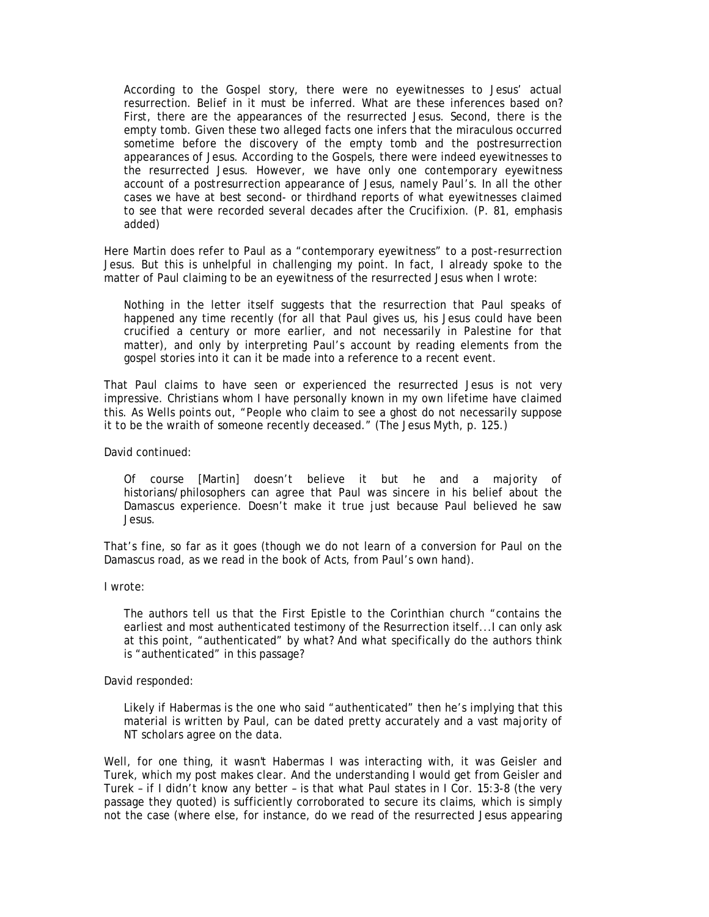According to the Gospel story, there were no eyewitnesses to Jesus' actual resurrection. Belief in it must be inferred. What are these inferences based on? First, there are the appearances of the resurrected Jesus. Second, there is the empty tomb. Given these two alleged facts one infers that the miraculous occurred sometime before the discovery of the empty tomb and the postresurrection appearances of Jesus. According to the Gospels, there were indeed eyewitnesses to the resurrected Jesus. *However, we have only one contemporary eyewitness account of a postresurrection appearance of Jesus, namely Paul's*. In all the other cases we have at best second- or thirdhand reports of what eyewitnesses claimed to see that were recorded several decades after the Crucifixion. (P. 81, emphasis added)

Here Martin does refer to Paul as a "contemporary eyewitness" to a *post-resurrection* Jesus. But this is unhelpful in challenging my point. In fact, I already spoke to the matter of Paul claiming to be an eyewitness of the resurrected Jesus when I wrote:

Nothing in the letter itself suggests that the resurrection that Paul speaks of happened any time recently (for all that Paul gives us, his Jesus could have been crucified a century or more earlier, and not necessarily in Palestine for that matter), and only by interpreting Paul's account by reading elements from the gospel stories into it can it be made into a reference to a *recent* event.

That Paul claims to have seen or experienced the resurrected Jesus is not very impressive. Christians whom I have personally known in my own lifetime have claimed this. As Wells points out, "People who claim to see a ghost do not necessarily suppose it to be the wraith of someone recently deceased." (*The Jesus Myth*, p. 125.)

David continued:

Of course [Martin] doesn't believe it but he and a majority of historians/philosophers can agree that Paul was sincere in his belief about the Damascus experience. Doesn't make it true just because Paul believed he saw Jesus.

That's fine, so far as it goes (though we do not learn of a conversion for Paul on the Damascus road, as we read in the book of Acts, from Paul's own hand).

I wrote:

The authors tell us that the First Epistle to the Corinthian church "contains the earliest and most authenticated testimony of the Resurrection itself...I can only ask at this point, "authenticated" by what? And what specifically do the authors think is "authenticated" in this passage?

David responded:

Likely if Habermas is the one who said "authenticated" then he's implying that this material is written by Paul, can be dated pretty accurately and a vast majority of NT scholars agree on the data.

Well, for one thing, it wasn't Habermas I was interacting with, it was Geisler and Turek, which my post makes clear. And the understanding I would get from Geisler and Turek – if I didn't know any better – is that what Paul states in I Cor. 15:3-8 (the very passage they quoted) is sufficiently corroborated to secure its claims, which is simply not the case (where else, for instance, do we read of the resurrected Jesus appearing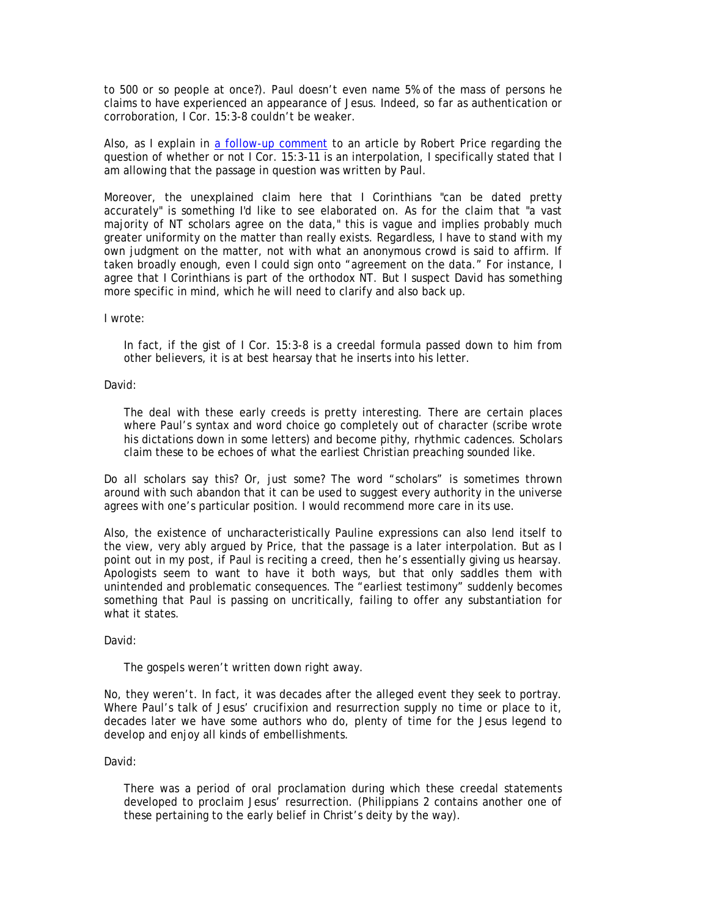to 500 or so people at once?). Paul doesn't even name 5% of the mass of persons he claims to have experienced an appearance of Jesus. Indeed, so far as authentication or corroboration, I Cor. 15:3-8 couldn't be weaker.

Also, as I explain in a follow-up comment to an article by Robert Price regarding the question of whether or not I Cor. 15:3-11 is an interpolation, I specifically stated that I am allowing that the passage in question was written by Paul.

Moreover, the unexplained claim here that I Corinthians "can be dated pretty accurately" is something I'd like to see elaborated on. As for the claim that "a vast majority of NT scholars agree on the data," this is vague and implies probably much greater uniformity on the matter than really exists. Regardless, I have to stand with my own judgment on the matter, not with what an anonymous crowd is said to affirm. If taken broadly enough, even I could sign onto "agreement on the data." For instance, I agree that I Corinthians is part of the orthodox NT. But I suspect David has something more specific in mind, which he will need to clarify and also back up.

I wrote:

In fact, if the gist of I Cor. 15:3-8 is a creedal formula passed down to him from other believers, it is at best hearsay that he inserts into his letter.

David:

The deal with these early creeds is pretty interesting. There are certain places where Paul's syntax and word choice go completely out of character (scribe wrote his dictations down in some letters) and become pithy, rhythmic cadences. Scholars claim these to be echoes of what the earliest Christian preaching sounded like.

Do *all* scholars say this? Or, just some? The word "scholars" is sometimes thrown around with such abandon that it can be used to suggest every authority in the universe agrees with one's particular position. I would recommend more care in its use.

Also, the existence of uncharacteristically Pauline expressions can also lend itself to the view, very ably argued by Price, that the passage is a later interpolation. But as I point out in my post, if Paul is reciting a creed, then he's essentially giving us hearsay. Apologists seem to want to have it both ways, but that only saddles them with unintended and problematic consequences. The "earliest testimony" suddenly becomes something that Paul is passing on uncritically, failing to offer any substantiation for what it states.

David:

The gospels weren't written down right away.

No, they weren't. In fact, it was decades after the alleged event they seek to portray. Where Paul's talk of Jesus' crucifixion and resurrection supply no time or place to it, decades later we have some authors who do, plenty of time for the Jesus legend to develop and enjoy all kinds of embellishments.

David:

There was a period of oral proclamation during which these creedal statements developed to proclaim Jesus' resurrection. (Philippians 2 contains another one of these pertaining to the early belief in Christ's deity by the way).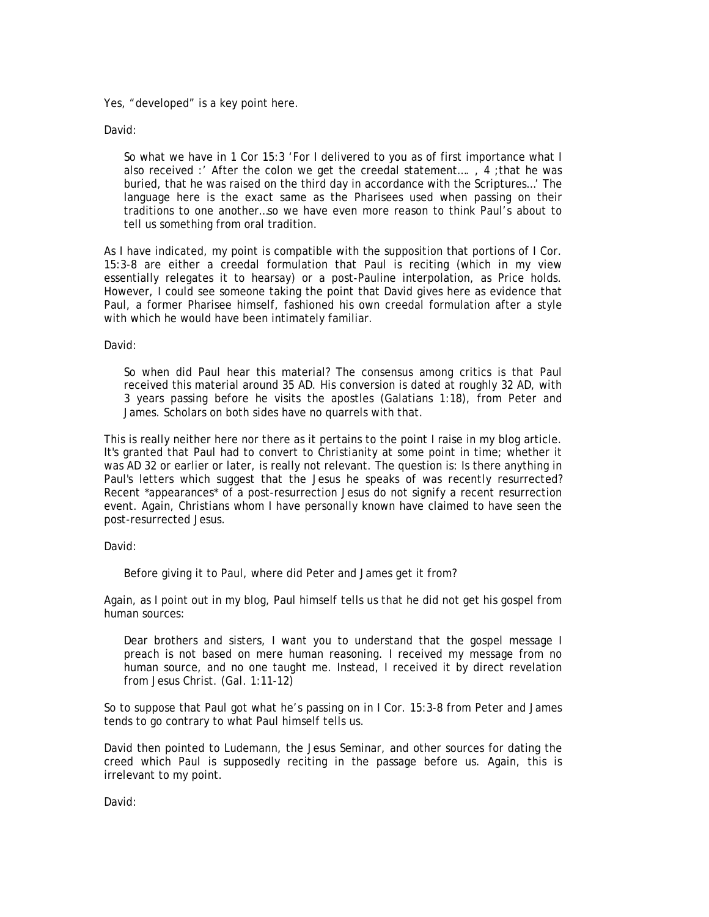Yes, "developed" is a key point here.

David:

So what we have in 1 Cor 15:3 'For I delivered to you as of first importance what I also received :' After the colon we get the creedal statement…. , 4 ;that he was buried, that he was raised on the third day in accordance with the Scriptures…' The language here is the exact same as the Pharisees used when passing on their traditions to one another…so we have even more reason to think Paul's about to tell us something from oral tradition.

As I have indicated, my point is compatible with the supposition that portions of I Cor. 15:3-8 are either a creedal formulation that Paul is reciting (which in my view essentially relegates it to hearsay) or a post-Pauline interpolation, as Price holds. However, I could see someone taking the point that David gives here as evidence that Paul, a former Pharisee himself, fashioned his own creedal formulation after a style with which he would have been intimately familiar.

David:

So when did Paul hear this material? The consensus among critics is that Paul received this material around 35 AD. His conversion is dated at roughly 32 AD, with 3 years passing before he visits the apostles (Galatians 1:18), from Peter and James. Scholars on both sides have no quarrels with that.

This is really neither here nor there as it pertains to the point I raise in my blog article. It's granted that Paul had to convert to Christianity at some point in time; whether it was AD 32 or earlier or later, is really not relevant. The question is: Is there anything in Paul's letters which suggest that the Jesus he speaks of was *recently* resurrected? Recent \*appearances\* of a post-resurrection Jesus do not signify a recent resurrection event. Again, Christians whom I have personally known have claimed to have seen the post-resurrected Jesus.

David:

Before giving it to Paul, where did Peter and James get it from?

Again, as I point out in my blog, Paul himself tells us that he did not get his gospel from human sources:

Dear brothers and sisters, I want you to understand that the gospel message I preach is not based on mere human reasoning. I received my message from no human source, and no one taught me. Instead, I received it by direct revelation from Jesus Christ. (Gal. 1:11-12)

So to suppose that Paul got what he's passing on in I Cor. 15:3-8 from Peter and James tends to go contrary to what Paul himself tells us.

David then pointed to Ludemann, the Jesus Seminar, and other sources for dating the creed which Paul is supposedly reciting in the passage before us. Again, this is irrelevant to my point.

David: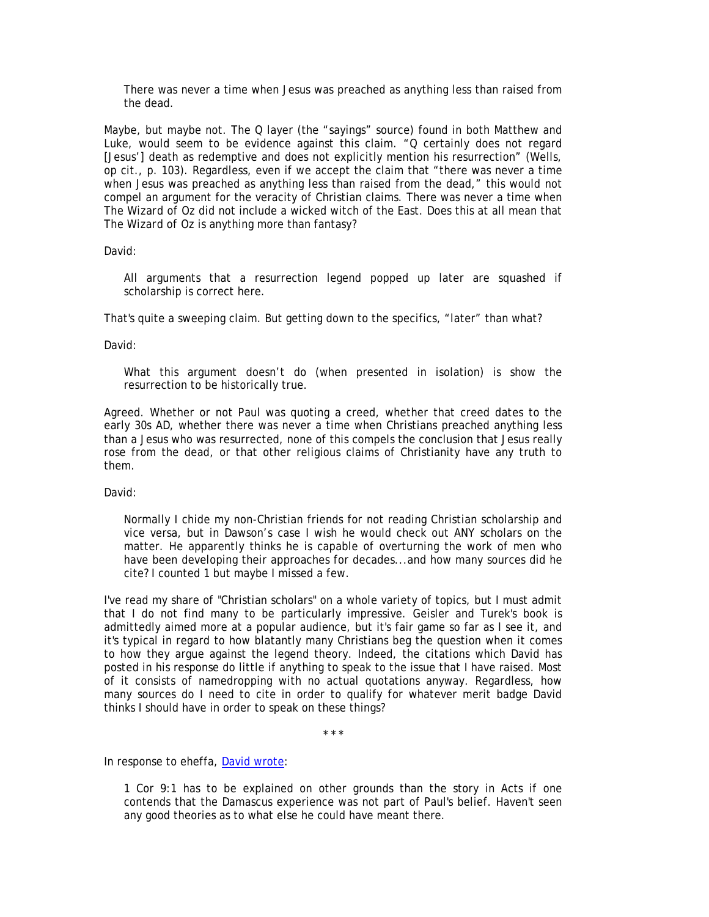There was never a time when Jesus was preached as anything less than raised from the dead.

Maybe, but maybe not. The Q layer (the "sayings" source) found in both Matthew and Luke, would seem to be evidence against this claim. "Q certainly does not regard [Jesus'] death as redemptive and does not explicitly mention his resurrection" (Wells, op cit., p. 103). Regardless, even if we accept the claim that "there was never a time when Jesus was preached as anything less than raised from the dead," this would not compel an argument for the veracity of Christian claims. There was never a time when *The Wizard of Oz* did not include a wicked witch of the East. Does this at all mean that *The Wizard of Oz* is anything more than fantasy?

David:

All arguments that a resurrection legend popped up later are squashed if scholarship is correct here.

That's quite a sweeping claim. But getting down to the specifics, "later" than what?

David:

What this argument doesn't do (when presented in isolation) is show the resurrection to be historically true.

Agreed. Whether or not Paul was quoting a creed, whether that creed dates to the early 30s AD, whether there was never a time when Christians preached anything less than a Jesus who was resurrected, none of this compels the conclusion that Jesus really rose from the dead, or that other religious claims of Christianity have any truth to them.

David:

Normally I chide my non-Christian friends for not reading Christian scholarship and vice versa, but in Dawson's case I wish he would check out ANY scholars on the matter. He apparently thinks he is capable of overturning the work of men who have been developing their approaches for decades...and how many sources did he cite? I counted 1 but maybe I missed a few.

I've read my share of "Christian scholars" on a whole variety of topics, but I must admit that I do not find many to be particularly impressive. Geisler and Turek's book is admittedly aimed more at a popular audience, but it's fair game so far as I see it, and it's typical in regard to how blatantly many Christians beg the question when it comes to how they argue against the legend theory. Indeed, the citations which David has posted in his response do little if anything to speak to the issue that I have raised. Most of it consists of namedropping with no actual quotations anyway. Regardless, how many sources do I need to cite in order to qualify for whatever merit badge David thinks I should have in order to speak on these things?

\* \* \*

In response to eheffa, David wrote:

1 Cor 9:1 has to be explained on other grounds than the story in Acts if one contends that the Damascus experience was not part of Paul's belief. Haven't seen any good theories as to what else he could have meant there.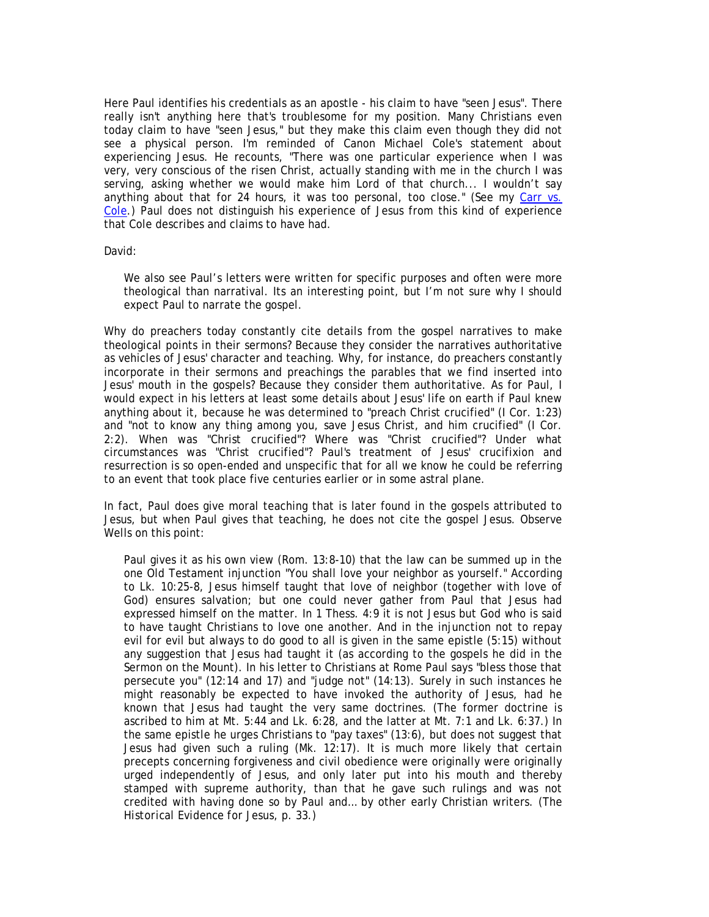Here Paul identifies his credentials as an apostle - his claim to have "seen Jesus". There really isn't anything here that's troublesome for my position. Many Christians even today claim to have "seen Jesus," but they make this claim even though they did not see a physical person. I'm reminded of Canon Michael Cole's statement about experiencing Jesus. He recounts, "There was one particular experience when I was very, very conscious of the risen Christ, actually standing with me in the church I was serving, asking whether we would make him Lord of that church... I wouldn't say anything about that for 24 hours, it was too personal, too close." (See my Carr vs. Cole.) Paul does not distinguish his experience of Jesus from this kind of experience that Cole describes and claims to have had.

David:

We also see Paul's letters were written for specific purposes and often were more theological than narratival. Its an interesting point, but I'm not sure why I should expect Paul to narrate the gospel.

Why do preachers today constantly cite details from the gospel narratives to make theological points in their sermons? Because they consider the narratives authoritative as vehicles of Jesus' character and teaching. Why, for instance, do preachers constantly incorporate in their sermons and preachings the parables that we find inserted into Jesus' mouth in the gospels? Because they consider them authoritative. As for Paul, I would expect in his letters at least some details about Jesus' life on earth if Paul knew anything about it, because he was determined to "preach Christ crucified" (I Cor. 1:23) and "not to know any thing among you, save Jesus Christ, and him crucified" (I Cor. 2:2). When was "Christ crucified"? Where was "Christ crucified"? Under what circumstances was "Christ crucified"? Paul's treatment of Jesus' crucifixion and resurrection is so open-ended and unspecific that for all we know he could be referring to an event that took place five centuries earlier or in some astral plane.

In fact, Paul does give moral teaching that is later found in the gospels attributed to Jesus, but when Paul gives that teaching, he does not cite the gospel Jesus. Observe Wells on this point:

Paul gives it as his own view (Rom. 13:8-10) that the law can be summed up in the one Old Testament injunction "You shall love your neighbor as yourself." According to Lk. 10:25-8, Jesus himself taught that love of neighbor (together with love of God) ensures salvation; but one could never gather from Paul that Jesus had expressed himself on the matter. In 1 Thess. 4:9 it is not Jesus but God who is said to have taught Christians to love one another. And in the injunction not to repay evil for evil but always to do good to all is given in the same epistle (5:15) without any suggestion that Jesus had taught it (as according to the gospels he did in the Sermon on the Mount). In his letter to Christians at Rome Paul says "bless those that persecute you" (12:14 and 17) and "judge not" (14:13). Surely in such instances he might reasonably be expected to have invoked the authority of Jesus, had he known that Jesus had taught the very same doctrines. (The former doctrine is ascribed to him at Mt. 5:44 and Lk. 6:28, and the latter at Mt. 7:1 and Lk. 6:37.) In the same epistle he urges Christians to "pay taxes" (13:6), but does not suggest that Jesus had given such a ruling (Mk. 12:17). It is much more likely that certain precepts concerning forgiveness and civil obedience were originally were originally urged independently of Jesus, and only later put into his mouth and thereby stamped with supreme authority, than that he gave such rulings and was not credited with having done so by Paul and… by other early Christian writers. (*The Historical Evidence for Jesus*, p. 33.)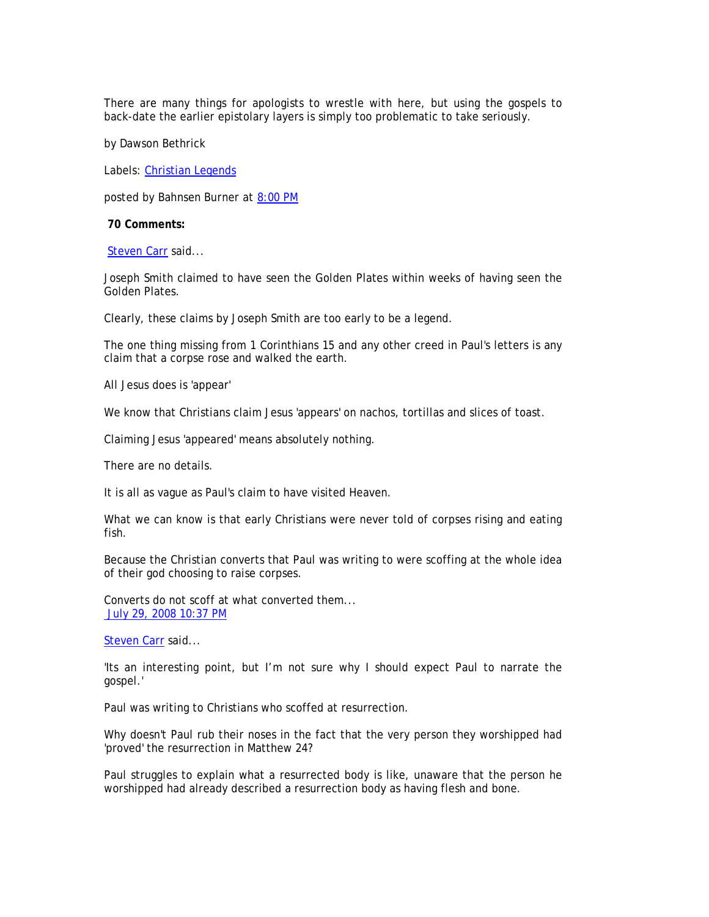There are many things for apologists to wrestle with here, but using the gospels to back-date the earlier epistolary layers is simply too problematic to take seriously.

by Dawson Bethrick

Labels: Christian Legends

*posted by Bahnsen Burner at* 8:00 PM

 **70 Comments:** 

Steven Carr said...

Joseph Smith claimed to have seen the Golden Plates within weeks of having seen the Golden Plates.

Clearly, these claims by Joseph Smith are too early to be a legend.

The one thing missing from 1 Corinthians 15 and any other creed in Paul's letters is any claim that a corpse rose and walked the earth.

All Jesus does is 'appear'

We know that Christians claim Jesus 'appears' on nachos, tortillas and slices of toast.

Claiming Jesus 'appeared' means absolutely nothing.

There are no details.

It is all as vague as Paul's claim to have visited Heaven.

What we can know is that early Christians were never told of corpses rising and eating fish.

Because the Christian converts that Paul was writing to were scoffing at the whole idea of their god choosing to raise corpses.

Converts do not scoff at what converted them... July 29, 2008 10:37 PM

Steven Carr said...

'Its an interesting point, but I'm not sure why I should expect Paul to narrate the gospel.'

Paul was writing to Christians who scoffed at resurrection.

Why doesn't Paul rub their noses in the fact that the very person they worshipped had 'proved' the resurrection in Matthew 24?

Paul struggles to explain what a resurrected body is like, unaware that the person he worshipped had already described a resurrection body as having flesh and bone.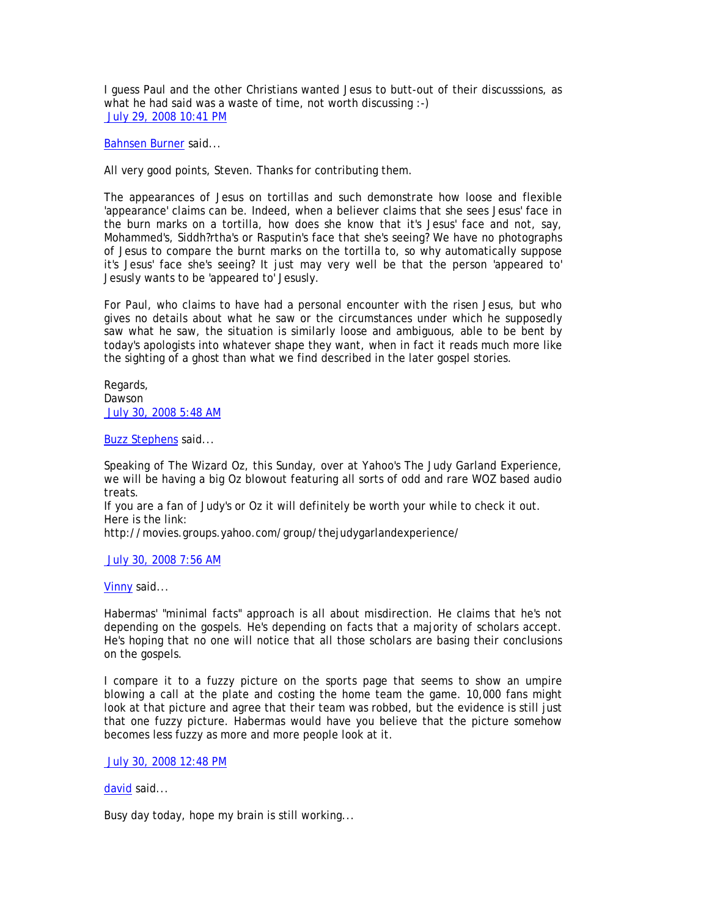I guess Paul and the other Christians wanted Jesus to butt-out of their discusssions, as what he had said was a waste of time, not worth discussing :-) July 29, 2008 10:41 PM

Bahnsen Burner said...

All very good points, Steven. Thanks for contributing them.

The appearances of Jesus on tortillas and such demonstrate how loose and flexible 'appearance' claims can be. Indeed, when a believer claims that she sees Jesus' face in the burn marks on a tortilla, how does she know that it's Jesus' face and not, say, Mohammed's, Siddh?rtha's or Rasputin's face that she's seeing? We have no photographs of Jesus to compare the burnt marks on the tortilla to, so why automatically suppose it's Jesus' face she's seeing? It just may very well be that the person 'appeared to' Jesusly wants to be 'appeared to' Jesusly.

For Paul, who claims to have had a personal encounter with the risen Jesus, but who gives no details about what he saw or the circumstances under which he supposedly saw what he saw, the situation is similarly loose and ambiguous, able to be bent by today's apologists into whatever shape they want, when in fact it reads much more like the sighting of a ghost than what we find described in the later gospel stories.

Regards, Dawson July 30, 2008 5:48 AM

Buzz Stephens said...

Speaking of The Wizard Oz, this Sunday, over at Yahoo's The Judy Garland Experience, we will be having a big Oz blowout featuring all sorts of odd and rare WOZ based audio treats.

If you are a fan of Judy's or Oz it will definitely be worth your while to check it out. Here is the link:

http://movies.groups.yahoo.com/group/thejudygarlandexperience/

July 30, 2008 7:56 AM

Vinny said...

Habermas' "minimal facts" approach is all about misdirection. He claims that he's not depending on the gospels. He's depending on facts that a majority of scholars accept. He's hoping that no one will notice that all those scholars are basing their conclusions on the gospels.

I compare it to a fuzzy picture on the sports page that seems to show an umpire blowing a call at the plate and costing the home team the game. 10,000 fans might look at that picture and agree that their team was robbed, but the evidence is still just that one fuzzy picture. Habermas would have you believe that the picture somehow becomes less fuzzy as more and more people look at it.

July 30, 2008 12:48 PM

david said...

Busy day today, hope my brain is still working...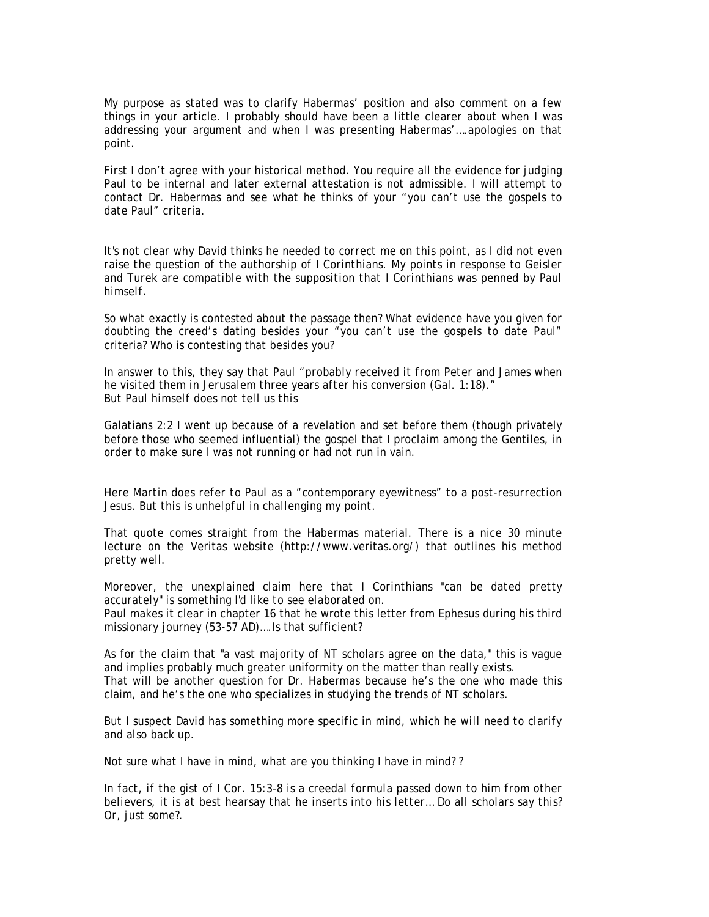My purpose as stated was to clarify Habermas' position and also comment on a few things in your article. I probably should have been a little clearer about when I was addressing your argument and when I was presenting Habermas'….apologies on that point.

First I don't agree with your historical method. You require all the evidence for judging Paul to be internal and later external attestation is not admissible. I will attempt to contact Dr. Habermas and see what he thinks of your "you can't use the gospels to date Paul" criteria.

*It's not clear why David thinks he needed to correct me on this point, as I did not even raise the question of the authorship of I Corinthians. My points in response to Geisler and Turek are compatible with the supposition that I Corinthians was penned by Paul himself.* 

So what exactly is contested about the passage then? What evidence have you given for doubting the creed's dating besides your "you can't use the gospels to date Paul" criteria? Who is contesting that besides you?

*In answer to this, they say that Paul "probably received it from Peter and James when he visited them in Jerusalem three years after his conversion (Gal. 1:18)." But Paul himself does not tell us this* 

Galatians 2:2 I went up because of a revelation and set before them (though privately before those who seemed influential) the gospel that I proclaim among the Gentiles, in order to make sure I was not running or had not run in vain.

*Here Martin does refer to Paul as a "contemporary eyewitness" to a post-resurrection Jesus. But this is unhelpful in challenging my point.* 

That quote comes straight from the Habermas material. There is a nice 30 minute lecture on the Veritas website (http://www.veritas.org/) that outlines his method pretty well.

*Moreover, the unexplained claim here that I Corinthians "can be dated pretty accurately" is something I'd like to see elaborated on.* 

Paul makes it clear in chapter 16 that he wrote this letter from Ephesus during his third missionary journey (53-57 AD)….Is that sufficient?

As for the claim that "a vast majority of NT scholars agree on the data," this is vague and implies probably much greater uniformity on the matter than really exists. That will be another question for Dr. Habermas because he's the one who made this claim, and he's the one who specializes in studying the trends of NT scholars.

*But I suspect David has something more specific in mind, which he will need to clarify and also back up.* 

Not sure what I have in mind, what are you thinking I have in mind? ?

*In fact, if the gist of I Cor. 15:3-8 is a creedal formula passed down to him from other believers, it is at best hearsay that he inserts into his letter… Do all scholars say this? Or, just some?.*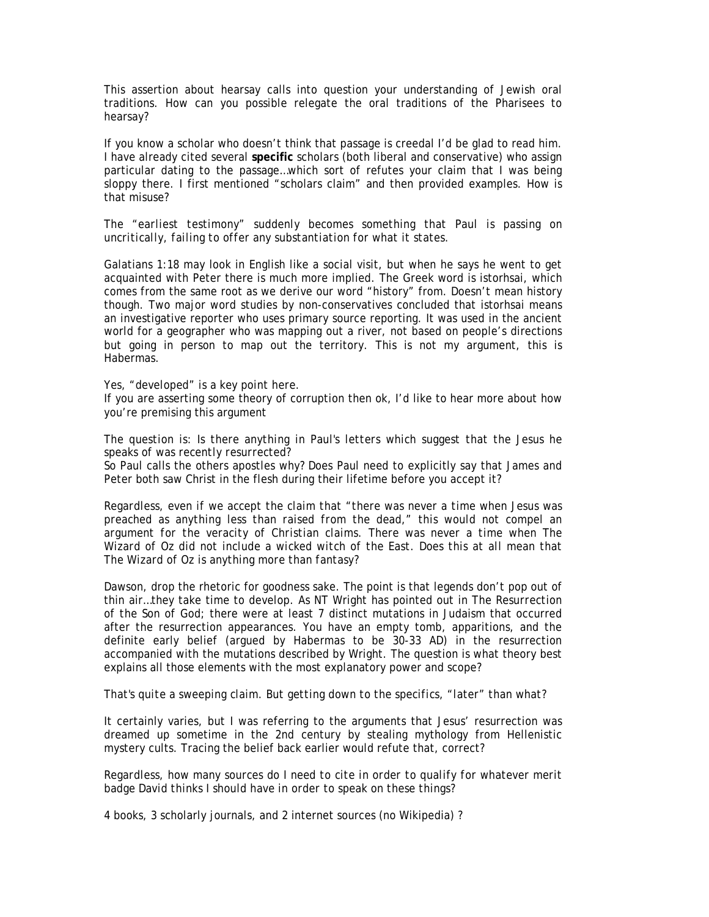This assertion about hearsay calls into question your understanding of Jewish oral traditions. How can you possible relegate the oral traditions of the Pharisees to hearsay?

If you know a scholar who doesn't think that passage is creedal I'd be glad to read him. I have already cited several **specific** scholars (both liberal and conservative) who assign particular dating to the passage…which sort of refutes your claim that I was being sloppy there. I first mentioned "scholars claim" and then provided examples. How is that misuse?

## *The "earliest testimony" suddenly becomes something that Paul is passing on uncritically, failing to offer any substantiation for what it states.*

Galatians 1:18 may look in English like a social visit, but when he says he went to get acquainted with Peter there is much more implied. The Greek word is istorhsai, which comes from the same root as we derive our word "history" from. Doesn't mean history though. Two major word studies by non-conservatives concluded that istorhsai means an investigative reporter who uses primary source reporting. It was used in the ancient world for a geographer who was mapping out a river, not based on people's directions but going in person to map out the territory. This is not my argument, this is Habermas.

#### *Yes, "developed" is a key point here.*

If you are asserting some theory of corruption then ok, I'd like to hear more about how you're premising this argument

*The question is: Is there anything in Paul's letters which suggest that the Jesus he speaks of was recently resurrected?* 

So Paul calls the others apostles why? Does Paul need to explicitly say that James and Peter both saw Christ in the flesh during their lifetime before you accept it?

*Regardless, even if we accept the claim that "there was never a time when Jesus was preached as anything less than raised from the dead," this would not compel an argument for the veracity of Christian claims. There was never a time when The Wizard of Oz did not include a wicked witch of the East. Does this at all mean that The Wizard of Oz is anything more than fantasy?* 

Dawson, drop the rhetoric for goodness sake. The point is that legends don't pop out of thin air…they take time to develop. As NT Wright has pointed out in *The Resurrection of the Son of God*; there were at least 7 distinct mutations in Judaism that occurred after the resurrection appearances. You have an empty tomb, apparitions, and the definite early belief (argued by Habermas to be 30-33 AD) in the resurrection accompanied with the mutations described by Wright. The question is what theory best explains all those elements with the most explanatory power and scope?

#### *That's quite a sweeping claim. But getting down to the specifics, "later" than what?*

It certainly varies, but I was referring to the arguments that Jesus' resurrection was dreamed up sometime in the 2nd century by stealing mythology from Hellenistic mystery cults. Tracing the belief back earlier would refute that, correct?

*Regardless, how many sources do I need to cite in order to qualify for whatever merit badge David thinks I should have in order to speak on these things?* 

4 books, 3 scholarly journals, and 2 internet sources (no Wikipedia) ?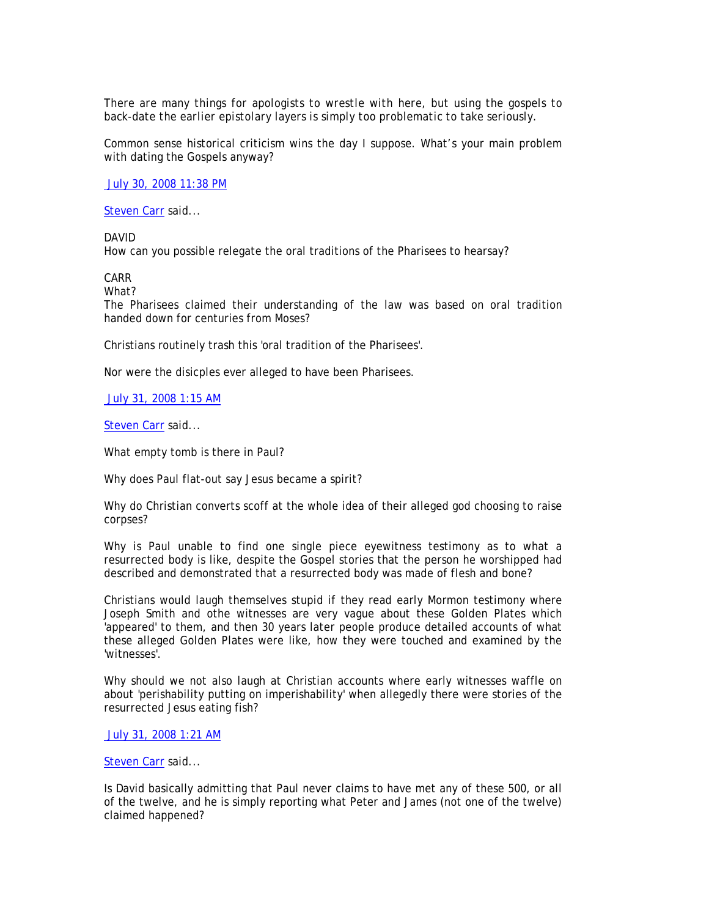*There are many things for apologists to wrestle with here, but using the gospels to back-date the earlier epistolary layers is simply too problematic to take seriously.* 

Common sense historical criticism wins the day I suppose. What's your main problem with dating the Gospels anyway?

July 30, 2008 11:38 PM

Steven Carr said...

DAVID

How can you possible relegate the oral traditions of the Pharisees to hearsay?

CARR

What?

The Pharisees claimed their understanding of the law was based on oral tradition handed down for centuries from Moses?

Christians routinely trash this 'oral tradition of the Pharisees'.

Nor were the disicples ever alleged to have been Pharisees.

July 31, 2008 1:15 AM

Steven Carr said...

What empty tomb is there in Paul?

Why does Paul flat-out say Jesus became a spirit?

Why do Christian converts scoff at the whole idea of their alleged god choosing to raise corpses?

Why is Paul unable to find one single piece eyewitness testimony as to what a resurrected body is like, despite the Gospel stories that the person he worshipped had described and demonstrated that a resurrected body was made of flesh and bone?

Christians would laugh themselves stupid if they read early Mormon testimony where Joseph Smith and othe witnesses are very vague about these Golden Plates which 'appeared' to them, and then 30 years later people produce detailed accounts of what these alleged Golden Plates were like, how they were touched and examined by the 'witnesses'.

Why should we not also laugh at Christian accounts where early witnesses waffle on about 'perishability putting on imperishability' when allegedly there were stories of the resurrected Jesus eating fish?

July 31, 2008 1:21 AM

### Steven Carr said...

Is David basically admitting that Paul never claims to have met any of these 500, or all of the twelve, and he is simply reporting what Peter and James (not one of the twelve) claimed happened?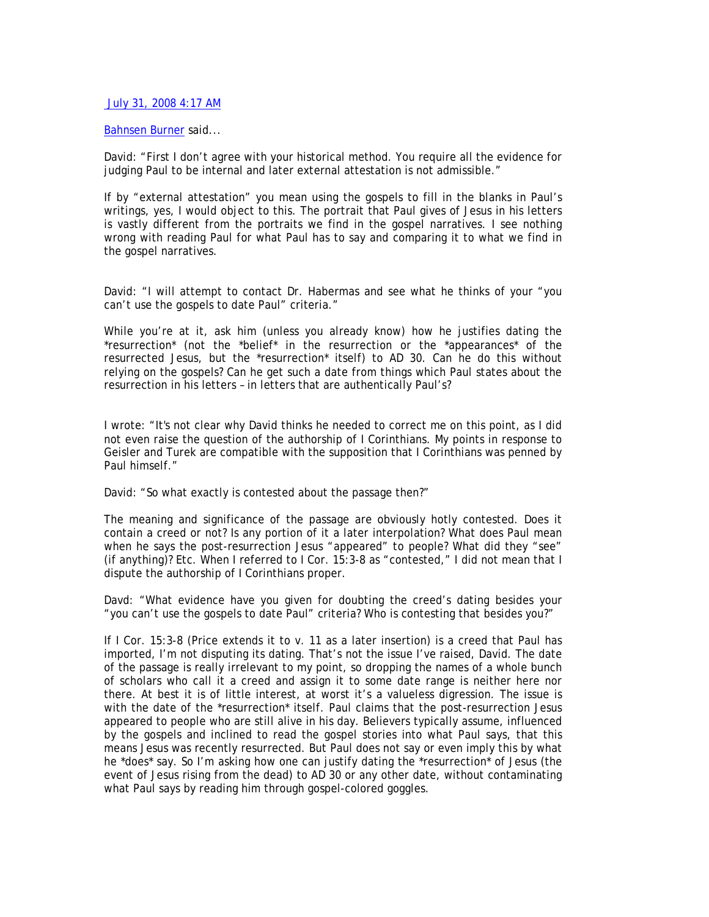## July 31, 2008 4:17 AM

### Bahnsen Burner said...

David: "First I don't agree with your historical method. You require all the evidence for judging Paul to be internal and later external attestation is not admissible."

If by "external attestation" you mean using the gospels to fill in the blanks in Paul's writings, yes, I would object to this. The portrait that Paul gives of Jesus in his letters is vastly different from the portraits we find in the gospel narratives. I see nothing wrong with reading Paul for what Paul has to say and comparing it to what we find in the gospel narratives.

David: "I will attempt to contact Dr. Habermas and see what he thinks of your "you can't use the gospels to date Paul" criteria."

While you're at it, ask him (unless you already know) how he justifies dating the \*resurrection\* (not the \*belief\* in the resurrection or the \*appearances\* of the resurrected Jesus, but the \*resurrection\* itself) to AD 30. Can he do this without relying on the gospels? Can he get such a date from things which Paul states about the resurrection in his letters – in letters that are authentically Paul's?

I wrote: "It's not clear why David thinks he needed to correct me on this point, as I did not even raise the question of the authorship of I Corinthians. My points in response to Geisler and Turek are compatible with the supposition that I Corinthians was penned by Paul himself."

David: "So what exactly is contested about the passage then?"

The meaning and significance of the passage are obviously hotly contested. Does it contain a creed or not? Is any portion of it a later interpolation? What does Paul mean when he says the post-resurrection Jesus "appeared" to people? What did they "see" (if anything)? Etc. When I referred to I Cor. 15:3-8 as "contested," I did not mean that I dispute the authorship of I Corinthians proper.

Davd: "What evidence have you given for doubting the creed's dating besides your "you can't use the gospels to date Paul" criteria? Who is contesting that besides you?"

If I Cor. 15:3-8 (Price extends it to v. 11 as a later insertion) is a creed that Paul has imported, I'm not disputing its dating. That's not the issue I've raised, David. The date of the passage is really irrelevant to my point, so dropping the names of a whole bunch of scholars who call it a creed and assign it to some date range is neither here nor there. At best it is of little interest, at worst it's a valueless digression. The issue is with the date of the \*resurrection\* itself. Paul claims that the post-resurrection Jesus appeared to people who are still alive in his day. Believers typically assume, influenced by the gospels and inclined to read the gospel stories into what Paul says, that this means Jesus was recently resurrected. But Paul does not say or even imply this by what he \*does\* say. So I'm asking how one can justify dating the \*resurrection\* of Jesus (the event of Jesus rising from the dead) to AD 30 or any other date, without contaminating what Paul says by reading him through gospel-colored goggles.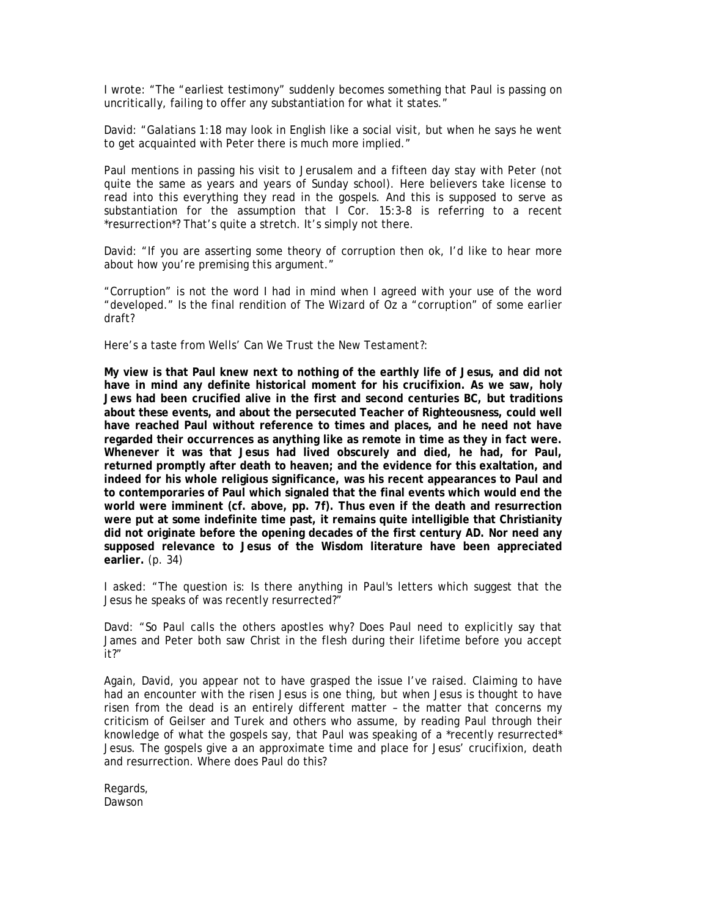I wrote: "The "earliest testimony" suddenly becomes something that Paul is passing on uncritically, failing to offer any substantiation for what it states."

David: "Galatians 1:18 may look in English like a social visit, but when he says he went to get acquainted with Peter there is much more implied."

Paul mentions in passing his visit to Jerusalem and a fifteen day stay with Peter (not quite the same as years and years of Sunday school). Here believers take license to read into this everything they read in the gospels. And this is supposed to serve as substantiation for the assumption that I Cor. 15:3-8 is referring to a recent \*resurrection\*? That's quite a stretch. It's simply not there.

David: "If you are asserting some theory of corruption then ok, I'd like to hear more about how you're premising this argument."

"Corruption" is not the word I had in mind when I agreed with your use of the word "developed." Is the final rendition of *The Wizard of Oz* a "corruption" of some earlier draft?

Here's a taste from Wells' *Can We Trust the New Testament?*:

**My view is that Paul knew next to nothing of the earthly life of Jesus, and did not have in mind any definite historical moment for his crucifixion. As we saw, holy Jews had been crucified alive in the first and second centuries BC, but traditions about these events, and about the persecuted Teacher of Righteousness, could well have reached Paul without reference to times and places, and he need not have regarded their occurrences as anything like as remote in time as they in fact were. Whenever it was that Jesus had lived obscurely and died, he had, for Paul, returned promptly after death to heaven; and the evidence for this exaltation, and indeed for his whole religious significance, was his recent appearances to Paul and to contemporaries of Paul which signaled that the final events which would end the world were imminent (cf. above, pp. 7f). Thus even if the death and resurrection were put at some indefinite time past, it remains quite intelligible that Christianity did not originate before the opening decades of the first century AD. Nor need any supposed relevance to Jesus of the Wisdom literature have been appreciated earlier.** (p. 34)

I asked: "The question is: Is there anything in Paul's letters which suggest that the Jesus he speaks of was recently resurrected?"

Davd: "So Paul calls the others apostles why? Does Paul need to explicitly say that James and Peter both saw Christ in the flesh during their lifetime before you accept it?"

Again, David, you appear not to have grasped the issue I've raised. Claiming to have had an encounter with the risen Jesus is one thing, but when Jesus is thought to have risen from the dead is an entirely different matter – the matter that concerns my criticism of Geilser and Turek and others who assume, by reading Paul through their knowledge of what the gospels say, that Paul was speaking of a \*recently resurrected\* Jesus. The gospels give a an approximate time and place for Jesus' crucifixion, death and resurrection. Where does Paul do this?

Regards, Dawson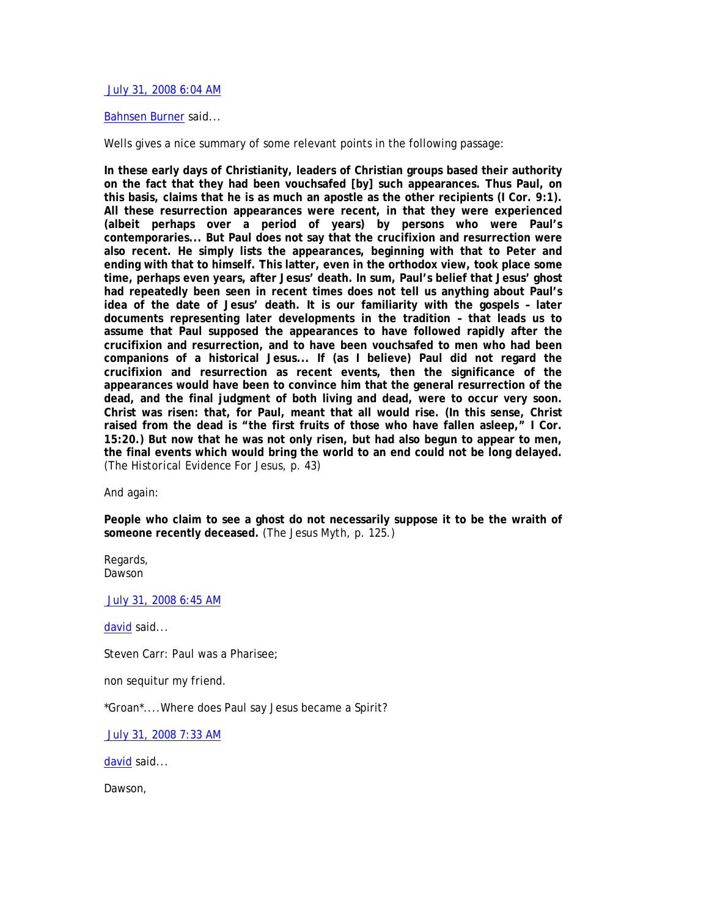July 31, 2008 6:04 AM

## Bahnsen Burner said...

Wells gives a nice summary of some relevant points in the following passage:

**In these early days of Christianity, leaders of Christian groups based their authority on the fact that they had been vouchsafed [by] such appearances. Thus Paul, on this basis, claims that he is as much an apostle as the other recipients (I Cor. 9:1). All these resurrection appearances were recent, in that they were experienced (albeit perhaps over a period of years) by persons who were Paul's contemporaries... But Paul does not say that the crucifixion and resurrection were also recent. He simply lists the appearances, beginning with that to Peter and ending with that to himself. This latter, even in the orthodox view, took place some time, perhaps even years, after Jesus' death. In sum, Paul's belief that Jesus' ghost had repeatedly been seen in recent times does not tell us anything about Paul's idea of the date of Jesus' death. It is our familiarity with the gospels – later documents representing later developments in the tradition – that leads us to assume that Paul supposed the appearances to have followed rapidly after the crucifixion and resurrection, and to have been vouchsafed to men who had been companions of a historical Jesus... If (as I believe) Paul did not regard the crucifixion and resurrection as recent events, then the significance of the appearances would have been to convince him that the general resurrection of the dead, and the final judgment of both living and dead, were to occur very soon. Christ was risen: that, for Paul, meant that all would rise. (In this sense, Christ raised from the dead is "the first fruits of those who have fallen asleep," I Cor. 15:20.) But now that he was not only risen, but had also begun to appear to men, the final events which would bring the world to an end could not be long delayed.**  (*The Historical Evidence For Jesus*, p. 43)

And again:

**People who claim to see a ghost do not necessarily suppose it to be the wraith of someone recently deceased.** (*The Jesus Myth*, p. 125.)

Regards, Dawson

July 31, 2008 6:45 AM

david said...

Steven Carr: Paul was a Pharisee;

non sequitur my friend.

\*Groan\*....Where does Paul say Jesus became a Spirit?

July 31, 2008 7:33 AM

david said...

Dawson,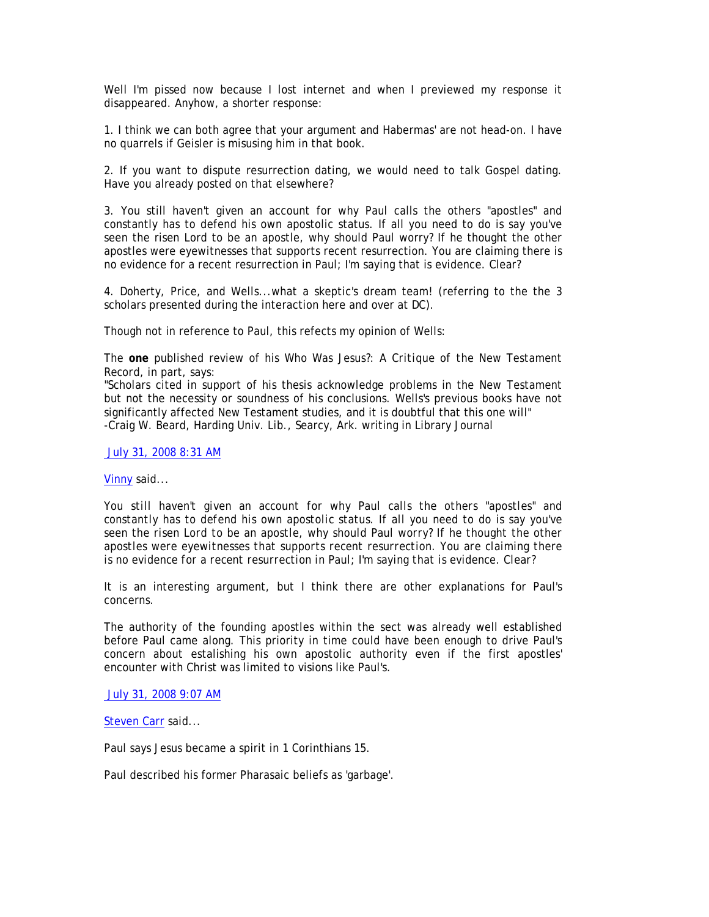Well I'm pissed now because I lost internet and when I previewed my response it disappeared. Anyhow, a shorter response:

1. I think we can both agree that your argument and Habermas' are not head-on. I have no quarrels if Geisler is misusing him in that book.

2. If you want to dispute resurrection dating, we would need to talk Gospel dating. Have you already posted on that elsewhere?

3. You still haven't given an account for why Paul calls the others "apostles" and constantly has to defend his own apostolic status. If all you need to do is say you've seen the risen Lord to be an apostle, why should Paul worry? If he thought the other apostles were eyewitnesses that supports recent resurrection. You are claiming there is no evidence for a recent resurrection in Paul; I'm saying that is evidence. Clear?

4. Doherty, Price, and Wells...what a skeptic's dream team! (referring to the the 3 scholars presented during the interaction here and over at DC).

Though not in reference to Paul, this refects my opinion of Wells:

The **one** published review of his *Who Was Jesus?: A Critique of the New Testament Record*, in part, says:

"Scholars cited in support of his thesis acknowledge problems in the New Testament but not the necessity or soundness of his conclusions. Wells's previous books have not significantly affected New Testament studies, and it is doubtful that this one will" -Craig W. Beard, Harding Univ. Lib., Searcy, Ark. writing in Library Journal

July 31, 2008 8:31 AM

Vinny said...

*You still haven't given an account for why Paul calls the others "apostles" and constantly has to defend his own apostolic status. If all you need to do is say you've seen the risen Lord to be an apostle, why should Paul worry? If he thought the other apostles were eyewitnesses that supports recent resurrection. You are claiming there is no evidence for a recent resurrection in Paul; I'm saying that is evidence. Clear?* 

It is an interesting argument, but I think there are other explanations for Paul's concerns.

The authority of the founding apostles within the sect was already well established before Paul came along. This priority in time could have been enough to drive Paul's concern about estalishing his own apostolic authority even if the first apostles' encounter with Christ was limited to visions like Paul's.

July 31, 2008 9:07 AM

Steven Carr said...

Paul says Jesus became a spirit in 1 Corinthians 15.

Paul described his former Pharasaic beliefs as 'garbage'.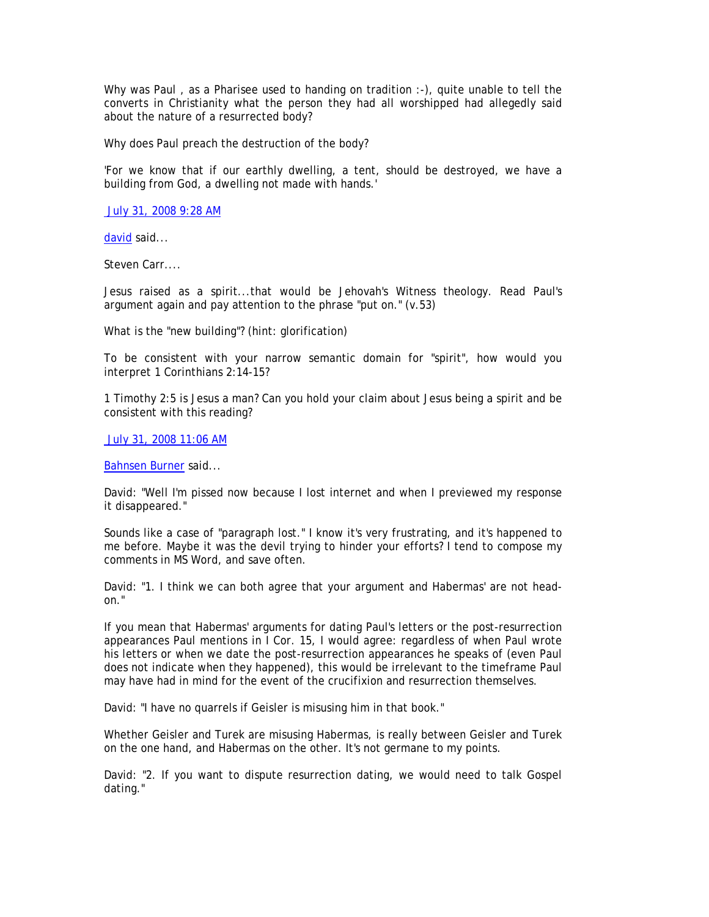Why was Paul , as a Pharisee used to handing on tradition :-), quite unable to tell the converts in Christianity what the person they had all worshipped had allegedly said about the nature of a resurrected body?

Why does Paul preach the destruction of the body?

'For we know that if our earthly dwelling, a tent, should be destroyed, we have a building from God, a dwelling not made with hands.'

July 31, 2008 9:28 AM

david said...

Steven Carr....

Jesus raised as a spirit...that would be Jehovah's Witness theology. Read Paul's argument again and pay attention to the phrase "put on." (v.53)

What is the "new building"? (hint: glorification)

To be consistent with your narrow semantic domain for "spirit", how would you interpret 1 Corinthians 2:14-15?

1 Timothy 2:5 is Jesus a man? Can you hold your claim about Jesus being a spirit and be consistent with this reading?

July 31, 2008 11:06 AM

Bahnsen Burner said...

David: "Well I'm pissed now because I lost internet and when I previewed my response it disappeared."

Sounds like a case of "paragraph lost." I know it's very frustrating, and it's happened to me before. Maybe it was the devil trying to hinder your efforts? I tend to compose my comments in MS Word, and save often.

David: "1. I think we can both agree that your argument and Habermas' are not headon."

If you mean that Habermas' arguments for dating Paul's letters or the post-resurrection appearances Paul mentions in I Cor. 15, I would agree: regardless of when Paul wrote his letters or when we date the post-resurrection appearances he speaks of (even Paul does not indicate when they happened), this would be irrelevant to the timeframe Paul may have had in mind for the event of the crucifixion and resurrection themselves.

David: "I have no quarrels if Geisler is misusing him in that book."

Whether Geisler and Turek are misusing Habermas, is really between Geisler and Turek on the one hand, and Habermas on the other. It's not germane to my points.

David: "2. If you want to dispute resurrection dating, we would need to talk Gospel dating."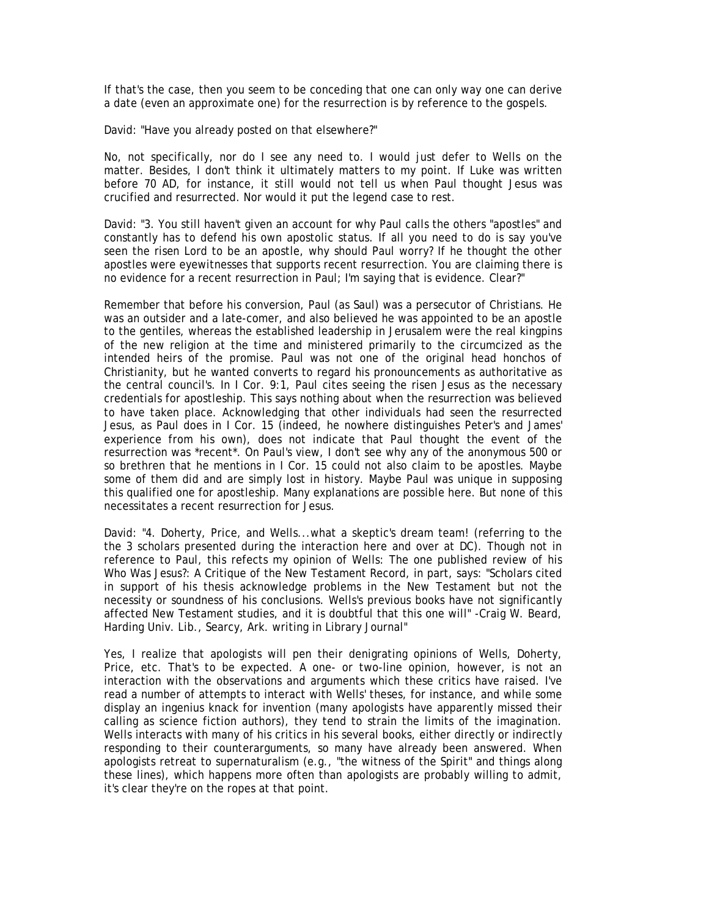If that's the case, then you seem to be conceding that one can only way one can derive a date (even an approximate one) for the resurrection is by reference to the gospels.

David: "Have you already posted on that elsewhere?"

No, not specifically, nor do I see any need to. I would just defer to Wells on the matter. Besides, I don't think it ultimately matters to my point. If Luke was written before 70 AD, for instance, it still would not tell us when Paul thought Jesus was crucified and resurrected. Nor would it put the legend case to rest.

David: "3. You still haven't given an account for why Paul calls the others "apostles" and constantly has to defend his own apostolic status. If all you need to do is say you've seen the risen Lord to be an apostle, why should Paul worry? If he thought the other apostles were eyewitnesses that supports recent resurrection. You are claiming there is no evidence for a recent resurrection in Paul; I'm saying that is evidence. Clear?"

Remember that before his conversion, Paul (as Saul) was a persecutor of Christians. He was an outsider and a late-comer, and also believed he was appointed to be an apostle to the gentiles, whereas the established leadership in Jerusalem were the real kingpins of the new religion at the time and ministered primarily to the circumcized as the intended heirs of the promise. Paul was not one of the original head honchos of Christianity, but he wanted converts to regard his pronouncements as authoritative as the central council's. In I Cor. 9:1, Paul cites seeing the risen Jesus as the necessary credentials for apostleship. This says nothing about when the resurrection was believed to have taken place. Acknowledging that other individuals had seen the resurrected Jesus, as Paul does in I Cor. 15 (indeed, he nowhere distinguishes Peter's and James' experience from his own), does not indicate that Paul thought the event of the resurrection was \*recent\*. On Paul's view, I don't see why any of the anonymous 500 or so brethren that he mentions in I Cor. 15 could not also claim to be apostles. Maybe some of them did and are simply lost in history. Maybe Paul was unique in supposing this qualified one for apostleship. Many explanations are possible here. But none of this necessitates a recent resurrection for Jesus.

David: "4. Doherty, Price, and Wells...what a skeptic's dream team! (referring to the the 3 scholars presented during the interaction here and over at DC). Though not in reference to Paul, this refects my opinion of Wells: The one published review of his Who Was Jesus?: A Critique of the New Testament Record, in part, says: "Scholars cited in support of his thesis acknowledge problems in the New Testament but not the necessity or soundness of his conclusions. Wells's previous books have not significantly affected New Testament studies, and it is doubtful that this one will" -Craig W. Beard, Harding Univ. Lib., Searcy, Ark. writing in Library Journal"

Yes, I realize that apologists will pen their denigrating opinions of Wells, Doherty, Price, etc. That's to be expected. A one- or two-line opinion, however, is not an interaction with the observations and arguments which these critics have raised. I've read a number of attempts to interact with Wells' theses, for instance, and while some display an ingenius knack for invention (many apologists have apparently missed their calling as science fiction authors), they tend to strain the limits of the imagination. Wells interacts with many of his critics in his several books, either directly or indirectly responding to their counterarguments, so many have already been answered. When apologists retreat to supernaturalism (e.g., "the witness of the Spirit" and things along these lines), which happens more often than apologists are probably willing to admit, it's clear they're on the ropes at that point.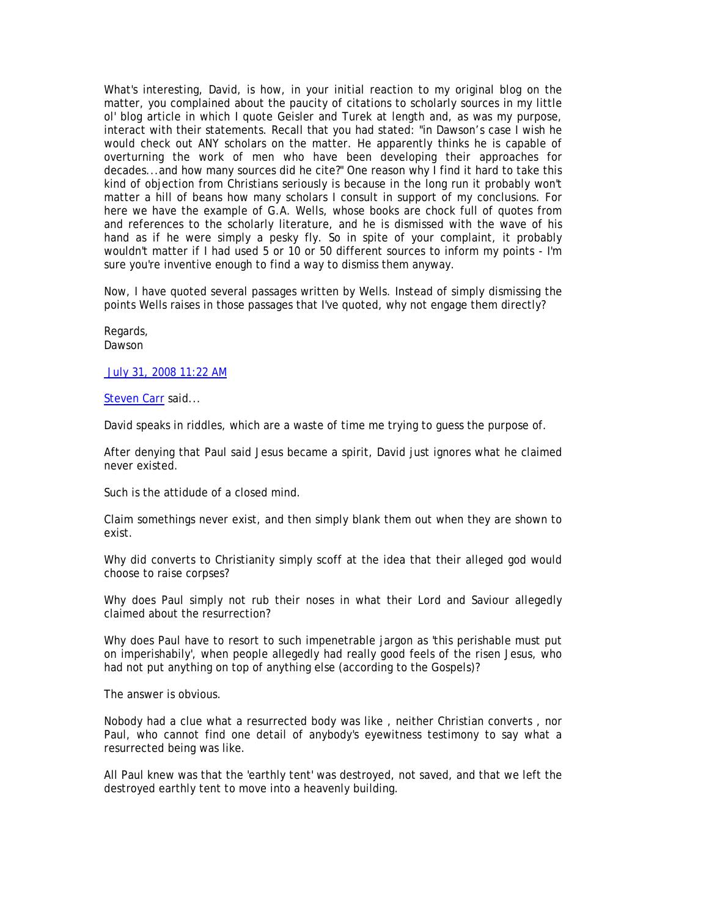What's interesting, David, is how, in your initial reaction to my original blog on the matter, you complained about the paucity of citations to scholarly sources in my little ol' blog article in which I quote Geisler and Turek at length and, as was my purpose, interact with their statements. Recall that you had stated: "in Dawson's case I wish he would check out ANY scholars on the matter. He apparently thinks he is capable of overturning the work of men who have been developing their approaches for decades...and how many sources did he cite?" One reason why I find it hard to take this kind of objection from Christians seriously is because in the long run it probably won't matter a hill of beans how many scholars I consult in support of my conclusions. For here we have the example of G.A. Wells, whose books are chock full of quotes from and references to the scholarly literature, and he is dismissed with the wave of his hand as if he were simply a pesky fly. So in spite of your complaint, it probably wouldn't matter if I had used 5 or 10 or 50 different sources to inform my points - I'm sure you're inventive enough to find a way to dismiss them anyway.

Now, I have quoted several passages written by Wells. Instead of simply dismissing the points Wells raises in those passages that I've quoted, why not engage them directly?

Regards, Dawson

July 31, 2008 11:22 AM

Steven Carr said...

David speaks in riddles, which are a waste of time me trying to guess the purpose of.

After denying that Paul said Jesus became a spirit, David just ignores what he claimed never existed.

Such is the attidude of a closed mind.

Claim somethings never exist, and then simply blank them out when they are shown to exist.

Why did converts to Christianity simply scoff at the idea that their alleged god would choose to raise corpses?

Why does Paul simply not rub their noses in what their Lord and Saviour allegedly claimed about the resurrection?

Why does Paul have to resort to such impenetrable jargon as 'this perishable must put on imperishabily', when people allegedly had really good feels of the risen Jesus, who had not put anything on top of anything else (according to the Gospels)?

The answer is obvious.

Nobody had a clue what a resurrected body was like , neither Christian converts , nor Paul, who cannot find one detail of anybody's eyewitness testimony to say what a resurrected being was like.

All Paul knew was that the 'earthly tent' was destroyed, not saved, and that we left the destroyed earthly tent to move into a heavenly building.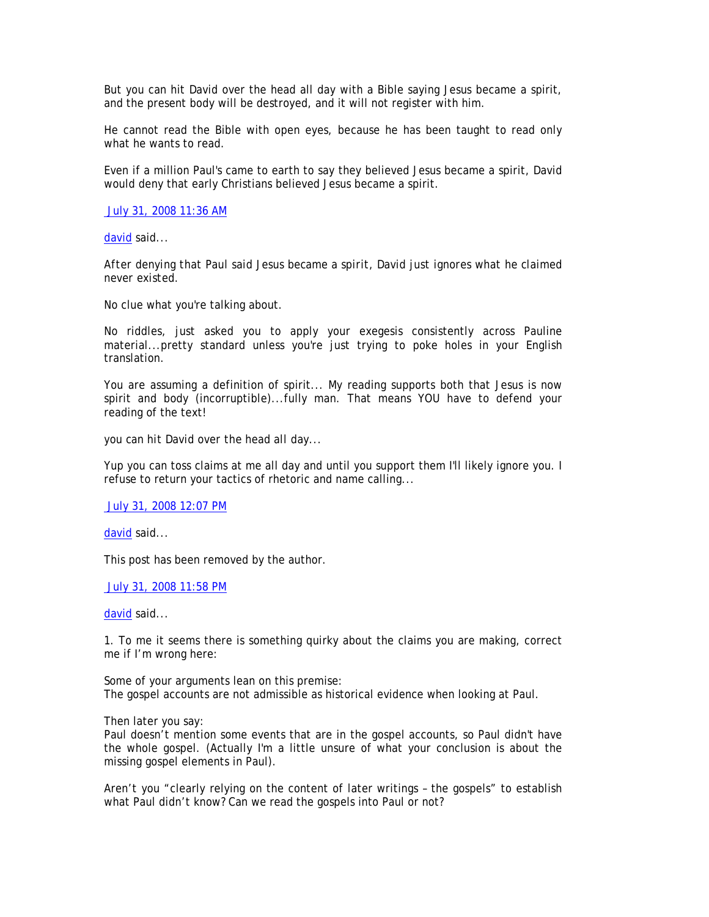But you can hit David over the head all day with a Bible saying Jesus became a spirit, and the present body will be destroyed, and it will not register with him.

He cannot read the Bible with open eyes, because he has been taught to read only what he wants to read.

Even if a million Paul's came to earth to say they believed Jesus became a spirit, David would deny that early Christians believed Jesus became a spirit.

July 31, 2008 11:36 AM

david said...

*After denying that Paul said Jesus became a spirit, David just ignores what he claimed never existed.* 

No clue what you're talking about.

No riddles, just asked you to apply your exegesis consistently across Pauline material...pretty standard unless you're just trying to poke holes in your English translation.

You are assuming a definition of spirit... My reading supports both that Jesus is now spirit and body (incorruptible)...fully man. That means YOU have to defend your reading of the text!

*you can hit David over the head all day...* 

Yup you can toss claims at me all day and until you support them I'll likely ignore you. I refuse to return your tactics of rhetoric and name calling...

July 31, 2008 12:07 PM

david said...

This post has been removed by the author.

July 31, 2008 11:58 PM

david said...

1. To me it seems there is something quirky about the claims you are making, correct me if I'm wrong here:

Some of your arguments lean on this premise: The gospel accounts are not admissible as historical evidence when looking at Paul.

Then later you say:

Paul doesn't mention some events that are in the gospel accounts, so Paul didn't have the whole gospel. (Actually I'm a little unsure of what your conclusion is about the missing gospel elements in Paul).

Aren't you "clearly relying on the content of later writings – the gospels" to establish what Paul didn't know? Can we read the gospels into Paul or not?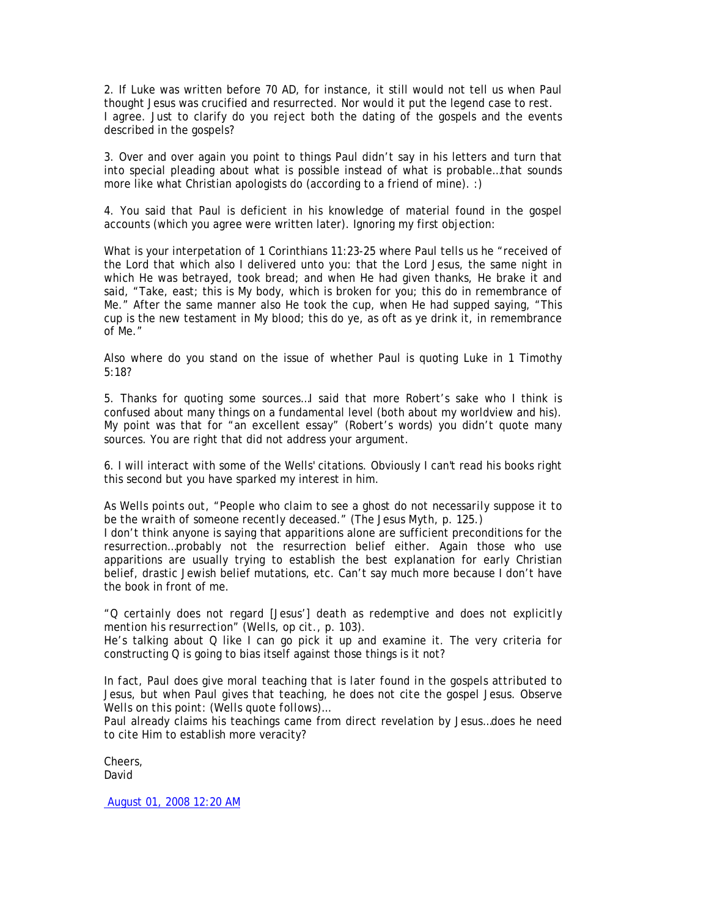2. If Luke was written before 70 AD, for instance, it still would not tell us when Paul thought Jesus was crucified and resurrected. Nor would it put the legend case to rest. I agree. Just to clarify do you reject both the dating of the gospels and the events described in the gospels?

3. Over and over again you point to things Paul didn't say in his letters and turn that into special pleading about what is possible instead of what is probable…that sounds more like what Christian apologists do (according to a friend of mine). :)

4. You said that Paul is deficient in his knowledge of material found in the gospel accounts (which you agree were written later). Ignoring my first objection:

What is your interpetation of 1 Corinthians 11:23-25 where Paul tells us he "received of the Lord that which also I delivered unto you: that the Lord Jesus, the same night in which He was betrayed, took bread; and when He had given thanks, He brake it and said, "Take, east; this is My body, which is broken for you; this do in remembrance of Me." After the same manner also He took the cup, when He had supped saying, "This cup is the new testament in My blood; this do ye, as oft as ye drink it, in remembrance of Me."

Also where do you stand on the issue of whether Paul is quoting Luke in 1 Timothy 5:18?

5. Thanks for quoting some sources…I said that more Robert's sake who I think is confused about many things on a fundamental level (both about my worldview and his). My point was that for "an excellent essay" (Robert's words) you didn't quote many sources. You are right that did not address your argument.

6. I will interact with some of the Wells' citations. Obviously I can't read his books right this second but you have sparked my interest in him.

*As Wells points out, "People who claim to see a ghost do not necessarily suppose it to be the wraith of someone recently deceased." (The Jesus Myth, p. 125.)* 

I don't think anyone is saying that apparitions alone are sufficient preconditions for the resurrection…probably not the resurrection belief either. Again those who use apparitions are usually trying to establish the best explanation for early Christian belief, drastic Jewish belief mutations, etc. Can't say much more because I don't have the book in front of me.

*"Q certainly does not regard [Jesus'] death as redemptive and does not explicitly mention his resurrection" (Wells, op cit., p. 103).* 

He's talking about Q like I can go pick it up and examine it. The very criteria for constructing Q is going to bias itself against those things is it not?

*In fact, Paul does give moral teaching that is later found in the gospels attributed to*  Jesus, but when Paul gives that teaching, he does not cite the gospel Jesus. Observe *Wells on this point: (Wells quote follows)…* 

Paul already claims his teachings came from direct revelation by Jesus…does he need to cite Him to establish more veracity?

Cheers, David

August 01, 2008 12:20 AM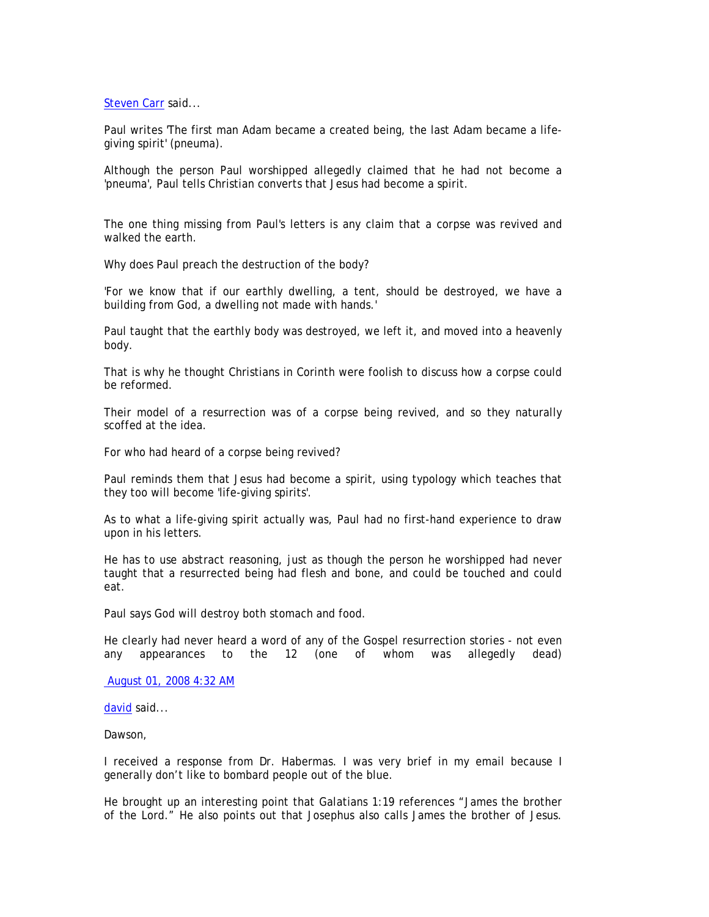Steven Carr said...

Paul writes 'The first man Adam became a created being, the last Adam became a lifegiving spirit' (pneuma).

Although the person Paul worshipped allegedly claimed that he had not become a 'pneuma', Paul tells Christian converts that Jesus had become a spirit.

The one thing missing from Paul's letters is any claim that a corpse was revived and walked the earth.

Why does Paul preach the destruction of the body?

'For we know that if our earthly dwelling, a tent, should be destroyed, we have a building from God, a dwelling not made with hands.'

Paul taught that the earthly body was destroyed, we left it, and moved into a heavenly body.

That is why he thought Christians in Corinth were foolish to discuss how a corpse could be reformed.

Their model of a resurrection was of a corpse being revived, and so they naturally scoffed at the idea.

For who had heard of a corpse being revived?

Paul reminds them that Jesus had become a spirit, using typology which teaches that they too will become 'life-giving spirits'.

As to what a life-giving spirit actually was, Paul had no first-hand experience to draw upon in his letters.

He has to use abstract reasoning, just as though the person he worshipped had never taught that a resurrected being had flesh and bone, and could be touched and could eat.

Paul says God will destroy both stomach and food.

He clearly had never heard a word of any of the Gospel resurrection stories - not even any appearances to the 12 (one of whom was allegedly dead)

August 01, 2008 4:32 AM

david said...

Dawson,

I received a response from Dr. Habermas. I was very brief in my email because I generally don't like to bombard people out of the blue.

He brought up an interesting point that Galatians 1:19 references "James the brother of the Lord." He also points out that Josephus also calls James the brother of Jesus.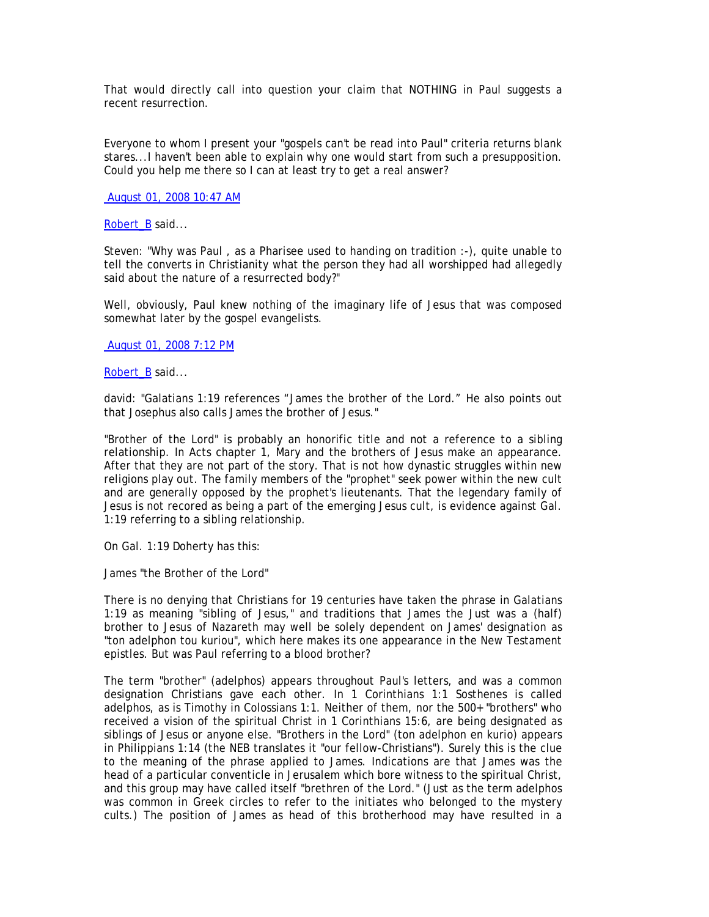That would directly call into question your claim that NOTHING in Paul suggests a recent resurrection.

Everyone to whom I present your "gospels can't be read into Paul" criteria returns blank stares...I haven't been able to explain why one would start from such a presupposition. Could you help me there so I can at least try to get a real answer?

August 01, 2008 10:47 AM

Robert\_B said...

Steven: "Why was Paul , as a Pharisee used to handing on tradition :-), quite unable to tell the converts in Christianity what the person they had all worshipped had allegedly said about the nature of a resurrected body?"

Well, obviously, Paul knew nothing of the imaginary life of Jesus that was composed somewhat later by the gospel evangelists.

August 01, 2008 7:12 PM

Robert\_B said...

david: "Galatians 1:19 references "James the brother of the Lord." He also points out that Josephus also calls James the brother of Jesus."

"Brother of the Lord" is probably an honorific title and not a reference to a sibling relationship. In Acts chapter 1, Mary and the brothers of Jesus make an appearance. After that they are not part of the story. That is not how dynastic struggles within new religions play out. The family members of the "prophet" seek power within the new cult and are generally opposed by the prophet's lieutenants. That the legendary family of Jesus is not recored as being a part of the emerging Jesus cult, is evidence against Gal. 1:19 referring to a sibling relationship.

On Gal. 1:19 Doherty has this:

James "the Brother of the Lord"

There is no denying that Christians for 19 centuries have taken the phrase in Galatians 1:19 as meaning "sibling of Jesus," and traditions that James the Just was a (half) brother to Jesus of Nazareth may well be solely dependent on James' designation as "ton adelphon tou kuriou", which here makes its one appearance in the New Testament epistles. But was Paul referring to a blood brother?

The term "brother" (adelphos) appears throughout Paul's letters, and was a common designation Christians gave each other. In 1 Corinthians 1:1 Sosthenes is called adelphos, as is Timothy in Colossians 1:1. Neither of them, nor the 500+ "brothers" who received a vision of the spiritual Christ in 1 Corinthians 15:6, are being designated as siblings of Jesus or anyone else. "Brothers in the Lord" (ton adelphon en kurio) appears in Philippians 1:14 (the NEB translates it "our fellow-Christians"). Surely this is the clue to the meaning of the phrase applied to James. Indications are that James was the head of a particular conventicle in Jerusalem which bore witness to the spiritual Christ, and this group may have called itself "brethren of the Lord." (Just as the term adelphos was common in Greek circles to refer to the initiates who belonged to the mystery cults.) The position of James as head of this brotherhood may have resulted in a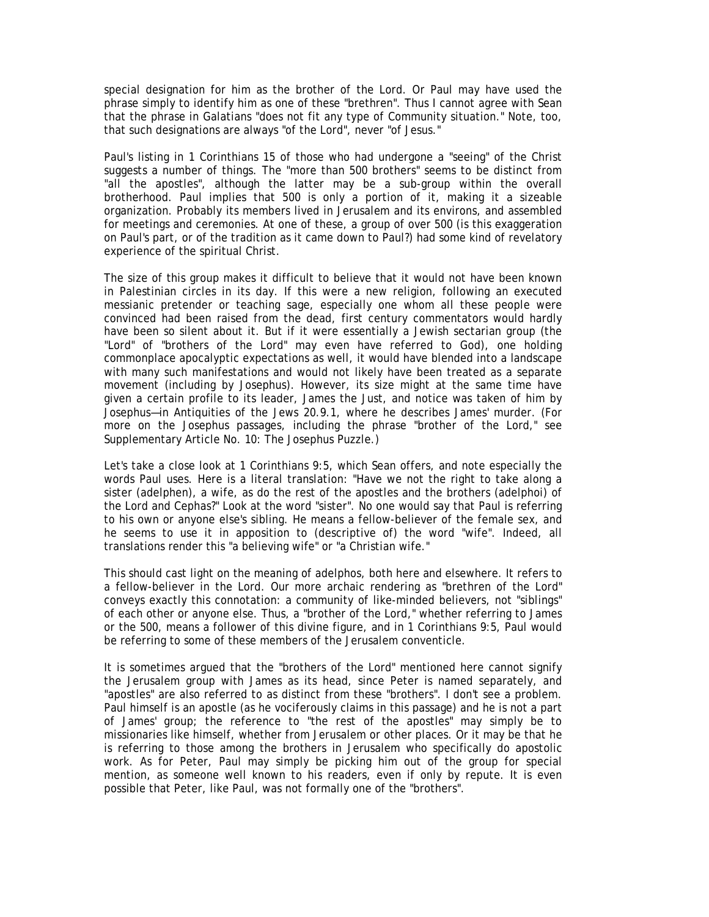special designation for him as the brother of the Lord. Or Paul may have used the phrase simply to identify him as one of these "brethren". Thus I cannot agree with Sean that the phrase in Galatians "does not fit any type of Community situation." Note, too, that such designations are always "of the Lord", never "of Jesus."

Paul's listing in 1 Corinthians 15 of those who had undergone a "seeing" of the Christ suggests a number of things. The "more than 500 brothers" seems to be distinct from "all the apostles", although the latter may be a sub-group within the overall brotherhood. Paul implies that 500 is only a portion of it, making it a sizeable organization. Probably its members lived in Jerusalem and its environs, and assembled for meetings and ceremonies. At one of these, a group of over 500 (is this exaggeration on Paul's part, or of the tradition as it came down to Paul?) had some kind of revelatory experience of the spiritual Christ.

The size of this group makes it difficult to believe that it would not have been known in Palestinian circles in its day. If this were a new religion, following an executed messianic pretender or teaching sage, especially one whom all these people were convinced had been raised from the dead, first century commentators would hardly have been so silent about it. But if it were essentially a Jewish sectarian group (the "Lord" of "brothers of the Lord" may even have referred to God), one holding commonplace apocalyptic expectations as well, it would have blended into a landscape with many such manifestations and would not likely have been treated as a separate movement (including by Josephus). However, its size might at the same time have given a certain profile to its leader, James the Just, and notice was taken of him by Josephus—in Antiquities of the Jews 20.9.1, where he describes James' murder. (For more on the Josephus passages, including the phrase "brother of the Lord," see Supplementary Article No. 10: The Josephus Puzzle.)

Let's take a close look at 1 Corinthians 9:5, which Sean offers, and note especially the words Paul uses. Here is a literal translation: "Have we not the right to take along a sister (adelphen), a wife, as do the rest of the apostles and the brothers (adelphoi) of the Lord and Cephas?" Look at the word "sister". No one would say that Paul is referring to his own or anyone else's sibling. He means a fellow-believer of the female sex, and he seems to use it in apposition to (descriptive of) the word "wife". Indeed, all translations render this "a believing wife" or "a Christian wife."

This should cast light on the meaning of adelphos, both here and elsewhere. It refers to a fellow-believer in the Lord. Our more archaic rendering as "brethren of the Lord" conveys exactly this connotation: a community of like-minded believers, not "siblings" of each other or anyone else. Thus, a "brother of the Lord," whether referring to James or the 500, means a follower of this divine figure, and in 1 Corinthians 9:5, Paul would be referring to some of these members of the Jerusalem conventicle.

It is sometimes argued that the "brothers of the Lord" mentioned here cannot signify the Jerusalem group with James as its head, since Peter is named separately, and "apostles" are also referred to as distinct from these "brothers". I don't see a problem. Paul himself is an apostle (as he vociferously claims in this passage) and he is not a part of James' group; the reference to "the rest of the apostles" may simply be to missionaries like himself, whether from Jerusalem or other places. Or it may be that he is referring to those among the brothers in Jerusalem who specifically do apostolic work. As for Peter, Paul may simply be picking him out of the group for special mention, as someone well known to his readers, even if only by repute. It is even possible that Peter, like Paul, was not formally one of the "brothers".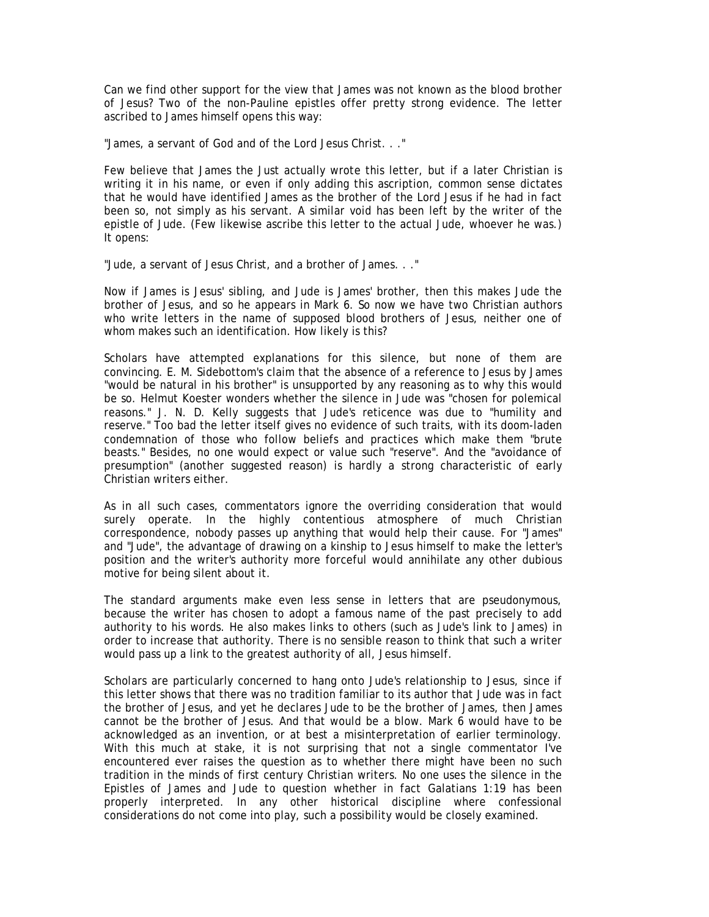Can we find other support for the view that James was not known as the blood brother of Jesus? Two of the non-Pauline epistles offer pretty strong evidence. The letter ascribed to James himself opens this way:

"James, a servant of God and of the Lord Jesus Christ. . ."

Few believe that James the Just actually wrote this letter, but if a later Christian is writing it in his name, or even if only adding this ascription, common sense dictates that he would have identified James as the brother of the Lord Jesus if he had in fact been so, not simply as his servant. A similar void has been left by the writer of the epistle of Jude. (Few likewise ascribe this letter to the actual Jude, whoever he was.) It opens:

"Jude, a servant of Jesus Christ, and a brother of James. . ."

Now if James is Jesus' sibling, and Jude is James' brother, then this makes Jude the brother of Jesus, and so he appears in Mark 6. So now we have two Christian authors who write letters in the name of supposed blood brothers of Jesus, neither one of whom makes such an identification. How likely is this?

Scholars have attempted explanations for this silence, but none of them are convincing. E. M. Sidebottom's claim that the absence of a reference to Jesus by James "would be natural in his brother" is unsupported by any reasoning as to why this would be so. Helmut Koester wonders whether the silence in Jude was "chosen for polemical reasons." J. N. D. Kelly suggests that Jude's reticence was due to "humility and reserve." Too bad the letter itself gives no evidence of such traits, with its doom-laden condemnation of those who follow beliefs and practices which make them "brute beasts." Besides, no one would expect or value such "reserve". And the "avoidance of presumption" (another suggested reason) is hardly a strong characteristic of early Christian writers either.

As in all such cases, commentators ignore the overriding consideration that would surely operate. In the highly contentious atmosphere of much Christian correspondence, nobody passes up anything that would help their cause. For "James" and "Jude", the advantage of drawing on a kinship to Jesus himself to make the letter's position and the writer's authority more forceful would annihilate any other dubious motive for being silent about it.

The standard arguments make even less sense in letters that are pseudonymous, because the writer has chosen to adopt a famous name of the past precisely to add authority to his words. He also makes links to others (such as Jude's link to James) in order to increase that authority. There is no sensible reason to think that such a writer would pass up a link to the greatest authority of all, Jesus himself.

Scholars are particularly concerned to hang onto Jude's relationship to Jesus, since if this letter shows that there was no tradition familiar to its author that Jude was in fact the brother of Jesus, and yet he declares Jude to be the brother of James, then James cannot be the brother of Jesus. And that would be a blow. Mark 6 would have to be acknowledged as an invention, or at best a misinterpretation of earlier terminology. With this much at stake, it is not surprising that not a single commentator I've encountered ever raises the question as to whether there might have been no such tradition in the minds of first century Christian writers. No one uses the silence in the Epistles of James and Jude to question whether in fact Galatians 1:19 has been properly interpreted. In any other historical discipline where confessional considerations do not come into play, such a possibility would be closely examined.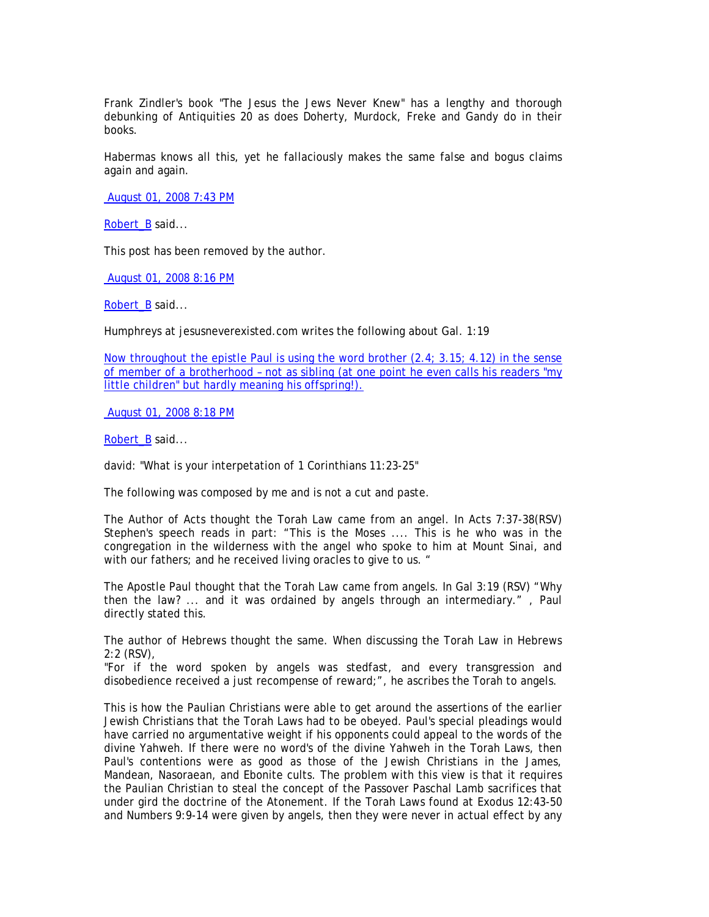Frank Zindler's book "The Jesus the Jews Never Knew" has a lengthy and thorough debunking of Antiquities 20 as does Doherty, Murdock, Freke and Gandy do in their books.

Habermas knows all this, yet he fallaciously makes the same false and bogus claims again and again.

August 01, 2008 7:43 PM

Robert\_B said...

This post has been removed by the author.

August 01, 2008 8:16 PM

Robert\_B said...

Humphreys at jesusneverexisted.com writes the following about Gal. 1:19

Now throughout the epistle Paul is using the word brother (2.4; 3.15; 4.12) in the sense of member of a brotherhood – not as sibling (at one point he even calls his readers "my little children" but hardly meaning his offspring!).

August 01, 2008 8:18 PM

Robert\_B said...

david: "What is your interpetation of 1 Corinthians 11:23-25"

The following was composed by me and is not a cut and paste.

The Author of Acts thought the Torah Law came from an angel. In Acts 7:37-38(RSV) Stephen's speech reads in part: "This is the Moses .... This is he who was in the congregation in the wilderness with the angel who spoke to him at Mount Sinai, and with our fathers; and he received living oracles to give to us. "

The Apostle Paul thought that the Torah Law came from angels. In Gal 3:19 (RSV) "Why then the law? ... and it was ordained by angels through an intermediary." , Paul directly stated this.

The author of Hebrews thought the same. When discussing the Torah Law in Hebrews 2:2 (RSV),

"For if the word spoken by angels was stedfast, and every transgression and disobedience received a just recompense of reward;", he ascribes the Torah to angels.

This is how the Paulian Christians were able to get around the assertions of the earlier Jewish Christians that the Torah Laws had to be obeyed. Paul's special pleadings would have carried no argumentative weight if his opponents could appeal to the words of the divine Yahweh. If there were no word's of the divine Yahweh in the Torah Laws, then Paul's contentions were as good as those of the Jewish Christians in the James, Mandean, Nasoraean, and Ebonite cults. The problem with this view is that it requires the Paulian Christian to steal the concept of the Passover Paschal Lamb sacrifices that under gird the doctrine of the Atonement. If the Torah Laws found at Exodus 12:43-50 and Numbers 9:9-14 were given by angels, then they were never in actual effect by any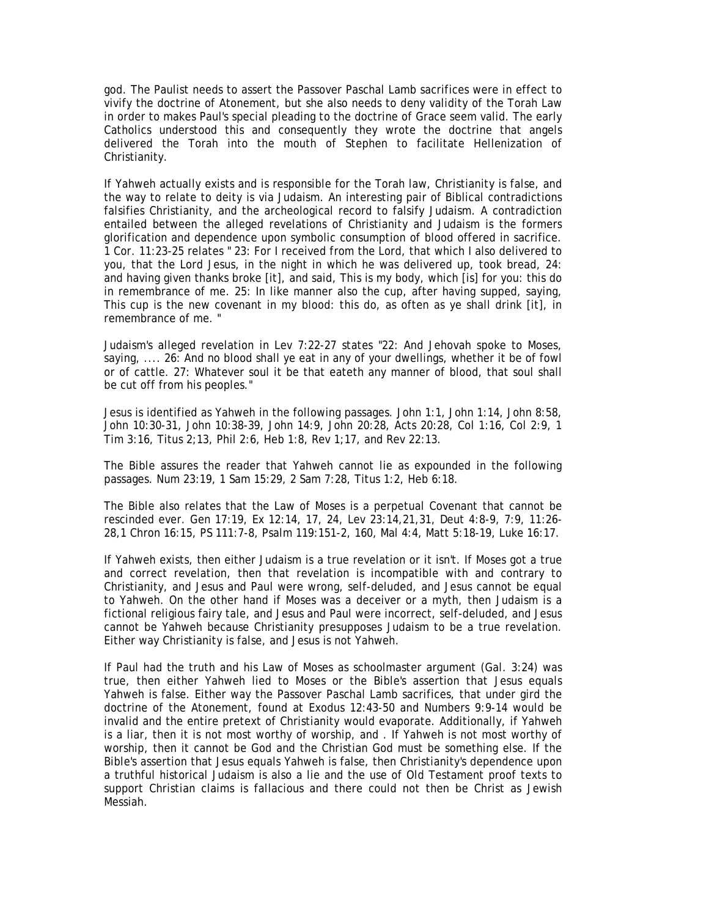god. The Paulist needs to assert the Passover Paschal Lamb sacrifices were in effect to vivify the doctrine of Atonement, but she also needs to deny validity of the Torah Law in order to makes Paul's special pleading to the doctrine of Grace seem valid. The early Catholics understood this and consequently they wrote the doctrine that angels delivered the Torah into the mouth of Stephen to facilitate Hellenization of Christianity.

If Yahweh actually exists and is responsible for the Torah law, Christianity is false, and the way to relate to deity is via Judaism. An interesting pair of Biblical contradictions falsifies Christianity, and the archeological record to falsify Judaism. A contradiction entailed between the alleged revelations of Christianity and Judaism is the formers glorification and dependence upon symbolic consumption of blood offered in sacrifice. 1 Cor. 11:23-25 relates " 23: For I received from the Lord, that which I also delivered to you, that the Lord Jesus, in the night in which he was delivered up, took bread, 24: and having given thanks broke [it], and said, This is my body, which [is] for you: this do in remembrance of me. 25: In like manner also the cup, after having supped, saying, This cup is the new covenant in my blood: this do, as often as ye shall drink [it], in remembrance of me. "

Judaism's alleged revelation in Lev 7:22-27 states "22: And Jehovah spoke to Moses, saying, .... 26: And no blood shall ye eat in any of your dwellings, whether it be of fowl or of cattle. 27: Whatever soul it be that eateth any manner of blood, that soul shall be cut off from his peoples."

Jesus is identified as Yahweh in the following passages. John 1:1, John 1:14, John 8:58, John 10:30-31, John 10:38-39, John 14:9, John 20:28, Acts 20:28, Col 1:16, Col 2:9, 1 Tim 3:16, Titus 2;13, Phil 2:6, Heb 1:8, Rev 1;17, and Rev 22:13.

The Bible assures the reader that Yahweh cannot lie as expounded in the following passages. Num 23:19, 1 Sam 15:29, 2 Sam 7:28, Titus 1:2, Heb 6:18.

The Bible also relates that the Law of Moses is a perpetual Covenant that cannot be rescinded ever. Gen 17:19, Ex 12:14, 17, 24, Lev 23:14,21,31, Deut 4:8-9, 7:9, 11:26- 28,1 Chron 16:15, PS 111:7-8, Psalm 119:151-2, 160, Mal 4:4, Matt 5:18-19, Luke 16:17.

If Yahweh exists, then either Judaism is a true revelation or it isn't. If Moses got a true and correct revelation, then that revelation is incompatible with and contrary to Christianity, and Jesus and Paul were wrong, self-deluded, and Jesus cannot be equal to Yahweh. On the other hand if Moses was a deceiver or a myth, then Judaism is a fictional religious fairy tale, and Jesus and Paul were incorrect, self-deluded, and Jesus cannot be Yahweh because Christianity presupposes Judaism to be a true revelation. Either way Christianity is false, and Jesus is not Yahweh.

If Paul had the truth and his Law of Moses as schoolmaster argument (Gal. 3:24) was true, then either Yahweh lied to Moses or the Bible's assertion that Jesus equals Yahweh is false. Either way the Passover Paschal Lamb sacrifices, that under gird the doctrine of the Atonement, found at Exodus 12:43-50 and Numbers 9:9-14 would be invalid and the entire pretext of Christianity would evaporate. Additionally, if Yahweh is a liar, then it is not most worthy of worship, and . If Yahweh is not most worthy of worship, then it cannot be God and the Christian God must be something else. If the Bible's assertion that Jesus equals Yahweh is false, then Christianity's dependence upon a truthful historical Judaism is also a lie and the use of Old Testament proof texts to support Christian claims is fallacious and there could not then be Christ as Jewish Messiah.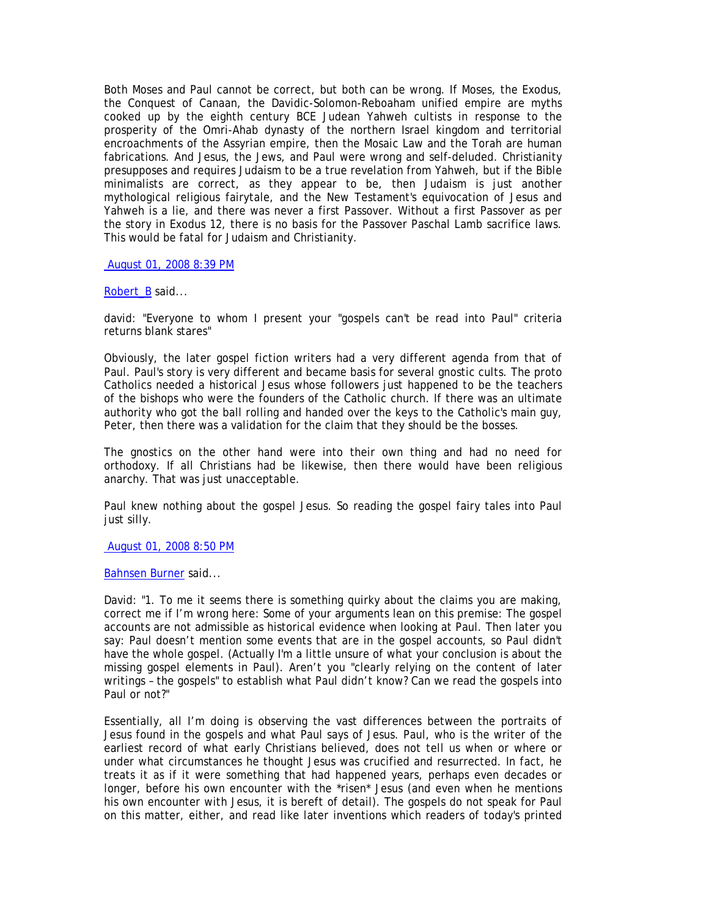Both Moses and Paul cannot be correct, but both can be wrong. If Moses, the Exodus, the Conquest of Canaan, the Davidic-Solomon-Reboaham unified empire are myths cooked up by the eighth century BCE Judean Yahweh cultists in response to the prosperity of the Omri-Ahab dynasty of the northern Israel kingdom and territorial encroachments of the Assyrian empire, then the Mosaic Law and the Torah are human fabrications. And Jesus, the Jews, and Paul were wrong and self-deluded. Christianity presupposes and requires Judaism to be a true revelation from Yahweh, but if the Bible minimalists are correct, as they appear to be, then Judaism is just another mythological religious fairytale, and the New Testament's equivocation of Jesus and Yahweh is a lie, and there was never a first Passover. Without a first Passover as per the story in Exodus 12, there is no basis for the Passover Paschal Lamb sacrifice laws. This would be fatal for Judaism and Christianity.

# August 01, 2008 8:39 PM

## Robert\_B said...

david: "Everyone to whom I present your "gospels can't be read into Paul" criteria returns blank stares"

Obviously, the later gospel fiction writers had a very different agenda from that of Paul. Paul's story is very different and became basis for several gnostic cults. The proto Catholics needed a historical Jesus whose followers just happened to be the teachers of the bishops who were the founders of the Catholic church. If there was an ultimate authority who got the ball rolling and handed over the keys to the Catholic's main guy, Peter, then there was a validation for the claim that they should be the bosses.

The gnostics on the other hand were into their own thing and had no need for orthodoxy. If all Christians had be likewise, then there would have been religious anarchy. That was just unacceptable.

Paul knew nothing about the gospel Jesus. So reading the gospel fairy tales into Paul just silly.

#### August 01, 2008 8:50 PM

Bahnsen Burner said...

David: "1. To me it seems there is something quirky about the claims you are making, correct me if I'm wrong here: Some of your arguments lean on this premise: The gospel accounts are not admissible as historical evidence when looking at Paul. Then later you say: Paul doesn't mention some events that are in the gospel accounts, so Paul didn't have the whole gospel. (Actually I'm a little unsure of what your conclusion is about the missing gospel elements in Paul). Aren't you "clearly relying on the content of later writings – the gospels" to establish what Paul didn't know? Can we read the gospels into Paul or not?"

Essentially, all I'm doing is observing the vast differences between the portraits of Jesus found in the gospels and what Paul says of Jesus. Paul, who is the writer of the earliest record of what early Christians believed, does not tell us when or where or under what circumstances he thought Jesus was crucified and resurrected. In fact, he treats it as if it were something that had happened years, perhaps even decades or longer, before his own encounter with the \*risen\* Jesus (and even when he mentions his own encounter with Jesus, it is bereft of detail). The gospels do not speak for Paul on this matter, either, and read like later inventions which readers of today's printed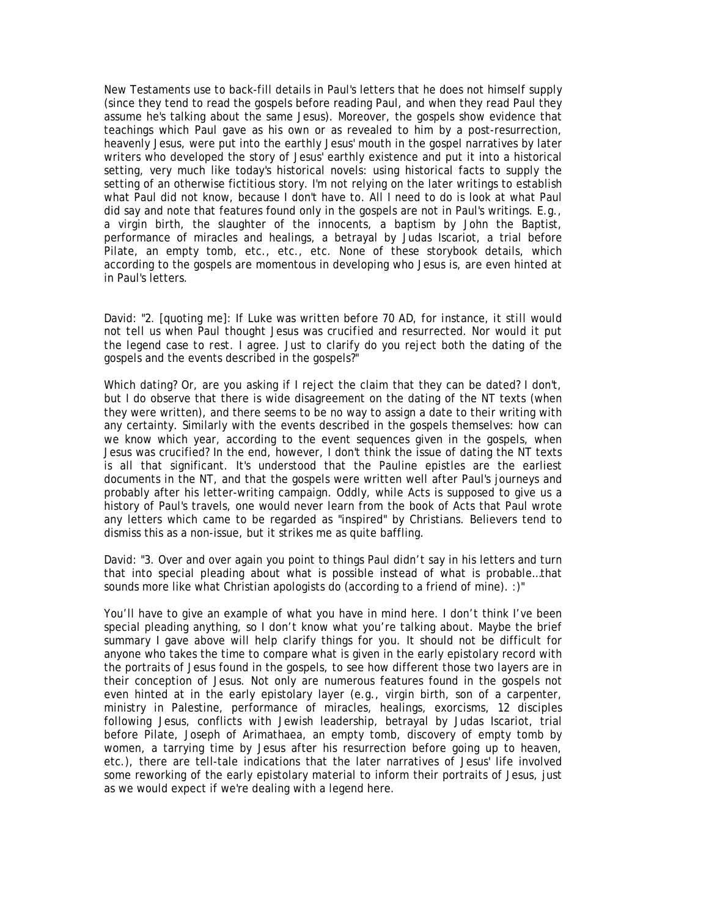New Testaments use to back-fill details in Paul's letters that he does not himself supply (since they tend to read the gospels before reading Paul, and when they read Paul they assume he's talking about the same Jesus). Moreover, the gospels show evidence that teachings which Paul gave as his own or as revealed to him by a post-resurrection, heavenly Jesus, were put into the earthly Jesus' mouth in the gospel narratives by later writers who developed the story of Jesus' earthly existence and put it into a historical setting, very much like today's historical novels: using historical facts to supply the setting of an otherwise fictitious story. I'm not relying on the later writings to establish what Paul did not know, because I don't have to. All I need to do is look at what Paul did say and note that features found only in the gospels are not in Paul's writings. E.g., a virgin birth, the slaughter of the innocents, a baptism by John the Baptist, performance of miracles and healings, a betrayal by Judas Iscariot, a trial before Pilate, an empty tomb, etc., etc., etc. None of these storybook details, which according to the gospels are momentous in developing who Jesus is, are even hinted at in Paul's letters.

David: "2. [quoting me]: *If Luke was written before 70 AD, for instance, it still would*  not tell us when Paul thought Jesus was crucified and resurrected. Nor would it put *the legend case to rest.* I agree. Just to clarify do you reject both the dating of the gospels and the events described in the gospels?"

Which dating? Or, are you asking if I reject the claim that they can be dated? I don't, but I do observe that there is wide disagreement on the dating of the NT texts (when they were written), and there seems to be no way to assign a date to their writing with any certainty. Similarly with the events described in the gospels themselves: how can we know which year, according to the event sequences given in the gospels, when Jesus was crucified? In the end, however, I don't think the issue of dating the NT texts is all that significant. It's understood that the Pauline epistles are the earliest documents in the NT, and that the gospels were written well after Paul's journeys and probably after his letter-writing campaign. Oddly, while Acts is supposed to give us a history of Paul's travels, one would never learn from the book of Acts that Paul wrote any letters which came to be regarded as "inspired" by Christians. Believers tend to dismiss this as a non-issue, but it strikes me as quite baffling.

David: "3. Over and over again you point to things Paul didn't say in his letters and turn that into special pleading about what is possible instead of what is probable…that sounds more like what Christian apologists do (according to a friend of mine). :)"

You'll have to give an example of what you have in mind here. I don't think I've been special pleading anything, so I don't know what you're talking about. Maybe the brief summary I gave above will help clarify things for you. It should not be difficult for anyone who takes the time to compare what is given in the early epistolary record with the portraits of Jesus found in the gospels, to see how different those two layers are in their conception of Jesus. Not only are numerous features found in the gospels not even hinted at in the early epistolary layer (e.g., virgin birth, son of a carpenter, ministry in Palestine, performance of miracles, healings, exorcisms, 12 disciples following Jesus, conflicts with Jewish leadership, betrayal by Judas Iscariot, trial before Pilate, Joseph of Arimathaea, an empty tomb, discovery of empty tomb by women, a tarrying time by Jesus after his resurrection before going up to heaven, etc.), there are tell-tale indications that the later narratives of Jesus' life involved some reworking of the early epistolary material to inform their portraits of Jesus, just as we would expect if we're dealing with a legend here.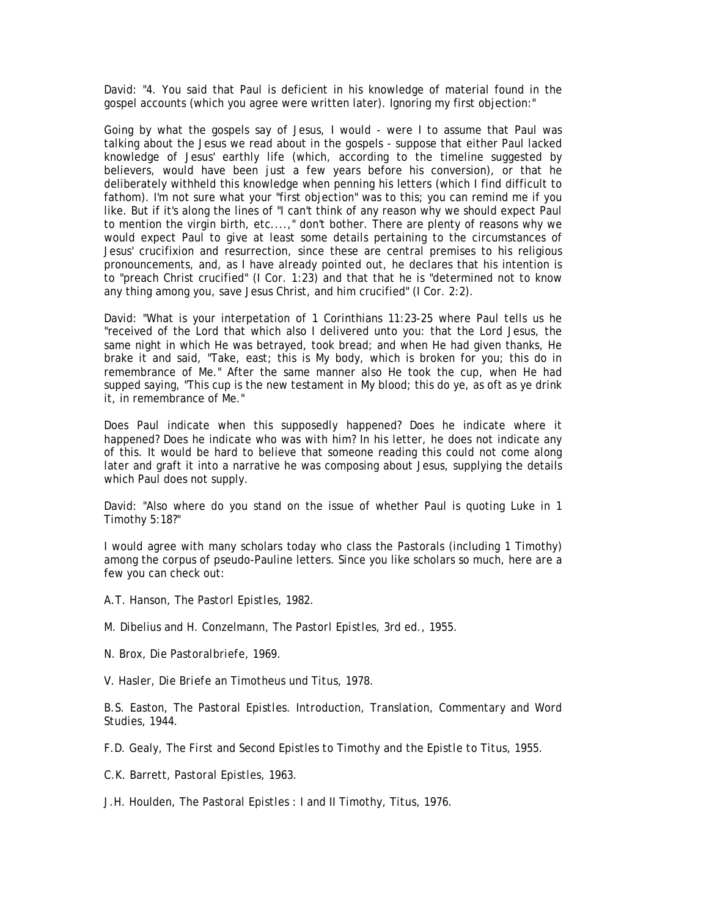David: "4. You said that Paul is deficient in his knowledge of material found in the gospel accounts (which you agree were written later). Ignoring my first objection:"

Going by what the gospels say of Jesus, I would - were I to assume that Paul was talking about the Jesus we read about in the gospels - suppose that either Paul lacked knowledge of Jesus' earthly life (which, according to the timeline suggested by believers, would have been just a few years before his conversion), or that he deliberately withheld this knowledge when penning his letters (which I find difficult to fathom). I'm not sure what your "first objection" was to this; you can remind me if you like. But if it's along the lines of "I can't think of any reason why we should expect Paul to mention the virgin birth, etc....," don't bother. There are plenty of reasons why we would expect Paul to give at least some details pertaining to the circumstances of Jesus' crucifixion and resurrection, since these are central premises to his religious pronouncements, and, as I have already pointed out, he declares that his intention is to "preach Christ crucified" (I Cor. 1:23) and that that he is "determined not to know any thing among you, save Jesus Christ, and him crucified" (I Cor. 2:2).

David: "What is your interpetation of 1 Corinthians 11:23-25 where Paul tells us he "received of the Lord that which also I delivered unto you: that the Lord Jesus, the same night in which He was betrayed, took bread; and when He had given thanks, He brake it and said, "Take, east; this is My body, which is broken for you; this do in remembrance of Me." After the same manner also He took the cup, when He had supped saying, "This cup is the new testament in My blood; this do ye, as oft as ye drink it, in remembrance of Me."

Does Paul indicate when this supposedly happened? Does he indicate where it happened? Does he indicate who was with him? In his letter, he does not indicate any of this. It would be hard to believe that someone reading this could not come along later and graft it into a narrative he was composing about Jesus, supplying the details which Paul does not supply.

David: "Also where do you stand on the issue of whether Paul is quoting Luke in 1 Timothy 5:18?"

I would agree with many scholars today who class the Pastorals (including 1 Timothy) among the corpus of pseudo-Pauline letters. Since you like scholars so much, here are a few you can check out:

A.T. Hanson, *The Pastorl Epistles*, 1982.

M. Dibelius and H. Conzelmann, *The Pastorl Epistles*, 3rd ed., 1955.

N. Brox, *Die Pastoralbriefe*, 1969.

V. Hasler, *Die Briefe an Timotheus und Titus*, 1978.

B.S. Easton, *The Pastoral Epistles. Introduction, Translation, Commentary and Word Studies*, 1944.

F.D. Gealy, *The First and Second Epistles to Timothy and the Epistle to Titus*, 1955.

C.K. Barrett, *Pastoral Epistles*, 1963.

J.H. Houlden, *The Pastoral Epistles : I and II Timothy, Titus*, 1976.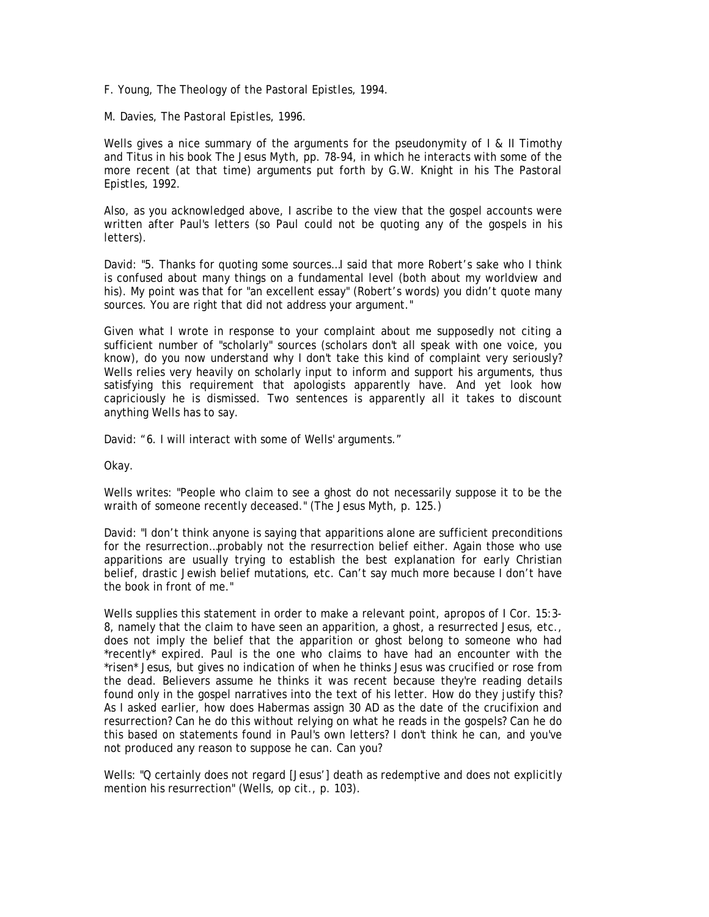F. Young, *The Theology of the Pastoral Epistles*, 1994.

M. Davies, *The Pastoral Epistles*, 1996.

Wells gives a nice summary of the arguments for the pseudonymity of I & II Timothy and Titus in his book *The Jesus Myth*, pp. 78-94, in which he interacts with some of the more recent (at that time) arguments put forth by G.W. Knight in his *The Pastoral Epistles*, 1992.

Also, as you acknowledged above, I ascribe to the view that the gospel accounts were written after Paul's letters (so Paul could not be quoting any of the gospels in his letters).

David: "5. Thanks for quoting some sources…I said that more Robert's sake who I think is confused about many things on a fundamental level (both about my worldview and his). My point was that for "an excellent essay" (Robert's words) you didn't quote many sources. You are right that did not address your argument."

Given what I wrote in response to your complaint about me supposedly not citing a sufficient number of "scholarly" sources (scholars don't all speak with one voice, you know), do you now understand why I don't take this kind of complaint very seriously? Wells relies very heavily on scholarly input to inform and support his arguments, thus satisfying this requirement that apologists apparently have. And yet look how capriciously he is dismissed. Two sentences is apparently all it takes to discount anything Wells has to say.

David: "6. I will interact with some of Wells' arguments."

Okay.

Wells writes: "People who claim to see a ghost do not necessarily suppose it to be the wraith of someone recently deceased." (The Jesus Myth, p. 125.)

David: "I don't think anyone is saying that apparitions alone are sufficient preconditions for the resurrection…probably not the resurrection belief either. Again those who use apparitions are usually trying to establish the best explanation for early Christian belief, drastic Jewish belief mutations, etc. Can't say much more because I don't have the book in front of me."

Wells supplies this statement in order to make a relevant point, apropos of I Cor. 15:3- 8, namely that the claim to have seen an apparition, a ghost, a resurrected Jesus, etc., does not imply the belief that the apparition or ghost belong to someone who had \*recently\* expired. Paul is the one who claims to have had an encounter with the \*risen\* Jesus, but gives no indication of when he thinks Jesus was crucified or rose from the dead. Believers assume he thinks it was recent because they're reading details found only in the gospel narratives into the text of his letter. How do they justify this? As I asked earlier, how does Habermas assign 30 AD as the date of the crucifixion and resurrection? Can he do this without relying on what he reads in the gospels? Can he do this based on statements found in Paul's own letters? I don't think he can, and you've not produced any reason to suppose he can. Can you?

Wells: "Q certainly does not regard [Jesus'] death as redemptive and does not explicitly mention his resurrection" (Wells, op cit., p. 103).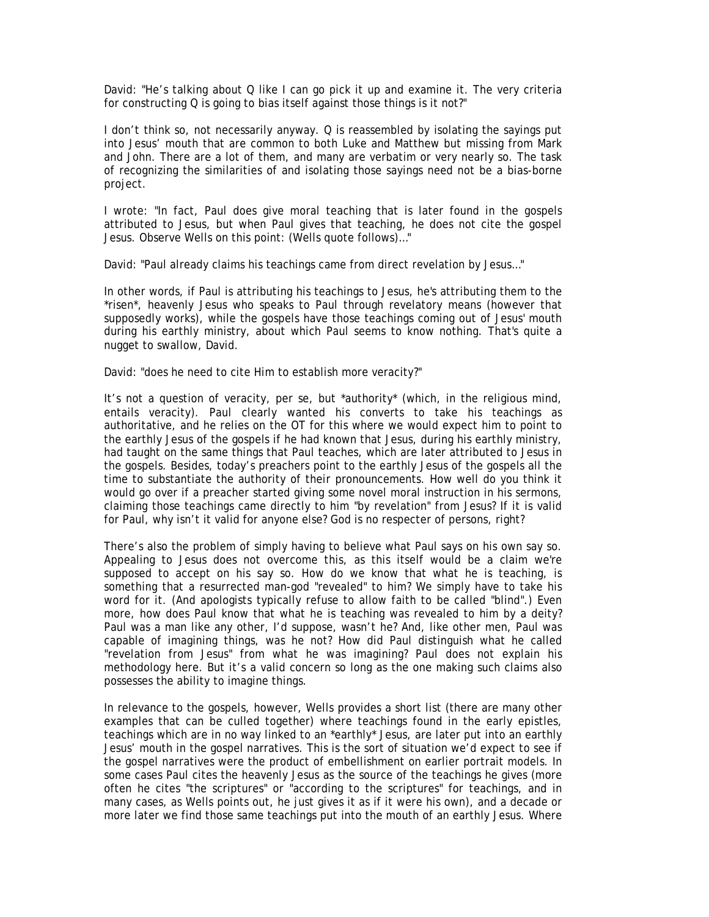David: "He's talking about Q like I can go pick it up and examine it. The very criteria for constructing Q is going to bias itself against those things is it not?"

I don't think so, not necessarily anyway. Q is reassembled by isolating the sayings put into Jesus' mouth that are common to both Luke and Matthew but missing from Mark and John. There are a lot of them, and many are verbatim or very nearly so. The task of recognizing the similarities of and isolating those sayings need not be a bias-borne project.

I wrote: "In fact, Paul does give moral teaching that is later found in the gospels attributed to Jesus, but when Paul gives that teaching, he does not cite the gospel Jesus. Observe Wells on this point: (Wells quote follows)…"

David: "Paul already claims his teachings came from direct revelation by Jesus…"

In other words, if Paul is attributing his teachings to Jesus, he's attributing them to the \*risen\*, heavenly Jesus who speaks to Paul through revelatory means (however that supposedly works), while the gospels have those teachings coming out of Jesus' mouth during his earthly ministry, about which Paul seems to know nothing. That's quite a nugget to swallow, David.

David: "does he need to cite Him to establish more veracity?"

It's not a question of veracity, per se, but \*authority\* (which, in the religious mind, entails veracity). Paul clearly wanted his converts to take his teachings as authoritative, and he relies on the OT for this where we would expect him to point to the earthly Jesus of the gospels if he had known that Jesus, during his earthly ministry, had taught on the same things that Paul teaches, which are later attributed to Jesus in the gospels. Besides, today's preachers point to the earthly Jesus of the gospels all the time to substantiate the authority of their pronouncements. How well do you think it would go over if a preacher started giving some novel moral instruction in his sermons, claiming those teachings came directly to him "by revelation" from Jesus? If it is valid for Paul, why isn't it valid for anyone else? God is no respecter of persons, right?

There's also the problem of simply having to believe what Paul says on his own say so. Appealing to Jesus does not overcome this, as this itself would be a claim we're supposed to accept on his say so. How do we know that what he is teaching, is something that a resurrected man-god "revealed" to him? We simply have to take his word for it. (And apologists typically refuse to allow faith to be called "blind".) Even more, how does Paul know that what he is teaching was revealed to him by a deity? Paul was a man like any other, I'd suppose, wasn't he? And, like other men, Paul was capable of imagining things, was he not? How did Paul distinguish what he called "revelation from Jesus" from what he was imagining? Paul does not explain his methodology here. But it's a valid concern so long as the one making such claims also possesses the ability to imagine things.

In relevance to the gospels, however, Wells provides a short list (there are many other examples that can be culled together) where teachings found in the early epistles, teachings which are in no way linked to an \*earthly\* Jesus, are later put into an earthly Jesus' mouth in the gospel narratives. This is the sort of situation we'd expect to see if the gospel narratives were the product of embellishment on earlier portrait models. In some cases Paul cites the heavenly Jesus as the source of the teachings he gives (more often he cites "the scriptures" or "according to the scriptures" for teachings, and in many cases, as Wells points out, he just gives it as if it were his own), and a decade or more later we find those same teachings put into the mouth of an earthly Jesus. Where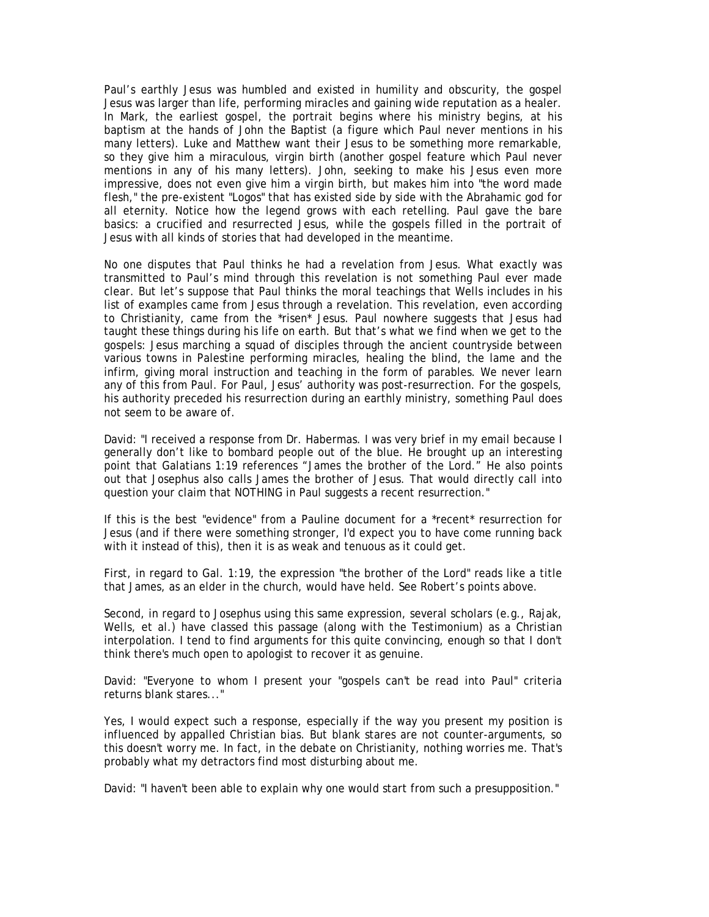Paul's earthly Jesus was humbled and existed in humility and obscurity, the gospel Jesus was larger than life, performing miracles and gaining wide reputation as a healer. In Mark, the earliest gospel, the portrait begins where his ministry begins, at his baptism at the hands of John the Baptist (a figure which Paul never mentions in his many letters). Luke and Matthew want their Jesus to be something more remarkable, so they give him a miraculous, virgin birth (another gospel feature which Paul never mentions in any of his many letters). John, seeking to make his Jesus even more impressive, does not even give him a virgin birth, but makes him into "the word made flesh," the pre-existent "Logos" that has existed side by side with the Abrahamic god for all eternity. Notice how the legend grows with each retelling. Paul gave the bare basics: a crucified and resurrected Jesus, while the gospels filled in the portrait of Jesus with all kinds of stories that had developed in the meantime.

No one disputes that Paul thinks he had a revelation from Jesus. What exactly was transmitted to Paul's mind through this revelation is not something Paul ever made clear. But let's suppose that Paul thinks the moral teachings that Wells includes in his list of examples came from Jesus through a revelation. This revelation, even according to Christianity, came from the \*risen\* Jesus. Paul nowhere suggests that Jesus had taught these things during his life on earth. But that's what we find when we get to the gospels: Jesus marching a squad of disciples through the ancient countryside between various towns in Palestine performing miracles, healing the blind, the lame and the infirm, giving moral instruction and teaching in the form of parables. We never learn any of this from Paul. For Paul, Jesus' authority was post-resurrection. For the gospels, his authority preceded his resurrection during an earthly ministry, something Paul does not seem to be aware of.

David: "I received a response from Dr. Habermas. I was very brief in my email because I generally don't like to bombard people out of the blue. He brought up an interesting point that Galatians 1:19 references "James the brother of the Lord." He also points out that Josephus also calls James the brother of Jesus. That would directly call into question your claim that NOTHING in Paul suggests a recent resurrection."

If this is the best "evidence" from a Pauline document for a \*recent\* resurrection for Jesus (and if there were something stronger, I'd expect you to have come running back with it instead of this), then it is as weak and tenuous as it could get.

First, in regard to Gal. 1:19, the expression "the brother of the Lord" reads like a title that James, as an elder in the church, would have held. See Robert's points above.

Second, in regard to Josephus using this same expression, several scholars (e.g., Rajak, Wells, et al.) have classed this passage (along with the Testimonium) as a Christian interpolation. I tend to find arguments for this quite convincing, enough so that I don't think there's much open to apologist to recover it as genuine.

David: "Everyone to whom I present your "gospels can't be read into Paul" criteria returns blank stares..."

Yes, I would expect such a response, especially if the way you present my position is influenced by appalled Christian bias. But blank stares are not counter-arguments, so this doesn't worry me. In fact, in the debate on Christianity, nothing worries me. That's probably what my detractors find most disturbing about me.

David: "I haven't been able to explain why one would start from such a presupposition."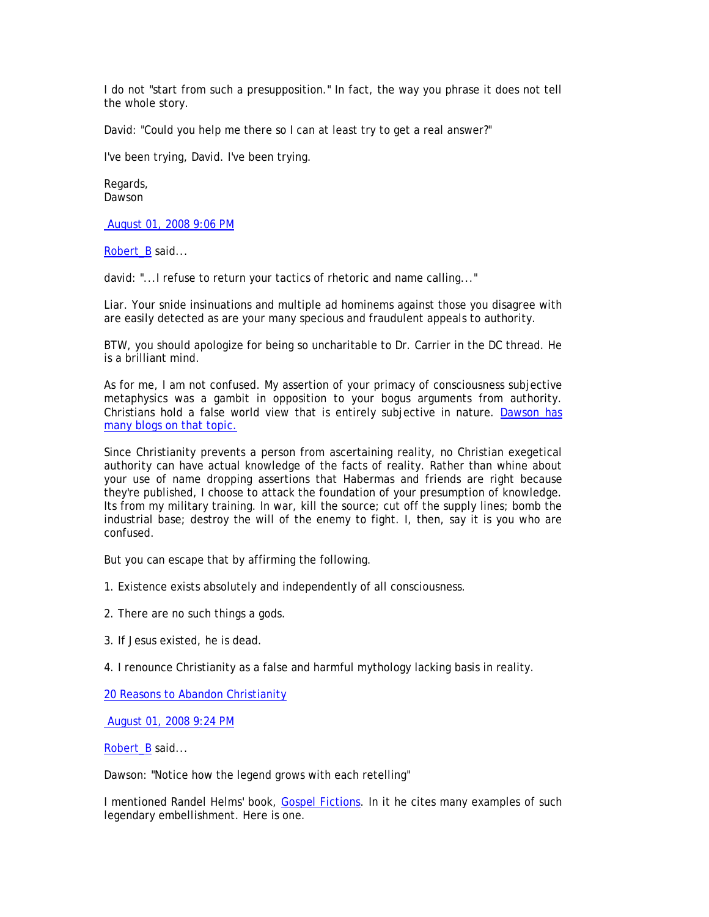I do not "start from such a presupposition." In fact, the way you phrase it does not tell the whole story.

David: "Could you help me there so I can at least try to get a real answer?"

I've been trying, David. I've been trying.

Regards, Dawson

August 01, 2008 9:06 PM

Robert B said...

david: "...I refuse to return your tactics of rhetoric and name calling..."

Liar. Your snide insinuations and multiple ad hominems against those you disagree with are easily detected as are your many specious and fraudulent appeals to authority.

BTW, you should apologize for being so uncharitable to Dr. Carrier in the DC thread. He is a brilliant mind.

As for me, I am not confused. My assertion of your primacy of consciousness subjective metaphysics was a gambit in opposition to your bogus arguments from authority. Christians hold a false world view that is entirely subjective in nature. Dawson has many blogs on that topic.

Since Christianity prevents a person from ascertaining reality, no Christian exegetical authority can have actual knowledge of the facts of reality. Rather than whine about your use of name dropping assertions that Habermas and friends are right because they're published, I choose to attack the foundation of your presumption of knowledge. Its from my military training. In war, kill the source; cut off the supply lines; bomb the industrial base; destroy the will of the enemy to fight. I, then, say it is you who are confused.

But you can escape that by affirming the following.

- 1. Existence exists absolutely and independently of all consciousness.
- 2. There are no such things a gods.
- 3. If Jesus existed, he is dead.
- 4. I renounce Christianity as a false and harmful mythology lacking basis in reality.

20 Reasons to Abandon Christianity

August 01, 2008 9:24 PM

Robert B said...

Dawson: "Notice how the legend grows with each retelling"

I mentioned Randel Helms' book, Gospel Fictions. In it he cites many examples of such legendary embellishment. Here is one.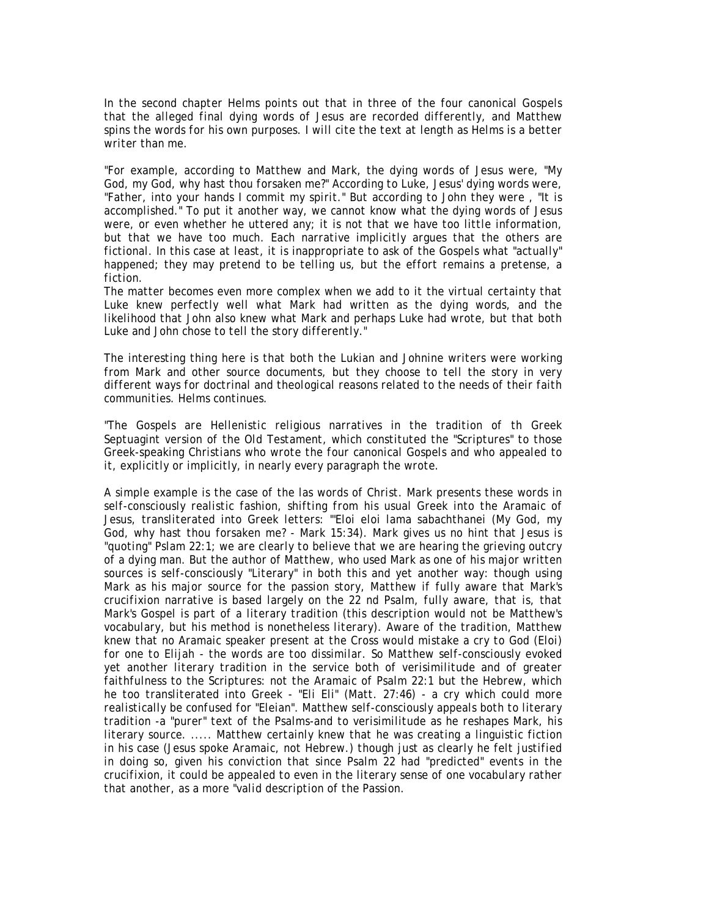*In the second chapter Helms points out that in three of the four canonical Gospels that the alleged final dying words of Jesus are recorded differently, and Matthew spins the words for his own purposes. I will cite the text at length as Helms is a better writer than me.* 

*"For example, according to Matthew and Mark, the dying words of Jesus were, "My God, my God, why hast thou forsaken me?" According to Luke, Jesus' dying words were, "Father, into your hands I commit my spirit." But according to John they were , "It is accomplished." To put it another way, we cannot know what the dying words of Jesus were, or even whether he uttered any; it is not that we have too little information, but that we have too much. Each narrative implicitly argues that the others are fictional. In this case at least, it is inappropriate to ask of the Gospels what "actually" happened; they may pretend to be telling us, but the effort remains a pretense, a fiction.* 

*The matter becomes even more complex when we add to it the virtual certainty that*  Luke knew perfectly well what Mark had written as the dying words, and the *likelihood that John also knew what Mark and perhaps Luke had wrote, but that both Luke and John chose to tell the story differently."* 

*The interesting thing here is that both the Lukian and Johnine writers were working from Mark and other source documents, but they choose to tell the story in very different ways for doctrinal and theological reasons related to the needs of their faith communities. Helms continues.* 

*"The Gospels are Hellenistic religious narratives in the tradition of th Greek Septuagint version of the Old Testament, which constituted the "Scriptures" to those Greek-speaking Christians who wrote the four canonical Gospels and who appealed to it, explicitly or implicitly, in nearly every paragraph the wrote.* 

*A simple example is the case of the las words of Christ. Mark presents these words in self-consciously realistic fashion, shifting from his usual Greek into the Aramaic of Jesus, transliterated into Greek letters: "'Eloi eloi lama sabachthanei (My God, my God, why hast thou forsaken me? - Mark 15:34). Mark gives us no hint that Jesus is "quoting" Pslam 22:1; we are clearly to believe that we are hearing the grieving outcry of a dying man. But the author of Matthew, who used Mark as one of his major written sources is self-consciously "Literary" in both this and yet another way: though using Mark as his major source for the passion story, Matthew if fully aware that Mark's crucifixion narrative is based largely on the 22 nd Psalm, fully aware, that is, that Mark's Gospel is part of a literary tradition (this description would not be Matthew's vocabulary, but his method is nonetheless literary). Aware of the tradition, Matthew knew that no Aramaic speaker present at the Cross would mistake a cry to God (Eloi) for one to Elijah - the words are too dissimilar. So Matthew self-consciously evoked yet another literary tradition in the service both of verisimilitude and of greater faithfulness to the Scriptures: not the Aramaic of Psalm 22:1 but the Hebrew, which he too transliterated into Greek - "Eli Eli" (Matt. 27:46) - a cry which could more realistically be confused for "Eleian". Matthew self-consciously appeals both to literary tradition -a "purer" text of the Psalms-and to verisimilitude as he reshapes Mark, his literary source. ..... Matthew certainly knew that he was creating a linguistic fiction in his case (Jesus spoke Aramaic, not Hebrew.) though just as clearly he felt justified in doing so, given his conviction that since Psalm 22 had "predicted" events in the crucifixion, it could be appealed to even in the literary sense of one vocabulary rather that another, as a more "valid description of the Passion.*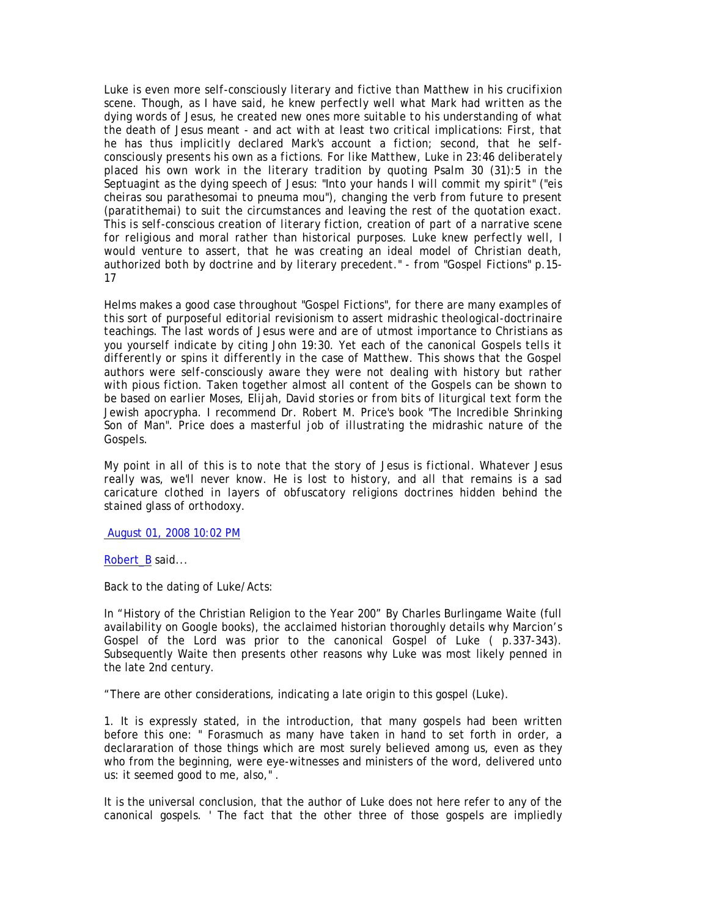*Luke is even more self-consciously literary and fictive than Matthew in his crucifixion scene. Though, as I have said, he knew perfectly well what Mark had written as the dying words of Jesus, he created new ones more suitable to his understanding of what the death of Jesus meant - and act with at least two critical implications: First, that he has thus implicitly declared Mark's account a fiction; second, that he selfconsciously presents his own as a fictions. For like Matthew, Luke in 23:46 deliberately placed his own work in the literary tradition by quoting Psalm 30 (31):5 in the Septuagint as the dying speech of Jesus: "Into your hands I will commit my spirit" ("eis cheiras sou parathesomai to pneuma mou"), changing the verb from future to present (paratithemai) to suit the circumstances and leaving the rest of the quotation exact. This is self-conscious creation of literary fiction, creation of part of a narrative scene for religious and moral rather than historical purposes. Luke knew perfectly well, I would venture to assert, that he was creating an ideal model of Christian death, authorized both by doctrine and by literary precedent." - from "Gospel Fictions" p.15- 17* 

*Helms makes a good case throughout "Gospel Fictions", for there are many examples of this sort of purposeful editorial revisionism to assert midrashic theological-doctrinaire teachings. The last words of Jesus were and are of utmost importance to Christians as you yourself indicate by citing John 19:30. Yet each of the canonical Gospels tells it differently or spins it differently in the case of Matthew. This shows that the Gospel authors were self-consciously aware they were not dealing with history but rather with pious fiction. Taken together almost all content of the Gospels can be shown to be based on earlier Moses, Elijah, David stories or from bits of liturgical text form the Jewish apocrypha. I recommend Dr. Robert M. Price's book "The Incredible Shrinking Son of Man". Price does a masterful job of illustrating the midrashic nature of the Gospels.* 

*My point in all of this is to note that the story of Jesus is fictional. Whatever Jesus really was, we'll never know. He is lost to history, and all that remains is a sad caricature clothed in layers of obfuscatory religions doctrines hidden behind the stained glass of orthodoxy.* 

August 01, 2008 10:02 PM

Robert\_B said...

Back to the dating of Luke/Acts:

In "History of the Christian Religion to the Year 200" By Charles Burlingame Waite (full availability on Google books), the acclaimed historian thoroughly details why Marcion's Gospel of the Lord was prior to the canonical Gospel of Luke ( p.337-343). Subsequently Waite then presents other reasons why Luke was most likely penned in the late 2nd century.

"There are other considerations, indicating a late origin to this gospel (Luke).

1. It is expressly stated, in the introduction, that many gospels had been written before this one: " Forasmuch as many have taken in hand to set forth in order, a declararation of those things which are most surely believed among us, even as they who from the beginning, were eye-witnesses and ministers of the word, delivered unto us: it seemed good to me, also," .

It is the universal conclusion, that the author of Luke does not here refer to any of the canonical gospels. ' The fact that the other three of those gospels are impliedly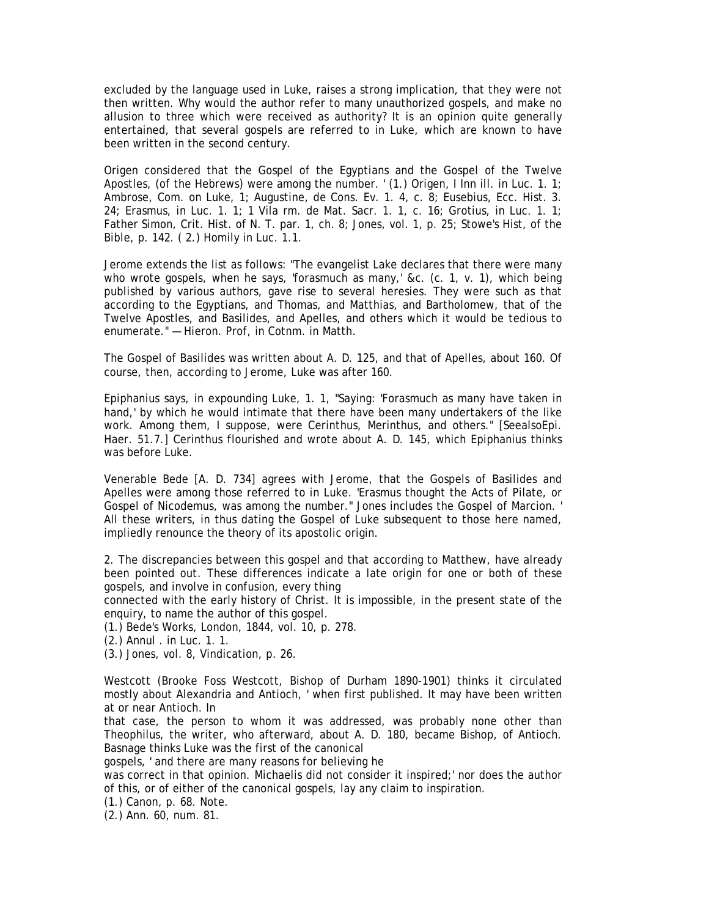excluded by the language used in Luke, raises a strong implication, that they were not then written. Why would the author refer to many unauthorized gospels, and make no allusion to three which were received as authority? It is an opinion quite generally entertained, that several gospels are referred to in Luke, which are known to have been written in the second century.

Origen considered that the Gospel of the Egyptians and the Gospel of the Twelve Apostles, (of the Hebrews) were among the number. ' (1.) Origen, I Inn ill. in Luc. 1. 1; Ambrose, Com. on Luke, 1; Augustine, de Cons. Ev. 1. 4, c. 8; Eusebius, Ecc. Hist. 3. 24; Erasmus, in Luc. 1. 1; 1 Vila rm. de Mat. Sacr. 1. 1, c. 16; Grotius, in Luc. 1. 1; Father Simon, Crit. Hist. of N. T. par. 1, ch. 8; Jones, vol. 1, p. 25; Stowe's Hist, of the Bible, p. 142. ( 2.) Homily in Luc. 1.1.

Jerome extends the list as follows: "The evangelist Lake declares that there were many who wrote gospels, when he says, 'forasmuch as many,' &c. (c. 1, v. 1), which being published by various authors, gave rise to several heresies. They were such as that according to the Egyptians, and Thomas, and Matthias, and Bartholomew, that of the Twelve Apostles, and Basilides, and Apelles, and others which it would be tedious to enumerate." — Hieron. Prof, in Cotnm. in Matth.

The Gospel of Basilides was written about A. D. 125, and that of Apelles, about 160. Of course, then, according to Jerome, Luke was after 160.

Epiphanius says, in expounding Luke, 1. 1, "Saying: 'Forasmuch as many have taken in hand,' by which he would intimate that there have been many undertakers of the like work. Among them, I suppose, were Cerinthus, Merinthus, and others." [SeealsoEpi. Haer. 51.7.] Cerinthus flourished and wrote about A. D. 145, which Epiphanius thinks was before Luke.

Venerable Bede [A. D. 734] agrees with Jerome, that the Gospels of Basilides and Apelles were among those referred to in Luke. 'Erasmus thought the Acts of Pilate, or Gospel of Nicodemus, was among the number." Jones includes the Gospel of Marcion. ' All these writers, in thus dating the Gospel of Luke subsequent to those here named, impliedly renounce the theory of its apostolic origin.

2. The discrepancies between this gospel and that according to Matthew, have already been pointed out. These differences indicate a late origin for one or both of these gospels, and involve in confusion, every thing

connected with the early history of Christ. It is impossible, in the present state of the enquiry, to name the author of this gospel.

(1.) Bede's Works, London, 1844, vol. 10, p. 278.

(2.) Annul . in Luc. 1. 1.

(3.) Jones, vol. 8, Vindication, p. 26.

Westcott (Brooke Foss Westcott, Bishop of Durham 1890-1901) thinks it circulated mostly about Alexandria and Antioch, ' when first published. It may have been written at or near Antioch. In

that case, the person to whom it was addressed, was probably none other than Theophilus, the writer, who afterward, about A. D. 180, became Bishop, of Antioch. Basnage thinks Luke was the first of the canonical

gospels, ' and there are many reasons for believing he

was correct in that opinion. Michaelis did not consider it inspired;' nor does the author of this, or of either of the canonical gospels, lay any claim to inspiration.

(1.) Canon, p. 68. Note.

(2.) Ann. 60, num. 81.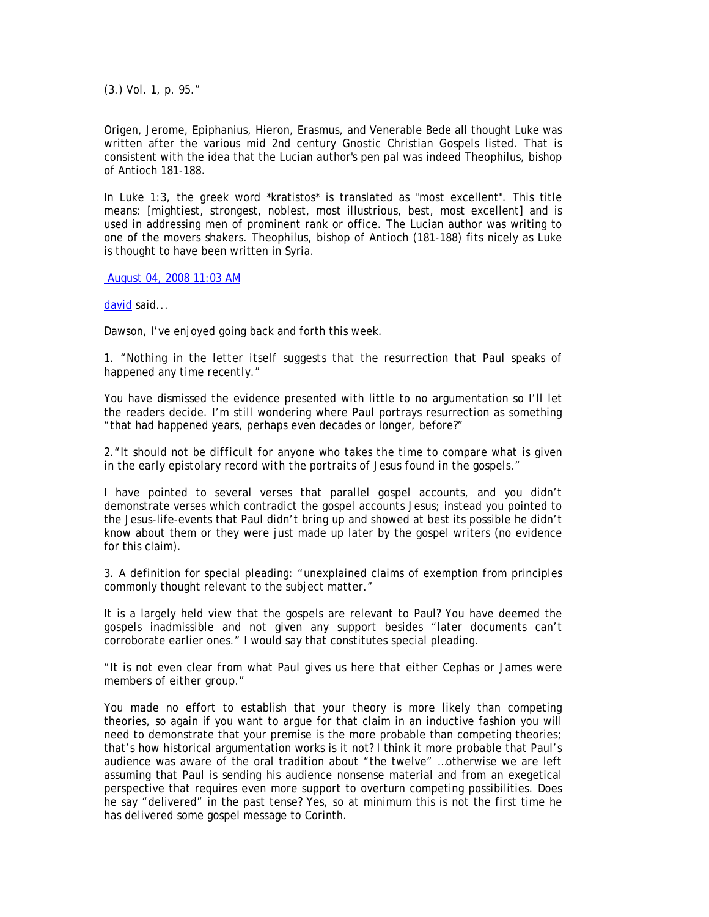(3.) Vol. 1, p. 95."

Origen, Jerome, Epiphanius, Hieron, Erasmus, and Venerable Bede all thought Luke was written after the various mid 2nd century Gnostic Christian Gospels listed. That is consistent with the idea that the Lucian author's pen pal was indeed Theophilus, bishop of Antioch 181-188.

In Luke 1:3, the greek word \*kratistos\* is translated as "most excellent". This title means: [mightiest, strongest, noblest, most illustrious, best, most excellent] and is used in addressing men of prominent rank or office. The Lucian author was writing to one of the movers shakers. Theophilus, bishop of Antioch (181-188) fits nicely as Luke is thought to have been written in Syria.

August 04, 2008 11:03 AM

david said...

Dawson, I've enjoyed going back and forth this week.

# 1. *"Nothing in the letter itself suggests that the resurrection that Paul speaks of happened any time recently."*

You have dismissed the evidence presented with little to no argumentation so I'll let the readers decide. I'm still wondering where Paul portrays resurrection as something "that had happened years, perhaps even decades or longer, before?"

2.*"It should not be difficult for anyone who takes the time to compare what is given in the early epistolary record with the portraits of Jesus found in the gospels."* 

I have pointed to several verses that parallel gospel accounts, and you didn't demonstrate verses which contradict the gospel accounts Jesus; instead you pointed to the Jesus-life-events that Paul didn't bring up and showed at best its possible he didn't know about them or they were just made up later by the gospel writers (no evidence for this claim).

3. A definition for special pleading: "unexplained claims of exemption from principles commonly thought relevant to the subject matter."

It is a largely held view that the gospels are relevant to Paul? You have deemed the gospels inadmissible and not given any support besides "later documents can't corroborate earlier ones." I would say that constitutes special pleading.

*"It is not even clear from what Paul gives us here that either Cephas or James were members of either group."* 

You made no effort to establish that your theory is more likely than competing theories, so again if you want to argue for that claim in an inductive fashion you will need to demonstrate that your premise is the more probable than competing theories; that's how historical argumentation works is it not? I think it more probable that Paul's audience was aware of the oral tradition about "the twelve" …otherwise we are left assuming that Paul is sending his audience nonsense material and from an exegetical perspective that requires even more support to overturn competing possibilities. Does he say "delivered" in the past tense? Yes, so at minimum this is not the first time he has delivered some gospel message to Corinth.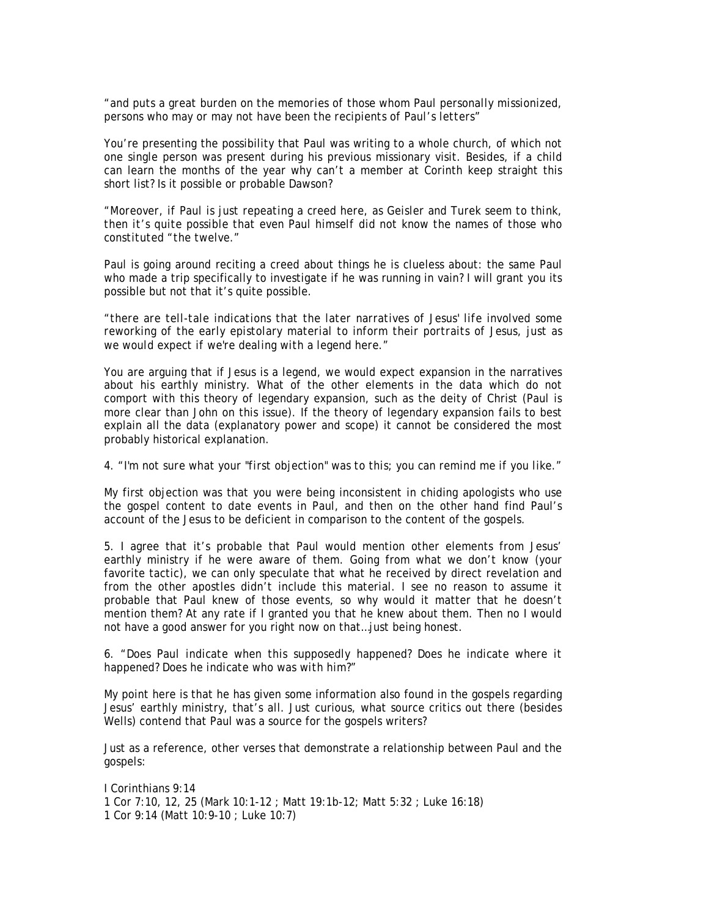*"and puts a great burden on the memories of those whom Paul personally missionized, persons who may or may not have been the recipients of Paul's letters"* 

You're presenting the possibility that Paul was writing to a whole church, of which not one single person was present during his previous missionary visit. Besides, if a child can learn the months of the year why can't a member at Corinth keep straight this short list? Is it possible or probable Dawson?

*"Moreover, if Paul is just repeating a creed here, as Geisler and Turek seem to think, then it's quite possible that even Paul himself did not know the names of those who constituted "the twelve."* 

Paul is going around reciting a creed about things he is clueless about: the same Paul who made a trip specifically to investigate if he was running in vain? I will grant you its possible but not that it's quite possible.

*"there are tell-tale indications that the later narratives of Jesus' life involved some reworking of the early epistolary material to inform their portraits of Jesus, just as we would expect if we're dealing with a legend here."* 

You are arguing that if Jesus is a legend, we would expect expansion in the narratives about his earthly ministry. What of the other elements in the data which do not comport with this theory of legendary expansion, such as the deity of Christ (Paul is more clear than John on this issue). If the theory of legendary expansion fails to best explain all the data (explanatory power and scope) it cannot be considered the most probably historical explanation.

# 4. *"I'm not sure what your "first objection" was to this; you can remind me if you like."*

My first objection was that you were being inconsistent in chiding apologists who use the gospel content to date events in Paul, and then on the other hand find Paul's account of the Jesus to be deficient in comparison to the content of the gospels.

5. I agree that it's probable that Paul would mention other elements from Jesus' earthly ministry if he were aware of them. Going from what we don't know (your favorite tactic), we can only speculate that what he received by direct revelation and from the other apostles didn't include this material. I see no reason to assume it probable that Paul knew of those events, so why would it matter that he doesn't mention them? At any rate if I granted you that he knew about them. Then no I would not have a good answer for you right now on that…just being honest.

# 6. *"Does Paul indicate when this supposedly happened? Does he indicate where it happened? Does he indicate who was with him?"*

My point here is that he has given some information also found in the gospels regarding Jesus' earthly ministry, that's all. Just curious, what source critics out there (besides Wells) contend that Paul was a source for the gospels writers?

Just as a reference, other verses that demonstrate a relationship between Paul and the gospels:

I Corinthians 9:14 1 Cor 7:10, 12, 25 (Mark 10:1-12 ; Matt 19:1b-12; Matt 5:32 ; Luke 16:18) 1 Cor 9:14 (Matt 10:9-10 ; Luke 10:7)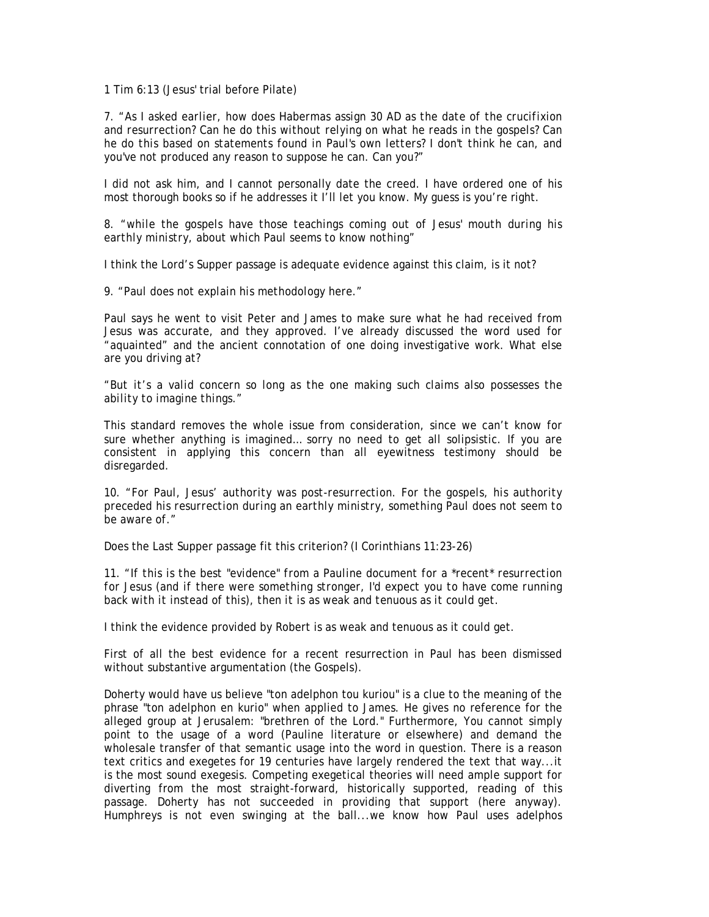1 Tim 6:13 (Jesus' trial before Pilate)

7. *"As I asked earlier, how does Habermas assign 30 AD as the date of the crucifixion and resurrection? Can he do this without relying on what he reads in the gospels? Can he do this based on statements found in Paul's own letters? I don't think he can, and you've not produced any reason to suppose he can. Can you?"* 

I did not ask him, and I cannot personally date the creed. I have ordered one of his most thorough books so if he addresses it I'll let you know. My guess is you're right.

8. *"while the gospels have those teachings coming out of Jesus' mouth during his earthly ministry, about which Paul seems to know nothing"* 

I think the Lord's Supper passage is adequate evidence against this claim, is it not?

9. *"Paul does not explain his methodology here."* 

Paul says he went to visit Peter and James to make sure what he had received from Jesus was accurate, and they approved. I've already discussed the word used for "aquainted" and the ancient connotation of one doing investigative work. What else are you driving at?

*"But it's a valid concern so long as the one making such claims also possesses the ability to imagine things."* 

This standard removes the whole issue from consideration, since we can't know for sure whether anything is imagined… sorry no need to get all solipsistic. If you are consistent in applying this concern than all eyewitness testimony should be disregarded.

10. *"For Paul, Jesus' authority was post-resurrection. For the gospels, his authority preceded his resurrection during an earthly ministry, something Paul does not seem to be aware of."* 

Does the Last Supper passage fit this criterion? (I Corinthians 11:23-26)

11. *"If this is the best "evidence" from a Pauline document for a \*recent\* resurrection for Jesus (and if there were something stronger, I'd expect you to have come running back with it instead of this), then it is as weak and tenuous as it could get.* 

I think the evidence provided by Robert is as weak and tenuous as it could get.

First of all the best evidence for a recent resurrection in Paul has been dismissed without substantive argumentation (the Gospels).

Doherty would have us believe "ton adelphon tou kuriou" is a clue to the meaning of the phrase "ton adelphon en kurio" when applied to James. He gives no reference for the alleged group at Jerusalem: "brethren of the Lord." Furthermore, You cannot simply point to the usage of a word (Pauline literature or elsewhere) and demand the wholesale transfer of that semantic usage into the word in question. There is a reason text critics and exegetes for 19 centuries have largely rendered the text that way...it is the most sound exegesis. Competing exegetical theories will need ample support for diverting from the most straight-forward, historically supported, reading of this passage. Doherty has not succeeded in providing that support (here anyway). Humphreys is not even swinging at the ball...we know how Paul uses adelphos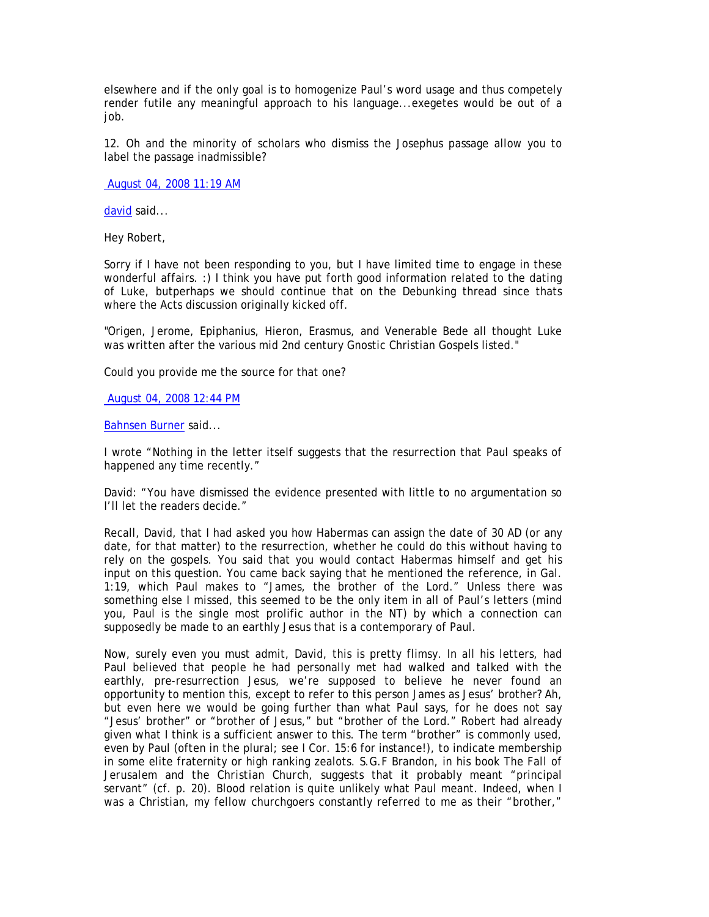elsewhere and if the only goal is to homogenize Paul's word usage and thus competely render futile any meaningful approach to his language...exegetes would be out of a iob.

12. Oh and the minority of scholars who dismiss the Josephus passage allow you to label the passage inadmissible?

August 04, 2008 11:19 AM

david said...

Hey Robert,

Sorry if I have not been responding to you, but I have limited time to engage in these wonderful affairs. :) I think you have put forth good information related to the dating of Luke, butperhaps we should continue that on the Debunking thread since thats where the Acts discussion originally kicked off.

"Origen, Jerome, Epiphanius, Hieron, Erasmus, and Venerable Bede all thought Luke was written after the various mid 2nd century Gnostic Christian Gospels listed."

Could you provide me the source for that one?

August 04, 2008 12:44 PM

Bahnsen Burner said...

I wrote "Nothing in the letter itself suggests that the resurrection that Paul speaks of happened any time recently."

David: "You have dismissed the evidence presented with little to no argumentation so I'll let the readers decide."

Recall, David, that I had asked you how Habermas can assign the date of 30 AD (or any date, for that matter) to the resurrection, whether he could do this without having to rely on the gospels. You said that you would contact Habermas himself and get his input on this question. You came back saying that he mentioned the reference, in Gal. 1:19, which Paul makes to "James, the brother of the Lord." Unless there was something else I missed, this seemed to be the only item in all of Paul's letters (mind you, Paul is the single most prolific author in the NT) by which a connection can supposedly be made to an earthly Jesus that is a contemporary of Paul.

Now, surely even you must admit, David, this is pretty flimsy. In all his letters, had Paul believed that people he had personally met had walked and talked with the earthly, pre-resurrection Jesus, we're supposed to believe he never found an opportunity to mention this, except to refer to this person James as Jesus' brother? Ah, but even here we would be going further than what Paul says, for he does not say "Jesus' brother" or "brother of Jesus," but "brother of the Lord." Robert had already given what I think is a sufficient answer to this. The term "brother" is commonly used, even by Paul (often in the plural; see I Cor. 15:6 for instance!), to indicate membership in some elite fraternity or high ranking zealots. S.G.F Brandon, in his book *The Fall of Jerusalem and the Christian Church*, suggests that it probably meant "principal servant" (cf. p. 20). Blood relation is quite unlikely what Paul meant. Indeed, when I was a Christian, my fellow churchgoers constantly referred to me as their "brother,"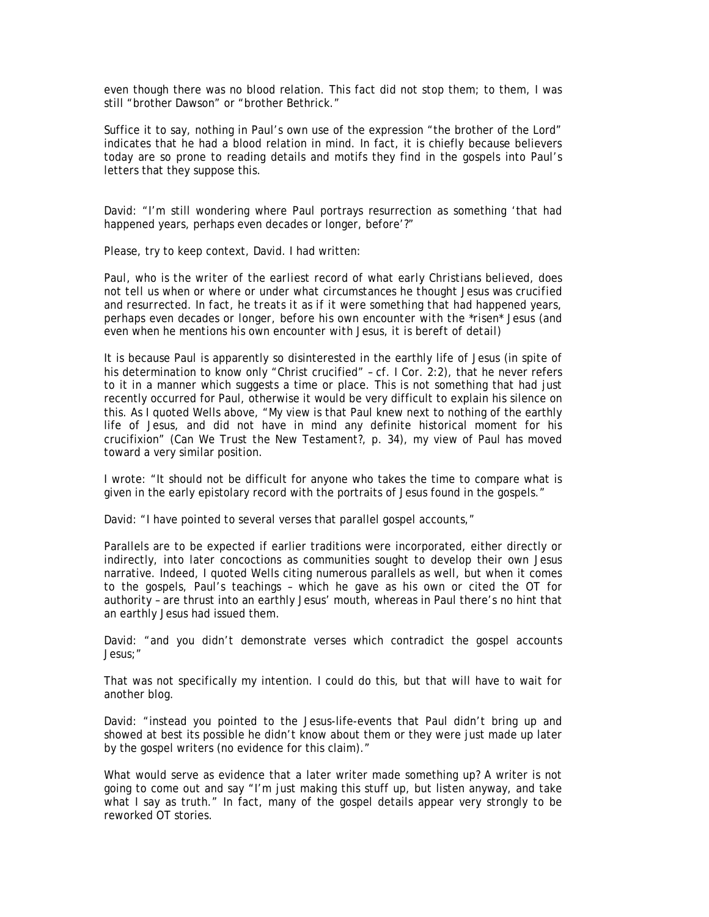even though there was no blood relation. This fact did not stop them; to them, I was still "brother Dawson" or "brother Bethrick."

Suffice it to say, nothing in Paul's own use of the expression "the brother of the Lord" indicates that he had a blood relation in mind. In fact, it is chiefly because believers today are so prone to reading details and motifs they find in the gospels into Paul's letters that they suppose this.

David: "I'm still wondering where Paul portrays resurrection as something 'that had happened years, perhaps even decades or longer, before'?"

Please, try to keep context, David. I had written:

*Paul, who is the writer of the earliest record of what early Christians believed, does not tell us when or where or under what circumstances he thought Jesus was crucified and resurrected. In fact, he treats it as if it were something that had happened years, perhaps even decades or longer, before his own encounter with the \*risen\* Jesus (and even when he mentions his own encounter with Jesus, it is bereft of detail)* 

It is because Paul is apparently so disinterested in the earthly life of Jesus (in spite of his determination to know only "Christ crucified" – cf. I Cor. 2:2), that he never refers to it in a manner which suggests a time or place. This is not something that had just recently occurred for Paul, otherwise it would be very difficult to explain his silence on this. As I quoted Wells above, "My view is that Paul knew next to nothing of the earthly life of Jesus, and did not have in mind any definite historical moment for his crucifixion" (*Can We Trust the New Testament?*, p. 34), my view of Paul has moved toward a very similar position.

I wrote: "It should not be difficult for anyone who takes the time to compare what is given in the early epistolary record with the portraits of Jesus found in the gospels."

David: "I have pointed to several verses that parallel gospel accounts,"

Parallels are to be expected if earlier traditions were incorporated, either directly or indirectly, into later concoctions as communities sought to develop their own Jesus narrative. Indeed, I quoted Wells citing numerous parallels as well, but when it comes to the gospels, Paul's teachings – which he gave as his own or cited the OT for authority – are thrust into an earthly Jesus' mouth, whereas in Paul there's no hint that an earthly Jesus had issued them.

David: "and you didn't demonstrate verses which contradict the gospel accounts Jesus;"

That was not specifically my intention. I could do this, but that will have to wait for another blog.

David: "instead you pointed to the Jesus-life-events that Paul didn't bring up and showed at best its possible he didn't know about them or they were just made up later by the gospel writers (no evidence for this claim)."

What would serve as evidence that a later writer made something up? A writer is not going to come out and say "I'm just making this stuff up, but listen anyway, and take what I say as truth." In fact, many of the gospel details appear very strongly to be reworked OT stories.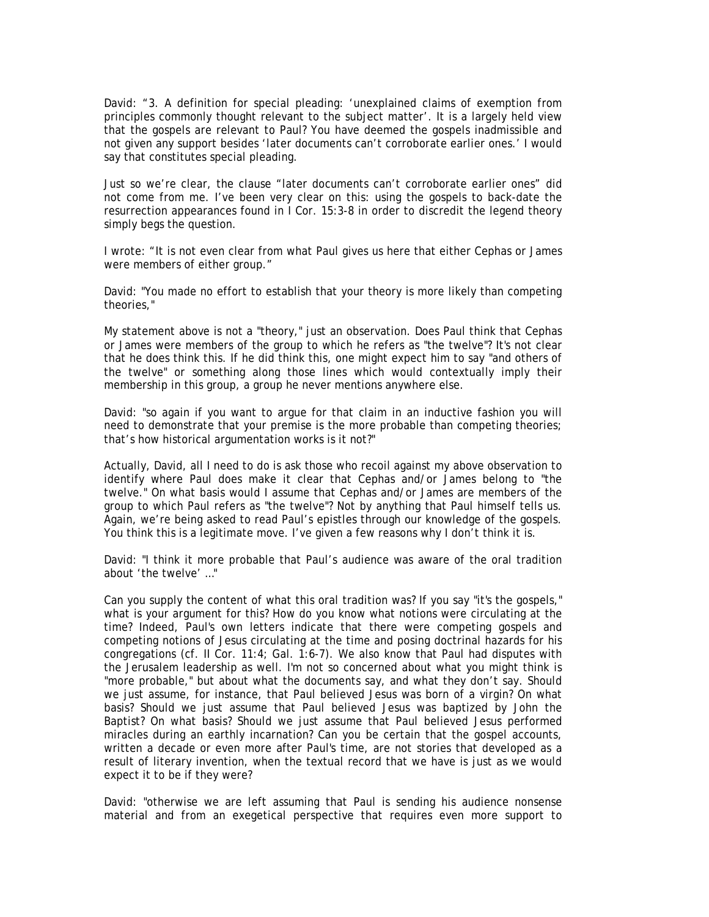David: "3. A definition for special pleading: 'unexplained claims of exemption from principles commonly thought relevant to the subject matter'. It is a largely held view that the gospels are relevant to Paul? You have deemed the gospels inadmissible and not given any support besides 'later documents can't corroborate earlier ones.' I would say that constitutes special pleading.

Just so we're clear, the clause "later documents can't corroborate earlier ones" did not come from me. I've been very clear on this: using the gospels to back-date the resurrection appearances found in I Cor. 15:3-8 in order to discredit the legend theory simply begs the question.

I wrote: "It is not even clear from what Paul gives us here that either Cephas or James were members of either group."

David: "You made no effort to establish that your theory is more likely than competing theories,"

My statement above is not a "theory," just an observation. Does Paul think that Cephas or James were members of the group to which he refers as "the twelve"? It's not clear that he does think this. If he did think this, one might expect him to say "and others of the twelve" or something along those lines which would contextually imply their membership in this group, a group he never mentions anywhere else.

David: "so again if you want to argue for that claim in an inductive fashion you will need to demonstrate that your premise is the more probable than competing theories; that's how historical argumentation works is it not?"

Actually, David, all I need to do is ask those who recoil against my above observation to identify where Paul does make it clear that Cephas and/or James belong to "the twelve." On what basis would I assume that Cephas and/or James are members of the group to which Paul refers as "the twelve"? Not by anything that Paul himself tells us. Again, we're being asked to read Paul's epistles through our knowledge of the gospels. You think this is a legitimate move. I've given a few reasons why I don't think it is.

David: "I think it more probable that Paul's audience was aware of the oral tradition about 'the twelve' …"

Can you supply the content of what this oral tradition was? If you say "it's the gospels," what is your argument for this? How do you know what notions were circulating at the time? Indeed, Paul's own letters indicate that there were competing gospels and competing notions of Jesus circulating at the time and posing doctrinal hazards for his congregations (cf. II Cor. 11:4; Gal. 1:6-7). We also know that Paul had disputes with the Jerusalem leadership as well. I'm not so concerned about what you might think is "more probable," but about what the documents say, and what they don't say. Should we just assume, for instance, that Paul believed Jesus was born of a virgin? On what basis? Should we just assume that Paul believed Jesus was baptized by John the Baptist? On what basis? Should we just assume that Paul believed Jesus performed miracles during an earthly incarnation? Can you be certain that the gospel accounts, written a decade or even more after Paul's time, are not stories that developed as a result of literary invention, when the textual record that we have is just as we would expect it to be if they were?

David: "otherwise we are left assuming that Paul is sending his audience nonsense material and from an exegetical perspective that requires even more support to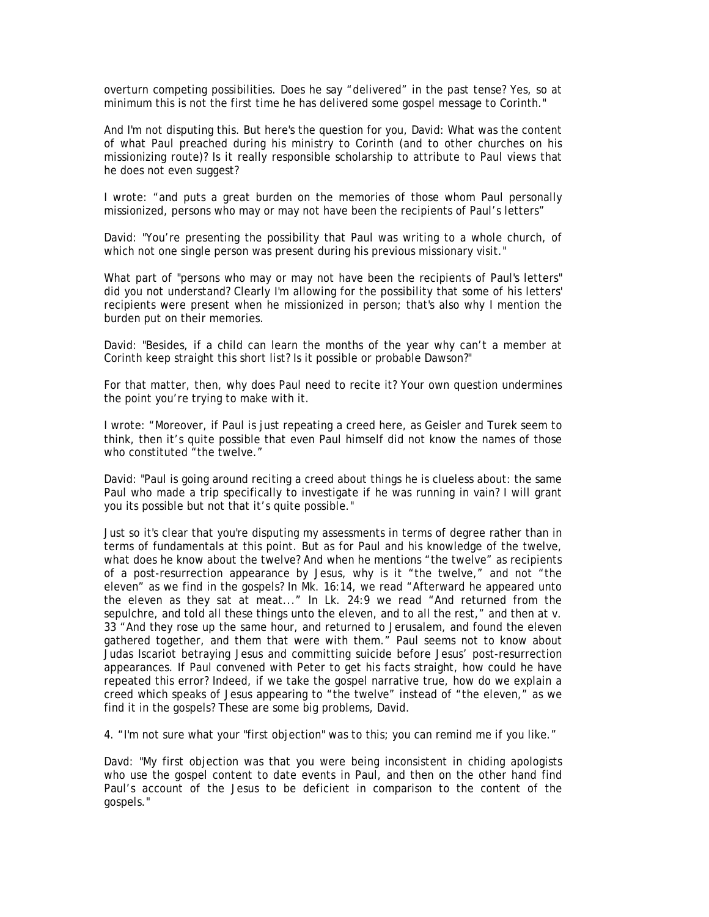overturn competing possibilities. Does he say "delivered" in the past tense? Yes, so at minimum this is not the first time he has delivered some gospel message to Corinth."

And I'm not disputing this. But here's the question for you, David: What was the content of what Paul preached during his ministry to Corinth (and to other churches on his missionizing route)? Is it really responsible scholarship to attribute to Paul views that he does not even suggest?

I wrote: "and puts a great burden on the memories of those whom Paul personally missionized, persons who may or may not have been the recipients of Paul's letters"

David: "You're presenting the possibility that Paul was writing to a whole church, of which not one single person was present during his previous missionary visit."

What part of "persons who may or may not have been the recipients of Paul's letters" did you not understand? Clearly I'm allowing for the possibility that some of his letters' recipients were present when he missionized in person; that's also why I mention the burden put on their memories.

David: "Besides, if a child can learn the months of the year why can't a member at Corinth keep straight this short list? Is it possible or probable Dawson?"

For that matter, then, why does Paul need to recite it? Your own question undermines the point you're trying to make with it.

I wrote: "Moreover, if Paul is just repeating a creed here, as Geisler and Turek seem to think, then it's quite possible that even Paul himself did not know the names of those who constituted "the twelve."

David: "Paul is going around reciting a creed about things he is clueless about: the same Paul who made a trip specifically to investigate if he was running in vain? I will grant you its possible but not that it's quite possible."

Just so it's clear that you're disputing my assessments in terms of degree rather than in terms of fundamentals at this point. But as for Paul and his knowledge of the twelve, what does he know about the twelve? And when he mentions "the twelve" as recipients of a post-resurrection appearance by Jesus, why is it "the twelve," and not "the eleven" as we find in the gospels? In Mk. 16:14, we read "Afterward he appeared unto the eleven as they sat at meat..." In Lk. 24:9 we read "And returned from the sepulchre, and told all these things unto the eleven, and to all the rest," and then at v. 33 "And they rose up the same hour, and returned to Jerusalem, and found the eleven gathered together, and them that were with them." Paul seems not to know about Judas Iscariot betraying Jesus and committing suicide before Jesus' post-resurrection appearances. If Paul convened with Peter to get his facts straight, how could he have repeated this error? Indeed, if we take the gospel narrative true, how do we explain a creed which speaks of Jesus appearing to "the twelve" instead of "the eleven," as we find it in the gospels? These are some big problems, David.

4. "I'm not sure what your "first objection" was to this; you can remind me if you like."

Davd: "My first objection was that you were being inconsistent in chiding apologists who use the gospel content to date events in Paul, and then on the other hand find Paul's account of the Jesus to be deficient in comparison to the content of the gospels."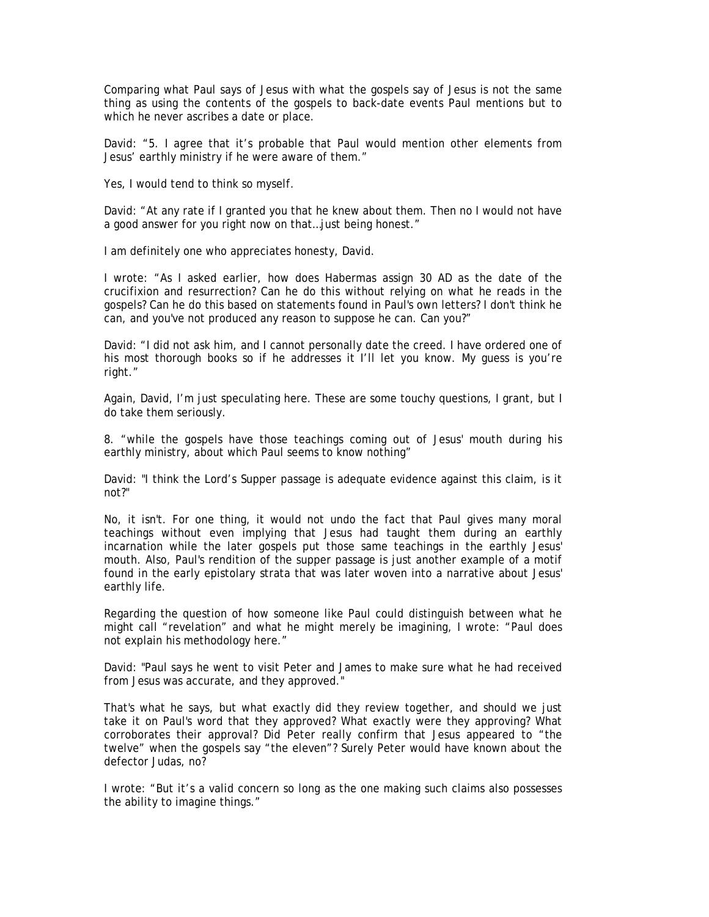Comparing what Paul says of Jesus with what the gospels say of Jesus is not the same thing as using the contents of the gospels to back-date events Paul mentions but to which he never ascribes a date or place.

David: "5. I agree that it's probable that Paul would mention other elements from Jesus' earthly ministry if he were aware of them."

Yes, I would tend to think so myself.

David: "At any rate if I granted you that he knew about them. Then no I would not have a good answer for you right now on that…just being honest."

I am definitely one who appreciates honesty, David.

I wrote: "As I asked earlier, how does Habermas assign 30 AD as the date of the crucifixion and resurrection? Can he do this without relying on what he reads in the gospels? Can he do this based on statements found in Paul's own letters? I don't think he can, and you've not produced any reason to suppose he can. Can you?"

David: "I did not ask him, and I cannot personally date the creed. I have ordered one of his most thorough books so if he addresses it I'll let you know. My guess is you're right."

Again, David, I'm just speculating here. These are some touchy questions, I grant, but I do take them seriously.

8. "while the gospels have those teachings coming out of Jesus' mouth during his earthly ministry, about which Paul seems to know nothing"

David: "I think the Lord's Supper passage is adequate evidence against this claim, is it not?"

No, it isn't. For one thing, it would not undo the fact that Paul gives many moral teachings without even implying that Jesus had taught them during an earthly incarnation while the later gospels put those same teachings in the earthly Jesus' mouth. Also, Paul's rendition of the supper passage is just another example of a motif found in the early epistolary strata that was later woven into a narrative about Jesus' earthly life.

Regarding the question of how someone like Paul could distinguish between what he might call "revelation" and what he might merely be imagining, I wrote: "Paul does not explain his methodology here."

David: "Paul says he went to visit Peter and James to make sure what he had received from Jesus was accurate, and they approved."

That's what he says, but what exactly did they review together, and should we just take it on Paul's word that they approved? What exactly were they approving? What corroborates their approval? Did Peter really confirm that Jesus appeared to "the twelve" when the gospels say "the eleven"? Surely Peter would have known about the defector Judas, no?

I wrote: "But it's a valid concern so long as the one making such claims also possesses the ability to imagine things."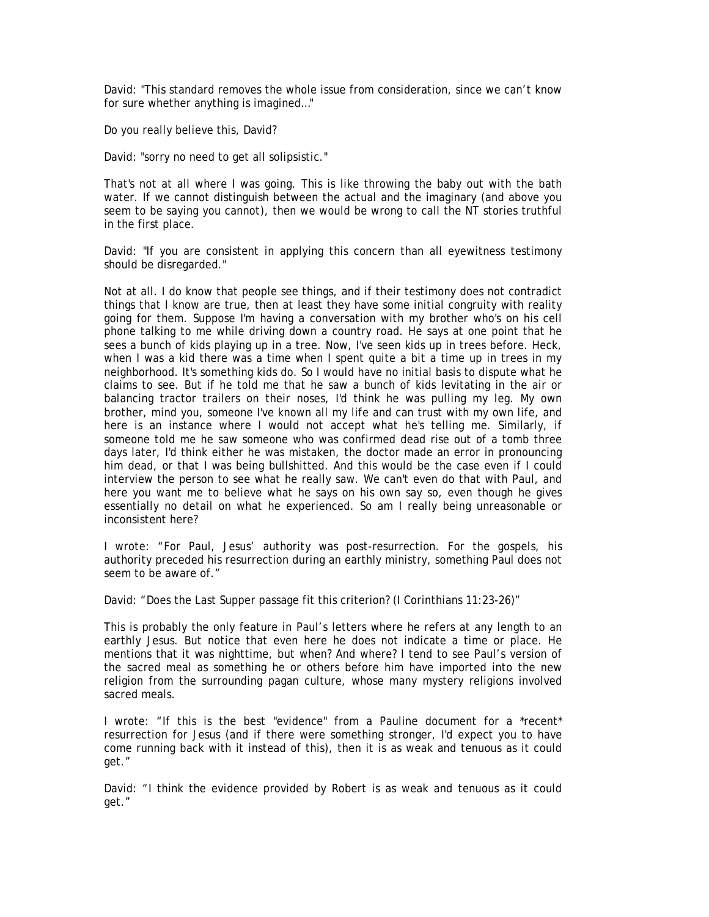David: "This standard removes the whole issue from consideration, since we can't know for sure whether anything is imagined…"

Do you really believe this, David?

David: "sorry no need to get all solipsistic."

That's not at all where I was going. This is like throwing the baby out with the bath water. If we cannot distinguish between the actual and the imaginary (and above you seem to be saying you cannot), then we would be wrong to call the NT stories truthful in the first place.

David: "If you are consistent in applying this concern than all eyewitness testimony should be disregarded."

Not at all. I do know that people see things, and if their testimony does not contradict things that I know are true, then at least they have some initial congruity with reality going for them. Suppose I'm having a conversation with my brother who's on his cell phone talking to me while driving down a country road. He says at one point that he sees a bunch of kids playing up in a tree. Now, I've seen kids up in trees before. Heck, when I was a kid there was a time when I spent quite a bit a time up in trees in my neighborhood. It's something kids do. So I would have no initial basis to dispute what he claims to see. But if he told me that he saw a bunch of kids levitating in the air or balancing tractor trailers on their noses, I'd think he was pulling my leg. My own brother, mind you, someone I've known all my life and can trust with my own life, and here is an instance where I would not accept what he's telling me. Similarly, if someone told me he saw someone who was confirmed dead rise out of a tomb three days later, I'd think either he was mistaken, the doctor made an error in pronouncing him dead, or that I was being bullshitted. And this would be the case even if I could interview the person to see what he really saw. We can't even do that with Paul, and here you want me to believe what he says on his own say so, even though he gives essentially no detail on what he experienced. So am I really being unreasonable or inconsistent here?

I wrote: "For Paul, Jesus' authority was post-resurrection. For the gospels, his authority preceded his resurrection during an earthly ministry, something Paul does not seem to be aware of."

David: "Does the Last Supper passage fit this criterion? (I Corinthians 11:23-26)"

This is probably the only feature in Paul's letters where he refers at any length to an earthly Jesus. But notice that even here he does not indicate a time or place. He mentions that it was nighttime, but when? And where? I tend to see Paul's version of the sacred meal as something he or others before him have imported into the new religion from the surrounding pagan culture, whose many mystery religions involved sacred meals.

I wrote: "If this is the best "evidence" from a Pauline document for a \*recent\* resurrection for Jesus (and if there were something stronger, I'd expect you to have come running back with it instead of this), then it is as weak and tenuous as it could get."

David: "I think the evidence provided by Robert is as weak and tenuous as it could get."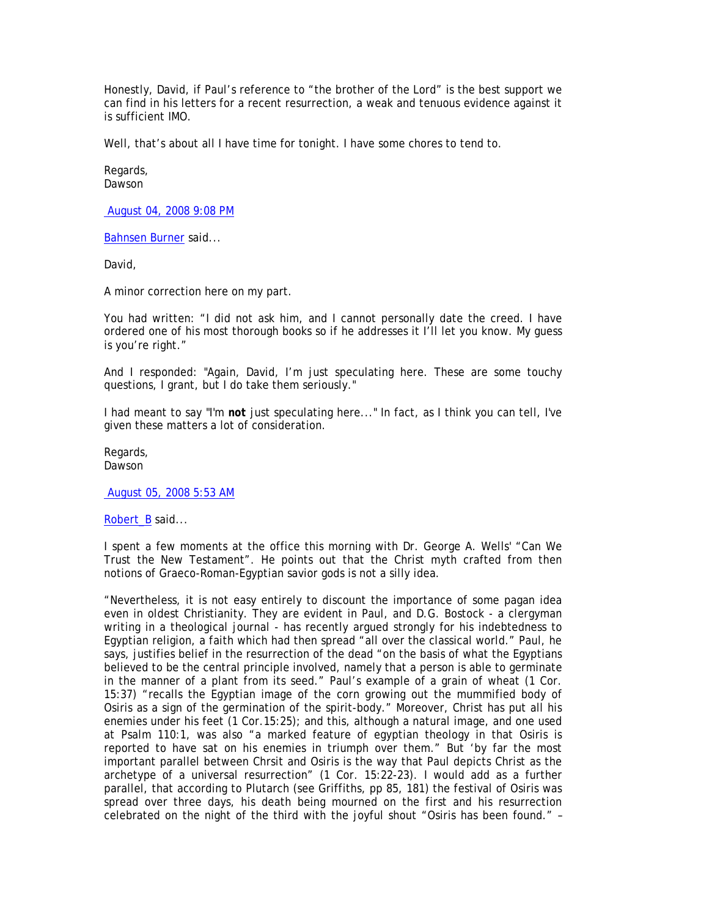Honestly, David, if Paul's reference to "the brother of the Lord" is the best support we can find in his letters for a recent resurrection, a weak and tenuous evidence against it is sufficient IMO.

Well, that's about all I have time for tonight. I have some chores to tend to.

Regards, Dawson

August 04, 2008 9:08 PM

Bahnsen Burner said...

David,

A minor correction here on my part.

You had written: "I did not ask him, and I cannot personally date the creed. I have ordered one of his most thorough books so if he addresses it I'll let you know. My guess is you're right."

And I responded: "Again, David, I'm just speculating here. These are some touchy questions, I grant, but I do take them seriously."

I had meant to say "I'm *not* just speculating here..." In fact, as I think you can tell, I've given these matters a lot of consideration.

Regards, Dawson

August 05, 2008 5:53 AM

Robert B said...

I spent a few moments at the office this morning with Dr. George A. Wells' "Can We Trust the New Testament". He points out that the Christ myth crafted from then notions of Graeco-Roman-Egyptian savior gods is not a silly idea.

"Nevertheless, it is not easy entirely to discount the importance of some pagan idea even in oldest Christianity. They are evident in Paul, and D.G. Bostock - a clergyman writing in a theological journal - has recently argued strongly for his indebtedness to Egyptian religion, a faith which had then spread "all over the classical world." Paul, he says, justifies belief in the resurrection of the dead "on the basis of what the Egyptians believed to be the central principle involved, namely that a person is able to germinate in the manner of a plant from its seed." Paul's example of a grain of wheat (1 Cor. 15:37) "recalls the Egyptian image of the corn growing out the mummified body of Osiris as a sign of the germination of the spirit-body." Moreover, Christ has put all his enemies under his feet (1 Cor.15:25); and this, although a natural image, and one used at Psalm 110:1, was also "a marked feature of egyptian theology in that Osiris is reported to have sat on his enemies in triumph over them." But 'by far the most important parallel between Chrsit and Osiris is the way that Paul depicts Christ as the archetype of a universal resurrection" (1 Cor. 15:22-23). I would add as a further parallel, that according to Plutarch (see Griffiths, pp 85, 181) the festival of Osiris was spread over three days, his death being mourned on the first and his resurrection celebrated on the night of the third with the joyful shout "Osiris has been found." –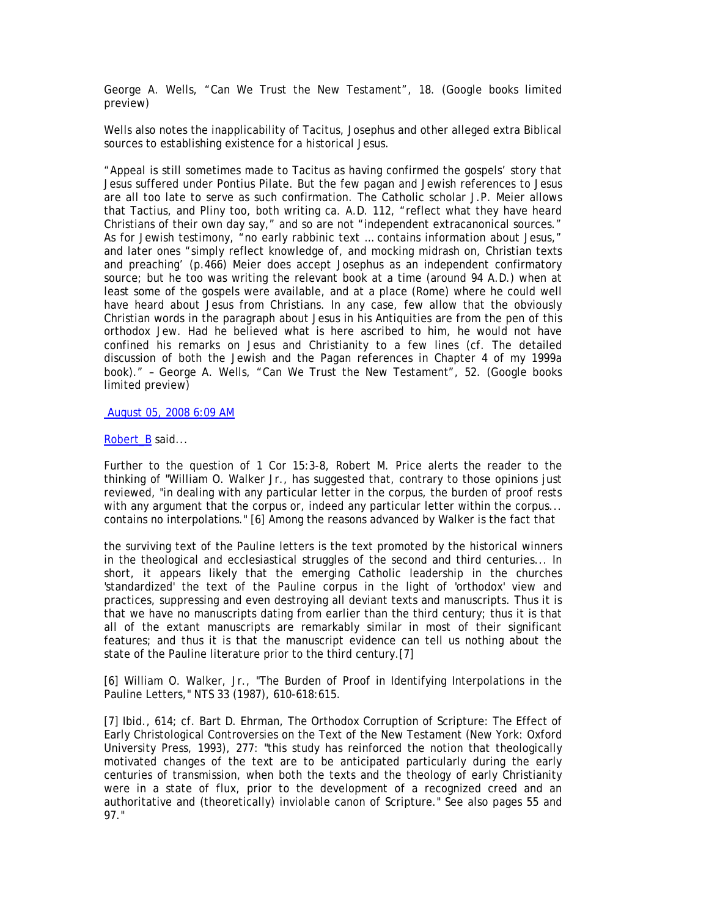George A. Wells, "Can We Trust the New Testament", 18. (Google books limited preview)

Wells also notes the inapplicability of Tacitus, Josephus and other alleged extra Biblical sources to establishing existence for a historical Jesus.

"Appeal is still sometimes made to Tacitus as having confirmed the gospels' story that Jesus suffered under Pontius Pilate. But the few pagan and Jewish references to Jesus are all too late to serve as such confirmation. The Catholic scholar J.P. Meier allows that Tactius, and Pliny too, both writing ca. A.D. 112, "reflect what they have heard Christians of their own day say," and so are not "independent extracanonical sources." As for Jewish testimony, "no early rabbinic text … contains information about Jesus," and later ones "simply reflect knowledge of, and mocking midrash on, Christian texts and preaching' (p.466) Meier does accept Josephus as an independent confirmatory source; but he too was writing the relevant book at a time (around 94 A.D.) when at least some of the gospels were available, and at a place (Rome) where he could well have heard about Jesus from Christians. In any case, few allow that the obviously Christian words in the paragraph about Jesus in his Antiquities are from the pen of this orthodox Jew. Had he believed what is here ascribed to him, he would not have confined his remarks on Jesus and Christianity to a few lines (cf. The detailed discussion of both the Jewish and the Pagan references in Chapter 4 of my 1999a book)." – George A. Wells, "Can We Trust the New Testament", 52. (Google books limited preview)

August 05, 2008 6:09 AM

# Robert\_B said...

Further to the question of 1 Cor 15:3-8, Robert M. Price alerts the reader to the thinking of "William O. Walker Jr., has suggested that, contrary to those opinions just reviewed, "in dealing with any particular letter in the corpus, the burden of proof rests with any argument that the corpus or, indeed any particular letter within the corpus... contains no interpolations." [6] Among the reasons advanced by Walker is the fact that

the surviving text of the Pauline letters is the text promoted by the historical winners in the theological and ecclesiastical struggles of the second and third centuries... In short, it appears likely that the emerging Catholic leadership in the churches 'standardized' the text of the Pauline corpus in the light of 'orthodox' view and practices, suppressing and even destroying all deviant texts and manuscripts. Thus it is that we have no manuscripts dating from earlier than the third century; thus it is that all of the extant manuscripts are remarkably similar in most of their significant features; and thus it is that the manuscript evidence can tell us nothing about the state of the Pauline literature prior to the third century.[7]

[6] William O. Walker, Jr., "The Burden of Proof in Identifying Interpolations in the Pauline Letters," NTS 33 (1987), 610-618:615.

[7] Ibid., 614; cf. Bart D. Ehrman, The Orthodox Corruption of Scripture: The Effect of Early Christological Controversies on the Text of the New Testament (New York: Oxford University Press, 1993), 277: "this study has reinforced the notion that theologically motivated changes of the text are to be anticipated particularly during the early centuries of transmission, when both the texts and the theology of early Christianity were in a state of flux, prior to the development of a recognized creed and an authoritative and (theoretically) inviolable canon of Scripture." See also pages 55 and 97."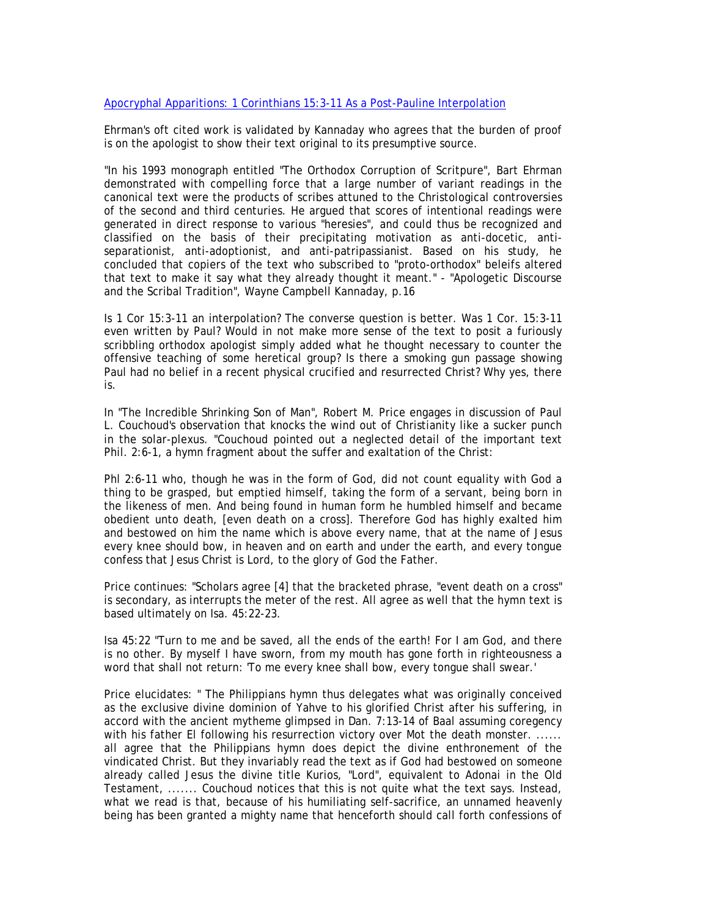# Apocryphal Apparitions: 1 Corinthians 15:3-11 As a Post-Pauline Interpolation

Ehrman's oft cited work is validated by Kannaday who agrees that the burden of proof is on the apologist to show their text original to its presumptive source.

"In his 1993 monograph entitled "The Orthodox Corruption of Scritpure", Bart Ehrman demonstrated with compelling force that a large number of variant readings in the canonical text were the products of scribes attuned to the Christological controversies of the second and third centuries. He argued that scores of intentional readings were generated in direct response to various "heresies", and could thus be recognized and classified on the basis of their precipitating motivation as anti-docetic, antiseparationist, anti-adoptionist, and anti-patripassianist. Based on his study, he concluded that copiers of the text who subscribed to "proto-orthodox" beleifs altered that text to make it say what they already thought it meant." - "Apologetic Discourse and the Scribal Tradition", Wayne Campbell Kannaday, p.16

Is 1 Cor 15:3-11 an interpolation? The converse question is better. Was 1 Cor. 15:3-11 even written by Paul? Would in not make more sense of the text to posit a furiously scribbling orthodox apologist simply added what he thought necessary to counter the offensive teaching of some heretical group? Is there a smoking gun passage showing Paul had no belief in a recent physical crucified and resurrected Christ? Why yes, there is.

In "The Incredible Shrinking Son of Man", Robert M. Price engages in discussion of Paul L. Couchoud's observation that knocks the wind out of Christianity like a sucker punch in the solar-plexus. "Couchoud pointed out a neglected detail of the important text Phil. 2:6-1, a hymn fragment about the suffer and exaltation of the Christ:

Phl 2:6-11 who, though he was in the form of God, did not count equality with God a thing to be grasped, but emptied himself, taking the form of a servant, being born in the likeness of men. And being found in human form he humbled himself and became obedient unto death, [even death on a cross]. Therefore God has highly exalted him and bestowed on him the name which is above every name, that at the name of Jesus every knee should bow, in heaven and on earth and under the earth, and every tongue confess that Jesus Christ is Lord, to the glory of God the Father.

Price continues: "Scholars agree [4] that the bracketed phrase, "event death on a cross" is secondary, as interrupts the meter of the rest. All agree as well that the hymn text is based ultimately on Isa. 45:22-23.

Isa 45:22 "Turn to me and be saved, all the ends of the earth! For I am God, and there is no other. By myself I have sworn, from my mouth has gone forth in righteousness a word that shall not return: 'To me every knee shall bow, every tongue shall swear.'

Price elucidates: " The Philippians hymn thus delegates what was originally conceived as the exclusive divine dominion of Yahve to his glorified Christ after his suffering, in accord with the ancient mytheme glimpsed in Dan. 7:13-14 of Baal assuming coregency with his father El following his resurrection victory over Mot the death monster. ...... all agree that the Philippians hymn does depict the divine enthronement of the vindicated Christ. But they invariably read the text as if God had bestowed on someone already called Jesus the divine title Kurios, "Lord", equivalent to Adonai in the Old Testament, ....... Couchoud notices that this is not quite what the text says. Instead, what we read is that, because of his humiliating self-sacrifice, an unnamed heavenly being has been granted a mighty name that henceforth should call forth confessions of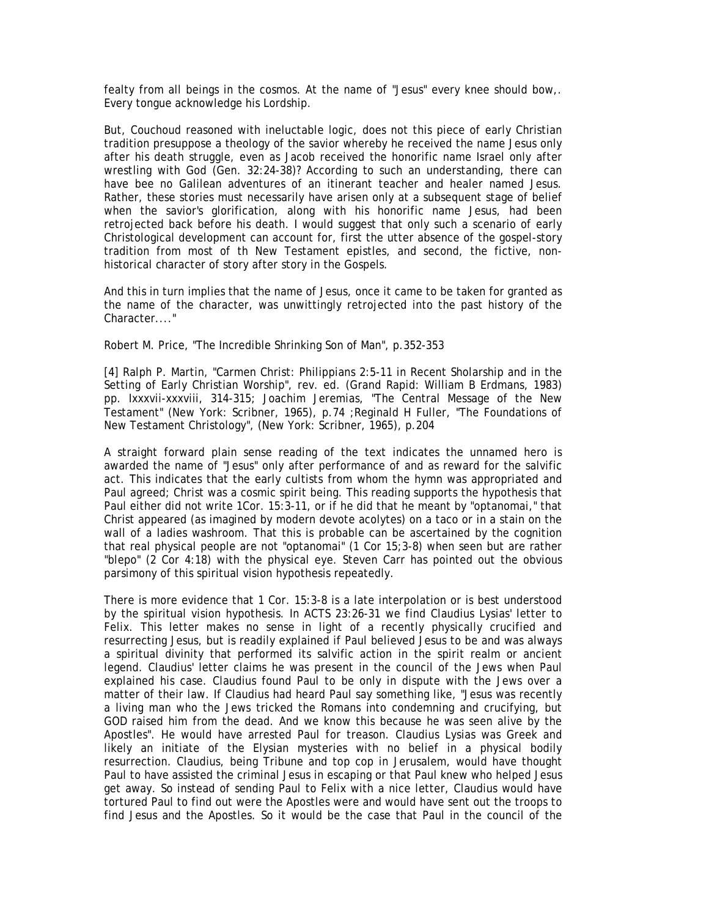fealty from all beings in the cosmos. At the name of "Jesus" every knee should bow,. Every tongue acknowledge his Lordship.

But, Couchoud reasoned with ineluctable logic, does not this piece of early Christian tradition presuppose a theology of the savior whereby he received the name Jesus only after his death struggle, even as Jacob received the honorific name Israel only after wrestling with God (Gen. 32:24-38)? According to such an understanding, there can have bee no Galilean adventures of an itinerant teacher and healer named Jesus. Rather, these stories must necessarily have arisen only at a subsequent stage of belief when the savior's glorification, along with his honorific name Jesus, had been retrojected back before his death. I would suggest that only such a scenario of early Christological development can account for, first the utter absence of the gospel-story tradition from most of th New Testament epistles, and second, the fictive, nonhistorical character of story after story in the Gospels.

And this in turn implies that the name of Jesus, once it came to be taken for granted as the name of the character, was unwittingly retrojected into the past history of the Character...."

Robert M. Price, "The Incredible Shrinking Son of Man", p.352-353

[4] Ralph P. Martin, "Carmen Christ: Philippians 2:5-11 in Recent Sholarship and in the Setting of Early Christian Worship", rev. ed. (Grand Rapid: William B Erdmans, 1983) pp. Ixxxvii-xxxviii, 314-315; Joachim Jeremias, "The Central Message of the New Testament" (New York: Scribner, 1965), p.74 ;Reginald H Fuller, "The Foundations of New Testament Christology", (New York: Scribner, 1965), p.204

A straight forward plain sense reading of the text indicates the unnamed hero is awarded the name of "Jesus" only after performance of and as reward for the salvific act. This indicates that the early cultists from whom the hymn was appropriated and Paul agreed; Christ was a cosmic spirit being. This reading supports the hypothesis that Paul either did not write 1Cor. 15:3-11, or if he did that he meant by "optanomai," that Christ appeared (as imagined by modern devote acolytes) on a taco or in a stain on the wall of a ladies washroom. That this is probable can be ascertained by the cognition that real physical people are not "optanomai" (1 Cor 15;3-8) when seen but are rather "blepo" (2 Cor 4:18) with the physical eye. Steven Carr has pointed out the obvious parsimony of this spiritual vision hypothesis repeatedly.

There is more evidence that 1 Cor. 15:3-8 is a late interpolation or is best understood by the spiritual vision hypothesis. In ACTS 23:26-31 we find Claudius Lysias' letter to Felix. This letter makes no sense in light of a recently physically crucified and resurrecting Jesus, but is readily explained if Paul believed Jesus to be and was always a spiritual divinity that performed its salvific action in the spirit realm or ancient legend. Claudius' letter claims he was present in the council of the Jews when Paul explained his case. Claudius found Paul to be only in dispute with the Jews over a matter of their law. If Claudius had heard Paul say something like, "Jesus was recently a living man who the Jews tricked the Romans into condemning and crucifying, but GOD raised him from the dead. And we know this because he was seen alive by the Apostles". He would have arrested Paul for treason. Claudius Lysias was Greek and likely an initiate of the Elysian mysteries with no belief in a physical bodily resurrection. Claudius, being Tribune and top cop in Jerusalem, would have thought Paul to have assisted the criminal Jesus in escaping or that Paul knew who helped Jesus get away. So instead of sending Paul to Felix with a nice letter, Claudius would have tortured Paul to find out were the Apostles were and would have sent out the troops to find Jesus and the Apostles. So it would be the case that Paul in the council of the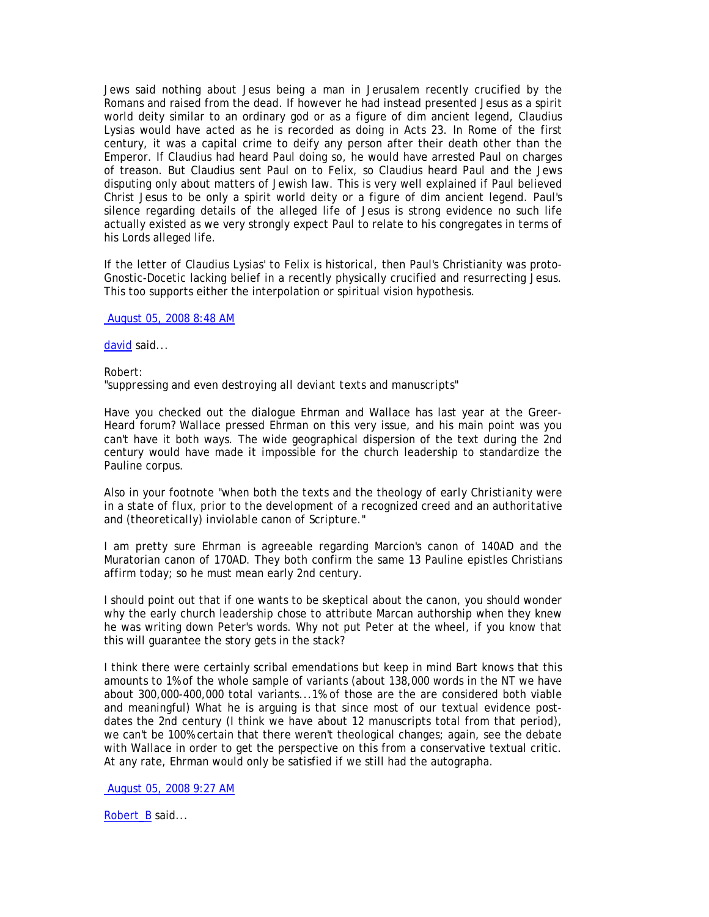Jews said nothing about Jesus being a man in Jerusalem recently crucified by the Romans and raised from the dead. If however he had instead presented Jesus as a spirit world deity similar to an ordinary god or as a figure of dim ancient legend, Claudius Lysias would have acted as he is recorded as doing in Acts 23. In Rome of the first century, it was a capital crime to deify any person after their death other than the Emperor. If Claudius had heard Paul doing so, he would have arrested Paul on charges of treason. But Claudius sent Paul on to Felix, so Claudius heard Paul and the Jews disputing only about matters of Jewish law. This is very well explained if Paul believed Christ Jesus to be only a spirit world deity or a figure of dim ancient legend. Paul's silence regarding details of the alleged life of Jesus is strong evidence no such life actually existed as we very strongly expect Paul to relate to his congregates in terms of his Lords alleged life.

If the letter of Claudius Lysias' to Felix is historical, then Paul's Christianity was proto-Gnostic-Docetic lacking belief in a recently physically crucified and resurrecting Jesus. This too supports either the interpolation or spiritual vision hypothesis.

August 05, 2008 8:48 AM

david said...

Robert: *"suppressing and even destroying all deviant texts and manuscripts"* 

Have you checked out the dialogue Ehrman and Wallace has last year at the Greer-Heard forum? Wallace pressed Ehrman on this very issue, and his main point was you can't have it both ways. The wide geographical dispersion of the text during the 2nd century would have made it impossible for the church leadership to standardize the Pauline corpus.

Also in your footnote *"when both the texts and the theology of early Christianity were in a state of flux, prior to the development of a recognized creed and an authoritative and (theoretically) inviolable canon of Scripture."* 

I am pretty sure Ehrman is agreeable regarding Marcion's canon of 140AD and the Muratorian canon of 170AD. They both confirm the same 13 Pauline epistles Christians affirm today; so he must mean early 2nd century.

I should point out that if one wants to be skeptical about the canon, you should wonder why the early church leadership chose to attribute Marcan authorship when they knew he was writing down Peter's words. Why not put Peter at the wheel, if you know that this will guarantee the story gets in the stack?

I think there were certainly scribal emendations but keep in mind Bart knows that this amounts to 1% of the whole sample of variants (about 138,000 words in the NT we have about 300,000-400,000 total variants...1% of those are the are considered both viable and meaningful) What he is arguing is that since most of our textual evidence postdates the 2nd century (I think we have about 12 manuscripts total from that period), we can't be 100% certain that there weren't theological changes; again, see the debate with Wallace in order to get the perspective on this from a conservative textual critic. At any rate, Ehrman would only be satisfied if we still had the autographa.

August 05, 2008 9:27 AM

Robert\_B said...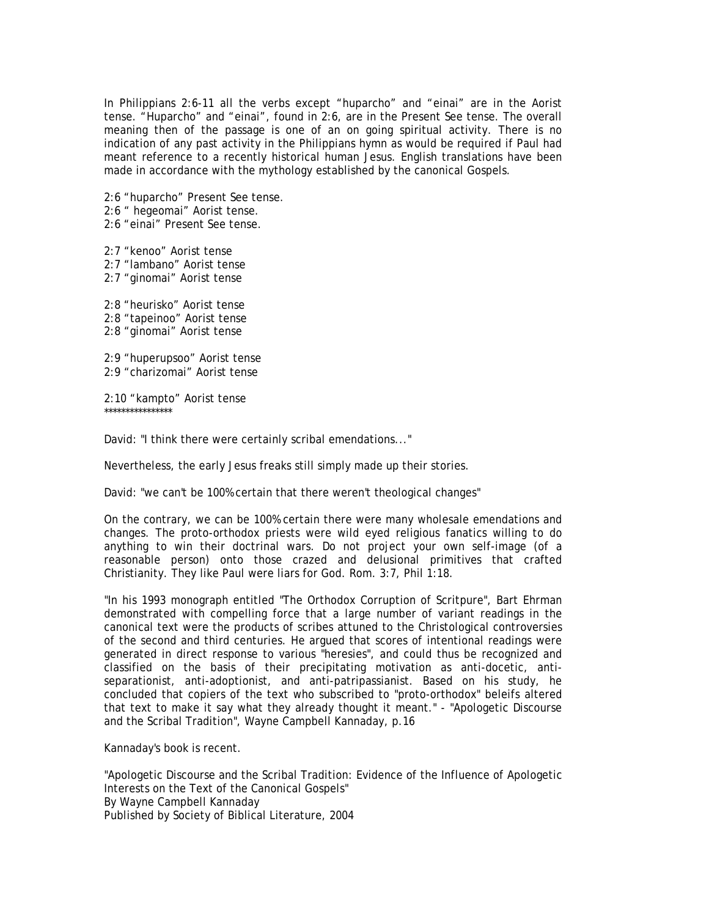In Philippians 2:6-11 all the verbs except "huparcho" and "einai" are in the Aorist tense. "Huparcho" and "einai", found in 2:6, are in the Present See tense. The overall meaning then of the passage is one of an on going spiritual activity. There is no indication of any past activity in the Philippians hymn as would be required if Paul had meant reference to a recently historical human Jesus. English translations have been made in accordance with the mythology established by the canonical Gospels.

2:6 "huparcho" Present See tense.

2:6 " hegeomai" Aorist tense.

2:6 "einai" Present See tense.

2:7 "kenoo" Aorist tense 2:7 "lambano" Aorist tense 2:7 "ginomai" Aorist tense 2:8 "heurisko" Aorist tense 2:8 "tapeinoo" Aorist tense 2:8 "ginomai" Aorist tense

2:9 "huperupsoo" Aorist tense 2:9 "charizomai" Aorist tense

2:10 "kampto" Aorist tense \*\*\*\*\*\*\*\*\*\*\*\*\*\*\*\*

David: "I think there were certainly scribal emendations..."

Nevertheless, the early Jesus freaks still simply made up their stories.

David: "we can't be 100% certain that there weren't theological changes"

On the contrary, we can be 100% certain there were many wholesale emendations and changes. The proto-orthodox priests were wild eyed religious fanatics willing to do anything to win their doctrinal wars. Do not project your own self-image (of a reasonable person) onto those crazed and delusional primitives that crafted Christianity. They like Paul were liars for God. Rom. 3:7, Phil 1:18.

"In his 1993 monograph entitled "The Orthodox Corruption of Scritpure", Bart Ehrman demonstrated with compelling force that a large number of variant readings in the canonical text were the products of scribes attuned to the Christological controversies of the second and third centuries. He argued that scores of intentional readings were generated in direct response to various "heresies", and could thus be recognized and classified on the basis of their precipitating motivation as anti-docetic, antiseparationist, anti-adoptionist, and anti-patripassianist. Based on his study, he concluded that copiers of the text who subscribed to "proto-orthodox" beleifs altered that text to make it say what they already thought it meant." - "Apologetic Discourse and the Scribal Tradition", Wayne Campbell Kannaday, p.16

Kannaday's book is recent.

"Apologetic Discourse and the Scribal Tradition: Evidence of the Influence of Apologetic Interests on the Text of the Canonical Gospels" By Wayne Campbell Kannaday Published by Society of Biblical Literature, 2004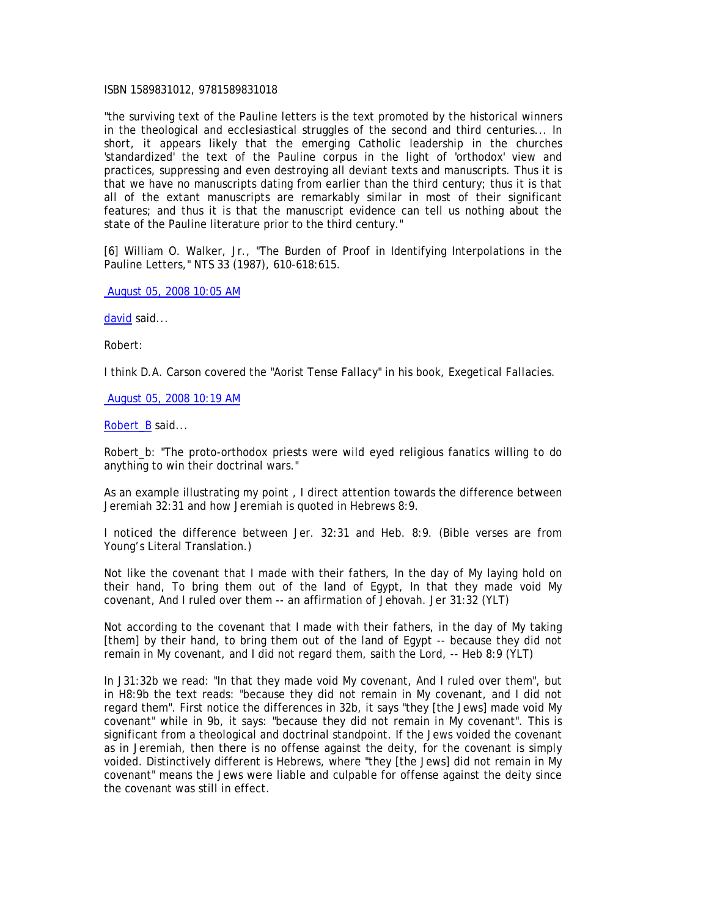## ISBN 1589831012, 9781589831018

"the surviving text of the Pauline letters is the text promoted by the historical winners in the theological and ecclesiastical struggles of the second and third centuries... In short, it appears likely that the emerging Catholic leadership in the churches 'standardized' the text of the Pauline corpus in the light of 'orthodox' view and practices, suppressing and even destroying all deviant texts and manuscripts. Thus it is that we have no manuscripts dating from earlier than the third century; thus it is that all of the extant manuscripts are remarkably similar in most of their significant features; and thus it is that the manuscript evidence can tell us nothing about the state of the Pauline literature prior to the third century."

[6] William O. Walker, Jr., "The Burden of Proof in Identifying Interpolations in the Pauline Letters," NTS 33 (1987), 610-618:615.

August 05, 2008 10:05 AM

david said...

Robert:

I think D.A. Carson covered the "Aorist Tense Fallacy" in his book, *Exegetical Fallacies*.

August 05, 2008 10:19 AM

Robert\_B said...

Robert\_b: "The proto-orthodox priests were wild eyed religious fanatics willing to do anything to win their doctrinal wars."

As an example illustrating my point , I direct attention towards the difference between Jeremiah 32:31 and how Jeremiah is quoted in Hebrews 8:9.

I noticed the difference between Jer. 32:31 and Heb. 8:9. (Bible verses are from Young's Literal Translation.)

Not like the covenant that I made with their fathers, In the day of My laying hold on their hand, To bring them out of the land of Egypt, In that they made void My covenant, And I ruled over them -- an affirmation of Jehovah. Jer 31:32 (YLT)

Not according to the covenant that I made with their fathers, in the day of My taking [them] by their hand, to bring them out of the land of Egypt -- because they did not remain in My covenant, and I did not regard them, saith the Lord, -- Heb 8:9 (YLT)

In J31:32b we read: "In that they made void My covenant, And I ruled over them", but in H8:9b the text reads: "because they did not remain in My covenant, and I did not regard them". First notice the differences in 32b, it says "they [the Jews] made void My covenant" while in 9b, it says: "because they did not remain in My covenant". This is significant from a theological and doctrinal standpoint. If the Jews voided the covenant as in Jeremiah, then there is no offense against the deity, for the covenant is simply voided. Distinctively different is Hebrews, where "they [the Jews] did not remain in My covenant" means the Jews were liable and culpable for offense against the deity since the covenant was still in effect.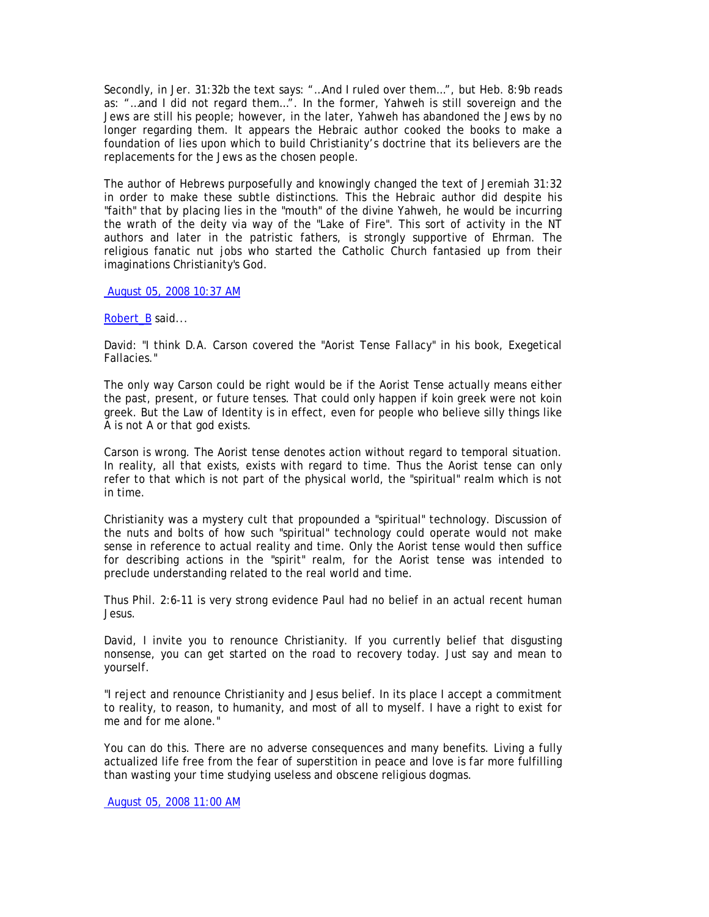Secondly, in Jer. 31:32b the text says: "…And I ruled over them…", but Heb. 8:9b reads as: "…and I did not regard them…". In the former, Yahweh is still sovereign and the Jews are still his people; however, in the later, Yahweh has abandoned the Jews by no longer regarding them. It appears the Hebraic author cooked the books to make a foundation of lies upon which to build Christianity's doctrine that its believers are the replacements for the Jews as the chosen people.

The author of Hebrews purposefully and knowingly changed the text of Jeremiah 31:32 in order to make these subtle distinctions. This the Hebraic author did despite his "faith" that by placing lies in the "mouth" of the divine Yahweh, he would be incurring the wrath of the deity via way of the "Lake of Fire". This sort of activity in the NT authors and later in the patristic fathers, is strongly supportive of Ehrman. The religious fanatic nut jobs who started the Catholic Church fantasied up from their imaginations Christianity's God.

August 05, 2008 10:37 AM

Robert\_B said...

David: "I think D.A. Carson covered the "Aorist Tense Fallacy" in his book, Exegetical Fallacies."

The only way Carson could be right would be if the Aorist Tense actually means either the past, present, or future tenses. That could only happen if koin greek were not koin greek. But the Law of Identity is in effect, even for people who believe silly things like A is not A or that god exists.

Carson is wrong. The Aorist tense denotes action without regard to temporal situation. In reality, all that exists, exists with regard to time. Thus the Aorist tense can only refer to that which is not part of the physical world, the "spiritual" realm which is not in time.

Christianity was a mystery cult that propounded a "spiritual" technology. Discussion of the nuts and bolts of how such "spiritual" technology could operate would not make sense in reference to actual reality and time. Only the Aorist tense would then suffice for describing actions in the "spirit" realm, for the Aorist tense was intended to preclude understanding related to the real world and time.

Thus Phil. 2:6-11 is very strong evidence Paul had no belief in an actual recent human Jesus.

David, I invite you to renounce Christianity. If you currently belief that disgusting nonsense, you can get started on the road to recovery today. Just say and mean to yourself.

"I reject and renounce Christianity and Jesus belief. In its place I accept a commitment to reality, to reason, to humanity, and most of all to myself. I have a right to exist for me and for me alone."

You can do this. There are no adverse consequences and many benefits. Living a fully actualized life free from the fear of superstition in peace and love is far more fulfilling than wasting your time studying useless and obscene religious dogmas.

August 05, 2008 11:00 AM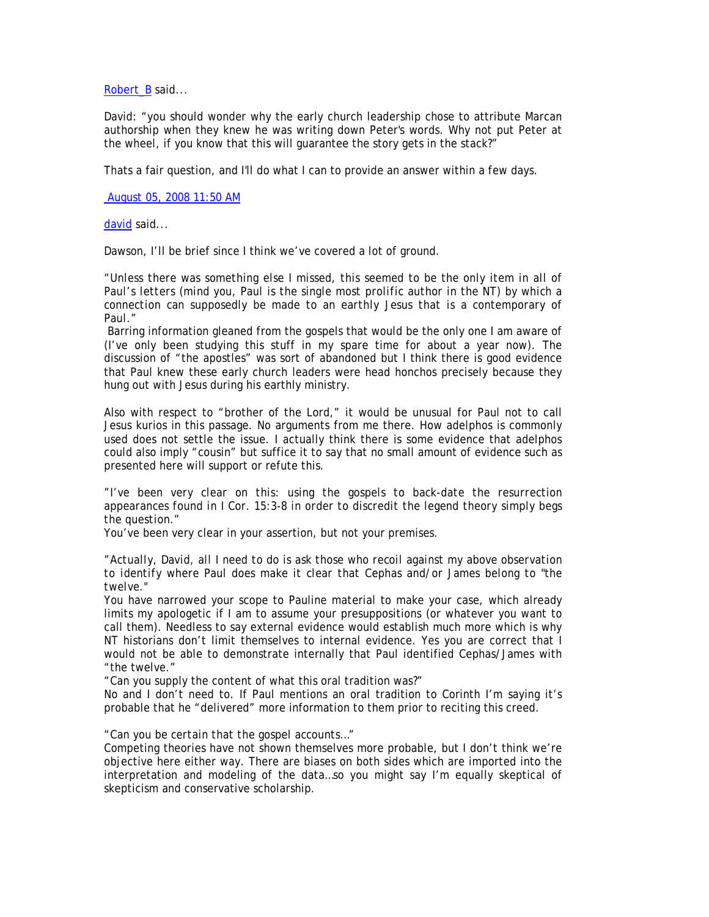Robert\_B said...

David: "you should wonder why the early church leadership chose to attribute Marcan authorship when they knew he was writing down Peter's words. Why not put Peter at the wheel, if you know that this will guarantee the story gets in the stack?"

Thats a fair question, and I'll do what I can to provide an answer within a few days.

August 05, 2008 11:50 AM

david said...

Dawson, I'll be brief since I think we've covered a lot of ground.

*"Unless there was something else I missed, this seemed to be the only item in all of Paul's letters (mind you, Paul is the single most prolific author in the NT) by which a connection can supposedly be made to an earthly Jesus that is a contemporary of Paul."* 

 Barring information gleaned from the gospels that would be the only one I am aware of (I've only been studying this stuff in my spare time for about a year now). The discussion of "the apostles" was sort of abandoned but I think there is good evidence that Paul knew these early church leaders were head honchos precisely because they hung out with Jesus during his earthly ministry.

Also with respect to "brother of the Lord," it would be unusual for Paul not to call Jesus kurios in this passage. No arguments from me there. How adelphos is commonly used does not settle the issue. I actually think there is some evidence that adelphos could also imply "cousin" but suffice it to say that no small amount of evidence such as presented here will support or refute this.

*"I've been very clear on this: using the gospels to back-date the resurrection appearances found in I Cor. 15:3-8 in order to discredit the legend theory simply begs the question."* 

You've been very clear in your assertion, but not your premises.

*"Actually, David, all I need to do is ask those who recoil against my above observation to identify where Paul does make it clear that Cephas and/or James belong to "the twelve."* 

You have narrowed your scope to Pauline material to make your case, which already limits my apologetic if I am to assume your presuppositions (or whatever you want to call them). Needless to say external evidence would establish much more which is why NT historians don't limit themselves to internal evidence. Yes you are correct that I would not be able to demonstrate internally that Paul identified Cephas/James with "the twelve."

"Can you supply the content of what this oral tradition was?"

No and I don't need to. If Paul mentions an oral tradition to Corinth I'm saying it's probable that he "delivered" more information to them prior to reciting this creed.

## *"Can you be certain that the gospel accounts…"*

Competing theories have not shown themselves more probable, but I don't think we're objective here either way. There are biases on both sides which are imported into the interpretation and modeling of the data…so you might say I'm equally skeptical of skepticism and conservative scholarship.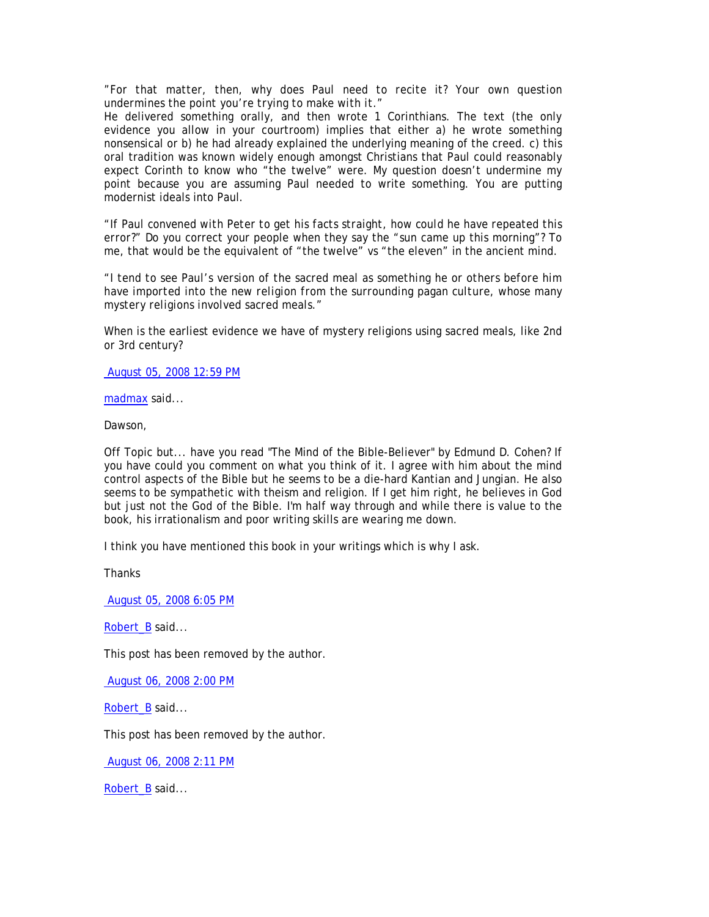*"For that matter, then, why does Paul need to recite it? Your own question undermines the point you're trying to make with it."* 

He delivered something orally, and then wrote 1 Corinthians. The text (the only evidence you allow in your courtroom) implies that either a) he wrote something nonsensical or b) he had already explained the underlying meaning of the creed. c) this oral tradition was known widely enough amongst Christians that Paul could reasonably expect Corinth to know who "the twelve" were. My question doesn't undermine my point because you are assuming Paul needed to write something. You are putting modernist ideals into Paul.

*"If Paul convened with Peter to get his facts straight, how could he have repeated this error?"* Do you correct your people when they say the "sun came up this morning"? To me, that would be the equivalent of "the twelve" vs "the eleven" in the ancient mind.

*"I tend to see Paul's version of the sacred meal as something he or others before him have imported into the new religion from the surrounding pagan culture, whose many mystery religions involved sacred meals."* 

When is the earliest evidence we have of mystery religions using sacred meals, like 2nd or 3rd century?

August 05, 2008 12:59 PM

madmax said...

Dawson,

Off Topic but... have you read "The Mind of the Bible-Believer" by Edmund D. Cohen? If you have could you comment on what you think of it. I agree with him about the mind control aspects of the Bible but he seems to be a die-hard Kantian and Jungian. He also seems to be sympathetic with theism and religion. If I get him right, he believes in God but just not the God of the Bible. I'm half way through and while there is value to the book, his irrationalism and poor writing skills are wearing me down.

I think you have mentioned this book in your writings which is why I ask.

**Thanks** 

August 05, 2008 6:05 PM

Robert\_B said...

This post has been removed by the author.

August 06, 2008 2:00 PM

Robert\_B said...

This post has been removed by the author.

August 06, 2008 2:11 PM

Robert\_B said...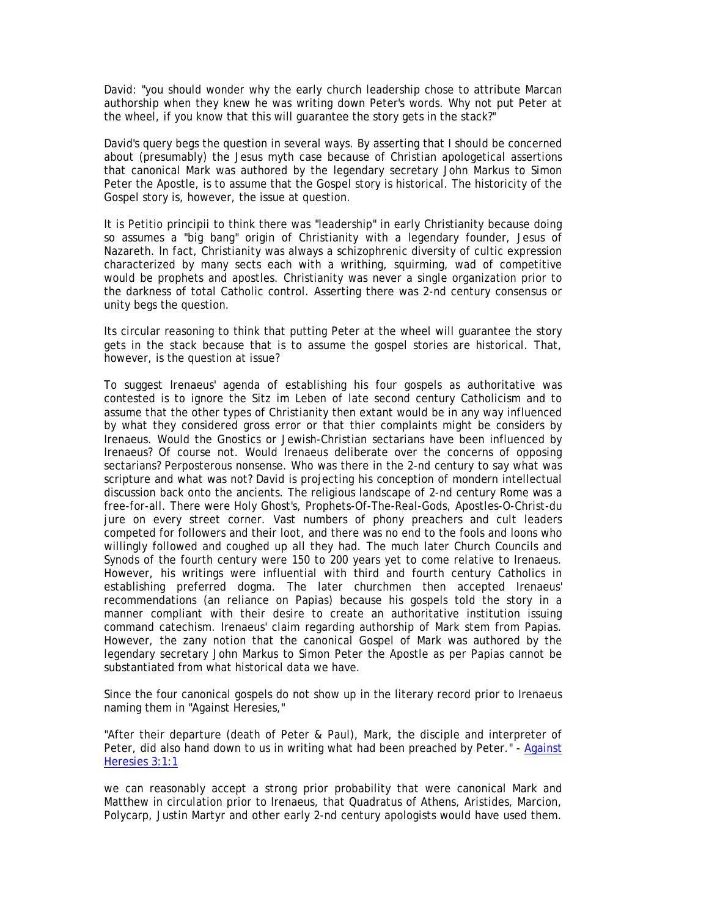David: "you should wonder why the early church leadership chose to attribute Marcan authorship when they knew he was writing down Peter's words. Why not put Peter at the wheel, if you know that this will guarantee the story gets in the stack?"

David's query begs the question in several ways. By asserting that I should be concerned about (presumably) the Jesus myth case because of Christian apologetical assertions that canonical Mark was authored by the legendary secretary John Markus to Simon Peter the Apostle, is to assume that the Gospel story is historical. The historicity of the Gospel story is, however, the issue at question.

It is Petitio principii to think there was "leadership" in early Christianity because doing so assumes a "big bang" origin of Christianity with a legendary founder, Jesus of Nazareth. In fact, Christianity was always a schizophrenic diversity of cultic expression characterized by many sects each with a writhing, squirming, wad of competitive would be prophets and apostles. Christianity was never a single organization prior to the darkness of total Catholic control. Asserting there was 2-nd century consensus or unity begs the question.

Its circular reasoning to think that putting Peter at the wheel will guarantee the story gets in the stack because that is to assume the gospel stories are historical. That, however, is the question at issue?

To suggest Irenaeus' agenda of establishing his four gospels as authoritative was contested is to ignore the Sitz im Leben of late second century Catholicism and to assume that the other types of Christianity then extant would be in any way influenced by what they considered gross error or that thier complaints might be considers by Irenaeus. Would the Gnostics or Jewish-Christian sectarians have been influenced by Irenaeus? Of course not. Would Irenaeus deliberate over the concerns of opposing sectarians? Perposterous nonsense. Who was there in the 2-nd century to say what was scripture and what was not? David is projecting his conception of mondern intellectual discussion back onto the ancients. The religious landscape of 2-nd century Rome was a free-for-all. There were Holy Ghost's, Prophets-Of-The-Real-Gods, Apostles-O-Christ-du jure on every street corner. Vast numbers of phony preachers and cult leaders competed for followers and their loot, and there was no end to the fools and loons who willingly followed and coughed up all they had. The much later Church Councils and Synods of the fourth century were 150 to 200 years yet to come relative to Irenaeus. However, his writings were influential with third and fourth century Catholics in establishing preferred dogma. The later churchmen then accepted Irenaeus' recommendations (an reliance on Papias) because his gospels told the story in a manner compliant with their desire to create an authoritative institution issuing command catechism. Irenaeus' claim regarding authorship of Mark stem from Papias. However, the zany notion that the canonical Gospel of Mark was authored by the legendary secretary John Markus to Simon Peter the Apostle as per Papias cannot be substantiated from what historical data we have.

Since the four canonical gospels do not show up in the literary record prior to Irenaeus naming them in "Against Heresies,"

"After their departure (death of Peter & Paul), Mark, the disciple and interpreter of Peter, did also hand down to us in writing what had been preached by Peter." - Against Heresies 3:1:1

we can reasonably accept a strong prior probability that were canonical Mark and Matthew in circulation prior to Irenaeus, that Quadratus of Athens, Aristides, Marcion, Polycarp, Justin Martyr and other early 2-nd century apologists would have used them.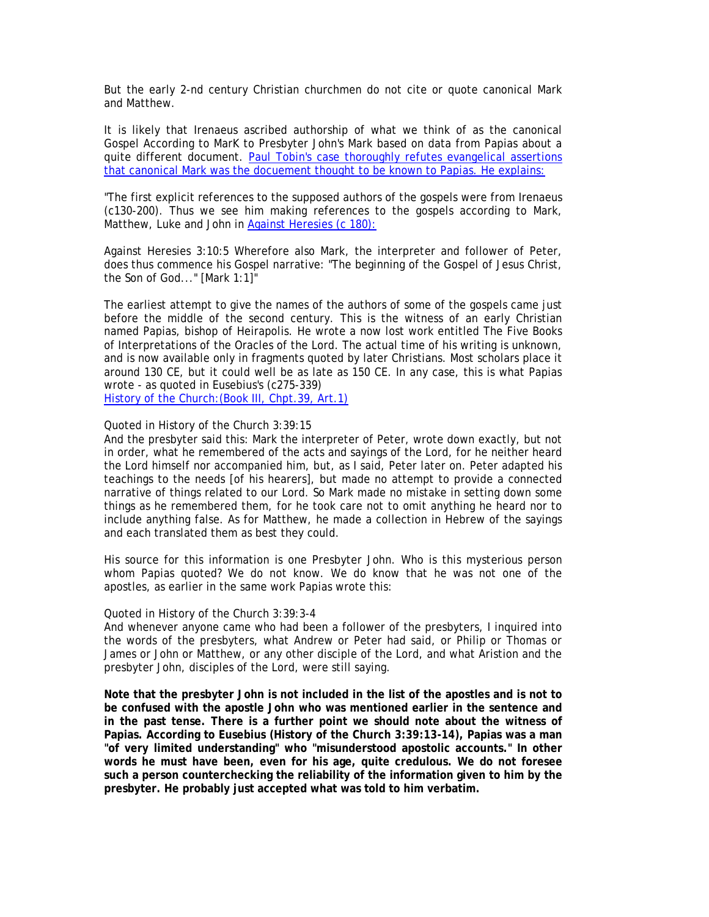But the early 2-nd century Christian churchmen do not cite or quote canonical Mark and Matthew.

It is likely that Irenaeus ascribed authorship of what we think of as the canonical Gospel According to MarK to Presbyter John's Mark based on data from Papias about a quite different document. Paul Tobin's case thoroughly refutes evangelical assertions that canonical Mark was the docuement thought to be known to Papias. He explains:

"The first explicit references to the supposed authors of the gospels were from Irenaeus (c130-200). Thus we see him making references to the gospels according to Mark, Matthew, Luke and John in Against Heresies (c 180):

Against Heresies 3:10:5 Wherefore also Mark, the interpreter and follower of Peter, does thus commence his Gospel narrative: "The beginning of the Gospel of Jesus Christ, the Son of God..." [Mark 1:1]"

The earliest attempt to give the names of the authors of some of the gospels came just before the middle of the second century. This is the witness of an early Christian named Papias, bishop of Heirapolis. He wrote a now lost work entitled The Five Books of Interpretations of the Oracles of the Lord. The actual time of his writing is unknown, and is now available only in fragments quoted by later Christians. Most scholars place it around 130 CE, but it could well be as late as 150 CE. In any case, this is what Papias wrote - as quoted in Eusebius's (c275-339)

History of the Church:(Book III, Chpt.39, Art.1)

# Quoted in History of the Church 3:39:15

And the presbyter said this: Mark the interpreter of Peter, wrote down exactly, but not in order, what he remembered of the acts and sayings of the Lord, for he neither heard the Lord himself nor accompanied him, but, as I said, Peter later on. Peter adapted his teachings to the needs [of his hearers], but made no attempt to provide a connected narrative of things related to our Lord. So Mark made no mistake in setting down some things as he remembered them, for he took care not to omit anything he heard nor to include anything false. As for Matthew, he made a collection in Hebrew of the sayings and each translated them as best they could.

His source for this information is one Presbyter John. Who is this mysterious person whom Papias quoted? We do not know. We do know that he was not one of the apostles, as earlier in the same work Papias wrote this:

## Quoted in History of the Church 3:39:3-4

And whenever anyone came who had been a follower of the presbyters, I inquired into the words of the presbyters, what Andrew or Peter had said, or Philip or Thomas or James or John or Matthew, or any other disciple of the Lord, and what Aristion and the presbyter John, disciples of the Lord, were still saying.

**Note that the presbyter John is not included in the list of the apostles and is not to be confused with the apostle John who was mentioned earlier in the sentence and in the past tense. There is a further point we should note about the witness of Papias. According to Eusebius (History of the Church 3:39:13-14), Papias was a man "of very limited understanding" who "misunderstood apostolic accounts." In other words he must have been, even for his age, quite credulous. We do not foresee such a person counterchecking the reliability of the information given to him by the presbyter. He probably just accepted what was told to him verbatim.**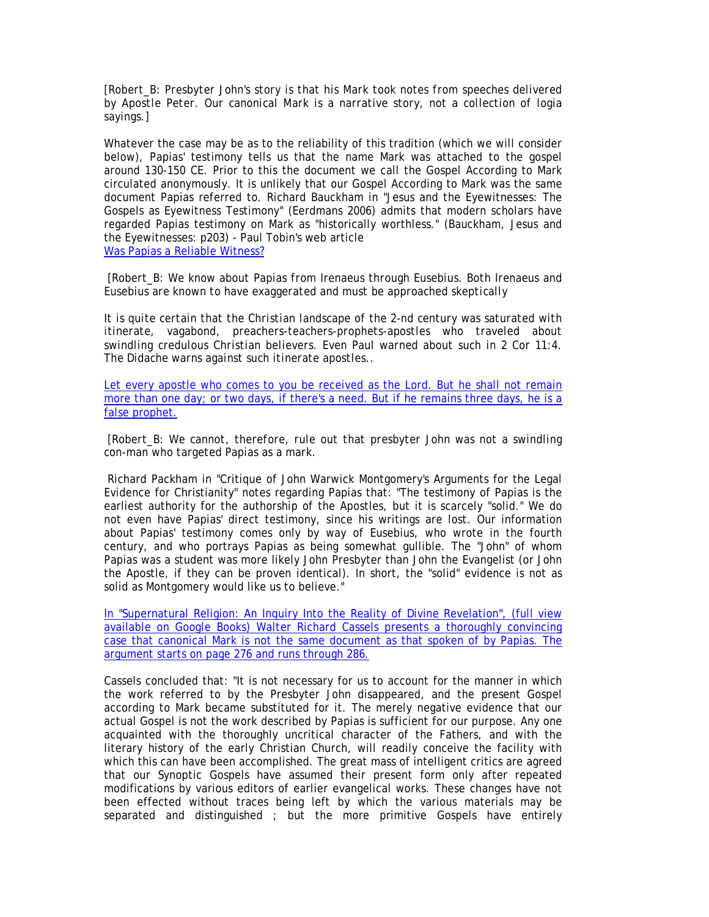*[Robert\_B: Presbyter John's story is that his Mark took notes from speeches delivered by Apostle Peter. Our canonical Mark is a narrative story, not a collection of logia sayings.]* 

Whatever the case may be as to the reliability of this tradition (which we will consider below), Papias' testimony tells us that the name Mark was attached to the gospel around 130-150 CE. Prior to this the document we call the Gospel According to Mark circulated anonymously. It is unlikely that our Gospel According to Mark was the same document Papias referred to. Richard Bauckham in "Jesus and the Eyewitnesses: The Gospels as Eyewitness Testimony" (Eerdmans 2006) admits that modern scholars have regarded Papias testimony on Mark as "historically worthless." (Bauckham, Jesus and the Eyewitnesses: p203) - Paul Tobin's web article Was Papias a Reliable Witness?

 *[Robert\_B: We know about Papias from Irenaeus through Eusebius. Both Irenaeus and Eusebius are known to have exaggerated and must be approached skeptically* 

*It is quite certain that the Christian landscape of the 2-nd century was saturated with itinerate, vagabond, preachers-teachers-prophets-apostles who traveled about swindling credulous Christian believers. Even Paul warned about such in 2 Cor 11:4. The Didache warns against such itinerate apostles..* 

Let every apostle who comes to you be received as the Lord. But he shall not remain more than one day; or two days, if there's a need. But if he remains three days, he is a false prophet.

 *[Robert\_B: We cannot, therefore, rule out that presbyter John was not a swindling con-man who targeted Papias as a mark.* 

 Richard Packham in "Critique of John Warwick Montgomery's Arguments for the Legal Evidence for Christianity" notes regarding Papias that: "The testimony of Papias is the earliest authority for the authorship of the Apostles, but it is scarcely "solid." We do not even have Papias' direct testimony, since his writings are lost. Our information about Papias' testimony comes only by way of Eusebius, who wrote in the fourth century, and who portrays Papias as being somewhat gullible. The "John" of whom Papias was a student was more likely John Presbyter than John the Evangelist (or John the Apostle, if they can be proven identical). In short, the "solid" evidence is not as solid as Montgomery would like us to believe."

In "Supernatural Religion: An Inquiry Into the Reality of Divine Revelation", (full view available on Google Books) Walter Richard Cassels presents a thoroughly convincing case that canonical Mark is not the same document as that spoken of by Papias. The argument starts on page 276 and runs through 286.

Cassels concluded that: "It is not necessary for us to account for the manner in which the work referred to by the Presbyter John disappeared, and the present Gospel according to Mark became substituted for it. The merely negative evidence that our actual Gospel is not the work described by Papias is sufficient for our purpose. Any one acquainted with the thoroughly uncritical character of the Fathers, and with the literary history of the early Christian Church, will readily conceive the facility with which this can have been accomplished. The great mass of intelligent critics are agreed that our Synoptic Gospels have assumed their present form only after repeated modifications by various editors of earlier evangelical works. These changes have not been effected without traces being left by which the various materials may be separated and distinguished ; but the more primitive Gospels have entirely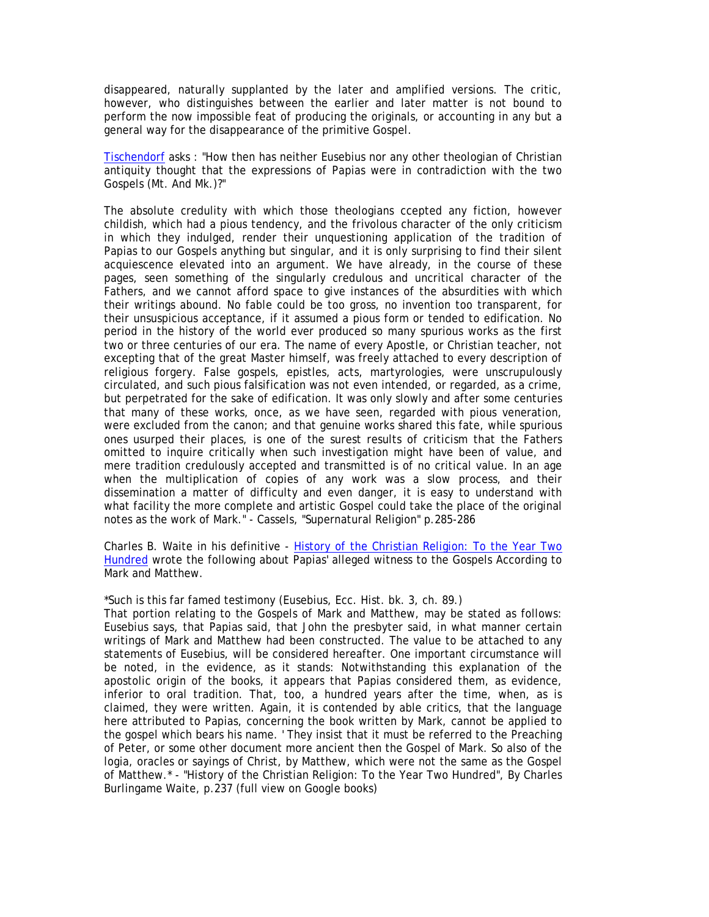disappeared, naturally supplanted by the later and amplified versions. The critic, however, who distinguishes between the earlier and later matter is not bound to perform the now impossible feat of producing the originals, or accounting in any but a general way for the disappearance of the primitive Gospel.

Tischendorf asks : "How then has neither Eusebius nor any other theologian of Christian antiquity thought that the expressions of Papias were in contradiction with the two Gospels (Mt. And Mk.)?"

The absolute credulity with which those theologians ccepted any fiction, however childish, which had a pious tendency, and the frivolous character of the only criticism in which they indulged, render their unquestioning application of the tradition of Papias to our Gospels anything but singular, and it is only surprising to find their silent acquiescence elevated into an argument. We have already, in the course of these pages, seen something of the singularly credulous and uncritical character of the Fathers, and we cannot afford space to give instances of the absurdities with which their writings abound. No fable could be too gross, no invention too transparent, for their unsuspicious acceptance, if it assumed a pious form or tended to edification. No period in the history of the world ever produced so many spurious works as the first two or three centuries of our era. The name of every Apostle, or Christian teacher, not excepting that of the great Master himself, was freely attached to every description of religious forgery. False gospels, epistles, acts, martyrologies, were unscrupulously circulated, and such pious falsification was not even intended, or regarded, as a crime, but perpetrated for the sake of edification. It was only slowly and after some centuries that many of these works, once, as we have seen, regarded with pious veneration, were excluded from the canon; and that genuine works shared this fate, while spurious ones usurped their places, is one of the surest results of criticism that the Fathers omitted to inquire critically when such investigation might have been of value, and mere tradition credulously accepted and transmitted is of no critical value. In an age when the multiplication of copies of any work was a slow process, and their dissemination a matter of difficulty and even danger, it is easy to understand with what facility the more complete and artistic Gospel could take the place of the original notes as the work of Mark." - Cassels, "Supernatural Religion" p.285-286

Charles B. Waite in his definitive - History of the Christian Religion: To the Year Two Hundred wrote the following about Papias' alleged witness to the Gospels According to Mark and Matthew.

\*Such is this far famed testimony (Eusebius, Ecc. Hist. bk. 3, ch. 89.)

That portion relating to the Gospels of Mark and Matthew, may be stated as follows: Eusebius says, that Papias said, that John the presbyter said, in what manner certain writings of Mark and Matthew had been constructed. The value to be attached to any statements of Eusebius, will be considered hereafter. One important circumstance will be noted, in the evidence, as it stands: Notwithstanding this explanation of the apostolic origin of the books, it appears that Papias considered them, as evidence, inferior to oral tradition. That, too, a hundred years after the time, when, as is claimed, they were written. Again, it is contended by able critics, that the language here attributed to Papias, concerning the book written by Mark, cannot be applied to the gospel which bears his name. ' They insist that it must be referred to the Preaching of Peter, or some other document more ancient then the Gospel of Mark. So also of the logia, oracles or sayings of Christ, by Matthew, which were not the same as the Gospel of Matthew.\* - "History of the Christian Religion: To the Year Two Hundred", By Charles Burlingame Waite, p.237 (full view on Google books)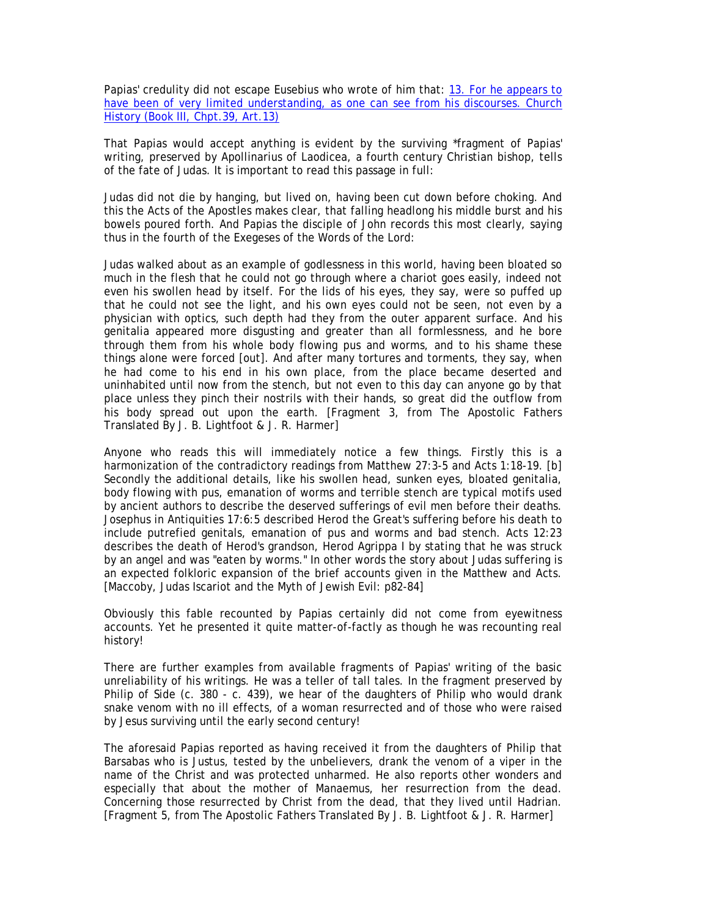Papias' credulity did not escape Eusebius who wrote of him that: 13. For he appears to have been of very limited understanding, as one can see from his discourses. Church History (Book III, Chpt.39, Art.13)

That Papias would accept anything is evident by the surviving \*fragment of Papias' writing, preserved by Apollinarius of Laodicea, a fourth century Christian bishop, tells of the fate of Judas. It is important to read this passage in full:

Judas did not die by hanging, but lived on, having been cut down before choking. And this the Acts of the Apostles makes clear, that falling headlong his middle burst and his bowels poured forth. And Papias the disciple of John records this most clearly, saying thus in the fourth of the Exegeses of the Words of the Lord:

Judas walked about as an example of godlessness in this world, having been bloated so much in the flesh that he could not go through where a chariot goes easily, indeed not even his swollen head by itself. For the lids of his eyes, they say, were so puffed up that he could not see the light, and his own eyes could not be seen, not even by a physician with optics, such depth had they from the outer apparent surface. And his genitalia appeared more disgusting and greater than all formlessness, and he bore through them from his whole body flowing pus and worms, and to his shame these things alone were forced [out]. And after many tortures and torments, they say, when he had come to his end in his own place, from the place became deserted and uninhabited until now from the stench, but not even to this day can anyone go by that place unless they pinch their nostrils with their hands, so great did the outflow from his body spread out upon the earth. [Fragment 3, from The Apostolic Fathers Translated By J. B. Lightfoot & J. R. Harmer]

Anyone who reads this will immediately notice a few things. Firstly this is a harmonization of the contradictory readings from Matthew 27:3-5 and Acts 1:18-19. [b] Secondly the additional details, like his swollen head, sunken eyes, bloated genitalia, body flowing with pus, emanation of worms and terrible stench are typical motifs used by ancient authors to describe the deserved sufferings of evil men before their deaths. Josephus in Antiquities 17:6:5 described Herod the Great's suffering before his death to include putrefied genitals, emanation of pus and worms and bad stench. Acts 12:23 describes the death of Herod's grandson, Herod Agrippa I by stating that he was struck by an angel and was "eaten by worms." In other words the story about Judas suffering is an expected folkloric expansion of the brief accounts given in the Matthew and Acts. [Maccoby, Judas Iscariot and the Myth of Jewish Evil: p82-84]

Obviously this fable recounted by Papias certainly did not come from eyewitness accounts. Yet he presented it quite matter-of-factly as though he was recounting real history!

There are further examples from available fragments of Papias' writing of the basic unreliability of his writings. He was a teller of tall tales. In the fragment preserved by Philip of Side (c. 380 - c. 439), we hear of the daughters of Philip who would drank snake venom with no ill effects, of a woman resurrected and of those who were raised by Jesus surviving until the early second century!

The aforesaid Papias reported as having received it from the daughters of Philip that Barsabas who is Justus, tested by the unbelievers, drank the venom of a viper in the name of the Christ and was protected unharmed. He also reports other wonders and especially that about the mother of Manaemus, her resurrection from the dead. Concerning those resurrected by Christ from the dead, that they lived until Hadrian. [Fragment 5, from The Apostolic Fathers Translated By J. B. Lightfoot & J. R. Harmer]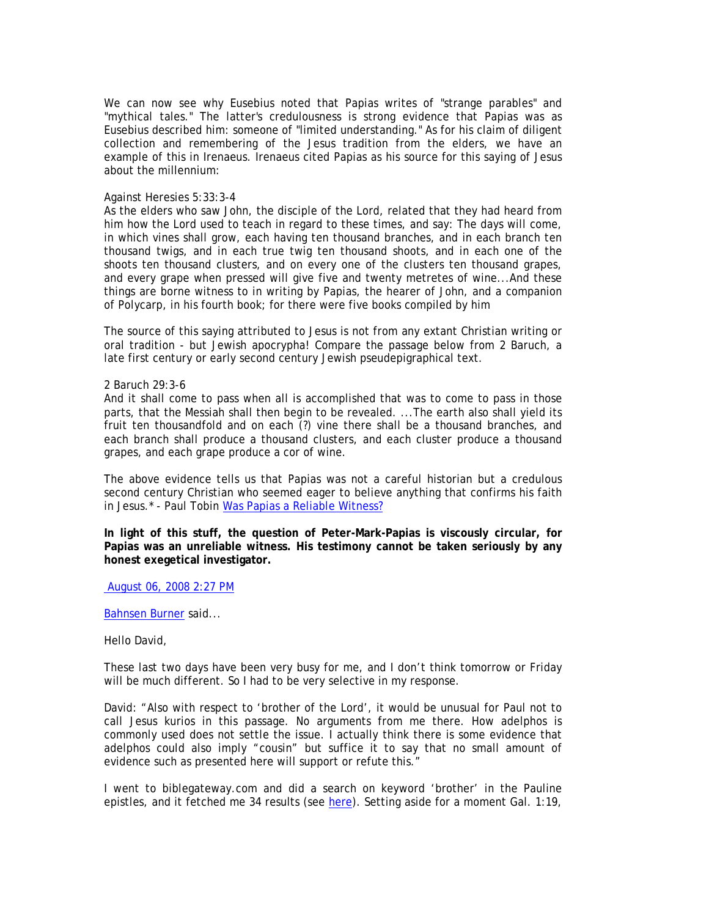We can now see why Eusebius noted that Papias writes of "strange parables" and "mythical tales." The latter's credulousness is strong evidence that Papias was as Eusebius described him: someone of "limited understanding." As for his claim of diligent collection and remembering of the Jesus tradition from the elders, we have an example of this in Irenaeus. Irenaeus cited Papias as his source for this saying of Jesus about the millennium:

## Against Heresies 5:33:3-4

As the elders who saw John, the disciple of the Lord, related that they had heard from him how the Lord used to teach in regard to these times, and say: The days will come, in which vines shall grow, each having ten thousand branches, and in each branch ten thousand twigs, and in each true twig ten thousand shoots, and in each one of the shoots ten thousand clusters, and on every one of the clusters ten thousand grapes, and every grape when pressed will give five and twenty metretes of wine...And these things are borne witness to in writing by Papias, the hearer of John, and a companion of Polycarp, in his fourth book; for there were five books compiled by him

The source of this saying attributed to Jesus is not from any extant Christian writing or oral tradition - but Jewish apocrypha! Compare the passage below from 2 Baruch, a late first century or early second century Jewish pseudepigraphical text.

2 Baruch 29:3-6

And it shall come to pass when all is accomplished that was to come to pass in those parts, that the Messiah shall then begin to be revealed. ...The earth also shall yield its fruit ten thousandfold and on each (?) vine there shall be a thousand branches, and each branch shall produce a thousand clusters, and each cluster produce a thousand grapes, and each grape produce a cor of wine.

The above evidence tells us that Papias was not a careful historian but a credulous second century Christian who seemed eager to believe anything that confirms his faith in Jesus.\* - Paul Tobin Was Papias a Reliable Witness?

**In light of this stuff, the question of Peter-Mark-Papias is viscously circular, for Papias was an unreliable witness. His testimony cannot be taken seriously by any honest exegetical investigator.** 

August 06, 2008 2:27 PM

Bahnsen Burner said...

Hello David,

These last two days have been very busy for me, and I don't think tomorrow or Friday will be much different. So I had to be very selective in my response.

David: "Also with respect to 'brother of the Lord', it would be unusual for Paul not to call Jesus kurios in this passage. No arguments from me there. How adelphos is commonly used does not settle the issue. I actually think there is some evidence that adelphos could also imply "cousin" but suffice it to say that no small amount of evidence such as presented here will support or refute this."

I went to biblegateway.com and did a search on keyword 'brother' in the Pauline epistles, and it fetched me 34 results (see here). Setting aside for a moment Gal. 1:19,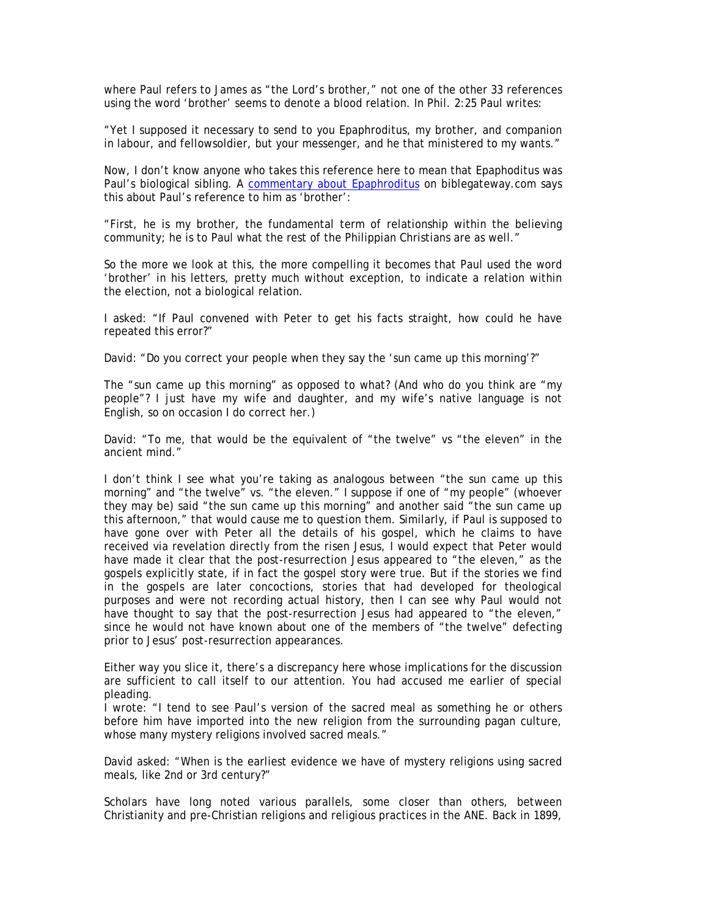where Paul refers to James as "the Lord's brother," not one of the other 33 references using the word 'brother' seems to denote a blood relation. In Phil. 2:25 Paul writes:

"Yet I supposed it necessary to send to you Epaphroditus, my brother, and companion in labour, and fellowsoldier, but your messenger, and he that ministered to my wants."

Now, I don't know anyone who takes this reference here to mean that Epaphoditus was Paul's biological sibling. A commentary about Epaphroditus on biblegateway.com says this about Paul's reference to him as 'brother':

"First, he is my brother, the fundamental term of relationship within the believing community; he is to Paul what the rest of the Philippian Christians are as well."

So the more we look at this, the more compelling it becomes that Paul used the word 'brother' in his letters, pretty much without exception, to indicate a relation within the election, not a biological relation.

I asked: "If Paul convened with Peter to get his facts straight, how could he have repeated this error?"

David: "Do you correct your people when they say the 'sun came up this morning'?"

The "sun came up this morning" as opposed to what? (And who do you think are "my people"? I just have my wife and daughter, and my wife's native language is not English, so on occasion I do correct her.)

David: "To me, that would be the equivalent of "the twelve" vs "the eleven" in the ancient mind."

I don't think I see what you're taking as analogous between "the sun came up this morning" and "the twelve" vs. "the eleven." I suppose if one of "my people" (whoever they may be) said "the sun came up this morning" and another said "the sun came up this afternoon," that would cause me to question them. Similarly, if Paul is supposed to have gone over with Peter all the details of his gospel, which he claims to have received via revelation directly from the risen Jesus, I would expect that Peter would have made it clear that the post-resurrection Jesus appeared to "the eleven," as the gospels explicitly state, if in fact the gospel story were true. But if the stories we find in the gospels are later concoctions, stories that had developed for theological purposes and were not recording actual history, then I can see why Paul would not have thought to say that the post-resurrection Jesus had appeared to "the eleven," since he would not have known about one of the members of "the twelve" defecting prior to Jesus' post-resurrection appearances.

Either way you slice it, there's a discrepancy here whose implications for the discussion are sufficient to call itself to our attention. You had accused me earlier of special pleading.

I wrote: "I tend to see Paul's version of the sacred meal as something he or others before him have imported into the new religion from the surrounding pagan culture, whose many mystery religions involved sacred meals."

David asked: "When is the earliest evidence we have of mystery religions using sacred meals, like 2nd or 3rd century?"

Scholars have long noted various parallels, some closer than others, between Christianity and pre-Christian religions and religious practices in the ANE. Back in 1899,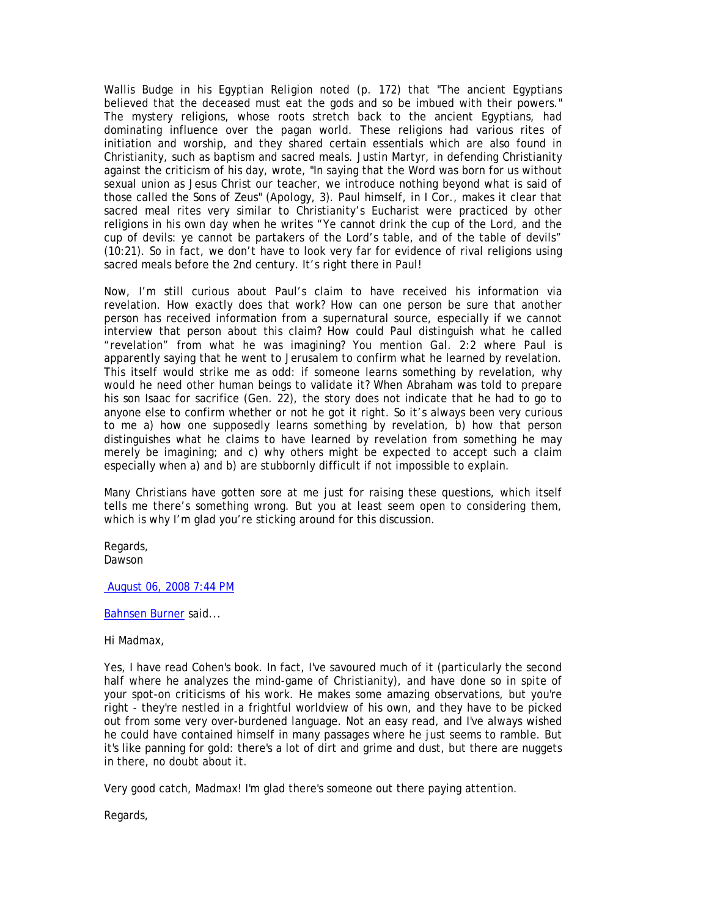Wallis Budge in his *Egyptian Religion* noted (p. 172) that "The ancient Egyptians believed that the deceased must eat the gods and so be imbued with their powers." The mystery religions, whose roots stretch back to the ancient Egyptians, had dominating influence over the pagan world. These religions had various rites of initiation and worship, and they shared certain essentials which are also found in Christianity, such as baptism and sacred meals. Justin Martyr, in defending Christianity against the criticism of his day, wrote, "In saying that the Word was born for us without sexual union as Jesus Christ our teacher, we introduce nothing beyond what is said of those called the Sons of Zeus" (*Apology*, 3). Paul himself, in I Cor., makes it clear that sacred meal rites very similar to Christianity's Eucharist were practiced by other religions in his own day when he writes "Ye cannot drink the cup of the Lord, and the cup of devils: ye cannot be partakers of the Lord's table, and of the table of devils" (10:21). So in fact, we don't have to look very far for evidence of rival religions using sacred meals before the 2nd century. It's right there in Paul!

Now, I'm still curious about Paul's claim to have received his information via revelation. How exactly does that work? How can one person be sure that another person has received information from a supernatural source, especially if we cannot interview that person about this claim? How could Paul distinguish what he called "revelation" from what he was imagining? You mention Gal. 2:2 where Paul is apparently saying that he went to Jerusalem to confirm what he learned by revelation. This itself would strike me as odd: if someone learns something by revelation, why would he need other human beings to validate it? When Abraham was told to prepare his son Isaac for sacrifice (Gen. 22), the story does not indicate that he had to go to anyone else to confirm whether or not he got it right. So it's always been very curious to me a) how one supposedly learns something by revelation, b) how that person distinguishes what he claims to have learned by revelation from something he may merely be imagining; and c) why others might be expected to accept such a claim especially when a) and b) are stubbornly difficult if not impossible to explain.

Many Christians have gotten sore at me just for raising these questions, which itself tells me there's something wrong. But you at least seem open to considering them, which is why I'm glad you're sticking around for this discussion.

Regards, Dawson

August 06, 2008 7:44 PM

#### Bahnsen Burner said...

Hi Madmax,

Yes, I have read Cohen's book. In fact, I've savoured much of it (particularly the second half where he analyzes the mind-game of Christianity), and have done so in spite of your spot-on criticisms of his work. He makes some amazing observations, but you're right - they're nestled in a frightful worldview of his own, and they have to be picked out from some very over-burdened language. Not an easy read, and I've always wished he could have contained himself in many passages where he just seems to ramble. But it's like panning for gold: there's a lot of dirt and grime and dust, but there are nuggets in there, no doubt about it.

Very good catch, Madmax! I'm glad there's someone out there paying attention.

Regards,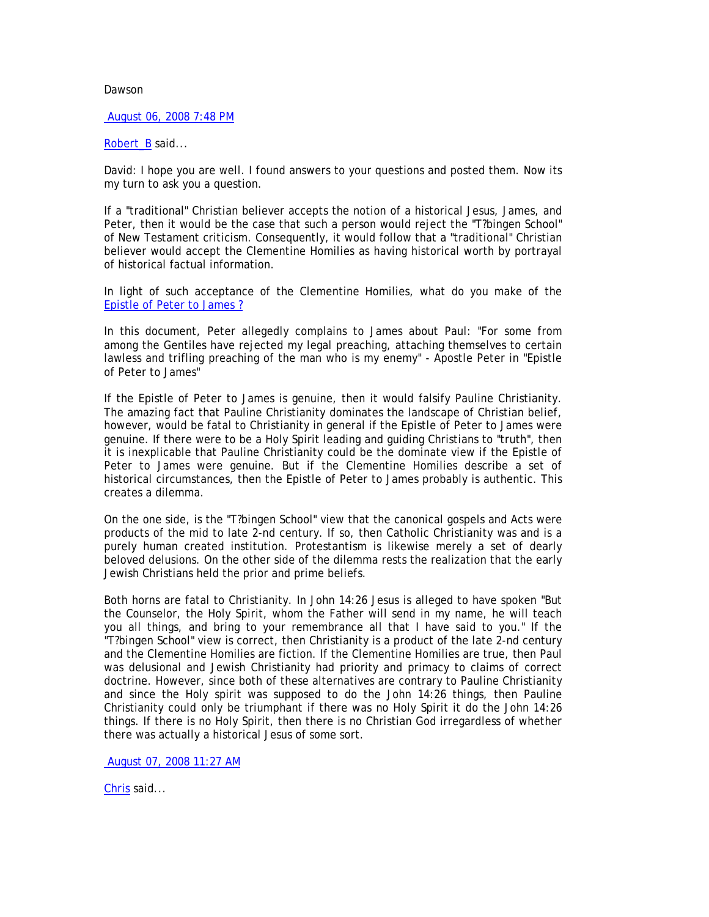# Dawson

## August 06, 2008 7:48 PM

# Robert\_B said...

David: I hope you are well. I found answers to your questions and posted them. Now its my turn to ask you a question.

If a "traditional" Christian believer accepts the notion of a historical Jesus, James, and Peter, then it would be the case that such a person would reject the "T?bingen School" of New Testament criticism. Consequently, it would follow that a "traditional" Christian believer would accept the Clementine Homilies as having historical worth by portrayal of historical factual information.

In light of such acceptance of the Clementine Homilies, what do you make of the Epistle of Peter to James ?

In this document, Peter allegedly complains to James about Paul: "For some from among the Gentiles have rejected my legal preaching, attaching themselves to certain lawless and trifling preaching of the man who is my enemy" - Apostle Peter in "Epistle of Peter to James"

If the Epistle of Peter to James is genuine, then it would falsify Pauline Christianity. The amazing fact that Pauline Christianity dominates the landscape of Christian belief, however, would be fatal to Christianity in general if the Epistle of Peter to James were genuine. If there were to be a Holy Spirit leading and guiding Christians to "truth", then it is inexplicable that Pauline Christianity could be the dominate view if the Epistle of Peter to James were genuine. But if the Clementine Homilies describe a set of historical circumstances, then the Epistle of Peter to James probably is authentic. This creates a dilemma.

On the one side, is the "T?bingen School" view that the canonical gospels and Acts were products of the mid to late 2-nd century. If so, then Catholic Christianity was and is a purely human created institution. Protestantism is likewise merely a set of dearly beloved delusions. On the other side of the dilemma rests the realization that the early Jewish Christians held the prior and prime beliefs.

Both horns are fatal to Christianity. In John 14:26 Jesus is alleged to have spoken "But the Counselor, the Holy Spirit, whom the Father will send in my name, he will teach you all things, and bring to your remembrance all that I have said to you." If the "T?bingen School" view is correct, then Christianity is a product of the late 2-nd century and the Clementine Homilies are fiction. If the Clementine Homilies are true, then Paul was delusional and Jewish Christianity had priority and primacy to claims of correct doctrine. However, since both of these alternatives are contrary to Pauline Christianity and since the Holy spirit was supposed to do the John 14:26 things, then Pauline Christianity could only be triumphant if there was no Holy Spirit it do the John 14:26 things. If there is no Holy Spirit, then there is no Christian God irregardless of whether there was actually a historical Jesus of some sort.

August 07, 2008 11:27 AM

Chris said...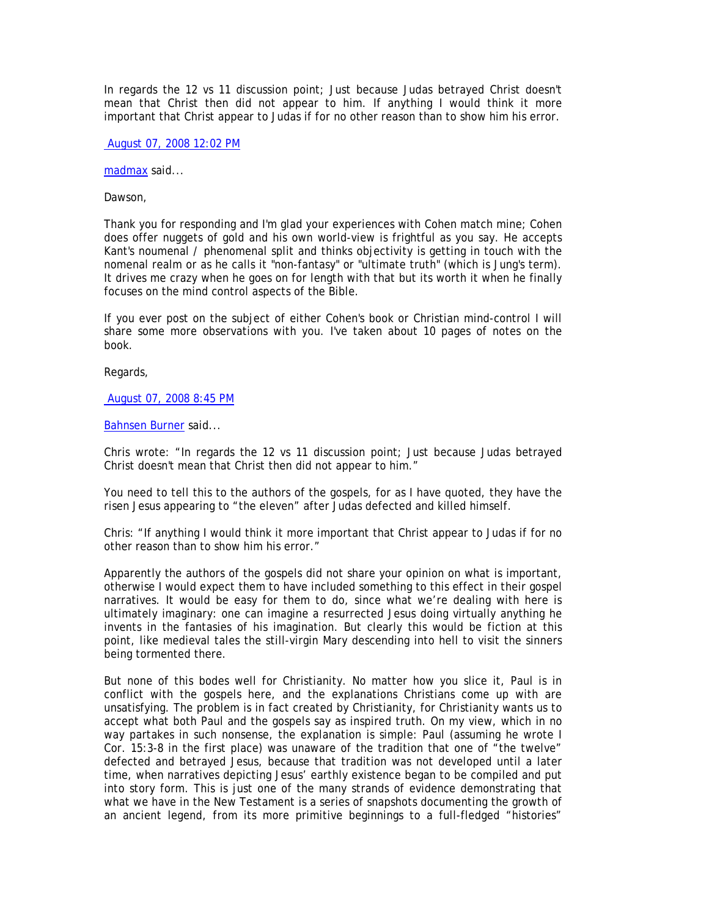In regards the 12 vs 11 discussion point; Just because Judas betrayed Christ doesn't mean that Christ then did not appear to him. If anything I would think it more important that Christ appear to Judas if for no other reason than to show him his error.

August 07, 2008 12:02 PM

madmax said...

Dawson,

Thank you for responding and I'm glad your experiences with Cohen match mine; Cohen does offer nuggets of gold and his own world-view is frightful as you say. He accepts Kant's noumenal / phenomenal split and thinks objectivity is getting in touch with the nomenal realm or as he calls it "non-fantasy" or "ultimate truth" (which is Jung's term). It drives me crazy when he goes on for length with that but its worth it when he finally focuses on the mind control aspects of the Bible.

If you ever post on the subject of either Cohen's book or Christian mind-control I will share some more observations with you. I've taken about 10 pages of notes on the book.

Regards,

August 07, 2008 8:45 PM

Bahnsen Burner said...

Chris wrote: "In regards the 12 vs 11 discussion point; Just because Judas betrayed Christ doesn't mean that Christ then did not appear to him."

You need to tell this to the authors of the gospels, for as I have quoted, they have the risen Jesus appearing to "the eleven" after Judas defected and killed himself.

Chris: "If anything I would think it more important that Christ appear to Judas if for no other reason than to show him his error."

Apparently the authors of the gospels did not share your opinion on what is important, otherwise I would expect them to have included something to this effect in their gospel narratives. It would be easy for them to do, since what we're dealing with here is ultimately imaginary: one can imagine a resurrected Jesus doing virtually anything he invents in the fantasies of his imagination. But clearly this would be fiction at this point, like medieval tales the still-virgin Mary descending into hell to visit the sinners being tormented there.

But none of this bodes well for Christianity. No matter how you slice it, Paul is in conflict with the gospels here, and the explanations Christians come up with are unsatisfying. The problem is in fact created by Christianity, for Christianity wants us to accept what both Paul and the gospels say as inspired truth. On my view, which in no way partakes in such nonsense, the explanation is simple: Paul (assuming he wrote I Cor. 15:3-8 in the first place) was unaware of the tradition that one of "the twelve" defected and betrayed Jesus, because that tradition was not developed until a later time, when narratives depicting Jesus' earthly existence began to be compiled and put into story form. This is just one of the many strands of evidence demonstrating that what we have in the New Testament is a series of snapshots documenting the growth of an ancient legend, from its more primitive beginnings to a full-fledged "histories"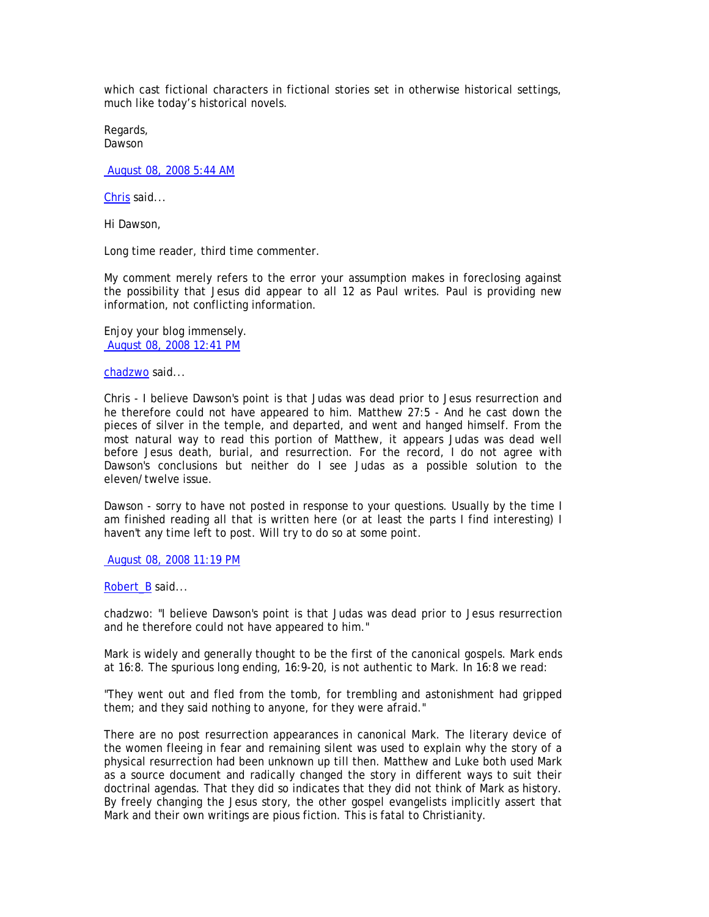which cast fictional characters in fictional stories set in otherwise historical settings, much like today's historical novels.

Regards, Dawson

August 08, 2008 5:44 AM

Chris said...

Hi Dawson,

Long time reader, third time commenter.

My comment merely refers to the error your assumption makes in foreclosing against the possibility that Jesus did appear to all 12 as Paul writes. Paul is providing new information, not conflicting information.

Enjoy your blog immensely. August 08, 2008 12:41 PM

chadzwo said...

Chris - I believe Dawson's point is that Judas was dead prior to Jesus resurrection and he therefore could not have appeared to him. Matthew 27:5 - And he cast down the pieces of silver in the temple, and departed, and went and hanged himself. From the most natural way to read this portion of Matthew, it appears Judas was dead well before Jesus death, burial, and resurrection. For the record, I do not agree with Dawson's conclusions but neither do I see Judas as a possible solution to the eleven/twelve issue.

Dawson - sorry to have not posted in response to your questions. Usually by the time I am finished reading all that is written here (or at least the parts I find interesting) I haven't any time left to post. Will try to do so at some point.

August 08, 2008 11:19 PM

Robert B said...

chadzwo: "I believe Dawson's point is that Judas was dead prior to Jesus resurrection and he therefore could not have appeared to him."

Mark is widely and generally thought to be the first of the canonical gospels. Mark ends at 16:8. The spurious long ending, 16:9-20, is not authentic to Mark. In 16:8 we read:

"They went out and fled from the tomb, for trembling and astonishment had gripped them; and they said nothing to anyone, for they were afraid."

There are no post resurrection appearances in canonical Mark. The literary device of the women fleeing in fear and remaining silent was used to explain why the story of a physical resurrection had been unknown up till then. Matthew and Luke both used Mark as a source document and radically changed the story in different ways to suit their doctrinal agendas. That they did so indicates that they did not think of Mark as history. By freely changing the Jesus story, the other gospel evangelists implicitly assert that Mark and their own writings are pious fiction. This is fatal to Christianity.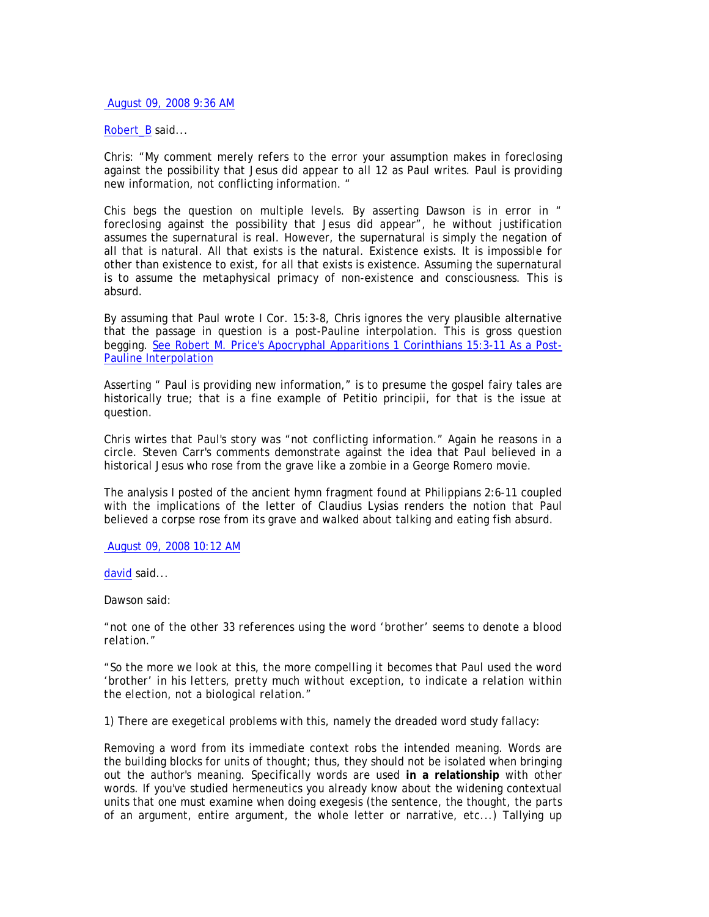August 09, 2008 9:36 AM

# Robert B said...

Chris: "My comment merely refers to the error your assumption makes in foreclosing against the possibility that Jesus did appear to all 12 as Paul writes. Paul is providing new information, not conflicting information. "

Chis begs the question on multiple levels. By asserting Dawson is in error in " foreclosing against the possibility that Jesus did appear", he without justification assumes the supernatural is real. However, the supernatural is simply the negation of all that is natural. All that exists is the natural. Existence exists. It is impossible for other than existence to exist, for all that exists is existence. Assuming the supernatural is to assume the metaphysical primacy of non-existence and consciousness. This is absurd.

By assuming that Paul wrote I Cor. 15:3-8, Chris ignores the very plausible alternative that the passage in question is a post-Pauline interpolation. This is gross question begging. See Robert M. Price's Apocryphal Apparitions 1 Corinthians 15:3-11 As a Post-Pauline Interpolation

Asserting " Paul is providing new information," is to presume the gospel fairy tales are historically true; that is a fine example of Petitio principii, for that is the issue at question.

Chris wirtes that Paul's story was "not conflicting information." Again he reasons in a circle. Steven Carr's comments demonstrate against the idea that Paul believed in a historical Jesus who rose from the grave like a zombie in a George Romero movie.

The analysis I posted of the ancient hymn fragment found at Philippians 2:6-11 coupled with the implications of the letter of Claudius Lysias renders the notion that Paul believed a corpse rose from its grave and walked about talking and eating fish absurd.

## August 09, 2008 10:12 AM

david said...

Dawson said:

*"not one of the other 33 references using the word 'brother' seems to denote a blood relation."* 

*"So the more we look at this, the more compelling it becomes that Paul used the word 'brother' in his letters, pretty much without exception, to indicate a relation within the election, not a biological relation."* 

1) There are exegetical problems with this, namely the dreaded word study fallacy:

Removing a word from its immediate context robs the intended meaning. Words are the building blocks for units of thought; thus, they should not be isolated when bringing out the author's meaning. Specifically words are used **in a relationship** with other words. If you've studied hermeneutics you already know about the widening contextual units that one must examine when doing exegesis (the sentence, the thought, the parts of an argument, entire argument, the whole letter or narrative, etc...) Tallying up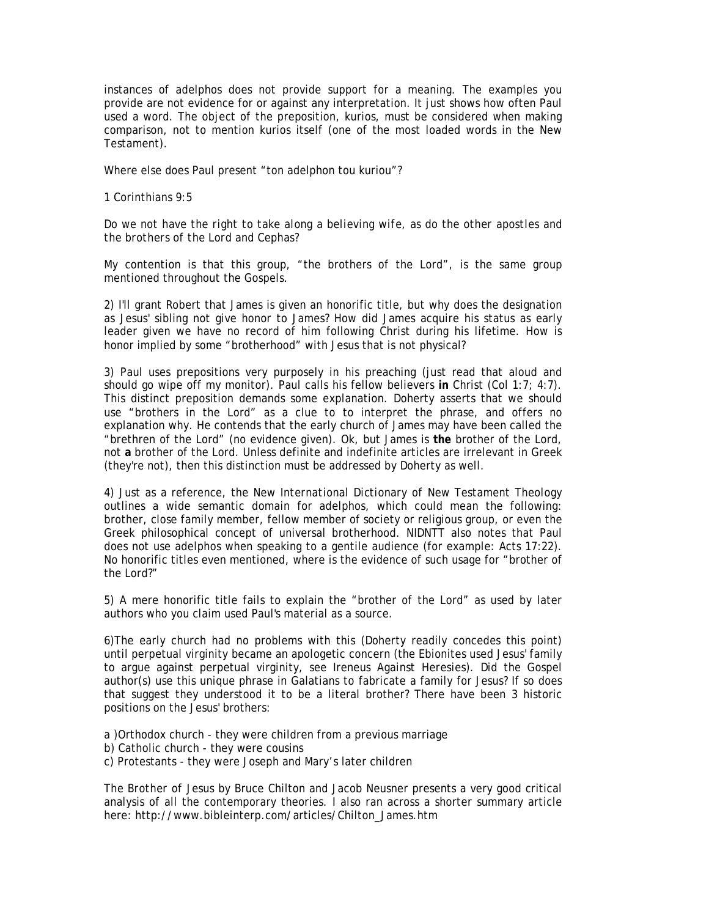instances of adelphos does not provide support for a meaning. The examples you provide are not evidence for or against any interpretation. It just shows how often Paul used a word. The object of the preposition, kurios, must be considered when making comparison, not to mention kurios itself (one of the most loaded words in the New Testament).

Where else does Paul present "ton adelphon tou kuriou"?

1 Corinthians 9:5

*Do we not have the right to take along a believing wife, as do the other apostles and the brothers of the Lord and Cephas?* 

My contention is that this group, "the brothers of the Lord", is the same group mentioned throughout the Gospels.

2) I'll grant Robert that James is given an honorific title, but why does the designation as Jesus' sibling not give honor to James? How did James acquire his status as early leader given we have no record of him following Christ during his lifetime. How is honor implied by some "brotherhood" with Jesus that is not physical?

3) Paul uses prepositions very purposely in his preaching (just read that aloud and should go wipe off my monitor). Paul calls his fellow believers **in** Christ (Col 1:7; 4:7). This distinct preposition demands some explanation. Doherty asserts that we should use "brothers in the Lord" as a clue to to interpret the phrase, and offers no explanation why. He contends that the early church of James may have been called the "brethren of the Lord" (no evidence given). Ok, but James is **the** brother of the Lord, not **a** brother of the Lord. Unless definite and indefinite articles are irrelevant in Greek (they're not), then this distinction must be addressed by Doherty as well.

4) Just as a reference, the *New International Dictionary of New Testament Theology* outlines a wide semantic domain for adelphos, which could mean the following: brother, close family member, fellow member of society or religious group, or even the Greek philosophical concept of universal brotherhood. NIDNTT also notes that Paul does not use adelphos when speaking to a gentile audience (for example: Acts 17:22). No honorific titles even mentioned, where is the evidence of such usage for "brother of the Lord?"

5) A mere honorific title fails to explain the "brother of the Lord" as used by later authors who you claim used Paul's material as a source.

6)The early church had no problems with this (Doherty readily concedes this point) until perpetual virginity became an apologetic concern (the Ebionites used Jesus' family to argue against perpetual virginity, see Ireneus *Against Heresies*). Did the Gospel author(s) use this unique phrase in Galatians to fabricate a family for Jesus? If so does that suggest they understood it to be a literal brother? There have been 3 historic positions on the Jesus' brothers:

a )Orthodox church - they were children from a previous marriage

- b) Catholic church they were cousins
- c) Protestants they were Joseph and Mary's later children

*The Brother of Jesus* by Bruce Chilton and Jacob Neusner presents a very good critical analysis of all the contemporary theories. I also ran across a shorter summary article here: http://www.bibleinterp.com/articles/Chilton\_James.htm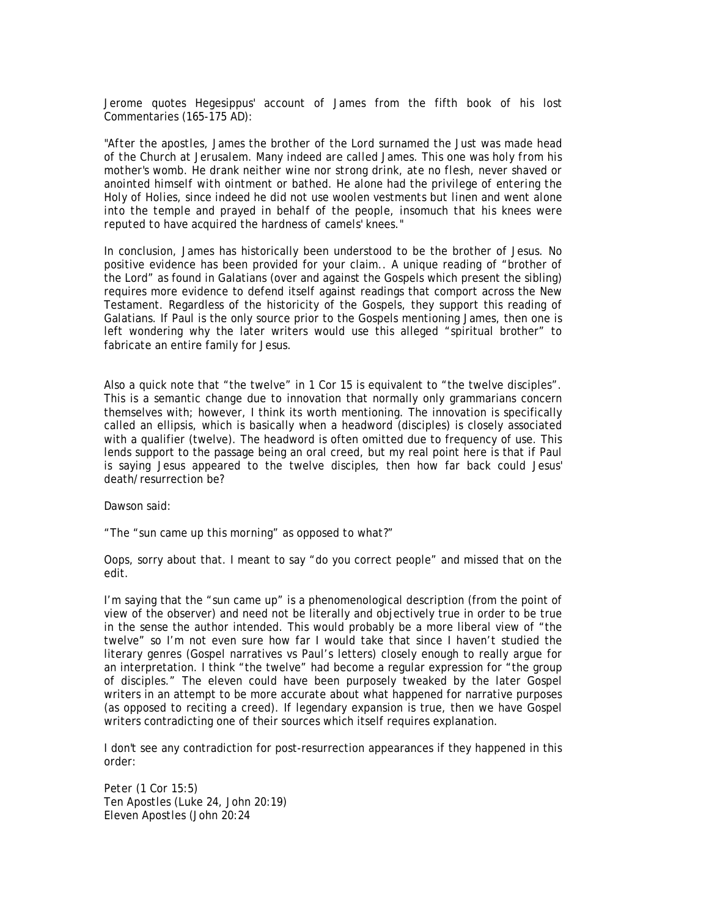Jerome quotes Hegesippus' account of James from the fifth book of his lost Commentaries (165-175 AD):

*"After the apostles, James the brother of the Lord surnamed the Just was made head of the Church at Jerusalem. Many indeed are called James. This one was holy from his mother's womb. He drank neither wine nor strong drink, ate no flesh, never shaved or anointed himself with ointment or bathed. He alone had the privilege of entering the Holy of Holies, since indeed he did not use woolen vestments but linen and went alone into the temple and prayed in behalf of the people, insomuch that his knees were reputed to have acquired the hardness of camels' knees."* 

In conclusion, James has historically been understood to be the brother of Jesus. No positive evidence has been provided for your claim.. A unique reading of "brother of the Lord" as found in Galatians (over and against the Gospels which present the sibling) requires more evidence to defend itself against readings that comport across the New Testament. Regardless of the historicity of the Gospels, they support this reading of Galatians. If Paul is the only source prior to the Gospels mentioning James, then one is left wondering why the later writers would use this alleged "spiritual brother" to fabricate an entire family for Jesus.

Also a quick note that "the twelve" in 1 Cor 15 is equivalent to "the twelve disciples". This is a semantic change due to innovation that normally only grammarians concern themselves with; however, I think its worth mentioning. The innovation is specifically called an ellipsis, which is basically when a headword (disciples) is closely associated with a qualifier (twelve). The headword is often omitted due to frequency of use. This lends support to the passage being an oral creed, but my real point here is that if Paul is saying Jesus appeared to the twelve disciples, then how far back could Jesus' death/resurrection be?

Dawson said:

*"The "sun came up this morning" as opposed to what?"* 

Oops, sorry about that. I meant to say "do you correct people" and missed that on the edit.

I'm saying that the "sun came up" is a phenomenological description (from the point of view of the observer) and need not be literally and objectively true in order to be true in the sense the author intended. This would probably be a more liberal view of "the twelve" so I'm not even sure how far I would take that since I haven't studied the literary genres (Gospel narratives vs Paul's letters) closely enough to really argue for an interpretation. I think "the twelve" had become a regular expression for "the group of disciples." The eleven could have been purposely tweaked by the later Gospel writers in an attempt to be more accurate about what happened for narrative purposes (as opposed to reciting a creed). If legendary expansion is true, then we have Gospel writers contradicting one of their sources which itself requires explanation.

I don't see any contradiction for post-resurrection appearances if they happened in this order:

*Peter (1 Cor 15:5) Ten Apostles (Luke 24, John 20:19) Eleven Apostles (John 20:24*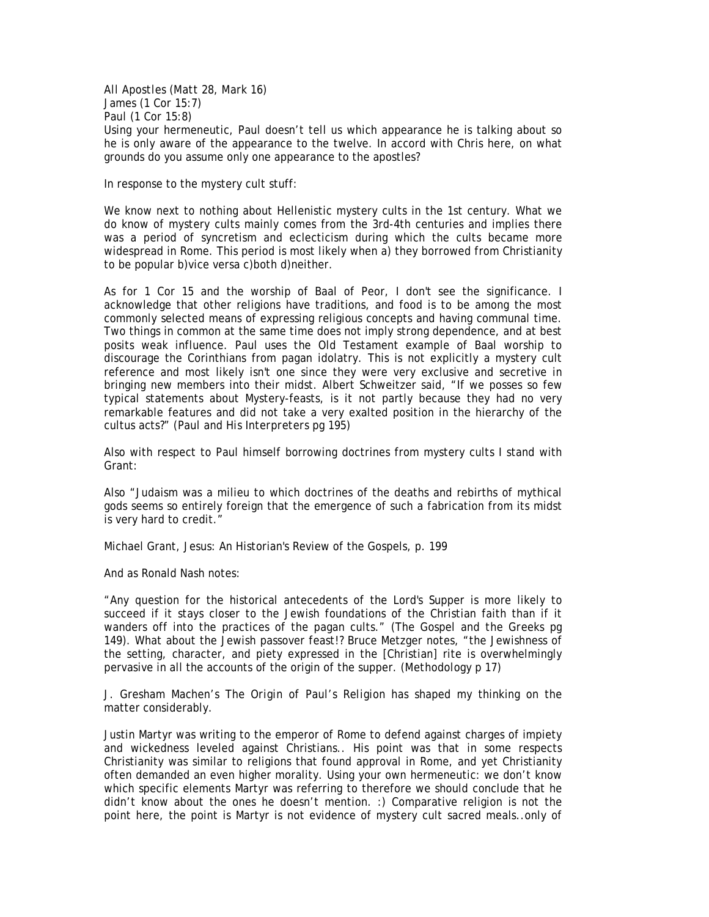# *All Apostles (Matt 28, Mark 16) James (1 Cor 15:7) Paul (1 Cor 15:8)*

Using your hermeneutic, Paul doesn't tell us which appearance he is talking about so he is only aware of the appearance to the twelve. In accord with Chris here, on what grounds do you assume only one appearance to the apostles?

In response to the mystery cult stuff:

We know next to nothing about Hellenistic mystery cults in the 1st century. What we do know of mystery cults mainly comes from the 3rd-4th centuries and implies there was a period of syncretism and eclecticism during which the cults became more widespread in Rome. This period is most likely when a) they borrowed from Christianity to be popular b)vice versa c)both d)neither.

As for 1 Cor 15 and the worship of Baal of Peor, I don't see the significance. I acknowledge that other religions have traditions, and food is to be among the most commonly selected means of expressing religious concepts and having communal time. Two things in common at the same time does not imply strong dependence, and at best posits weak influence. Paul uses the Old Testament example of Baal worship to discourage the Corinthians from pagan idolatry. This is not explicitly a mystery cult reference and most likely isn't one since they were very exclusive and secretive in bringing new members into their midst. Albert Schweitzer said, "If we posses so few typical statements about Mystery-feasts, is it not partly because they had no very remarkable features and did not take a very exalted position in the hierarchy of the cultus acts?" (*Paul and His Interpreters* pg 195)

Also with respect to Paul himself borrowing doctrines from mystery cults I stand with Grant:

Also "Judaism was a milieu to which doctrines of the deaths and rebirths of mythical gods seems so entirely foreign that the emergence of such a fabrication from its midst is very hard to credit."

Michael Grant, Jesus: An Historian's Review of the Gospels, p. 199

And as Ronald Nash notes:

"Any question for the historical antecedents of the Lord's Supper is more likely to succeed if it stays closer to the Jewish foundations of the Christian faith than if it wanders off into the practices of the pagan cults." (*The Gospel and the Greeks* pg 149). What about the Jewish passover feast!? Bruce Metzger notes, "the Jewishness of the setting, character, and piety expressed in the [Christian] rite is overwhelmingly pervasive in all the accounts of the origin of the supper. (*Methodology* p 17)

J. Gresham Machen's *The Origin of Paul's Religion* has shaped my thinking on the matter considerably.

Justin Martyr was writing to the emperor of Rome to defend against charges of impiety and wickedness leveled against Christians.. His point was that in some respects Christianity was similar to religions that found approval in Rome, and yet Christianity often demanded an even higher morality. Using your own hermeneutic: we don't know which specific elements Martyr was referring to therefore we should conclude that he didn't know about the ones he doesn't mention. :) Comparative religion is not the point here, the point is Martyr is not evidence of mystery cult sacred meals..only of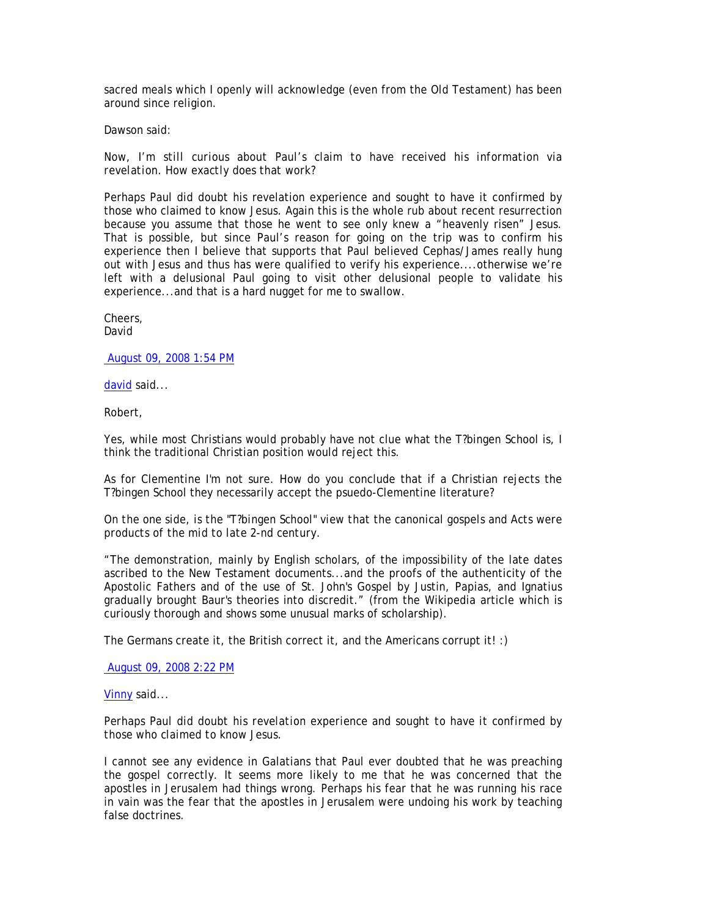sacred meals which I openly will acknowledge (even from the Old Testament) has been around since religion.

Dawson said:

*Now, I'm still curious about Paul's claim to have received his information via revelation. How exactly does that work?* 

Perhaps Paul did doubt his revelation experience and sought to have it confirmed by those who claimed to know Jesus. Again this is the whole rub about recent resurrection because you assume that those he went to see only knew a "heavenly risen" Jesus. That is possible, but since Paul's reason for going on the trip was to confirm his experience then I believe that supports that Paul believed Cephas/James really hung out with Jesus and thus has were qualified to verify his experience....otherwise we're left with a delusional Paul going to visit other delusional people to validate his experience...and that is a hard nugget for me to swallow.

Cheers, David

August 09, 2008 1:54 PM

david said...

Robert,

Yes, while most Christians would probably have not clue what the T?bingen School is, I think the traditional Christian position would reject this.

As for Clementine I'm not sure. How do you conclude that if a Christian rejects the T?bingen School they necessarily accept the psuedo-Clementine literature?

*On the one side, is the "T?bingen School" view that the canonical gospels and Acts were products of the mid to late 2-nd century.* 

"The demonstration, mainly by English scholars, of the impossibility of the late dates ascribed to the New Testament documents...and the proofs of the authenticity of the Apostolic Fathers and of the use of St. John's Gospel by Justin, Papias, and Ignatius gradually brought Baur's theories into discredit." (from the Wikipedia article which is curiously thorough and shows some unusual marks of scholarship).

The Germans create it, the British correct it, and the Americans corrupt it! :)

August 09, 2008 2:22 PM

Vinny said...

*Perhaps Paul did doubt his revelation experience and sought to have it confirmed by those who claimed to know Jesus.* 

I cannot see any evidence in Galatians that Paul ever doubted that he was preaching the gospel correctly. It seems more likely to me that he was concerned that the apostles in Jerusalem had things wrong. Perhaps his fear that he was running his race in vain was the fear that the apostles in Jerusalem were undoing his work by teaching false doctrines.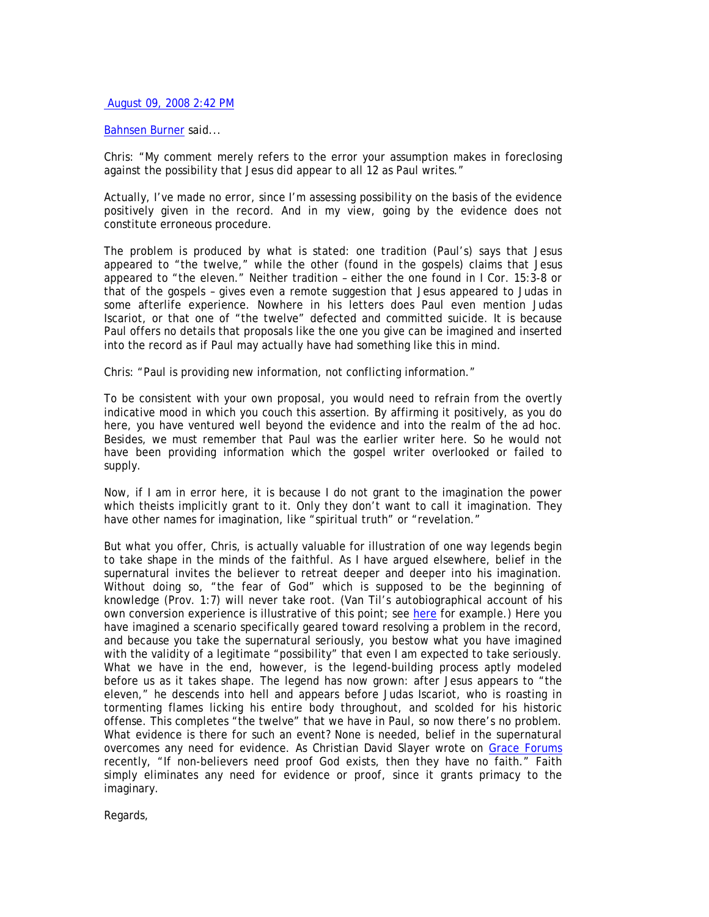# August 09, 2008 2:42 PM

## Bahnsen Burner said...

Chris: "My comment merely refers to the error your assumption makes in foreclosing against the possibility that Jesus did appear to all 12 as Paul writes."

Actually, I've made no error, since I'm assessing possibility on the basis of the evidence positively given in the record. And in my view, going by the evidence does not constitute erroneous procedure.

The problem is produced by what is stated: one tradition (Paul's) says that Jesus appeared to "the twelve," while the other (found in the gospels) claims that Jesus appeared to "the eleven." Neither tradition – either the one found in I Cor. 15:3-8 or that of the gospels – gives even a remote suggestion that Jesus appeared to Judas in some afterlife experience. Nowhere in his letters does Paul even mention Judas Iscariot, or that one of "the twelve" defected and committed suicide. It is because Paul offers no details that proposals like the one you give can be imagined and inserted into the record as if Paul may actually have had something like this in mind.

Chris: "Paul is providing new information, not conflicting information."

To be consistent with your own proposal, you would need to refrain from the overtly indicative mood in which you couch this assertion. By affirming it positively, as you do here, you have ventured well beyond the evidence and into the realm of the ad hoc. Besides, we must remember that Paul was the earlier writer here. So he would not have been providing information which the gospel writer overlooked or failed to supply.

Now, if I am in error here, it is because I do not grant to the imagination the power which theists implicitly grant to it. Only they don't want to call it imagination. They have other names for imagination, like "spiritual truth" or "revelation."

But what you offer, Chris, is actually valuable for illustration of one way legends begin to take shape in the minds of the faithful. As I have argued elsewhere, belief in the supernatural invites the believer to retreat deeper and deeper into his imagination. Without doing so, "the fear of God" which is supposed to be the beginning of knowledge (Prov. 1:7) will never take root. (Van Til's autobiographical account of his own conversion experience is illustrative of this point; see here for example.) Here you have imagined a scenario specifically geared toward resolving a problem in the record, and because you take the supernatural seriously, you bestow what you have imagined with the validity of a legitimate "possibility" that even I am expected to take seriously. What we have in the end, however, is the legend-building process aptly modeled before us as it takes shape. The legend has now grown: after Jesus appears to "the eleven," he descends into hell and appears before Judas Iscariot, who is roasting in tormenting flames licking his entire body throughout, and scolded for his historic offense. This completes "the twelve" that we have in Paul, so now there's no problem. What evidence is there for such an event? None is needed, belief in the supernatural overcomes any need for evidence. As Christian David Slayer wrote on Grace Forums recently, "If non-believers need proof God exists, then they have no faith." Faith simply eliminates any need for evidence or proof, since it grants primacy to the imaginary.

Regards,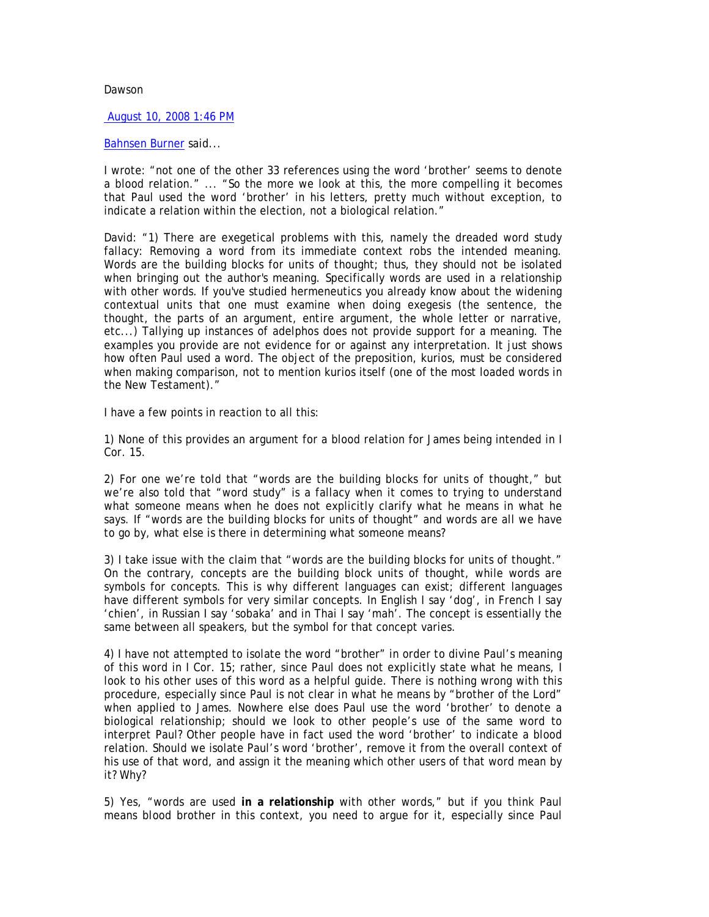## Dawson

### August 10, 2008 1:46 PM

### Bahnsen Burner said...

I wrote: "not one of the other 33 references using the word 'brother' seems to denote a blood relation." ... "So the more we look at this, the more compelling it becomes that Paul used the word 'brother' in his letters, pretty much without exception, to indicate a relation within the election, not a biological relation."

David: "1) There are exegetical problems with this, namely the dreaded word study fallacy: Removing a word from its immediate context robs the intended meaning. Words are the building blocks for units of thought; thus, they should not be isolated when bringing out the author's meaning. Specifically words are used in a relationship with other words. If you've studied hermeneutics you already know about the widening contextual units that one must examine when doing exegesis (the sentence, the thought, the parts of an argument, entire argument, the whole letter or narrative, etc...) Tallying up instances of adelphos does not provide support for a meaning. The examples you provide are not evidence for or against any interpretation. It just shows how often Paul used a word. The object of the preposition, kurios, must be considered when making comparison, not to mention kurios itself (one of the most loaded words in the New Testament)."

I have a few points in reaction to all this:

1) None of this provides an argument for a blood relation for James being intended in I Cor. 15.

2) For one we're told that "words are the building blocks for units of thought," but we're also told that "word study" is a fallacy when it comes to trying to understand what someone means when he does not explicitly clarify what he means in what he says. If "words are the building blocks for units of thought" and words are all we have to go by, what else is there in determining what someone means?

3) I take issue with the claim that "words are the building blocks for units of thought." On the contrary, *concepts* are the building block units of thought, while words are symbols for concepts. This is why different languages can exist; different languages have different symbols for very similar concepts. In English I say 'dog', in French I say 'chien', in Russian I say 'sobaka' and in Thai I say 'mah'. The concept is essentially the same between all speakers, but the symbol for that concept varies.

4) I have not attempted to isolate the word "brother" in order to divine Paul's meaning of this word in I Cor. 15; rather, since Paul does not explicitly state what he means, I look to his other uses of this word as a helpful guide. There is nothing wrong with this procedure, especially since Paul is not clear in what he means by "brother of the Lord" when applied to James. Nowhere else does Paul use the word 'brother' to denote a biological relationship; should we look to other people's use of the same word to interpret Paul? Other people have in fact used the word 'brother' to indicate a blood relation. Should we isolate Paul's word 'brother', remove it from the overall context of his use of that word, and assign it the meaning which other users of that word mean by it? Why?

5) Yes, "words are used **in a relationship** with other words," but if you think Paul means *blood* brother in this context, you need to argue for it, especially since Paul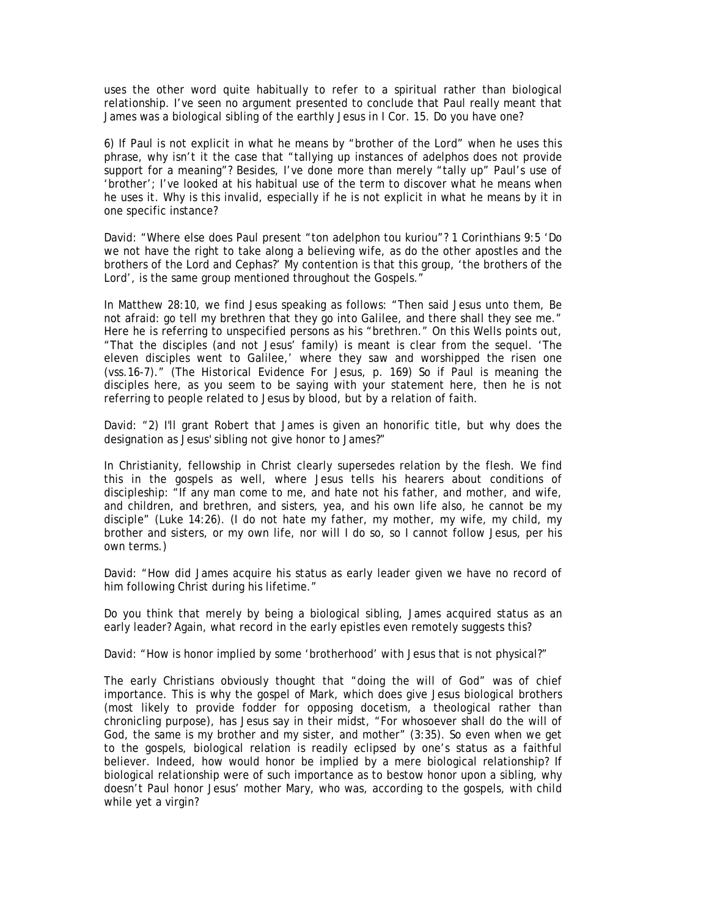uses the other word quite habitually to refer to a spiritual rather than biological relationship. I've seen no argument presented to conclude that Paul really meant that James was a biological sibling of the earthly Jesus in I Cor. 15. Do you have one?

6) If Paul is not explicit in what he means by "brother of the Lord" when he uses this phrase, why isn't it the case that "tallying up instances of adelphos does not provide support for a meaning"? Besides, I've done more than merely "tally up" Paul's use of 'brother'; I've looked at his habitual use of the term to discover what he means when he uses it. Why is this invalid, especially if he is not explicit in what he means by it in one specific instance?

David: "Where else does Paul present "ton adelphon tou kuriou"? 1 Corinthians 9:5 'Do we not have the right to take along a believing wife, as do the other apostles and the brothers of the Lord and Cephas?' My contention is that this group, 'the brothers of the Lord', is the same group mentioned throughout the Gospels."

In Matthew 28:10, we find Jesus speaking as follows: "Then said Jesus unto them, Be not afraid: go tell my brethren that they go into Galilee, and there shall they see me." Here he is referring to unspecified persons as his "brethren." On this Wells points out, "That the disciples (and not Jesus' family) is meant is clear from the sequel. 'The eleven disciples went to Galilee,' where they saw and worshipped the risen one (vss.16-7)." (*The Historical Evidence For Jesus*, p. 169) So if Paul is meaning the disciples here, as you seem to be saying with your statement here, then he is not referring to people related to Jesus by blood, but by a relation of faith.

David: "2) I'll grant Robert that James is given an honorific title, but why does the designation as Jesus' sibling not give honor to James?"

In Christianity, fellowship in Christ clearly supersedes relation by the flesh. We find this in the gospels as well, where Jesus tells his hearers about conditions of discipleship: "If any man come to me, and hate not his father, and mother, and wife, and children, and brethren, and sisters, yea, and his own life also, he cannot be my disciple" (Luke 14:26). (I do not hate my father, my mother, my wife, my child, my brother and sisters, or my own life, nor will I do so, so I cannot follow Jesus, per his own terms.)

David: "How did James acquire his status as early leader given we have no record of him following Christ during his lifetime."

Do you think that merely by being a biological sibling, James acquired status as an early leader? Again, what record in the early epistles even remotely suggests this?

David: "How is honor implied by some 'brotherhood' with Jesus that is not physical?"

The early Christians obviously thought that "doing the will of God" was of chief importance. This is why the gospel of Mark, which does give Jesus biological brothers (most likely to provide fodder for opposing docetism, a theological rather than chronicling purpose), has Jesus say in their midst, "For whosoever shall do the will of God, the same is my brother and my sister, and mother" (3:35). So even when we get to the gospels, biological relation is readily eclipsed by one's status as a faithful believer. Indeed, how would honor be implied by a mere biological relationship? If biological relationship were of such importance as to bestow honor upon a sibling, why doesn't Paul honor Jesus' mother Mary, who was, according to the gospels, with child while yet a virgin?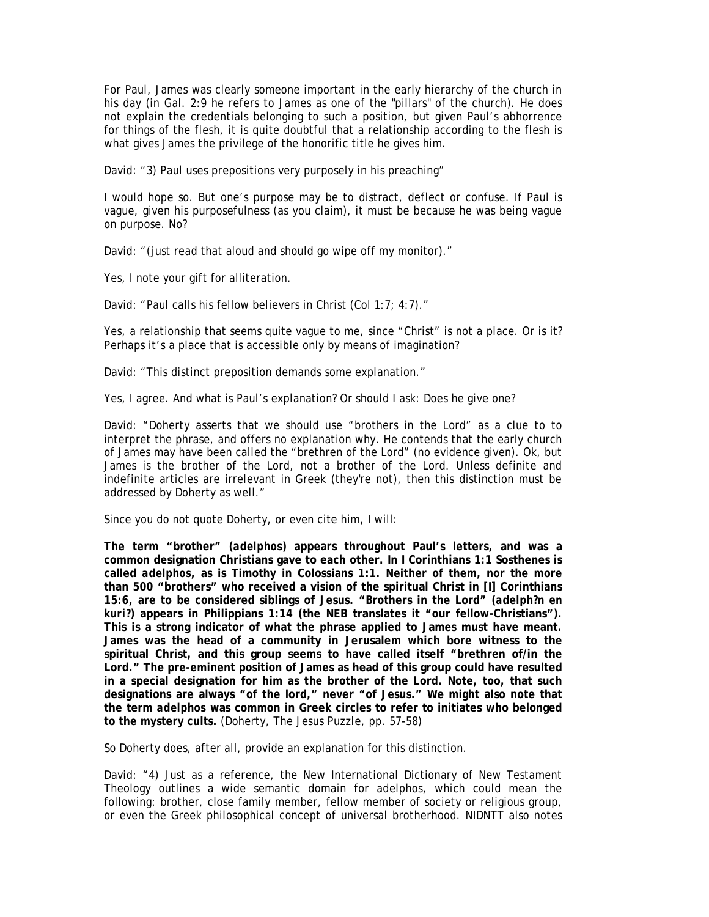For Paul, James was clearly someone important in the early hierarchy of the church in his day (in Gal. 2:9 he refers to James as one of the "pillars" of the church). He does not explain the credentials belonging to such a position, but given Paul's abhorrence for things of the flesh, it is quite doubtful that a relationship according to the flesh is what gives James the privilege of the honorific title he gives him.

David: "3) Paul uses prepositions very purposely in his preaching"

I would hope so. But one's purpose may be to distract, deflect or confuse. If Paul is vague, given his purposefulness (as you claim), it must be because he was being vague on purpose. No?

David: "(just read that aloud and should go wipe off my monitor)."

Yes, I note your gift for alliteration.

David: "Paul calls his fellow believers in Christ (Col 1:7; 4:7)."

Yes, a relationship that seems quite vague to me, since "Christ" is not a place. Or is it? Perhaps it's a place that is accessible only by means of imagination?

David: "This distinct preposition demands some explanation."

Yes, I agree. And what is Paul's explanation? Or should I ask: Does he give one?

David: "Doherty asserts that we should use "brothers in the Lord" as a clue to to interpret the phrase, and offers no explanation why. He contends that the early church of James may have been called the "brethren of the Lord" (no evidence given). Ok, but James is the brother of the Lord, not a brother of the Lord. Unless definite and indefinite articles are irrelevant in Greek (they're not), then this distinction must be addressed by Doherty as well."

Since you do not quote Doherty, or even cite him, I will:

**The term "brother" (***adelphos***) appears throughout Paul's letters, and was a common designation Christians gave to each other. In I Corinthians 1:1 Sosthenes is called** *adelphos***, as is Timothy in Colossians 1:1. Neither of them, nor the more than 500 "brothers" who received a vision of the spiritual Christ in [I] Corinthians 15:6, are to be considered siblings of Jesus. "Brothers in the Lord" (***adelph?n en kuri?***) appears in Philippians 1:14 (the NEB translates it "our fellow-Christians"). This is a strong indicator of what the phrase applied to James must have meant. James was the head of a community in Jerusalem which bore witness to the spiritual Christ, and this group seems to have called itself "brethren of/in the Lord." The pre-eminent position of James as head of this group could have resulted in a special designation for him as** *the* **brother of the Lord. Note, too, that such designations are always "of the lord," never "of Jesus." We might also note that the term** *adelphos* **was common in Greek circles to refer to initiates who belonged to the mystery cults.** (Doherty, *The Jesus Puzzle*, pp. 57-58)

So Doherty does, after all, provide an explanation for this distinction.

David: "4) Just as a reference, the New International Dictionary of New Testament Theology outlines a wide semantic domain for adelphos, which could mean the following: brother, close family member, fellow member of society or religious group, or even the Greek philosophical concept of universal brotherhood. NIDNTT also notes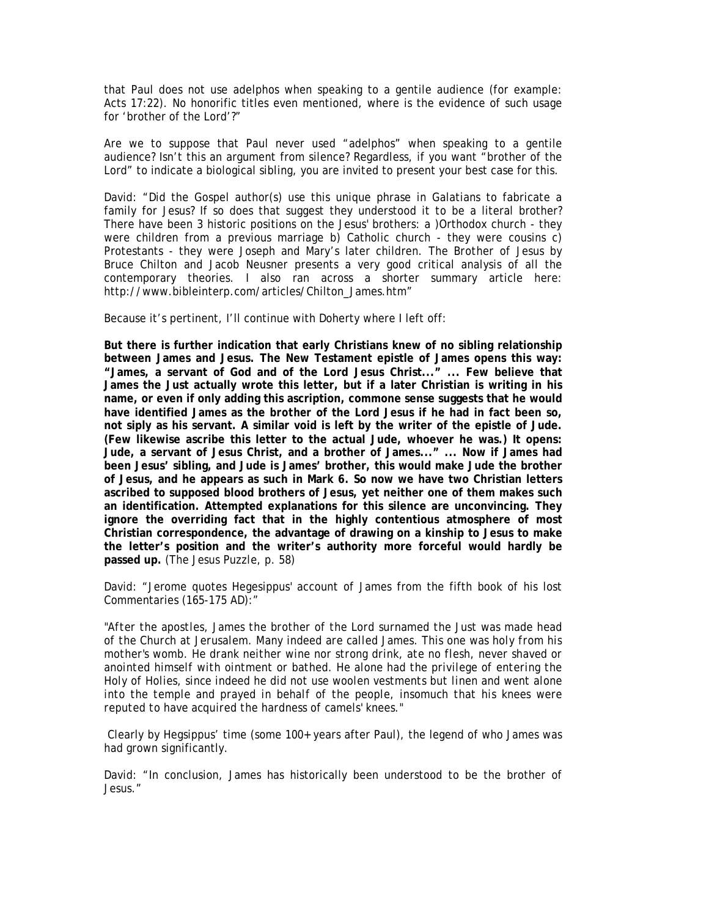that Paul does not use adelphos when speaking to a gentile audience (for example: Acts 17:22). No honorific titles even mentioned, where is the evidence of such usage for 'brother of the Lord'?"

Are we to suppose that Paul *never* used "adelphos" when speaking to a gentile audience? Isn't this an argument from silence? Regardless, if you want "brother of the Lord" to indicate a biological sibling, you are invited to present your best case for this.

David: "Did the Gospel author(s) use this unique phrase in Galatians to fabricate a family for Jesus? If so does that suggest they understood it to be a literal brother? There have been 3 historic positions on the Jesus' brothers: a )Orthodox church - they were children from a previous marriage b) Catholic church - they were cousins c) Protestants - they were Joseph and Mary's later children. *The Brother of Jesus* by Bruce Chilton and Jacob Neusner presents a very good critical analysis of all the contemporary theories. I also ran across a shorter summary article here: http://www.bibleinterp.com/articles/Chilton\_James.htm"

Because it's pertinent, I'll continue with Doherty where I left off:

**But there is further indication that early Christians knew of no sibling relationship between James and Jesus. The New Testament epistle of James opens this way: "James, a servant of God and of the Lord Jesus Christ..." ... Few believe that James the Just actually wrote this letter, but if a later Christian is writing in his name, or even if only adding this ascription, commone sense suggests that he would have identified James as the** *brother* **of the Lord Jesus if he had in fact been so, not siply as his servant. A similar void is left by the writer of the epistle of Jude. (Few likewise ascribe this letter to the actual Jude, whoever he was.) It opens: Jude, a servant of Jesus Christ, and a brother of James..." ... Now if James had been Jesus' sibling, and Jude is James' brother, this would make Jude the brother of Jesus, and he appears as such in Mark 6. So now we have two Christian letters ascribed to supposed blood brothers of Jesus, yet neither one of them makes such an identification. Attempted explanations for this silence are unconvincing. They ignore the overriding fact that in the highly contentious atmosphere of most Christian correspondence, the advantage of drawing on a kinship to Jesus to make the letter's position and the writer's authority more forceful would hardly be passed up.** (*The Jesus Puzzle*, p. 58)

David: "Jerome quotes Hegesippus' account of James from the fifth book of his lost Commentaries (165-175 AD):"

*"After the apostles, James the brother of the Lord surnamed the Just was made head of the Church at Jerusalem. Many indeed are called James. This one was holy from his mother's womb. He drank neither wine nor strong drink, ate no flesh, never shaved or anointed himself with ointment or bathed. He alone had the privilege of entering the Holy of Holies, since indeed he did not use woolen vestments but linen and went alone into the temple and prayed in behalf of the people, insomuch that his knees were reputed to have acquired the hardness of camels' knees."* 

 Clearly by Hegsippus' time (some 100+ years after Paul), the legend of who James was had grown significantly.

David: "In conclusion, James has historically been understood to be the brother of Jesus."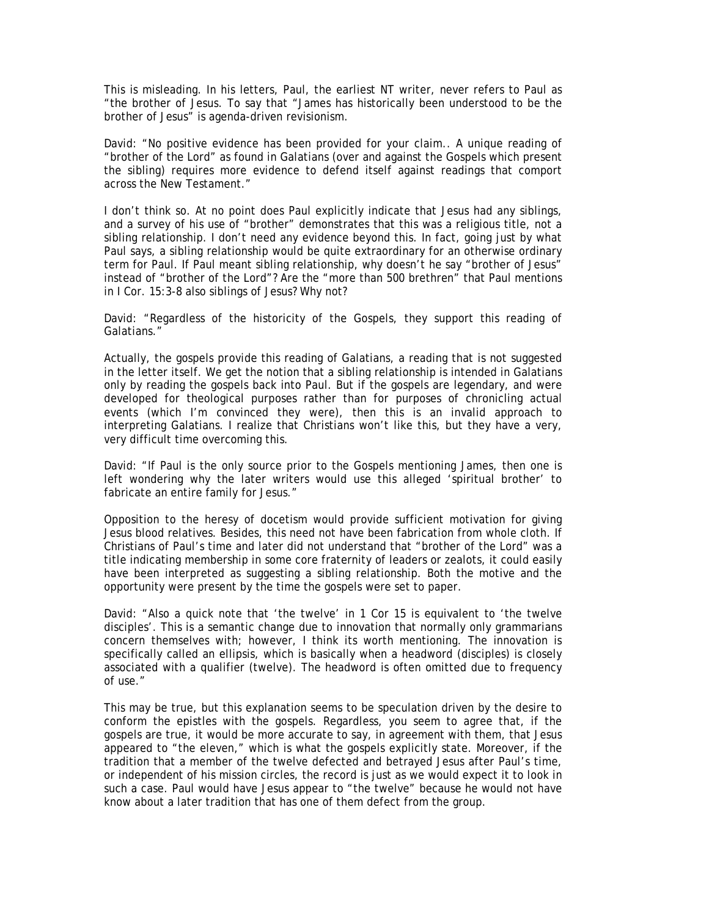This is misleading. In his letters, Paul, the earliest NT writer, never refers to Paul as "the brother of *Jesus*. To say that "James has historically been understood to be the brother of Jesus" is agenda-driven revisionism.

David: "No positive evidence has been provided for your claim.. A unique reading of "brother of the Lord" as found in Galatians (over and against the Gospels which present the sibling) requires more evidence to defend itself against readings that comport across the New Testament."

I don't think so. At no point does Paul explicitly indicate that Jesus had any siblings, and a survey of his use of "brother" demonstrates that this was a religious title, not a sibling relationship. I don't need any evidence beyond this. In fact, going just by what Paul says, a sibling relationship would be quite extraordinary for an otherwise ordinary term for Paul. If Paul meant sibling relationship, why doesn't he say "brother of Jesus" instead of "brother of the Lord"? Are the "more than 500 brethren" that Paul mentions in I Cor. 15:3-8 also siblings of Jesus? Why not?

David: "Regardless of the historicity of the Gospels, they support this reading of Galatians."

Actually, the gospels *provide* this reading of Galatians, a reading that is not suggested in the letter itself. We get the notion that a sibling relationship is intended in Galatians only by reading the gospels back into Paul. But if the gospels are legendary, and were developed for theological purposes rather than for purposes of chronicling actual events (which I'm convinced they were), then this is an invalid approach to interpreting Galatians. I realize that Christians won't like this, but they have a very, very difficult time overcoming this.

David: "If Paul is the only source prior to the Gospels mentioning James, then one is left wondering why the later writers would use this alleged 'spiritual brother' to fabricate an entire family for Jesus."

Opposition to the heresy of docetism would provide sufficient motivation for giving Jesus blood relatives. Besides, this need not have been fabrication from whole cloth. If Christians of Paul's time and later did not understand that "brother of the Lord" was a title indicating membership in some core fraternity of leaders or zealots, it could easily have been interpreted as suggesting a sibling relationship. Both the motive and the opportunity were present by the time the gospels were set to paper.

David: "Also a quick note that 'the twelve' in 1 Cor 15 is equivalent to 'the twelve disciples'. This is a semantic change due to innovation that normally only grammarians concern themselves with; however, I think its worth mentioning. The innovation is specifically called an ellipsis, which is basically when a headword (disciples) is closely associated with a qualifier (twelve). The headword is often omitted due to frequency of use."

This may be true, but this explanation seems to be speculation driven by the desire to conform the epistles with the gospels. Regardless, you seem to agree that, if the gospels are true, it would be more accurate to say, in agreement with them, that Jesus appeared to "the eleven," which is what the gospels explicitly state. Moreover, if the tradition that a member of the twelve defected and betrayed Jesus after Paul's time, or independent of his mission circles, the record is just as we would expect it to look in such a case. Paul would have Jesus appear to "the twelve" because he would not have know about a later tradition that has one of them defect from the group.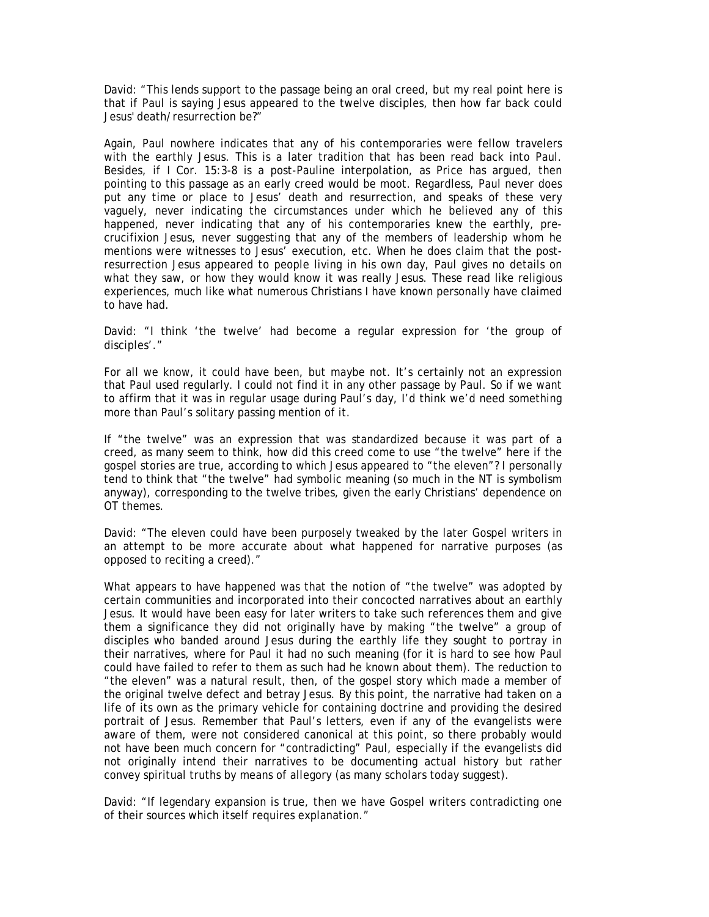David: "This lends support to the passage being an oral creed, but my real point here is that if Paul is saying Jesus appeared to the twelve disciples, then how far back could Jesus' death/resurrection be?"

Again, Paul nowhere indicates that any of his contemporaries were fellow travelers with the earthly Jesus. This is a later tradition that has been read back into Paul. Besides, if I Cor. 15:3-8 is a post-Pauline interpolation, as Price has argued, then pointing to this passage as an early creed would be moot. Regardless, Paul never does put any time or place to Jesus' death and resurrection, and speaks of these very vaguely, never indicating the circumstances under which he believed any of this happened, never indicating that any of his contemporaries knew the earthly, precrucifixion Jesus, never suggesting that any of the members of leadership whom he mentions were witnesses to Jesus' execution, etc. When he does claim that the postresurrection Jesus appeared to people living in his own day, Paul gives no details on what they saw, or how they would know it was really Jesus. These read like religious experiences, much like what numerous Christians I have known personally have claimed to have had.

David: "I think 'the twelve' had become a regular expression for 'the group of disciples'."

For all we know, it could have been, but maybe not. It's certainly not an expression that Paul used regularly. I could not find it in any other passage by Paul. So if we want to affirm that it was in regular usage during Paul's day, I'd think we'd need something more than Paul's solitary passing mention of it.

If "the twelve" was an expression that was standardized because it was part of a creed, as many seem to think, how did this creed come to use "the twelve" here if the gospel stories are true, according to which Jesus appeared to "the eleven"? I personally tend to think that "the twelve" had symbolic meaning (so much in the NT is symbolism anyway), corresponding to the twelve tribes, given the early Christians' dependence on OT themes.

David: "The eleven could have been purposely tweaked by the later Gospel writers in an attempt to be more accurate about what happened for narrative purposes (as opposed to reciting a creed)."

What appears to have happened was that the notion of "the twelve" was adopted by certain communities and incorporated into their concocted narratives about an earthly Jesus. It would have been easy for later writers to take such references them and give them a significance they did not originally have by making "the twelve" a group of disciples who banded around Jesus during the earthly life they sought to portray in their narratives, where for Paul it had no such meaning (for it is hard to see how Paul could have failed to refer to them as such had he known about them). The reduction to "the eleven" was a natural result, then, of the gospel story which made a member of the original twelve defect and betray Jesus. By this point, the narrative had taken on a life of its own as the primary vehicle for containing doctrine and providing the desired portrait of Jesus. Remember that Paul's letters, even if any of the evangelists were aware of them, were not considered canonical at this point, so there probably would not have been much concern for "contradicting" Paul, especially if the evangelists did not originally intend their narratives to be documenting actual history but rather convey spiritual truths by means of allegory (as many scholars today suggest).

David: "If legendary expansion is true, then we have Gospel writers contradicting one of their sources which itself requires explanation."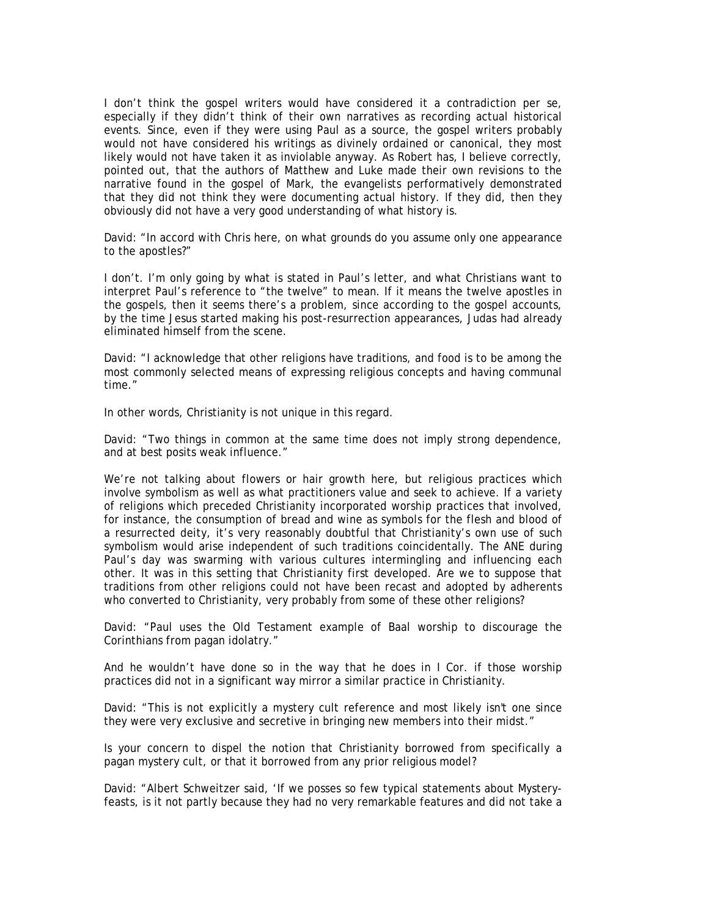I don't think the gospel writers would have considered it a contradiction per se, especially if they didn't think of their own narratives as recording actual historical events. Since, even if they were using Paul as a source, the gospel writers probably would not have considered his writings as divinely ordained or canonical, they most likely would not have taken it as inviolable anyway. As Robert has, I believe correctly, pointed out, that the authors of Matthew and Luke made their own revisions to the narrative found in the gospel of Mark, the evangelists performatively demonstrated that they did not think they were documenting actual history. If they did, then they obviously did not have a very good understanding of what history is.

David: "In accord with Chris here, on what grounds do you assume only one appearance to the apostles?"

I don't. I'm only going by what is stated in Paul's letter, and what Christians want to interpret Paul's reference to "the twelve" to mean. If it means the twelve apostles in the gospels, then it seems there's a problem, since according to the gospel accounts, by the time Jesus started making his post-resurrection appearances, Judas had already eliminated himself from the scene.

David: "I acknowledge that other religions have traditions, and food is to be among the most commonly selected means of expressing religious concepts and having communal time."

In other words, Christianity is not unique in this regard.

David: "Two things in common at the same time does not imply strong dependence, and at best posits weak influence."

We're not talking about flowers or hair growth here, but religious practices which involve symbolism as well as what practitioners value and seek to achieve. If a variety of religions which preceded Christianity incorporated worship practices that involved, for instance, the consumption of bread and wine as symbols for the flesh and blood of a resurrected deity, it's very reasonably doubtful that Christianity's own use of such symbolism would arise independent of such traditions coincidentally. The ANE during Paul's day was swarming with various cultures intermingling and influencing each other. It was in this setting that Christianity first developed. Are we to suppose that traditions from other religions could not have been recast and adopted by adherents who converted to Christianity, very probably from some of these other religions?

David: "Paul uses the Old Testament example of Baal worship to discourage the Corinthians from pagan idolatry."

And he wouldn't have done so in the way that he does in I Cor. if those worship practices did not in a significant way mirror a similar practice in Christianity.

David: "This is not explicitly a mystery cult reference and most likely isn't one since they were very exclusive and secretive in bringing new members into their midst."

Is your concern to dispel the notion that Christianity borrowed from specifically a pagan mystery cult, or that it borrowed from any prior religious model?

David: "Albert Schweitzer said, 'If we posses so few typical statements about Mysteryfeasts, is it not partly because they had no very remarkable features and did not take a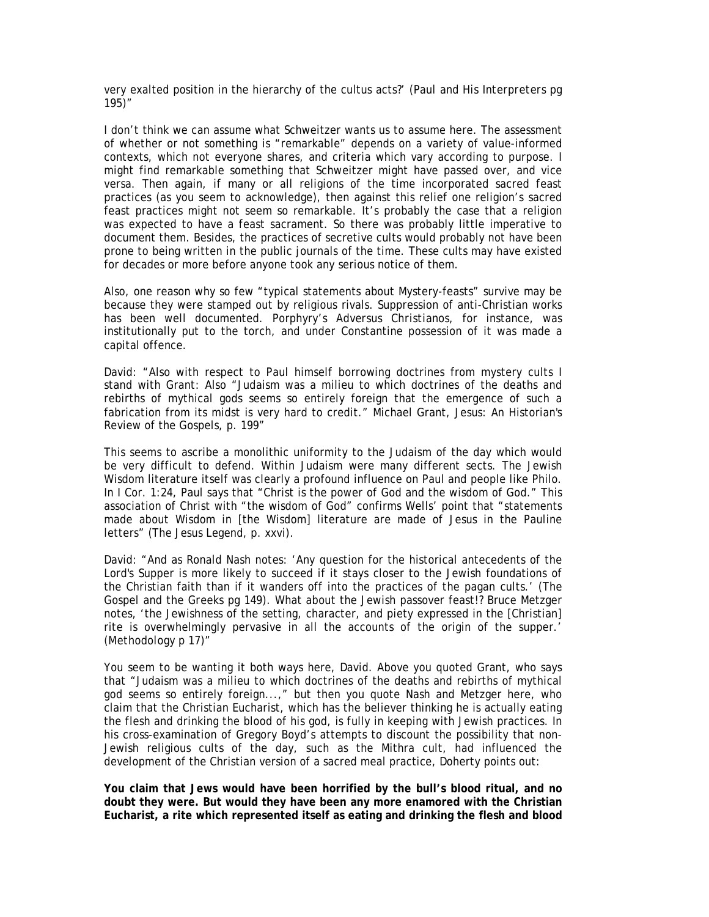very exalted position in the hierarchy of the cultus acts?' (*Paul and His Interpreters* pg 195)"

I don't think we can assume what Schweitzer wants us to assume here. The assessment of whether or not something is "remarkable" depends on a variety of value-informed contexts, which not everyone shares, and criteria which vary according to purpose. I might find remarkable something that Schweitzer might have passed over, and vice versa. Then again, if many or all religions of the time incorporated sacred feast practices (as you seem to acknowledge), then against this relief one religion's sacred feast practices might not seem so remarkable. It's probably the case that a religion was expected to have a feast sacrament. So there was probably little imperative to document them. Besides, the practices of secretive cults would probably not have been prone to being written in the public journals of the time. These cults may have existed for decades or more before anyone took any serious notice of them.

Also, one reason why so few "typical statements about Mystery-feasts" survive may be because they were stamped out by religious rivals. Suppression of anti-Christian works has been well documented. Porphyry's *Adversus Christianos*, for instance, was institutionally put to the torch, and under Constantine possession of it was made a capital offence.

David: "Also with respect to Paul himself borrowing doctrines from mystery cults I stand with Grant: Also "Judaism was a milieu to which doctrines of the deaths and rebirths of mythical gods seems so entirely foreign that the emergence of such a fabrication from its midst is very hard to credit." Michael Grant, Jesus: An Historian's Review of the Gospels, p. 199"

This seems to ascribe a monolithic uniformity to the Judaism of the day which would be very difficult to defend. Within Judaism were many different sects. The Jewish Wisdom literature itself was clearly a profound influence on Paul and people like Philo. In I Cor. 1:24, Paul says that "Christ is the power of God and the wisdom of God." This association of Christ with "the wisdom of God" confirms Wells' point that "statements made about Wisdom in [the Wisdom] literature are made of Jesus in the Pauline letters" (*The Jesus Legend*, p. xxvi).

David: "And as Ronald Nash notes: 'Any question for the historical antecedents of the Lord's Supper is more likely to succeed if it stays closer to the Jewish foundations of the Christian faith than if it wanders off into the practices of the pagan cults.' (*The Gospel and the Greeks* pg 149). What about the Jewish passover feast!? Bruce Metzger notes, 'the Jewishness of the setting, character, and piety expressed in the [Christian] rite is overwhelmingly pervasive in all the accounts of the origin of the supper.' (*Methodology* p 17)"

You seem to be wanting it both ways here, David. Above you quoted Grant, who says that "Judaism was a milieu to which doctrines of the deaths and rebirths of mythical god seems so entirely foreign...," but then you quote Nash and Metzger here, who claim that the Christian Eucharist, which has the believer thinking he is actually eating the flesh and drinking the blood of his god, is fully in keeping with Jewish practices. In his cross-examination of Gregory Boyd's attempts to discount the possibility that non-Jewish religious cults of the day, such as the Mithra cult, had influenced the development of the Christian version of a sacred meal practice, Doherty points out:

**You claim that Jews would have been horrified by the bull's blood ritual, and no doubt they were. But would they have been any more enamored with the Christian Eucharist, a rite which represented itself as eating and drinking the flesh and blood**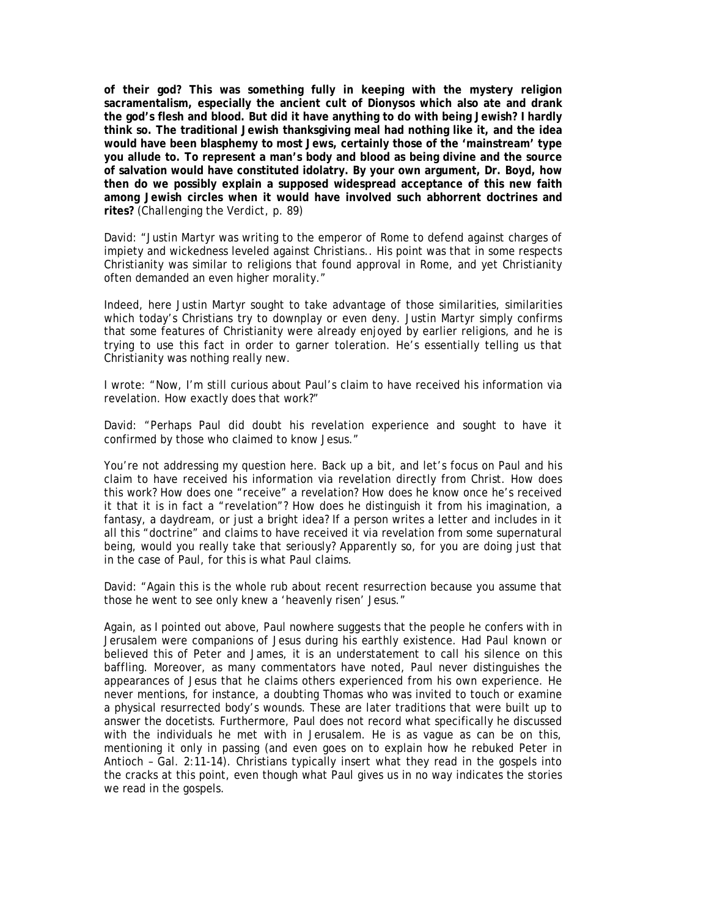**of their god? This was something fully in keeping with the mystery religion sacramentalism, especially the ancient cult of Dionysos which also ate and drank the god's flesh and blood. But did it have anything to do with being Jewish? I hardly think so. The traditional Jewish thanksgiving meal had nothing like it, and the idea would have been blasphemy to most Jews, certainly those of the 'mainstream' type you allude to. To represent a man's body and blood as being divine and the source of salvation would have constituted idolatry. By your own argument, Dr. Boyd, how then do we possibly explain a supposed widespread acceptance of this new faith among Jewish circles when it would have involved such abhorrent doctrines and rites?** (*Challenging the Verdict*, p. 89)

David: "Justin Martyr was writing to the emperor of Rome to defend against charges of impiety and wickedness leveled against Christians.. His point was that in some respects Christianity was similar to religions that found approval in Rome, and yet Christianity often demanded an even higher morality."

Indeed, here Justin Martyr sought to take advantage of those similarities, similarities which today's Christians try to downplay or even deny. Justin Martyr simply confirms that some features of Christianity were already enjoyed by earlier religions, and he is trying to use this fact in order to garner toleration. He's essentially telling us that Christianity was nothing really new.

I wrote: "Now, I'm still curious about Paul's claim to have received his information via revelation. How exactly does that work?"

David: "Perhaps Paul did doubt his revelation experience and sought to have it confirmed by those who claimed to know Jesus."

You're not addressing my question here. Back up a bit, and let's focus on Paul and his claim to have received his information via revelation directly from Christ. How does this work? How does one "receive" a revelation? How does he know once he's received it that it is in fact a "revelation"? How does he distinguish it from his imagination, a fantasy, a daydream, or just a bright idea? If a person writes a letter and includes in it all this "doctrine" and claims to have received it via revelation from some supernatural being, would you really take that seriously? Apparently so, for you are doing just that in the case of Paul, for this is what Paul claims.

David: "Again this is the whole rub about recent resurrection because you assume that those he went to see only knew a 'heavenly risen' Jesus."

Again, as I pointed out above, Paul nowhere suggests that the people he confers with in Jerusalem were companions of Jesus during his earthly existence. Had Paul known or believed this of Peter and James, it is an understatement to call his silence on this baffling. Moreover, as many commentators have noted, Paul never distinguishes the appearances of Jesus that he claims others experienced from his own experience. He never mentions, for instance, a doubting Thomas who was invited to touch or examine a physical resurrected body's wounds. These are later traditions that were built up to answer the docetists. Furthermore, Paul does not record what specifically he discussed with the individuals he met with in Jerusalem. He is as vague as can be on this, mentioning it only in passing (and even goes on to explain how he rebuked Peter in Antioch – Gal. 2:11-14). Christians typically insert what they read in the gospels into the cracks at this point, even though what Paul gives us in no way indicates the stories we read in the gospels.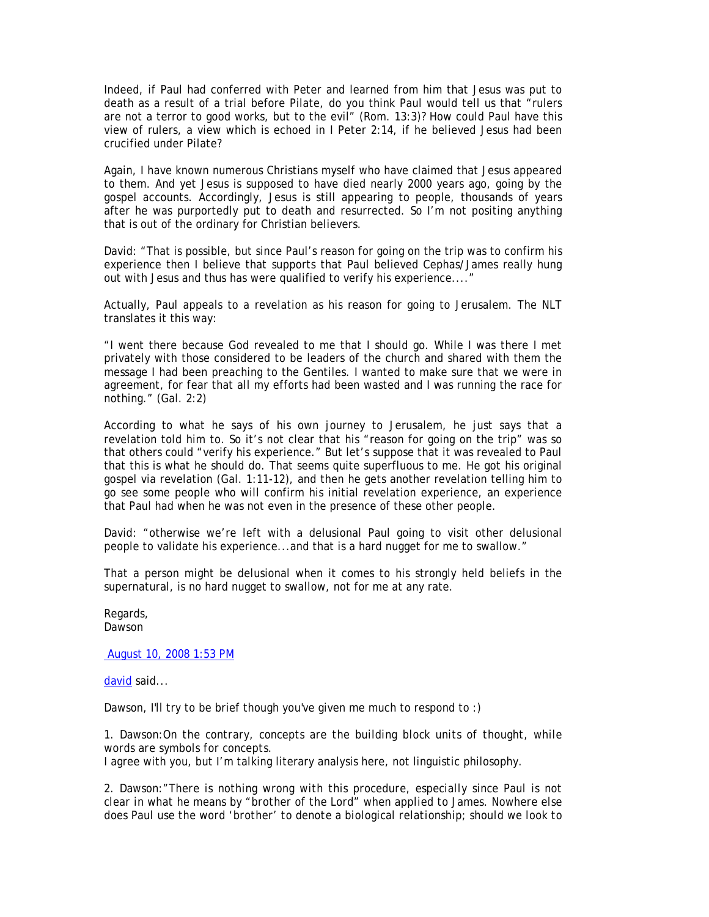Indeed, if Paul had conferred with Peter and learned from him that Jesus was put to death as a result of a trial before Pilate, do you think Paul would tell us that "rulers are not a terror to good works, but to the evil" (Rom. 13:3)? How could Paul have this view of rulers, a view which is echoed in I Peter 2:14, if he believed Jesus had been crucified under Pilate?

Again, I have known numerous Christians myself who have claimed that Jesus appeared to them. And yet Jesus is supposed to have died nearly 2000 years ago, going by the gospel accounts. Accordingly, Jesus is still appearing to people, thousands of years after he was purportedly put to death and resurrected. So I'm not positing anything that is out of the ordinary for Christian believers.

David: "That is possible, but since Paul's reason for going on the trip was to confirm his experience then I believe that supports that Paul believed Cephas/James really hung out with Jesus and thus has were qualified to verify his experience...."

Actually, Paul appeals to a revelation as his reason for going to Jerusalem. The NLT translates it this way:

"I went there because God revealed to me that I should go. While I was there I met privately with those considered to be leaders of the church and shared with them the message I had been preaching to the Gentiles. I wanted to make sure that we were in agreement, for fear that all my efforts had been wasted and I was running the race for nothing." (Gal. 2:2)

According to what he says of his own journey to Jerusalem, he just says that a revelation told him to. So it's not clear that his "reason for going on the trip" was so that others could "verify his experience." But let's suppose that it was revealed to Paul that this is what he should do. That seems quite superfluous to me. He got his original gospel via revelation (Gal. 1:11-12), and then he gets another revelation telling him to go see some people who will confirm his initial revelation experience, an experience that Paul had when he was not even in the presence of these other people.

David: "otherwise we're left with a delusional Paul going to visit other delusional people to validate his experience...and that is a hard nugget for me to swallow."

That a person might be delusional when it comes to his strongly held beliefs in the supernatural, is no hard nugget to swallow, not for me at any rate.

Regards, Dawson

August 10, 2008 1:53 PM

david said...

Dawson, I'll try to be brief though you've given me much to respond to :)

1. Dawson:*On the contrary, concepts are the building block units of thought, while words are symbols for concepts.* 

I agree with you, but I'm talking literary analysis here, not linguistic philosophy.

2. Dawson:*"There is nothing wrong with this procedure, especially since Paul is not clear in what he means by "brother of the Lord" when applied to James. Nowhere else does Paul use the word 'brother' to denote a biological relationship; should we look to*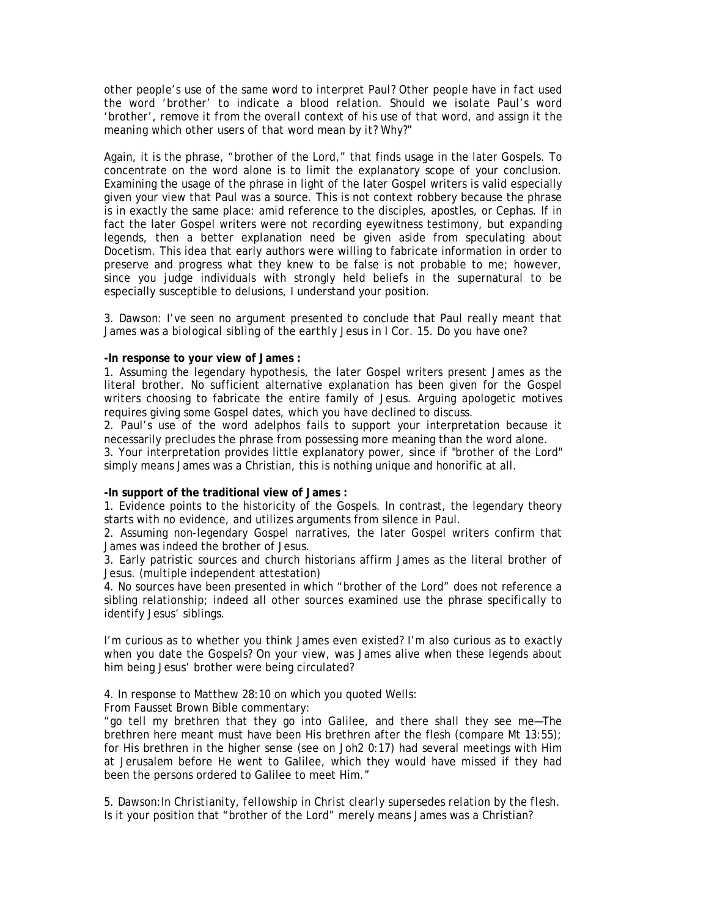*other people's use of the same word to interpret Paul? Other people have in fact used the word 'brother' to indicate a blood relation. Should we isolate Paul's word 'brother', remove it from the overall context of his use of that word, and assign it the meaning which other users of that word mean by it? Why?"* 

Again, it is the phrase, "brother of the Lord," that finds usage in the later Gospels. To concentrate on the word alone is to limit the explanatory scope of your conclusion. Examining the usage of the phrase in light of the later Gospel writers is valid especially given your view that Paul was a source. This is not context robbery because the phrase is in exactly the same place: amid reference to the disciples, apostles, or Cephas. If in fact the later Gospel writers were not recording eyewitness testimony, but expanding legends, then a better explanation need be given aside from speculating about Docetism. This idea that early authors were willing to fabricate information in order to preserve and progress what they knew to be false is not probable to me; however, since you judge individuals with strongly held beliefs in the supernatural to be especially susceptible to delusions, I understand your position.

## 3. Dawson: *I've seen no argument presented to conclude that Paul really meant that James was a biological sibling of the earthly Jesus in I Cor. 15. Do you have one?*

### **-In response to your view of James :**

1. Assuming the legendary hypothesis, the later Gospel writers present James as the literal brother. No sufficient alternative explanation has been given for the Gospel writers choosing to fabricate the entire family of Jesus. Arguing apologetic motives requires giving some Gospel dates, which you have declined to discuss.

2. Paul's use of the word adelphos fails to support your interpretation because it necessarily precludes the phrase from possessing more meaning than the word alone.

3. Your interpretation provides little explanatory power, since if "brother of the Lord" simply means James was a Christian, this is nothing unique and honorific at all.

## **-In support of the traditional view of James :**

1. Evidence points to the historicity of the Gospels. In contrast, the legendary theory starts with no evidence, and utilizes arguments from silence in Paul.

2. Assuming non-legendary Gospel narratives, the later Gospel writers confirm that James was indeed the brother of Jesus.

3. Early patristic sources and church historians affirm James as the literal brother of Jesus. (multiple independent attestation)

4. No sources have been presented in which "brother of the Lord" does not reference a sibling relationship; indeed all other sources examined use the phrase specifically to identify Jesus' siblings.

I'm curious as to whether you think James even existed? I'm also curious as to exactly when you date the Gospels? On your view, was James alive when these legends about him being Jesus' brother were being circulated?

4. In response to Matthew 28:10 on which you quoted Wells:

From Fausset Brown Bible commentary:

"go tell my brethren that they go into Galilee, and there shall they see me—The brethren here meant must have been His brethren after the flesh (compare Mt 13:55); for His brethren in the higher sense (see on Joh2 0:17) had several meetings with Him at Jerusalem before He went to Galilee, which they would have missed if they had been the persons ordered to Galilee to meet Him."

5. Dawson:*In Christianity, fellowship in Christ clearly supersedes relation by the flesh.*  Is it your position that "brother of the Lord" merely means James was a Christian?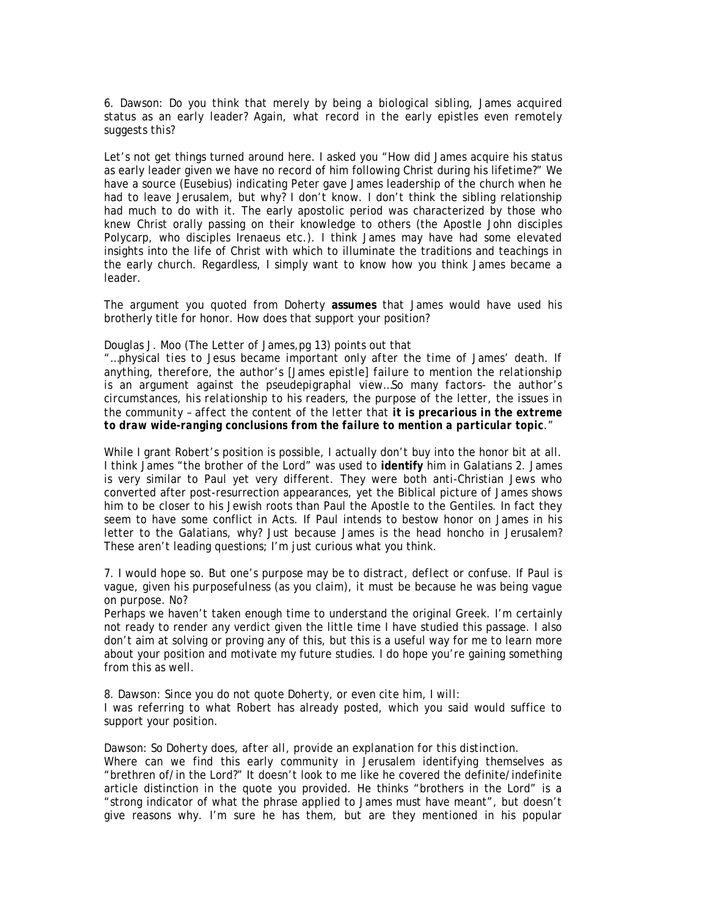6. Dawson: *Do you think that merely by being a biological sibling, James acquired status as an early leader? Again, what record in the early epistles even remotely suggests this?* 

Let's not get things turned around here. I asked you "How did James acquire his status as early leader given we have no record of him following Christ during his lifetime?" We have a source (Eusebius) indicating Peter gave James leadership of the church when he had to leave Jerusalem, but why? I don't know. I don't think the sibling relationship had much to do with it. The early apostolic period was characterized by those who knew Christ orally passing on their knowledge to others (the Apostle John disciples Polycarp, who disciples Irenaeus etc.). I think James may have had some elevated insights into the life of Christ with which to illuminate the traditions and teachings in the early church. Regardless, I simply want to know how you think James became a leader.

The argument you quoted from Doherty **assumes** that James would have used his brotherly title for honor. How does that support your position?

### Douglas J. Moo (*The Letter of James*,pg 13) points out that

*"…physical ties to Jesus became important only after the time of James' death. If anything, therefore, the author's [James epistle] failure to mention the relationship is an argument against the pseudepigraphal view…So many factors- the author's circumstances, his relationship to his readers, the purpose of the letter, the issues in the community – affect the content of the letter that it is precarious in the extreme to draw wide-ranging conclusions from the failure to mention a particular topic."* 

While I grant Robert's position is possible, I actually don't buy into the honor bit at all. I think James "the brother of the Lord" was used to **identify** him in Galatians 2. James is very similar to Paul yet very different. They were both anti-Christian Jews who converted after post-resurrection appearances, yet the Biblical picture of James shows him to be closer to his Jewish roots than Paul the Apostle to the Gentiles. In fact they seem to have some conflict in Acts. If Paul intends to bestow honor on James in his letter to the Galatians, why? Just because James is the head honcho in Jerusalem? These aren't leading questions; I'm just curious what you think.

# 7. *I would hope so. But one's purpose may be to distract, deflect or confuse. If Paul is vague, given his purposefulness (as you claim), it must be because he was being vague on purpose. No?*

Perhaps we haven't taken enough time to understand the original Greek. I'm certainly not ready to render any verdict given the little time I have studied this passage. I also don't aim at solving or proving any of this, but this is a useful way for me to learn more about your position and motivate my future studies. I do hope you're gaining something from this as well.

8. Dawson: *Since you do not quote Doherty, or even cite him, I will:*  I was referring to what Robert has already posted, which you said would suffice to support your position.

## Dawson: *So Doherty does, after all, provide an explanation for this distinction.*

Where can we find this early community in Jerusalem identifying themselves as "brethren of/in the Lord?" It doesn't look to me like he covered the definite/indefinite article distinction in the quote you provided. He thinks "brothers in the Lord" is a "strong indicator of what the phrase applied to James must have meant", but doesn't give reasons why. I'm sure he has them, but are they mentioned in his popular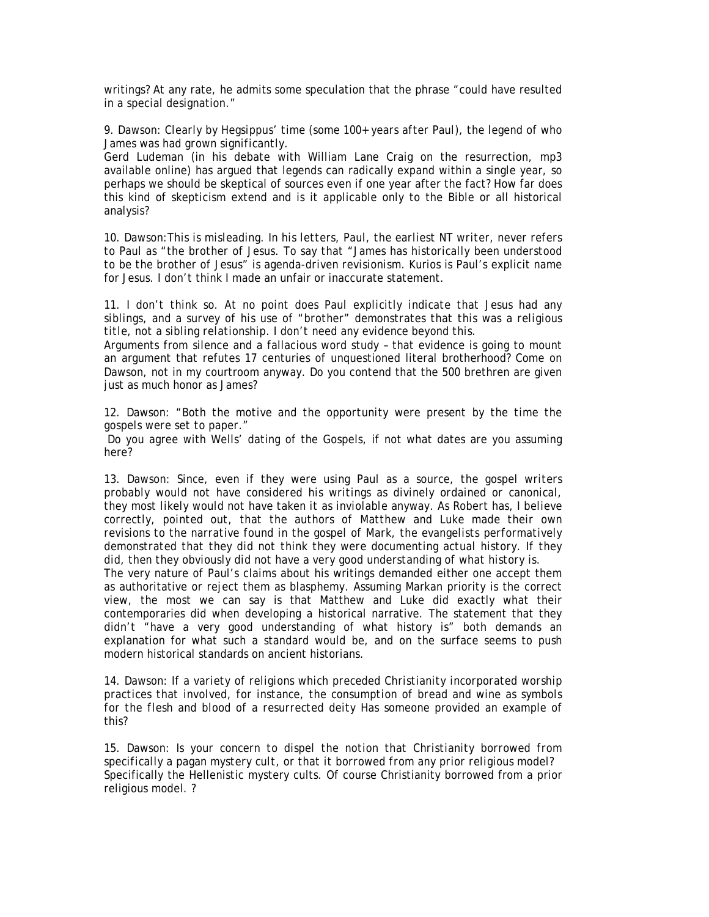writings? At any rate, he admits some speculation that the phrase "could have resulted in a special designation."

9. Dawson: *Clearly by Hegsippus' time (some 100+ years after Paul), the legend of who James was had grown significantly.* 

Gerd Ludeman (in his debate with William Lane Craig on the resurrection, mp3 available online) has argued that legends can radically expand within a single year, so perhaps we should be skeptical of sources even if one year after the fact? How far does this kind of skepticism extend and is it applicable only to the Bible or all historical analysis?

10. Dawson:*This is misleading. In his letters, Paul, the earliest NT writer, never refers to Paul as "the brother of Jesus. To say that "James has historically been understood to be the brother of Jesus" is agenda-driven revisionism.* Kurios is Paul's explicit name for Jesus. I don't think I made an unfair or inaccurate statement.

11. *I don't think so. At no point does Paul explicitly indicate that Jesus had any siblings, and a survey of his use of "brother" demonstrates that this was a religious title, not a sibling relationship. I don't need any evidence beyond this.* 

Arguments from silence and a fallacious word study – that evidence is going to mount an argument that refutes 17 centuries of unquestioned literal brotherhood? Come on Dawson, not in my courtroom anyway. Do you contend that the 500 brethren are given just as much honor as James?

12. Dawson: *"Both the motive and the opportunity were present by the time the gospels were set to paper."* 

Do you agree with Wells' dating of the Gospels, if not what dates are you assuming here?

13. Dawson: *Since, even if they were using Paul as a source, the gospel writers probably would not have considered his writings as divinely ordained or canonical, they most likely would not have taken it as inviolable anyway. As Robert has, I believe correctly, pointed out, that the authors of Matthew and Luke made their own revisions to the narrative found in the gospel of Mark, the evangelists performatively demonstrated that they did not think they were documenting actual history. If they did, then they obviously did not have a very good understanding of what history is.* 

The very nature of Paul's claims about his writings demanded either one accept them as authoritative or reject them as blasphemy. Assuming Markan priority is the correct view, the most we can say is that Matthew and Luke did exactly what their contemporaries did when developing a historical narrative. The statement that they didn't "have a very good understanding of what history is" both demands an explanation for what such a standard would be, and on the surface seems to push modern historical standards on ancient historians.

14. Dawson: *If a variety of religions which preceded Christianity incorporated worship practices that involved, for instance, the consumption of bread and wine as symbols for the flesh and blood of a resurrected deity* Has someone provided an example of this?

15. Dawson: *Is your concern to dispel the notion that Christianity borrowed from specifically a pagan mystery cult, or that it borrowed from any prior religious model?*  Specifically the Hellenistic mystery cults. Of course Christianity borrowed from a prior religious model. ?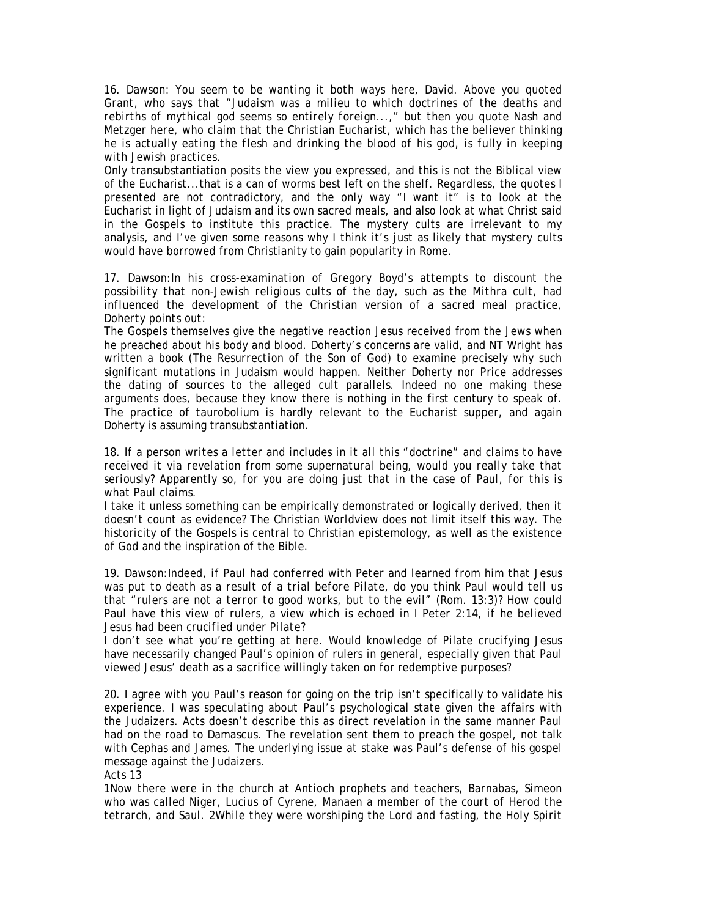16. Dawson: *You seem to be wanting it both ways here, David. Above you quoted Grant, who says that "Judaism was a milieu to which doctrines of the deaths and rebirths of mythical god seems so entirely foreign...," but then you quote Nash and Metzger here, who claim that the Christian Eucharist, which has the believer thinking he is actually eating the flesh and drinking the blood of his god, is fully in keeping with Jewish practices.* 

Only transubstantiation posits the view you expressed, and this is not the Biblical view of the Eucharist...that is a can of worms best left on the shelf. Regardless, the quotes I presented are not contradictory, and the only way "I want it" is to look at the Eucharist in light of Judaism and its own sacred meals, and also look at what Christ said in the Gospels to institute this practice. The mystery cults are irrelevant to my analysis, and I've given some reasons why I think it's just as likely that mystery cults would have borrowed from Christianity to gain popularity in Rome.

17. Dawson:*In his cross-examination of Gregory Boyd's attempts to discount the possibility that non-Jewish religious cults of the day, such as the Mithra cult, had influenced the development of the Christian version of a sacred meal practice, Doherty points out:* 

The Gospels themselves give the negative reaction Jesus received from the Jews when he preached about his body and blood. Doherty's concerns are valid, and NT Wright has written a book (*The Resurrection of the Son of God*) to examine precisely why such significant mutations in Judaism would happen. Neither Doherty nor Price addresses the dating of sources to the alleged cult parallels. Indeed no one making these arguments does, because they know there is nothing in the first century to speak of. The practice of taurobolium is hardly relevant to the Eucharist supper, and again Doherty is assuming transubstantiation.

18. *If a person writes a letter and includes in it all this "doctrine" and claims to have*  received it via revelation from some supernatural being, would you really take that *seriously? Apparently so, for you are doing just that in the case of Paul, for this is what Paul claims.* 

I take it unless something can be empirically demonstrated or logically derived, then it doesn't count as evidence? The Christian Worldview does not limit itself this way. The historicity of the Gospels is central to Christian epistemology, as well as the existence of God and the inspiration of the Bible.

19. Dawson:*Indeed, if Paul had conferred with Peter and learned from him that Jesus was put to death as a result of a trial before Pilate, do you think Paul would tell us that "rulers are not a terror to good works, but to the evil" (Rom. 13:3)? How could Paul have this view of rulers, a view which is echoed in I Peter 2:14, if he believed Jesus had been crucified under Pilate?* 

I don't see what you're getting at here. Would knowledge of Pilate crucifying Jesus have necessarily changed Paul's opinion of rulers in general, especially given that Paul viewed Jesus' death as a sacrifice willingly taken on for redemptive purposes?

20. I agree with you Paul's reason for going on the trip isn't specifically to validate his experience. I was speculating about Paul's psychological state given the affairs with the Judaizers. Acts doesn't describe this as direct revelation in the same manner Paul had on the road to Damascus. The revelation sent them to preach the gospel, not talk with Cephas and James. The underlying issue at stake was Paul's defense of his gospel message against the Judaizers.

Acts 13

*1Now there were in the church at Antioch prophets and teachers, Barnabas, Simeon who was called Niger, Lucius of Cyrene, Manaen a member of the court of Herod the tetrarch, and Saul. 2While they were worshiping the Lord and fasting, the Holy Spirit*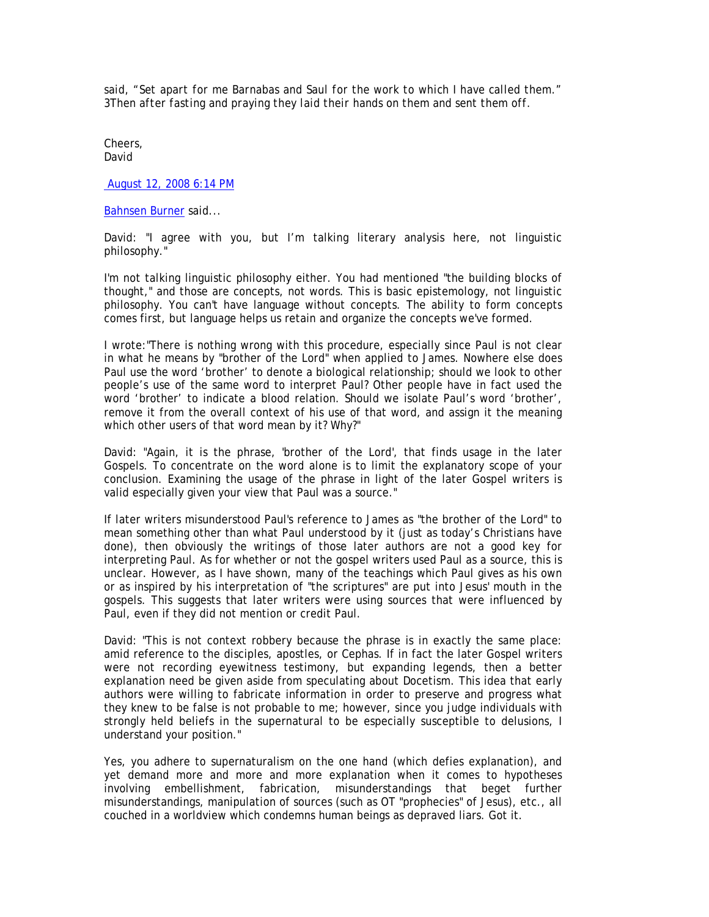*said, "Set apart for me Barnabas and Saul for the work to which I have called them." 3Then after fasting and praying they laid their hands on them and sent them off.* 

Cheers, David

August 12, 2008 6:14 PM

Bahnsen Burner said...

David: "I agree with you, but I'm talking literary analysis here, not linguistic philosophy."

I'm not talking linguistic philosophy either. You had mentioned "the building blocks of thought," and those are concepts, not words. This is basic epistemology, not linguistic philosophy. You can't have language without concepts. The ability to form concepts comes first, but language helps us retain and organize the concepts we've formed.

I wrote:"There is nothing wrong with this procedure, especially since Paul is not clear in what he means by "brother of the Lord" when applied to James. Nowhere else does Paul use the word 'brother' to denote a biological relationship; should we look to other people's use of the same word to interpret Paul? Other people have in fact used the word 'brother' to indicate a blood relation. Should we isolate Paul's word 'brother', remove it from the overall context of his use of that word, and assign it the meaning which other users of that word mean by it? Why?"

David: "Again, it is the phrase, 'brother of the Lord', that finds usage in the later Gospels. To concentrate on the word alone is to limit the explanatory scope of your conclusion. Examining the usage of the phrase in light of the later Gospel writers is valid especially given your view that Paul was a source."

If later writers misunderstood Paul's reference to James as "the brother of the Lord" to mean something other than what Paul understood by it (just as today's Christians have done), then obviously the writings of those later authors are not a good key for interpreting Paul. As for whether or not the gospel writers used Paul as a source, this is unclear. However, as I have shown, many of the teachings which Paul gives as his own or as inspired by his interpretation of "the scriptures" are put into Jesus' mouth in the gospels. This suggests that later writers were using sources that were influenced by Paul, even if they did not mention or credit Paul.

David: "This is not context robbery because the phrase is in exactly the same place: amid reference to the disciples, apostles, or Cephas. If in fact the later Gospel writers were not recording eyewitness testimony, but expanding legends, then a better explanation need be given aside from speculating about Docetism. This idea that early authors were willing to fabricate information in order to preserve and progress what they knew to be false is not probable to me; however, since you judge individuals with strongly held beliefs in the supernatural to be especially susceptible to delusions, I understand your position."

Yes, you adhere to supernaturalism on the one hand (which defies explanation), and yet demand more and more and more explanation when it comes to hypotheses involving embellishment, fabrication, misunderstandings that beget further misunderstandings, manipulation of sources (such as OT "prophecies" of Jesus), etc., all couched in a worldview which condemns human beings as depraved liars. Got it.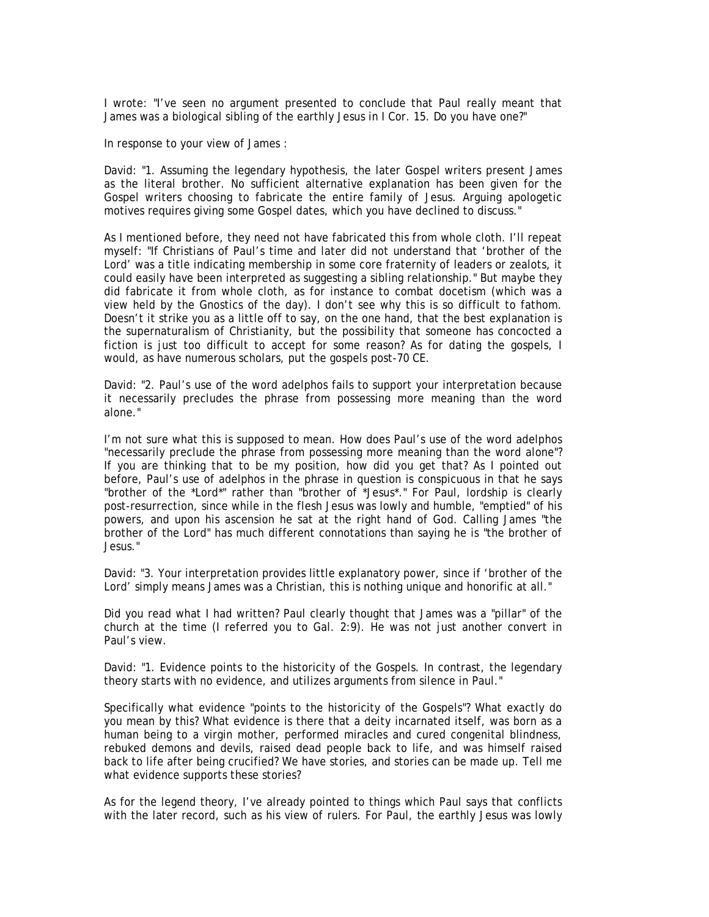I wrote: "I've seen no argument presented to conclude that Paul really meant that James was a biological sibling of the earthly Jesus in I Cor. 15. Do you have one?"

In response to your view of James :

David: "1. Assuming the legendary hypothesis, the later Gospel writers present James as the literal brother. No sufficient alternative explanation has been given for the Gospel writers choosing to fabricate the entire family of Jesus. Arguing apologetic motives requires giving some Gospel dates, which you have declined to discuss."

As I mentioned before, they need not have fabricated this from whole cloth. I'll repeat myself: "If Christians of Paul's time and later did not understand that 'brother of the Lord' was a title indicating membership in some core fraternity of leaders or zealots, it could easily have been interpreted as suggesting a sibling relationship." But maybe they did fabricate it from whole cloth, as for instance to combat docetism (which was a view held by the Gnostics of the day). I don't see why this is so difficult to fathom. Doesn't it strike you as a little off to say, on the one hand, that the best explanation is the supernaturalism of Christianity, but the possibility that someone has concocted a fiction is just too difficult to accept for some reason? As for dating the gospels, I would, as have numerous scholars, put the gospels post-70 CE.

David: "2. Paul's use of the word adelphos fails to support your interpretation because it necessarily precludes the phrase from possessing more meaning than the word alone."

I'm not sure what this is supposed to mean. How does Paul's use of the word adelphos "necessarily preclude the phrase from possessing more meaning than the word alone"? If you are thinking that to be my position, how did you get that? As I pointed out before, Paul's use of adelphos in the phrase in question is conspicuous in that he says "brother of the \*Lord\*" rather than "brother of \*Jesus\*." For Paul, lordship is clearly post-resurrection, since while in the flesh Jesus was lowly and humble, "emptied" of his powers, and upon his ascension he sat at the right hand of God. Calling James "the brother of the Lord" has much different connotations than saying he is "the brother of Jesus."

David: "3. Your interpretation provides little explanatory power, since if 'brother of the Lord' simply means James was a Christian, this is nothing unique and honorific at all."

Did you read what I had written? Paul clearly thought that James was a "pillar" of the church at the time (I referred you to Gal. 2:9). He was not just another convert in Paul's view.

David: "1. Evidence points to the historicity of the Gospels. In contrast, the legendary theory starts with no evidence, and utilizes arguments from silence in Paul."

Specifically what evidence "points to the historicity of the Gospels"? What exactly do you mean by this? What evidence is there that a deity incarnated itself, was born as a human being to a virgin mother, performed miracles and cured congenital blindness, rebuked demons and devils, raised dead people back to life, and was himself raised back to life after being crucified? We have stories, and stories can be made up. Tell me what evidence supports these stories?

As for the legend theory, I've already pointed to things which Paul says that conflicts with the later record, such as his view of rulers. For Paul, the earthly Jesus was lowly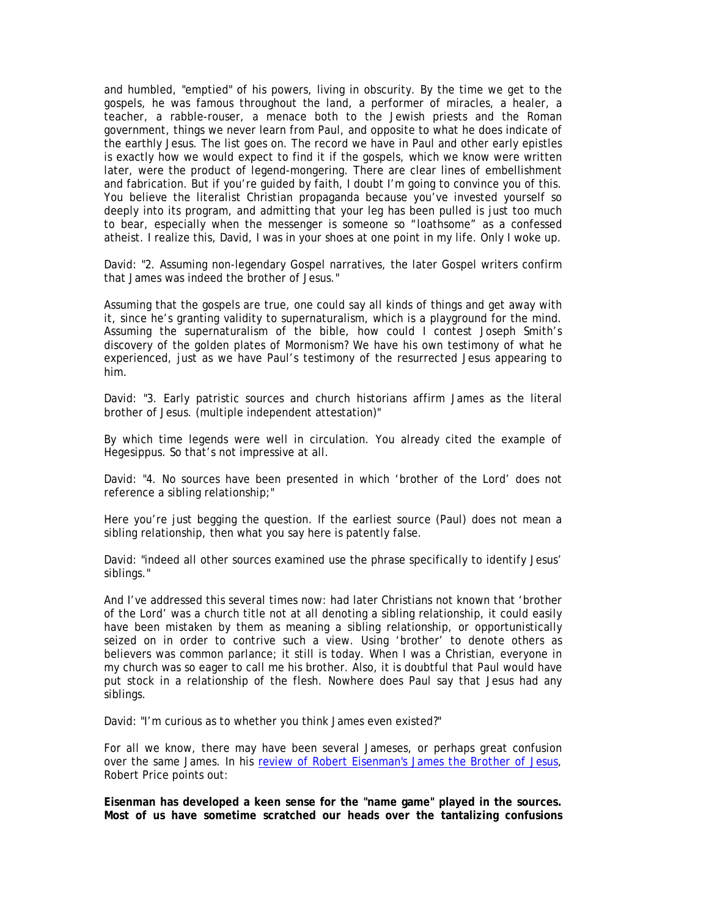and humbled, "emptied" of his powers, living in obscurity. By the time we get to the gospels, he was famous throughout the land, a performer of miracles, a healer, a teacher, a rabble-rouser, a menace both to the Jewish priests and the Roman government, things we never learn from Paul, and opposite to what he does indicate of the earthly Jesus. The list goes on. The record we have in Paul and other early epistles is exactly how we would expect to find it if the gospels, which we know were written later, were the product of legend-mongering. There are clear lines of embellishment and fabrication. But if you're guided by faith, I doubt I'm going to convince you of this. You believe the literalist Christian propaganda because you've invested yourself so deeply into its program, and admitting that your leg has been pulled is just too much to bear, especially when the messenger is someone so "loathsome" as a confessed atheist. I realize this, David, I was in your shoes at one point in my life. Only I woke up.

David: "2. Assuming non-legendary Gospel narratives, the later Gospel writers confirm that James was indeed the brother of Jesus."

Assuming that the gospels are true, one could say all kinds of things and get away with it, since he's granting validity to supernaturalism, which is a playground for the mind. Assuming the supernaturalism of the bible, how could I contest Joseph Smith's discovery of the golden plates of Mormonism? We have his own testimony of what he experienced, just as we have Paul's testimony of the resurrected Jesus appearing to him.

David: "3. Early patristic sources and church historians affirm James as the literal brother of Jesus. (multiple independent attestation)"

By which time legends were well in circulation. You already cited the example of Hegesippus. So that's not impressive at all.

David: "4. No sources have been presented in which 'brother of the Lord' does not reference a sibling relationship;"

Here you're just begging the question. If the earliest source (Paul) does not mean a sibling relationship, then what you say here is patently false.

David: "indeed all other sources examined use the phrase specifically to identify Jesus' siblings."

And I've addressed this several times now: had later Christians not known that 'brother of the Lord' was a church title not at all denoting a sibling relationship, it could easily have been mistaken by them as meaning a sibling relationship, or opportunistically seized on in order to contrive such a view. Using 'brother' to denote others as believers was common parlance; it still is today. When I was a Christian, everyone in my church was so eager to call me his brother. Also, it is doubtful that Paul would have put stock in a relationship of the flesh. Nowhere does Paul say that Jesus had any siblings.

David: "I'm curious as to whether you think James even existed?"

For all we know, there may have been several Jameses, or perhaps great confusion over the same James. In his review of Robert Eisenman's *James the Brother of Jesus*, Robert Price points out:

**Eisenman has developed a keen sense for the "name game" played in the sources. Most of us have sometime scratched our heads over the tantalizing confusions**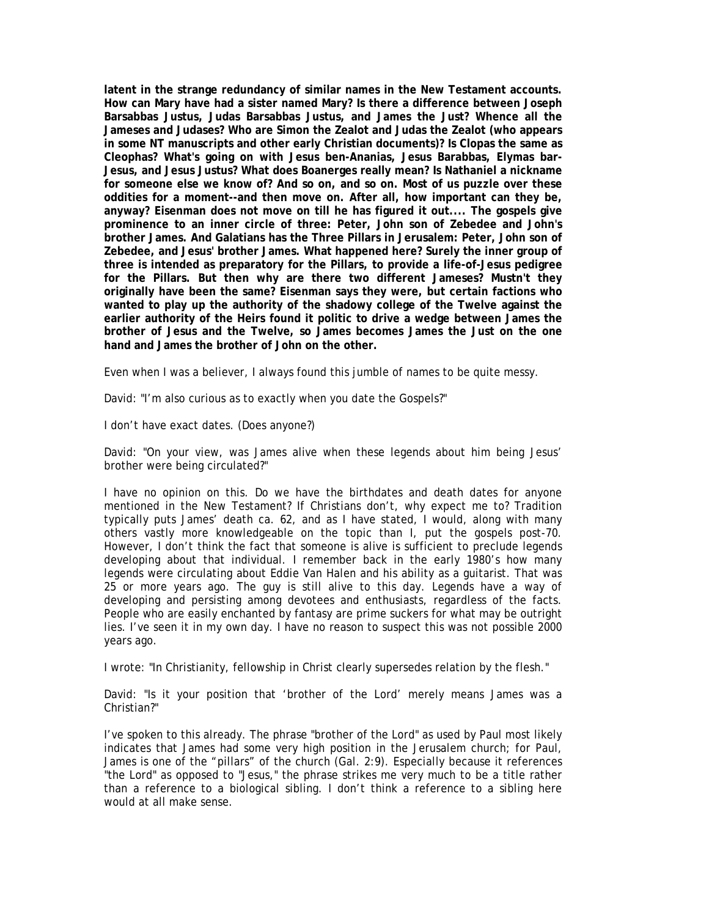**latent in the strange redundancy of similar names in the New Testament accounts. How can Mary have had a sister named Mary? Is there a difference between Joseph Barsabbas Justus, Judas Barsabbas Justus, and James the Just? Whence all the Jameses and Judases? Who are Simon the Zealot and Judas the Zealot (who appears in some NT manuscripts and other early Christian documents)? Is Clopas the same as Cleophas? What's going on with Jesus ben-Ananias, Jesus Barabbas, Elymas bar-Jesus, and Jesus Justus? What does Boanerges really mean? Is Nathaniel a nickname for someone else we know of? And so on, and so on. Most of us puzzle over these oddities for a moment--and then move on. After all, how important can they be, anyway? Eisenman does not move on till he has figured it out.... The gospels give prominence to an inner circle of three: Peter, John son of Zebedee and John's brother James. And Galatians has the Three Pillars in Jerusalem: Peter, John son of Zebedee, and Jesus' brother James. What happened here? Surely the inner group of three is intended as preparatory for the Pillars, to provide a life-of-Jesus pedigree for the Pillars. But then why are there two different Jameses? Mustn't they originally have been the same? Eisenman says they were, but certain factions who wanted to play up the authority of the shadowy college of the Twelve against the earlier authority of the Heirs found it politic to drive a wedge between James the brother of Jesus and the Twelve, so James becomes James the Just on the one hand and James the brother of John on the other.** 

Even when I was a believer, I always found this jumble of names to be quite messy.

David: "I'm also curious as to exactly when you date the Gospels?"

I don't have exact dates. (Does anyone?)

David: "On your view, was James alive when these legends about him being Jesus' brother were being circulated?"

I have no opinion on this. Do we have the birthdates and death dates for anyone mentioned in the New Testament? If Christians don't, why expect me to? Tradition typically puts James' death ca. 62, and as I have stated, I would, along with many others vastly more knowledgeable on the topic than I, put the gospels post-70. However, I don't think the fact that someone is alive is sufficient to preclude legends developing about that individual. I remember back in the early 1980's how many legends were circulating about Eddie Van Halen and his ability as a guitarist. That was 25 or more years ago. The guy is still alive to this day. Legends have a way of developing and persisting among devotees and enthusiasts, regardless of the facts. People who are easily enchanted by fantasy are prime suckers for what may be outright lies. I've seen it in my own day. I have no reason to suspect this was not possible 2000 years ago.

I wrote: "In Christianity, fellowship in Christ clearly supersedes relation by the flesh."

David: "Is it your position that 'brother of the Lord' merely means James was a Christian?"

I've spoken to this already. The phrase "brother of the Lord" as used by Paul most likely indicates that James had some very high position in the Jerusalem church; for Paul, James is one of the "pillars" of the church (Gal. 2:9). Especially because it references "the Lord" as opposed to "Jesus," the phrase strikes me very much to be a title rather than a reference to a biological sibling. I don't think a reference to a sibling here would at all make sense.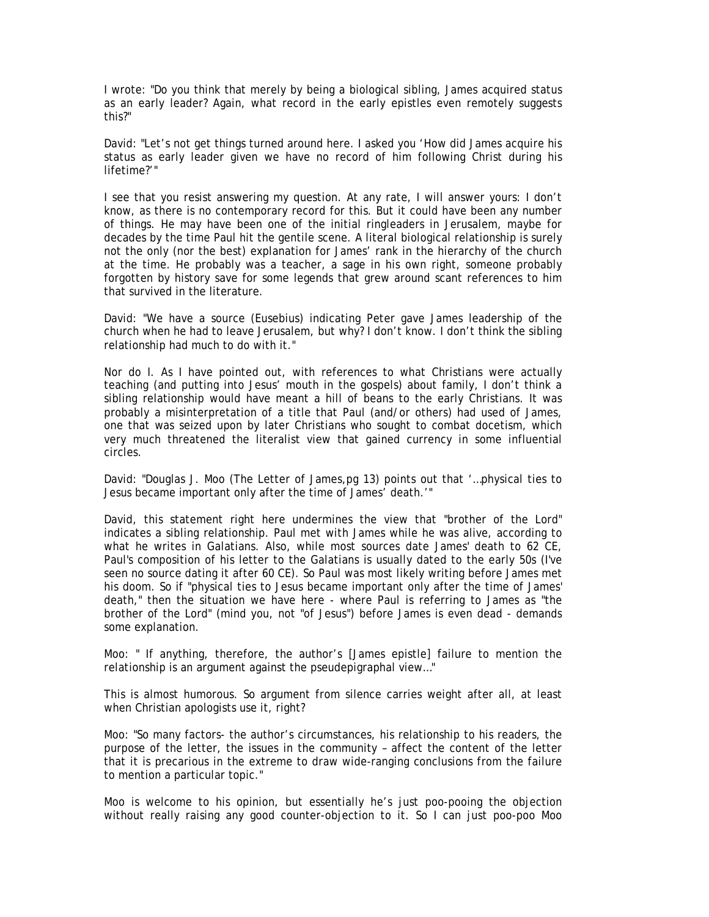I wrote: "Do you think that merely by being a biological sibling, James acquired status as an early leader? Again, what record in the early epistles even remotely suggests this?"

David: "Let's not get things turned around here. I asked you 'How did James acquire his status as early leader given we have no record of him following Christ during his lifetime?'"

I see that you resist answering my question. At any rate, I will answer yours: I don't know, as there is no contemporary record for this. But it could have been any number of things. He may have been one of the initial ringleaders in Jerusalem, maybe for decades by the time Paul hit the gentile scene. A literal biological relationship is surely not the only (nor the best) explanation for James' rank in the hierarchy of the church at the time. He probably was a teacher, a sage in his own right, someone probably forgotten by history save for some legends that grew around scant references to him that survived in the literature.

David: "We have a source (Eusebius) indicating Peter gave James leadership of the church when he had to leave Jerusalem, but why? I don't know. I don't think the sibling relationship had much to do with it."

Nor do I. As I have pointed out, with references to what Christians were actually teaching (and putting into Jesus' mouth in the gospels) about family, I don't think a sibling relationship would have meant a hill of beans to the early Christians. It was probably a misinterpretation of a title that Paul (and/or others) had used of James, one that was seized upon by later Christians who sought to combat docetism, which very much threatened the literalist view that gained currency in some influential circles.

David: "Douglas J. Moo (The Letter of James,pg 13) points out that '…physical ties to Jesus became important only after the time of James' death.'"

David, this statement right here undermines the view that "brother of the Lord" indicates a sibling relationship. Paul met with James while he was alive, according to what he writes in Galatians. Also, while most sources date James' death to 62 CE, Paul's composition of his letter to the Galatians is usually dated to the early 50s (I've seen no source dating it after 60 CE). So Paul was most likely writing before James met his doom. So if "physical ties to Jesus became important only after the time of James' death," then the situation we have here - where Paul is referring to James as "the brother of the Lord" (mind you, not "of Jesus") before James is even dead - demands some explanation.

Moo: " If anything, therefore, the author's [James epistle] failure to mention the relationship is an argument against the pseudepigraphal view…"

This is almost humorous. So argument from silence carries weight after all, at least when Christian apologists use it, right?

Moo: "So many factors- the author's circumstances, his relationship to his readers, the purpose of the letter, the issues in the community – affect the content of the letter that it is precarious in the extreme to draw wide-ranging conclusions from the failure to mention a particular topic."

Moo is welcome to his opinion, but essentially he's just poo-pooing the objection without really raising any good counter-objection to it. So I can just poo-poo Moo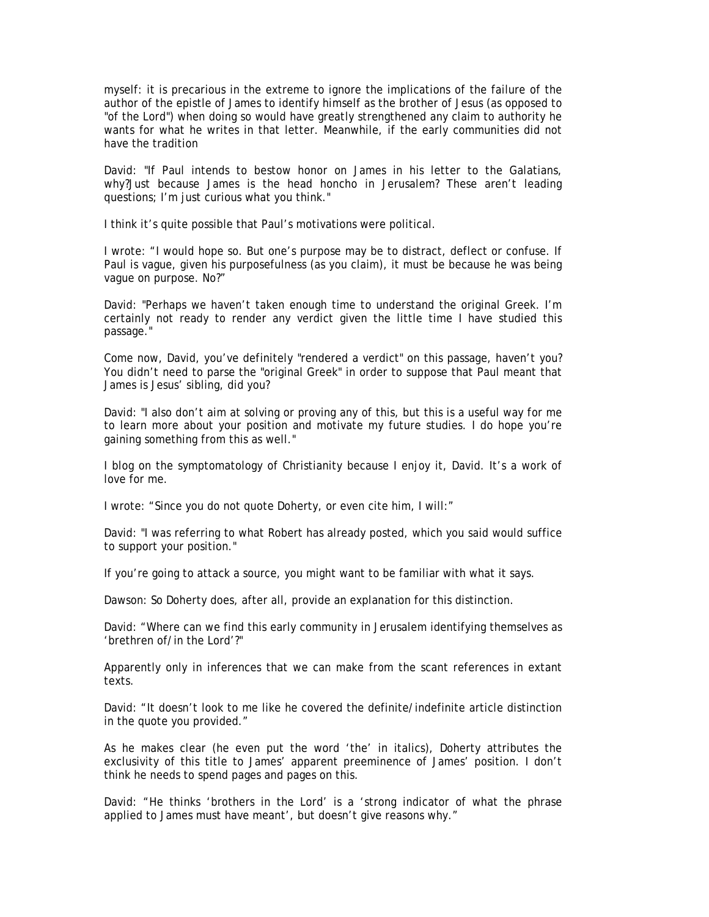myself: it is precarious in the extreme to ignore the implications of the failure of the author of the epistle of James to identify himself as the brother of Jesus (as opposed to "of the Lord") when doing so would have greatly strengthened any claim to authority he wants for what he writes in that letter. Meanwhile, if the early communities did not have the tradition

David: "If Paul intends to bestow honor on James in his letter to the Galatians, why?Just because James is the head honcho in Jerusalem? These aren't leading questions; I'm just curious what you think."

I think it's quite possible that Paul's motivations were political.

I wrote: "I would hope so. But one's purpose may be to distract, deflect or confuse. If Paul is vague, given his purposefulness (as you claim), it must be because he was being vague on purpose. No?"

David: "Perhaps we haven't taken enough time to understand the original Greek. I'm certainly not ready to render any verdict given the little time I have studied this passage."

Come now, David, you've definitely "rendered a verdict" on this passage, haven't you? You didn't need to parse the "original Greek" in order to suppose that Paul meant that James is Jesus' sibling, did you?

David: "I also don't aim at solving or proving any of this, but this is a useful way for me to learn more about your position and motivate my future studies. I do hope you're gaining something from this as well."

I blog on the symptomatology of Christianity because I enjoy it, David. It's a work of love for me.

I wrote: "Since you do not quote Doherty, or even cite him, I will:"

David: "I was referring to what Robert has already posted, which you said would suffice to support your position."

If you're going to attack a source, you might want to be familiar with what it says.

Dawson: So Doherty does, after all, provide an explanation for this distinction.

David: "Where can we find this early community in Jerusalem identifying themselves as 'brethren of/in the Lord'?"

Apparently only in inferences that we can make from the scant references in extant texts.

David: "It doesn't look to me like he covered the definite/indefinite article distinction in the quote you provided."

As he makes clear (he even put the word 'the' in italics), Doherty attributes the exclusivity of this title to James' apparent preeminence of James' position. I don't think he needs to spend pages and pages on this.

David: "He thinks 'brothers in the Lord' is a 'strong indicator of what the phrase applied to James must have meant', but doesn't give reasons why."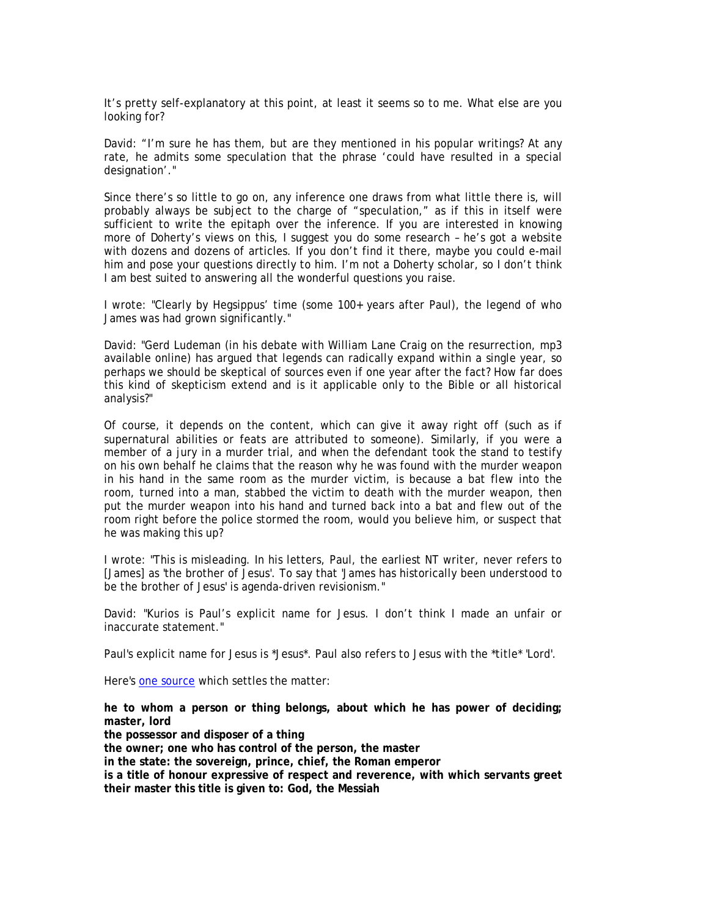It's pretty self-explanatory at this point, at least it seems so to me. What else are you looking for?

David: "I'm sure he has them, but are they mentioned in his popular writings? At any rate, he admits some speculation that the phrase 'could have resulted in a special designation'."

Since there's so little to go on, any inference one draws from what little there is, will probably always be subject to the charge of "speculation," as if this in itself were sufficient to write the epitaph over the inference. If you are interested in knowing more of Doherty's views on this, I suggest you do some research – he's got a website with dozens and dozens of articles. If you don't find it there, maybe you could e-mail him and pose your questions directly to him. I'm not a Doherty scholar, so I don't think I am best suited to answering all the wonderful questions you raise.

I wrote: "Clearly by Hegsippus' time (some 100+ years after Paul), the legend of who James was had grown significantly."

David: "Gerd Ludeman (in his debate with William Lane Craig on the resurrection, mp3 available online) has argued that legends can radically expand within a single year, so perhaps we should be skeptical of sources even if one year after the fact? How far does this kind of skepticism extend and is it applicable only to the Bible or all historical analysis?"

Of course, it depends on the content, which can give it away right off (such as if supernatural abilities or feats are attributed to someone). Similarly, if you were a member of a jury in a murder trial, and when the defendant took the stand to testify on his own behalf he claims that the reason why he was found with the murder weapon in his hand in the same room as the murder victim, is because a bat flew into the room, turned into a man, stabbed the victim to death with the murder weapon, then put the murder weapon into his hand and turned back into a bat and flew out of the room right before the police stormed the room, would you believe him, or suspect that he was making this up?

I wrote: "This is misleading. In his letters, Paul, the earliest NT writer, never refers to [James] as 'the brother of Jesus'. To say that 'James has historically been understood to be the brother of Jesus' is agenda-driven revisionism."

David: "Kurios is Paul's explicit name for Jesus. I don't think I made an unfair or inaccurate statement."

Paul's explicit name for Jesus is \*Jesus\*. Paul also refers to Jesus with the \*title\* 'Lord'.

Here's one source which settles the matter:

**he to whom a person or thing belongs, about which he has power of deciding; master, lord the possessor and disposer of a thing the owner; one who has control of the person, the master in the state: the sovereign, prince, chief, the Roman emperor is a title of honour expressive of respect and reverence, with which servants greet their master this title is given to: God, the Messiah**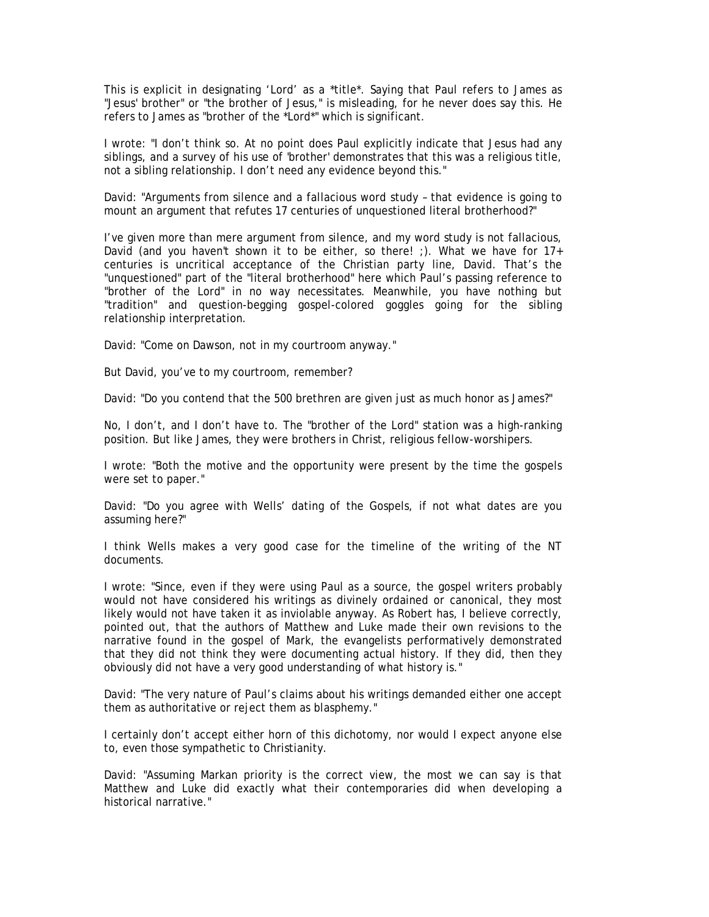This is explicit in designating 'Lord' as a \*title\*. Saying that Paul refers to James as "Jesus' brother" or "the brother of Jesus," is misleading, for he never does say this. He refers to James as "brother of the \*Lord\*" which is significant.

I wrote: "I don't think so. At no point does Paul explicitly indicate that Jesus had any siblings, and a survey of his use of 'brother' demonstrates that this was a religious title, not a sibling relationship. I don't need any evidence beyond this."

David: "Arguments from silence and a fallacious word study – that evidence is going to mount an argument that refutes 17 centuries of unquestioned literal brotherhood?"

I've given more than mere argument from silence, and my word study is not fallacious, David (and you haven't shown it to be either, so there! ;). What we have for  $17+$ centuries is uncritical acceptance of the Christian party line, David. That's the "unquestioned" part of the "literal brotherhood" here which Paul's passing reference to "brother of the Lord" in no way necessitates. Meanwhile, you have nothing but "tradition" and question-begging gospel-colored goggles going for the sibling relationship interpretation.

David: "Come on Dawson, not in my courtroom anyway."

But David, you've to my courtroom, remember?

David: "Do you contend that the 500 brethren are given just as much honor as James?"

No, I don't, and I don't have to. The "brother of the Lord" station was a high-ranking position. But like James, they were brothers in Christ, religious fellow-worshipers.

I wrote: "Both the motive and the opportunity were present by the time the gospels were set to paper."

David: "Do you agree with Wells' dating of the Gospels, if not what dates are you assuming here?"

I think Wells makes a very good case for the timeline of the writing of the NT documents.

I wrote: "Since, even if they were using Paul as a source, the gospel writers probably would not have considered his writings as divinely ordained or canonical, they most likely would not have taken it as inviolable anyway. As Robert has, I believe correctly, pointed out, that the authors of Matthew and Luke made their own revisions to the narrative found in the gospel of Mark, the evangelists performatively demonstrated that they did not think they were documenting actual history. If they did, then they obviously did not have a very good understanding of what history is."

David: "The very nature of Paul's claims about his writings demanded either one accept them as authoritative or reject them as blasphemy."

I certainly don't accept either horn of this dichotomy, nor would I expect anyone else to, even those sympathetic to Christianity.

David: "Assuming Markan priority is the correct view, the most we can say is that Matthew and Luke did exactly what their contemporaries did when developing a historical narrative."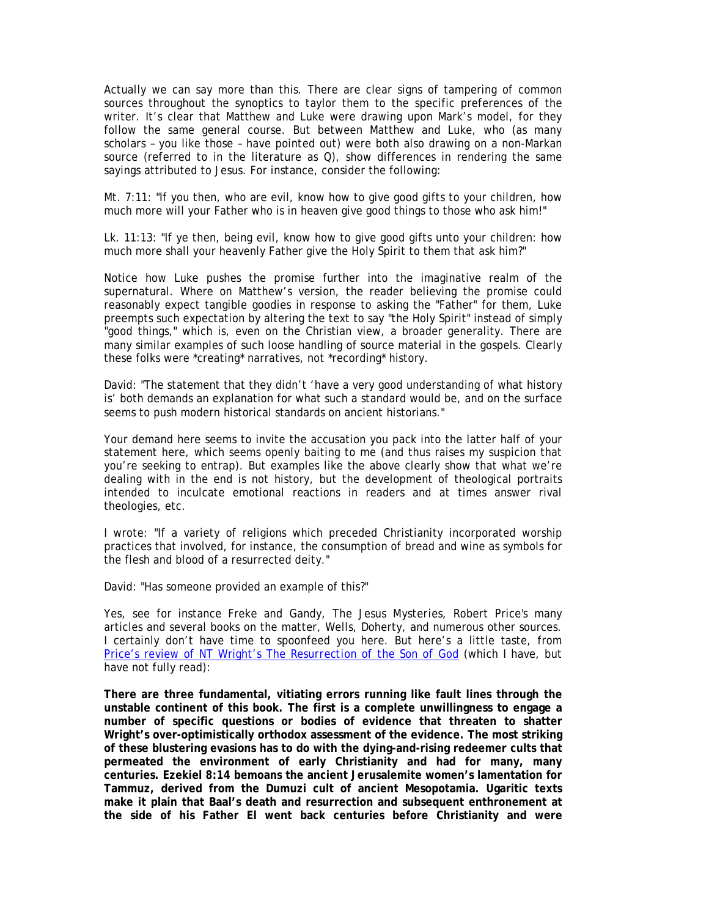Actually we can say more than this. There are clear signs of tampering of common sources throughout the synoptics to taylor them to the specific preferences of the writer. It's clear that Matthew and Luke were drawing upon Mark's model, for they follow the same general course. But between Matthew and Luke, who (as many scholars – you like those – have pointed out) were both also drawing on a non-Markan source (referred to in the literature as  $Q$ ), show differences in rendering the same sayings attributed to Jesus. For instance, consider the following:

Mt. 7:11: "If you then, who are evil, know how to give good gifts to your children, how much more will your Father who is in heaven give good things to those who ask him!"

Lk. 11:13: "If ye then, being evil, know how to give good gifts unto your children: how much more shall your heavenly Father give the Holy Spirit to them that ask him?"

Notice how Luke pushes the promise further into the imaginative realm of the supernatural. Where on Matthew's version, the reader believing the promise could reasonably expect tangible goodies in response to asking the "Father" for them, Luke preempts such expectation by altering the text to say "the Holy Spirit" instead of simply "good things," which is, even on the Christian view, a broader generality. There are many similar examples of such loose handling of source material in the gospels. Clearly these folks were \*creating\* narratives, not \*recording\* history.

David: "The statement that they didn't 'have a very good understanding of what history is' both demands an explanation for what such a standard would be, and on the surface seems to push modern historical standards on ancient historians."

Your demand here seems to invite the accusation you pack into the latter half of your statement here, which seems openly baiting to me (and thus raises my suspicion that you're seeking to entrap). But examples like the above clearly show that what we're dealing with in the end is not history, but the development of theological portraits intended to inculcate emotional reactions in readers and at times answer rival theologies, etc.

I wrote: "If a variety of religions which preceded Christianity incorporated worship practices that involved, for instance, the consumption of bread and wine as symbols for the flesh and blood of a resurrected deity."

David: "Has someone provided an example of this?"

Yes, see for instance Freke and Gandy, *The Jesus Mysteries*, Robert Price's many articles and several books on the matter, Wells, Doherty, and numerous other sources. I certainly don't have time to spoonfeed you here. But here's a little taste, from Price's review of NT Wright's *The Resurrection of the Son of God* (which I have, but have not fully read):

**There are three fundamental, vitiating errors running like fault lines through the unstable continent of this book. The first is a complete unwillingness to engage a number of specific questions or bodies of evidence that threaten to shatter Wright's over-optimistically orthodox assessment of the evidence. The most striking of these blustering evasions has to do with the dying-and-rising redeemer cults that permeated the environment of early Christianity and had for many, many centuries. Ezekiel 8:14 bemoans the ancient Jerusalemite women's lamentation for Tammuz, derived from the Dumuzi cult of ancient Mesopotamia. Ugaritic texts make it plain that Baal's death and resurrection and subsequent enthronement at the side of his Father El went back centuries before Christianity and were**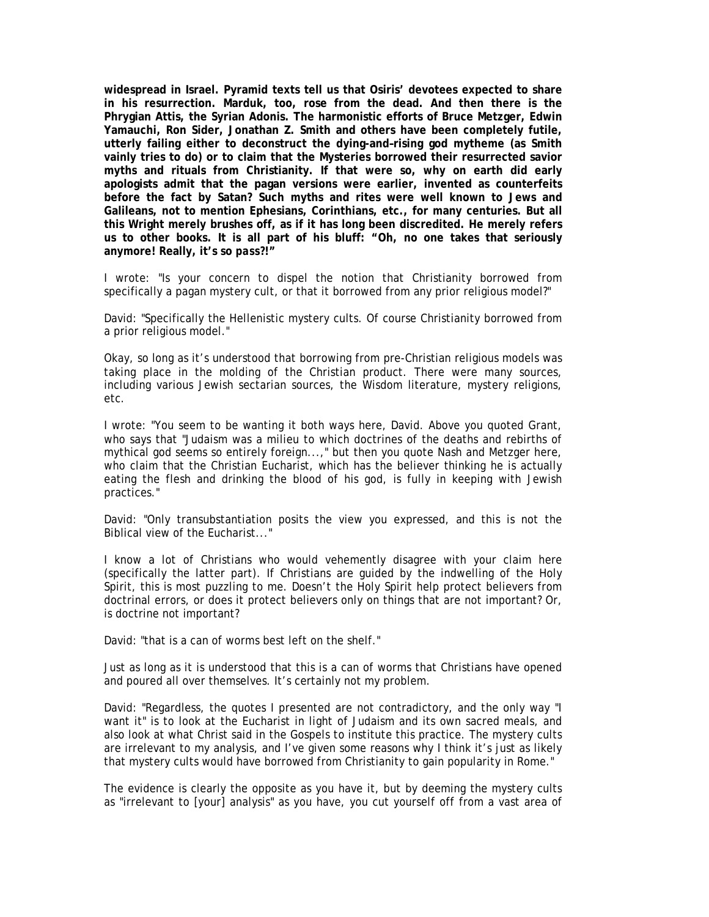**widespread in Israel. Pyramid texts tell us that Osiris' devotees expected to share in his resurrection. Marduk, too, rose from the dead. And then there is the Phrygian Attis, the Syrian Adonis. The harmonistic efforts of Bruce Metzger, Edwin Yamauchi, Ron Sider, Jonathan Z. Smith and others have been completely futile, utterly failing either to deconstruct the dying-and–rising god mytheme (as Smith vainly tries to do) or to claim that the Mysteries borrowed their resurrected savior myths and rituals from Christianity. If that were so, why on earth did early apologists admit that the pagan versions were earlier, invented as counterfeits before the fact by Satan? Such myths and rites were well known to Jews and Galileans, not to mention Ephesians, Corinthians, etc., for many centuries. But all this Wright merely brushes off, as if it has long been discredited. He merely refers us to other books. It is all part of his bluff: "Oh, no one takes that seriously anymore! Really, it's so** *pass?***!"** 

I wrote: "Is your concern to dispel the notion that Christianity borrowed from specifically a pagan mystery cult, or that it borrowed from any prior religious model?"

David: "Specifically the Hellenistic mystery cults. Of course Christianity borrowed from a prior religious model."

Okay, so long as it's understood that borrowing from pre-Christian religious models was taking place in the molding of the Christian product. There were many sources, including various Jewish sectarian sources, the Wisdom literature, mystery religions, etc.

I wrote: "You seem to be wanting it both ways here, David. Above you quoted Grant, who says that "Judaism was a milieu to which doctrines of the deaths and rebirths of mythical god seems so entirely foreign...," but then you quote Nash and Metzger here, who claim that the Christian Eucharist, which has the believer thinking he is actually eating the flesh and drinking the blood of his god, is fully in keeping with Jewish practices."

David: "Only transubstantiation posits the view you expressed, and this is not the Biblical view of the Eucharist..."

I know a lot of Christians who would vehemently disagree with your claim here (specifically the latter part). If Christians are guided by the indwelling of the Holy Spirit, this is most puzzling to me. Doesn't the Holy Spirit help protect believers from doctrinal errors, or does it protect believers only on things that are not important? Or, is doctrine not important?

David: "that is a can of worms best left on the shelf."

Just as long as it is understood that this is a can of worms that Christians have opened and poured all over themselves. It's certainly not my problem.

David: "Regardless, the quotes I presented are not contradictory, and the only way "I want it" is to look at the Eucharist in light of Judaism and its own sacred meals, and also look at what Christ said in the Gospels to institute this practice. The mystery cults are irrelevant to my analysis, and I've given some reasons why I think it's just as likely that mystery cults would have borrowed from Christianity to gain popularity in Rome."

The evidence is clearly the opposite as you have it, but by deeming the mystery cults as "irrelevant to [your] analysis" as you have, you cut yourself off from a vast area of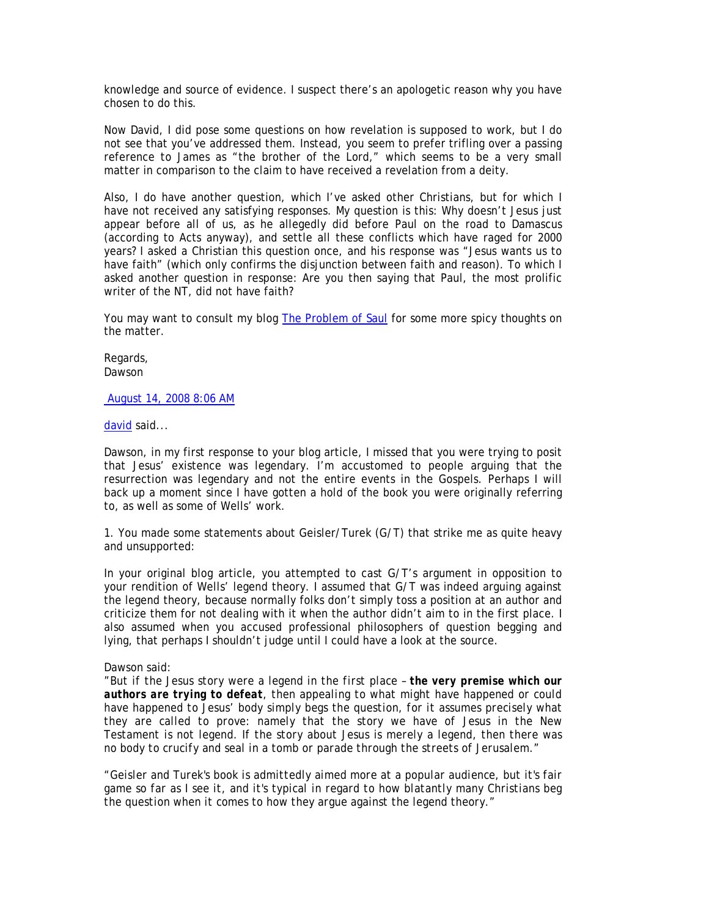knowledge and source of evidence. I suspect there's an apologetic reason why you have chosen to do this.

Now David, I did pose some questions on how revelation is supposed to work, but I do not see that you've addressed them. Instead, you seem to prefer trifling over a passing reference to James as "the brother of the Lord," which seems to be a very small matter in comparison to the claim to have received a revelation from a deity.

Also, I do have another question, which I've asked other Christians, but for which I have not received any satisfying responses. My question is this: Why doesn't Jesus just appear before all of us, as he allegedly did before Paul on the road to Damascus (according to Acts anyway), and settle all these conflicts which have raged for 2000 years? I asked a Christian this question once, and his response was "Jesus wants us to have faith" (which only confirms the disjunction between faith and reason). To which I asked another question in response: Are you then saying that Paul, the most prolific writer of the NT, did not have faith?

You may want to consult my blog The Problem of Saul for some more spicy thoughts on the matter.

Regards, Dawson

August 14, 2008 8:06 AM

david said...

Dawson, in my first response to your blog article, I missed that you were trying to posit that Jesus' existence was legendary. I'm accustomed to people arguing that the resurrection was legendary and not the entire events in the Gospels. Perhaps I will back up a moment since I have gotten a hold of the book you were originally referring to, as well as some of Wells' work.

1. You made some statements about Geisler/Turek (G/T) that strike me as quite heavy and unsupported:

In your original blog article, you attempted to cast G/T's argument in opposition to your rendition of Wells' legend theory. I assumed that G/T was indeed arguing against the legend theory, because normally folks don't simply toss a position at an author and criticize them for not dealing with it when the author didn't aim to in the first place. I also assumed when you accused professional philosophers of question begging and lying, that perhaps I shouldn't judge until I could have a look at the source.

### Dawson said:

*"But if the Jesus story were a legend in the first place – the very premise which our authors are trying to defeat, then appealing to what might have happened or could have happened to Jesus' body simply begs the question, for it assumes precisely what they are called to prove: namely that the story we have of Jesus in the New Testament is not legend. If the story about Jesus is merely a legend, then there was no body to crucify and seal in a tomb or parade through the streets of Jerusalem."* 

*"Geisler and Turek's book is admittedly aimed more at a popular audience, but it's fair game so far as I see it, and it's typical in regard to how blatantly many Christians beg the question when it comes to how they argue against the legend theory."*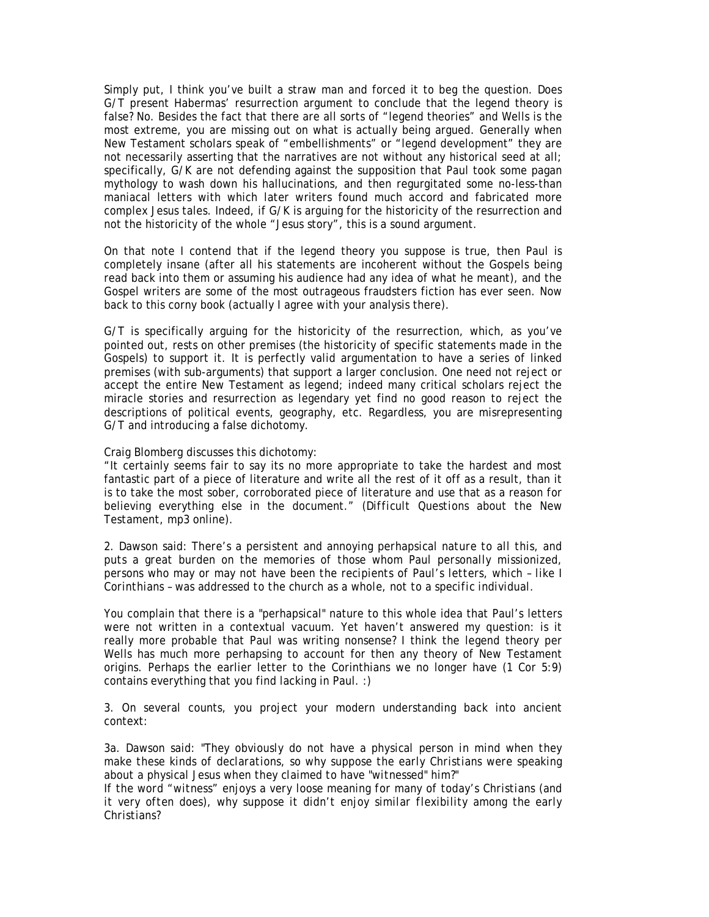Simply put, I think you've built a straw man and forced it to beg the question. Does G/T present Habermas' resurrection argument to conclude that the legend theory is false? No. Besides the fact that there are all sorts of "legend theories" and Wells is the most extreme, you are missing out on what is actually being argued. Generally when New Testament scholars speak of "embellishments" or "legend development" they are not necessarily asserting that the narratives are not without any historical seed at all; specifically, G/K are not defending against the supposition that Paul took some pagan mythology to wash down his hallucinations, and then regurgitated some no-less-than maniacal letters with which later writers found much accord and fabricated more complex Jesus tales. Indeed, if G/K is arguing for the historicity of the resurrection and not the historicity of the whole "Jesus story", this is a sound argument.

On that note I contend that if the legend theory you suppose is true, then Paul is completely insane (after all his statements are incoherent without the Gospels being read back into them or assuming his audience had any idea of what he meant), and the Gospel writers are some of the most outrageous fraudsters fiction has ever seen. Now back to this corny book (actually I agree with your analysis there).

G/T is specifically arguing for the historicity of the resurrection, which, as you've pointed out, rests on other premises (the historicity of specific statements made in the Gospels) to support it. It is perfectly valid argumentation to have a series of linked premises (with sub-arguments) that support a larger conclusion. One need not reject or accept the entire New Testament as legend; indeed many critical scholars reject the miracle stories and resurrection as legendary yet find no good reason to reject the descriptions of political events, geography, etc. Regardless, you are misrepresenting G/T and introducing a false dichotomy.

### Craig Blomberg discusses this dichotomy:

"It certainly seems fair to say its no more appropriate to take the hardest and most fantastic part of a piece of literature and write all the rest of it off as a result, than it is to take the most sober, corroborated piece of literature and use that as a reason for believing everything else in the document." (*Difficult Questions about the New Testament*, mp3 online).

2. Dawson said: *There's a persistent and annoying perhapsical nature to all this, and puts a great burden on the memories of those whom Paul personally missionized, persons who may or may not have been the recipients of Paul's letters, which – like I Corinthians – was addressed to the church as a whole, not to a specific individual.* 

You complain that there is a "perhapsical" nature to this whole idea that Paul's letters were not written in a contextual vacuum. Yet haven't answered my question: is it really more probable that Paul was writing nonsense? I think the legend theory per Wells has much more perhapsing to account for then any theory of New Testament origins. Perhaps the earlier letter to the Corinthians we no longer have (1 Cor 5:9) contains everything that you find lacking in Paul. :)

3. On several counts, you project your modern understanding back into ancient context:

3a. Dawson said: *"They obviously do not have a physical person in mind when they make these kinds of declarations, so why suppose the early Christians were speaking about a physical Jesus when they claimed to have "witnessed" him?"* 

*If the word "witness" enjoys a very loose meaning for many of today's Christians (and it very often does), why suppose it didn't enjoy similar flexibility among the early Christians?*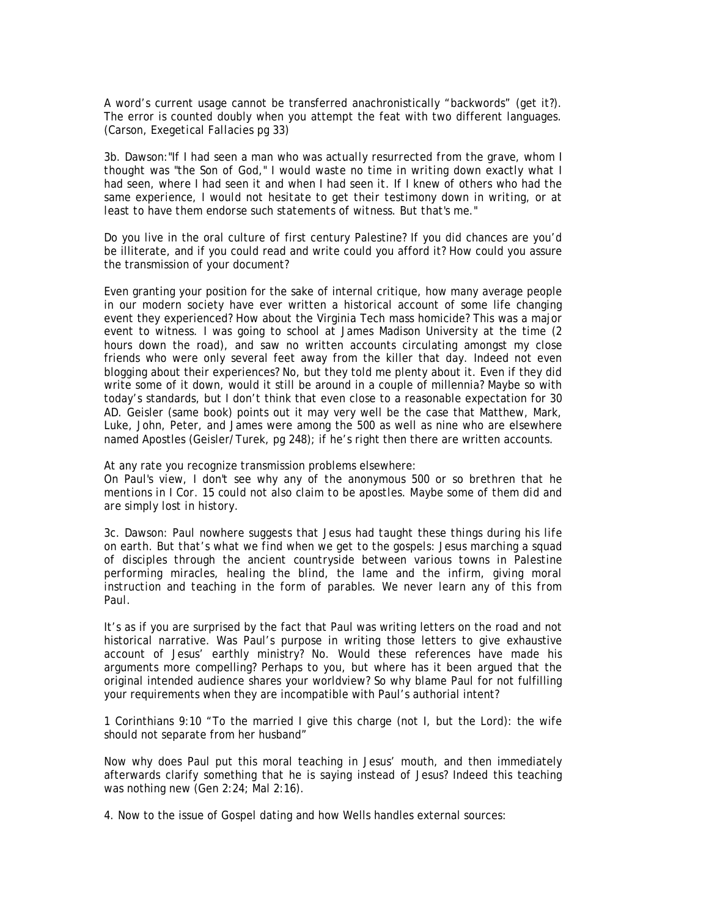A word's current usage cannot be transferred anachronistically "backwords" (get it?). The error is counted doubly when you attempt the feat with two different languages. (Carson, *Exegetical Fallacies* pg 33)

3b. Dawson:*"If I had seen a man who was actually resurrected from the grave, whom I thought was "the Son of God," I would waste no time in writing down exactly what I had seen, where I had seen it and when I had seen it. If I knew of others who had the same experience, I would not hesitate to get their testimony down in writing, or at least to have them endorse such statements of witness. But that's me."* 

Do you live in the oral culture of first century Palestine? If you did chances are you'd be illiterate, and if you could read and write could you afford it? How could you assure the transmission of your document?

Even granting your position for the sake of internal critique, how many average people in our modern society have ever written a historical account of some life changing event they experienced? How about the Virginia Tech mass homicide? This was a major event to witness. I was going to school at James Madison University at the time (2 hours down the road), and saw no written accounts circulating amongst my close friends who were only several feet away from the killer that day. Indeed not even blogging about their experiences? No, but they told me plenty about it. Even if they did write some of it down, would it still be around in a couple of millennia? Maybe so with today's standards, but I don't think that even close to a reasonable expectation for 30 AD. Geisler (same book) points out it may very well be the case that Matthew, Mark, Luke, John, Peter, and James were among the 500 as well as nine who are elsewhere named Apostles (Geisler/Turek, pg 248); if he's right then there are written accounts.

At any rate you recognize transmission problems elsewhere:

*On Paul's view, I don't see why any of the anonymous 500 or so brethren that he mentions in I Cor. 15 could not also claim to be apostles. Maybe some of them did and are simply lost in history.* 

3c. Dawson: *Paul nowhere suggests that Jesus had taught these things during his life on earth. But that's what we find when we get to the gospels: Jesus marching a squad of disciples through the ancient countryside between various towns in Palestine performing miracles, healing the blind, the lame and the infirm, giving moral instruction and teaching in the form of parables. We never learn any of this from Paul.* 

It's as if you are surprised by the fact that Paul was writing letters on the road and not historical narrative. Was Paul's purpose in writing those letters to give exhaustive account of Jesus' earthly ministry? No. Would these references have made his arguments more compelling? Perhaps to you, but where has it been argued that the original intended audience shares your worldview? So why blame Paul for not fulfilling your requirements when they are incompatible with Paul's authorial intent?

1 Corinthians 9:10 "To the married I give this charge (not I, but the Lord): the wife should not separate from her husband"

Now why does Paul put this moral teaching in Jesus' mouth, and then immediately afterwards clarify something that he is saying instead of Jesus? Indeed this teaching was nothing new (Gen 2:24; Mal 2:16).

4. Now to the issue of Gospel dating and how Wells handles external sources: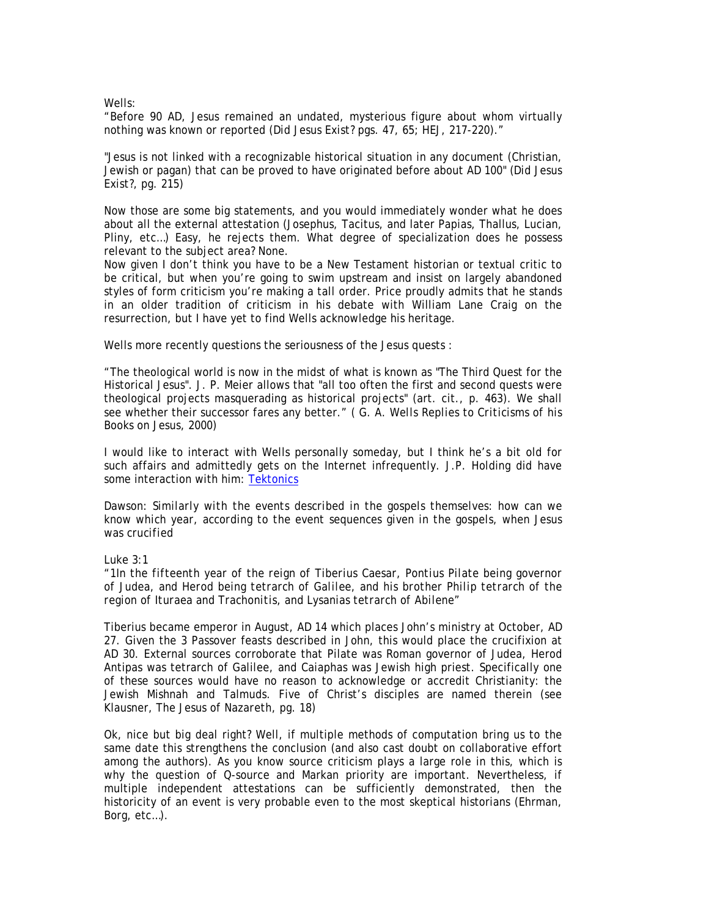Wells:

"Before 90 AD, Jesus remained an undated, mysterious figure about whom virtually nothing was known or reported (*Did Jesus Exist?* pgs. 47, 65; HEJ, 217-220)."

"Jesus is not linked with a recognizable historical situation in any document (Christian, Jewish or pagan) that can be proved to have originated before about AD 100" (*Did Jesus Exist?*, pg. 215)

Now those are some big statements, and you would immediately wonder what he does about all the external attestation (Josephus, Tacitus, and later Papias, Thallus, Lucian, Pliny, etc…) Easy, he rejects them. What degree of specialization does he possess relevant to the subject area? None.

Now given I don't think you have to be a New Testament historian or textual critic to be critical, but when you're going to swim upstream and insist on largely abandoned styles of form criticism you're making a tall order. Price proudly admits that he stands in an older tradition of criticism in his debate with William Lane Craig on the resurrection, but I have yet to find Wells acknowledge his heritage.

Wells more recently questions the seriousness of the Jesus quests :

"The theological world is now in the midst of what is known as "The Third Quest for the Historical Jesus". J. P. Meier allows that "all too often the first and second quests were theological projects masquerading as historical projects" (art. cit., p. 463). We shall see whether their successor fares any better." ( *G. A. Wells Replies to Criticisms of his Books on Jesus*, 2000)

I would like to interact with Wells personally someday, but I think he's a bit old for such affairs and admittedly gets on the Internet infrequently. J.P. Holding did have some interaction with him: Tektonics

Dawson: *Similarly with the events described in the gospels themselves: how can we know which year, according to the event sequences given in the gospels, when Jesus was crucified* 

Luke 3:1

*"1In the fifteenth year of the reign of Tiberius Caesar, Pontius Pilate being governor of Judea, and Herod being tetrarch of Galilee, and his brother Philip tetrarch of the region of Ituraea and Trachonitis, and Lysanias tetrarch of Abilene"* 

Tiberius became emperor in August, AD 14 which places John's ministry at October, AD 27. Given the 3 Passover feasts described in John, this would place the crucifixion at AD 30. External sources corroborate that Pilate was Roman governor of Judea, Herod Antipas was tetrarch of Galilee, and Caiaphas was Jewish high priest. Specifically one of these sources would have no reason to acknowledge or accredit Christianity: the Jewish Mishnah and Talmuds. Five of Christ's disciples are named therein (see Klausner, *The Jesus of Nazareth*, pg. 18)

Ok, nice but big deal right? Well, if multiple methods of computation bring us to the same date this strengthens the conclusion (and also cast doubt on collaborative effort among the authors). As you know source criticism plays a large role in this, which is why the question of Q-source and Markan priority are important. Nevertheless, if multiple independent attestations can be sufficiently demonstrated, then the historicity of an event is very probable even to the most skeptical historians (Ehrman, Borg, etc…).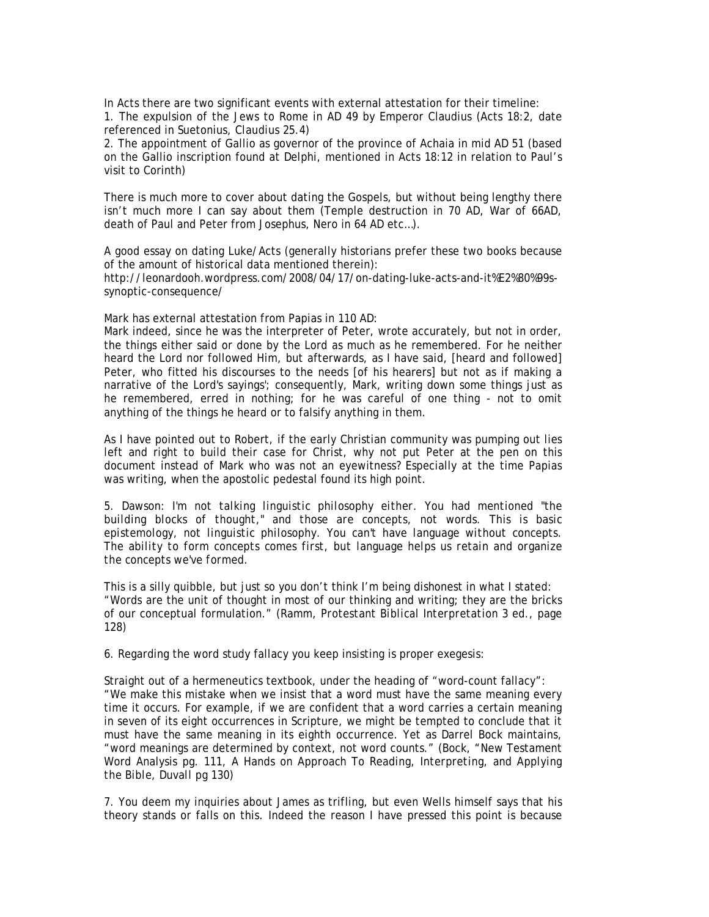In Acts there are two significant events with external attestation for their timeline:

1. The expulsion of the Jews to Rome in AD 49 by Emperor Claudius (Acts 18:2, date referenced in Suetonius, *Claudius* 25.4)

2. The appointment of Gallio as governor of the province of Achaia in mid AD 51 (based on the Gallio inscription found at Delphi, mentioned in Acts 18:12 in relation to Paul's visit to Corinth)

There is much more to cover about dating the Gospels, but without being lengthy there isn't much more I can say about them (Temple destruction in 70 AD, War of 66AD, death of Paul and Peter from Josephus, Nero in 64 AD etc…).

A good essay on dating Luke/Acts (generally historians prefer these two books because of the amount of historical data mentioned therein):

http://leonardooh.wordpress.com/2008/04/17/on-dating-luke-acts-and-it%E2%80%99ssynoptic-consequence/

Mark has external attestation from Papias in 110 AD:

Mark indeed, since he was the interpreter of Peter, wrote accurately, but not in order, the things either said or done by the Lord as much as he remembered. For he neither heard the Lord nor followed Him, but afterwards, as I have said, [heard and followed] Peter, who fitted his discourses to the needs [of his hearers] but not as if making a narrative of the Lord's sayings'; consequently, Mark, writing down some things just as he remembered, erred in nothing; for he was careful of one thing - not to omit anything of the things he heard or to falsify anything in them.

As I have pointed out to Robert, if the early Christian community was pumping out lies left and right to build their case for Christ, why not put Peter at the pen on this document instead of Mark who was not an eyewitness? Especially at the time Papias was writing, when the apostolic pedestal found its high point.

5. Dawson: *I'm not talking linguistic philosophy either. You had mentioned "the building blocks of thought," and those are concepts, not words. This is basic epistemology, not linguistic philosophy. You can't have language without concepts. The ability to form concepts comes first, but language helps us retain and organize the concepts we've formed.* 

This is a silly quibble, but just so you don't think I'm being dishonest in what I stated: "Words are the unit of thought in most of our thinking and writing; they are the bricks of our conceptual formulation." (Ramm, *Protestant Biblical Interpretation 3 ed.*, page 128)

6. Regarding the word study fallacy you keep insisting is proper exegesis:

Straight out of a hermeneutics textbook, under the heading of "word-count fallacy": "We make this mistake when we insist that a word must have the same meaning every time it occurs. For example, if we are confident that a word carries a certain meaning in seven of its eight occurrences in Scripture, we might be tempted to conclude that it must have the same meaning in its eighth occurrence. Yet as Darrel Bock maintains, "word meanings are determined by context, not word counts." (Bock, "New Testament Word Analysis pg. 111, *A Hands on Approach To Reading, Interpreting, and Applying the Bible, Duvall pg 130*)

7. You deem my inquiries about James as trifling, but even Wells himself says that his theory stands or falls on this. Indeed the reason I have pressed this point is because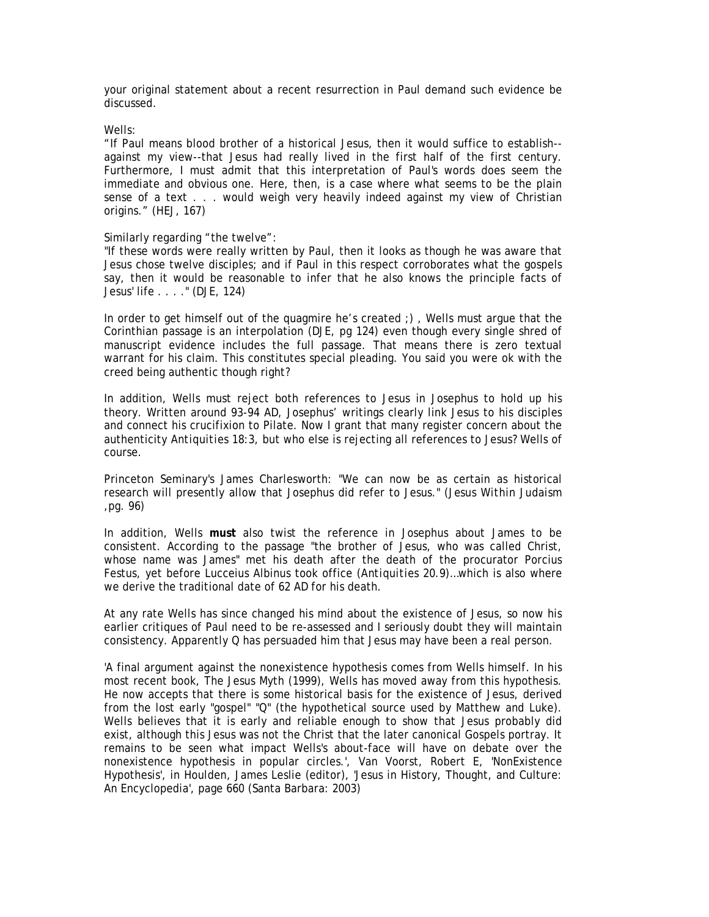your original statement about a recent resurrection in Paul demand such evidence be discussed.

### Wells:

"If Paul means blood brother of a historical Jesus, then it would suffice to establish- against my view--that Jesus had really lived in the first half of the first century. Furthermore, I must admit that this interpretation of Paul's words does seem the immediate and obvious one. Here, then, is a case where what seems to be the plain sense of a text . . . would weigh very heavily indeed against my view of Christian origins." (HEJ, 167)

# Similarly regarding "the twelve":

"If these words were really written by Paul, then it looks as though he was aware that Jesus chose twelve disciples; and if Paul in this respect corroborates what the gospels say, then it would be reasonable to infer that he also knows the principle facts of Jesus' life . . . ." (DJE, 124)

In order to get himself out of the quagmire he's created ;) , Wells must argue that the Corinthian passage is an interpolation (*DJE*, pg 124) even though every single shred of manuscript evidence includes the full passage. That means there is zero textual warrant for his claim. This constitutes special pleading. You said you were ok with the creed being authentic though right?

In addition, Wells must reject both references to Jesus in Josephus to hold up his theory. Written around 93-94 AD, Josephus' writings clearly link Jesus to his disciples and connect his crucifixion to Pilate. Now I grant that many register concern about the authenticity *Antiquities 18:3*, but who else is rejecting all references to Jesus? Wells of course.

Princeton Seminary's James Charlesworth: "We can now be as certain as historical research will presently allow that Josephus did refer to Jesus." (*Jesus Within Judaism*  ,pg. 96)

In addition, Wells **must** also twist the reference in Josephus about James to be consistent. According to the passage "the brother of Jesus, who was called Christ, whose name was James" met his death after the death of the procurator Porcius Festus, yet before Lucceius Albinus took office (*Antiquities 20.9*)…which is also where we derive the traditional date of 62 AD for his death.

At any rate Wells has since changed his mind about the existence of Jesus, so now his earlier critiques of Paul need to be re-assessed and I seriously doubt they will maintain consistency. Apparently Q has persuaded him that Jesus may have been a real person.

'A final argument against the nonexistence hypothesis comes from Wells himself. In his most recent book, The Jesus Myth (1999), Wells has moved away from this hypothesis. He now accepts that there is some historical basis for the existence of Jesus, derived from the lost early "gospel" "Q" (the hypothetical source used by Matthew and Luke). Wells believes that it is early and reliable enough to show that Jesus probably did exist, although this Jesus was not the Christ that the later canonical Gospels portray. It remains to be seen what impact Wells's about-face will have on debate over the nonexistence hypothesis in popular circles.', Van Voorst, Robert E, 'NonExistence Hypothesis', in Houlden, James Leslie (editor), 'Jesus in History, Thought, and Culture: An Encyclopedia', page 660 (Santa Barbara: 2003)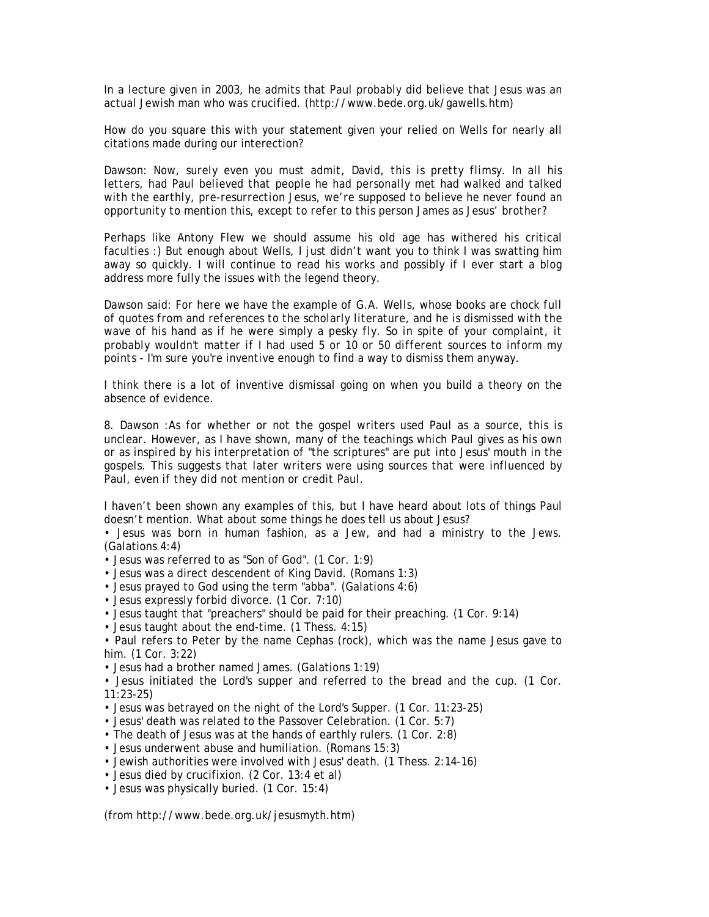In a lecture given in 2003, he admits that Paul probably did believe that Jesus was an actual Jewish man who was crucified. (http://www.bede.org.uk/gawells.htm)

How do you square this with your statement given your relied on Wells for nearly all citations made during our interection?

Dawson: *Now, surely even you must admit, David, this is pretty flimsy. In all his letters, had Paul believed that people he had personally met had walked and talked with the earthly, pre-resurrection Jesus, we're supposed to believe he never found an opportunity to mention this, except to refer to this person James as Jesus' brother?* 

Perhaps like Antony Flew we should assume his old age has withered his critical faculties :) But enough about Wells, I just didn't want you to think I was swatting him away so quickly. I will continue to read his works and possibly if I ever start a blog address more fully the issues with the legend theory.

Dawson said: *For here we have the example of G.A. Wells, whose books are chock full of quotes from and references to the scholarly literature, and he is dismissed with the wave of his hand as if he were simply a pesky fly. So in spite of your complaint, it probably wouldn't matter if I had used 5 or 10 or 50 different sources to inform my points - I'm sure you're inventive enough to find a way to dismiss them anyway.* 

I think there is a lot of inventive dismissal going on when you build a theory on the absence of evidence.

8. Dawson :*As for whether or not the gospel writers used Paul as a source, this is unclear. However, as I have shown, many of the teachings which Paul gives as his own or as inspired by his interpretation of "the scriptures" are put into Jesus' mouth in the gospels. This suggests that later writers were using sources that were influenced by Paul, even if they did not mention or credit Paul.* 

I haven't been shown any examples of this, but I have heard about lots of things Paul doesn't mention. What about some things he does tell us about Jesus?

• Jesus was born in human fashion, as a Jew, and had a ministry to the Jews. (Galations 4:4)

- Jesus was referred to as "Son of God". (1 Cor. 1:9)
- Jesus was a direct descendent of King David. (Romans 1:3)
- Jesus prayed to God using the term "abba". (Galations 4:6)
- Jesus expressly forbid divorce. (1 Cor. 7:10)
- Jesus taught that "preachers" should be paid for their preaching. (1 Cor. 9:14)
- Jesus taught about the end-time. (1 Thess. 4:15)

• Paul refers to Peter by the name Cephas (rock), which was the name Jesus gave to him. (1 Cor. 3:22)

• Jesus had a brother named James. (Galations 1:19)

• Jesus initiated the Lord's supper and referred to the bread and the cup. (1 Cor. 11:23-25)

• Jesus was betrayed on the night of the Lord's Supper. (1 Cor. 11:23-25)

• Jesus' death was related to the Passover Celebration. (1 Cor. 5:7)

• The death of Jesus was at the hands of earthly rulers. (1 Cor. 2:8)

- Jesus underwent abuse and humiliation. (Romans 15:3)
- Jewish authorities were involved with Jesus' death. (1 Thess. 2:14-16)
- Jesus died by crucifixion. (2 Cor. 13:4 et al)
- Jesus was physically buried. (1 Cor. 15:4)

(from http://www.bede.org.uk/jesusmyth.htm)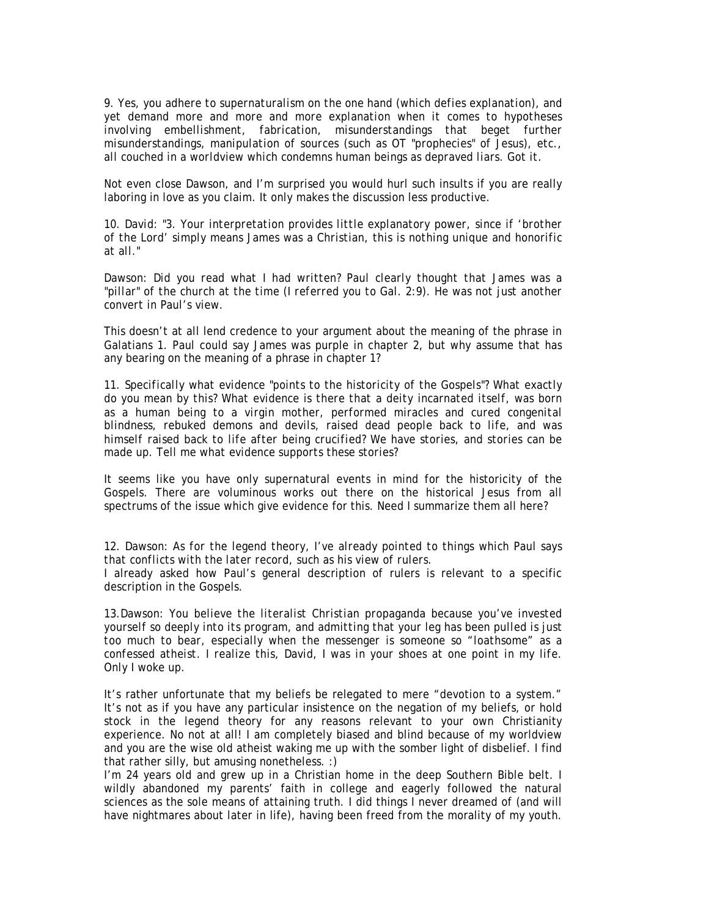9. *Yes, you adhere to supernaturalism on the one hand (which defies explanation), and yet demand more and more and more explanation when it comes to hypotheses involving embellishment, fabrication, misunderstandings that beget further misunderstandings, manipulation of sources (such as OT "prophecies" of Jesus), etc., all couched in a worldview which condemns human beings as depraved liars. Got it.* 

Not even close Dawson, and I'm surprised you would hurl such insults if you are really laboring in love as you claim. It only makes the discussion less productive.

10. *David: "3. Your interpretation provides little explanatory power, since if 'brother of the Lord' simply means James was a Christian, this is nothing unique and honorific at all."* 

Dawson: *Did you read what I had written? Paul clearly thought that James was a "pillar" of the church at the time (I referred you to Gal. 2:9). He was not just another convert in Paul's view.* 

This doesn't at all lend credence to your argument about the meaning of the phrase in Galatians 1. Paul could say James was purple in chapter 2, but why assume that has any bearing on the meaning of a phrase in chapter 1?

11. *Specifically what evidence "points to the historicity of the Gospels"? What exactly do you mean by this? What evidence is there that a deity incarnated itself, was born as a human being to a virgin mother, performed miracles and cured congenital blindness, rebuked demons and devils, raised dead people back to life, and was himself raised back to life after being crucified? We have stories, and stories can be made up. Tell me what evidence supports these stories?* 

It seems like you have only supernatural events in mind for the historicity of the Gospels. There are voluminous works out there on the historical Jesus from all spectrums of the issue which give evidence for this. Need I summarize them all here?

12. Dawson: *As for the legend theory, I've already pointed to things which Paul says that conflicts with the later record, such as his view of rulers.* 

I already asked how Paul's general description of rulers is relevant to a specific description in the Gospels.

13.Dawson: *You believe the literalist Christian propaganda because you've invested yourself so deeply into its program, and admitting that your leg has been pulled is just too much to bear, especially when the messenger is someone so "loathsome" as a confessed atheist. I realize this, David, I was in your shoes at one point in my life. Only I woke up.* 

It's rather unfortunate that my beliefs be relegated to mere "devotion to a system." It's not as if you have any particular insistence on the negation of my beliefs, or hold stock in the legend theory for any reasons relevant to your own Christianity experience. No not at all! I am completely biased and blind because of my worldview and you are the wise old atheist waking me up with the somber light of disbelief. I find that rather silly, but amusing nonetheless. :)

I'm 24 years old and grew up in a Christian home in the deep Southern Bible belt. I wildly abandoned my parents' faith in college and eagerly followed the natural sciences as the sole means of attaining truth. I did things I never dreamed of (and will have nightmares about later in life), having been freed from the morality of my youth.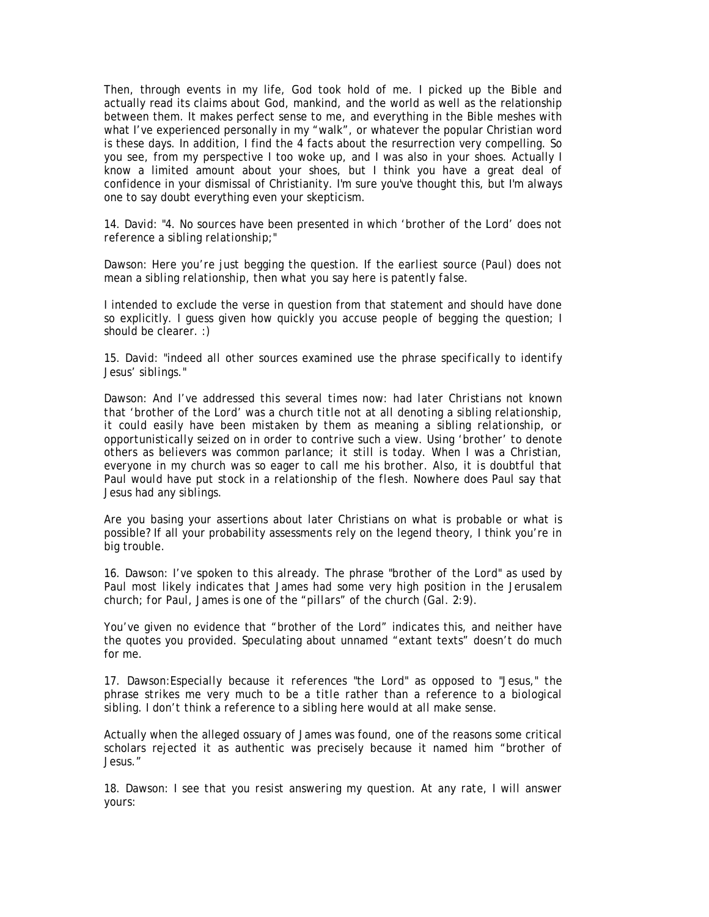Then, through events in my life, God took hold of me. I picked up the Bible and actually read its claims about God, mankind, and the world as well as the relationship between them. It makes perfect sense to me, and everything in the Bible meshes with what I've experienced personally in my "walk", or whatever the popular Christian word is these days. In addition, I find the 4 facts about the resurrection very compelling. So you see, from my perspective I too woke up, and I was also in your shoes. Actually I know a limited amount about your shoes, but I think you have a great deal of confidence in your dismissal of Christianity. I'm sure you've thought this, but I'm always one to say doubt everything even your skepticism.

14. *David: "4. No sources have been presented in which 'brother of the Lord' does not reference a sibling relationship;"* 

Dawson: *Here you're just begging the question. If the earliest source (Paul) does not mean a sibling relationship, then what you say here is patently false.* 

I intended to exclude the verse in question from that statement and should have done so explicitly. I guess given how quickly you accuse people of begging the question; I should be clearer. :)

15. *David: "indeed all other sources examined use the phrase specifically to identify Jesus' siblings."* 

*Dawson: And I've addressed this several times now: had later Christians not known that 'brother of the Lord' was a church title not at all denoting a sibling relationship, it could easily have been mistaken by them as meaning a sibling relationship, or opportunistically seized on in order to contrive such a view. Using 'brother' to denote others as believers was common parlance; it still is today. When I was a Christian, everyone in my church was so eager to call me his brother. Also, it is doubtful that Paul would have put stock in a relationship of the flesh. Nowhere does Paul say that Jesus had any siblings.* 

Are you basing your assertions about later Christians on what is probable or what is possible? If all your probability assessments rely on the legend theory, I think you're in big trouble.

16. Dawson: *I've spoken to this already. The phrase "brother of the Lord" as used by Paul most likely indicates that James had some very high position in the Jerusalem church; for Paul, James is one of the "pillars" of the church (Gal. 2:9).* 

You've given no evidence that "brother of the Lord" indicates this, and neither have the quotes you provided. Speculating about unnamed "extant texts" doesn't do much for me.

17. Dawson:*Especially because it references "the Lord" as opposed to "Jesus," the phrase strikes me very much to be a title rather than a reference to a biological sibling. I don't think a reference to a sibling here would at all make sense.* 

Actually when the alleged ossuary of James was found, one of the reasons some critical scholars rejected it as authentic was precisely because it named him "brother of Jesus."

18. Dawson: *I see that you resist answering my question. At any rate, I will answer yours:*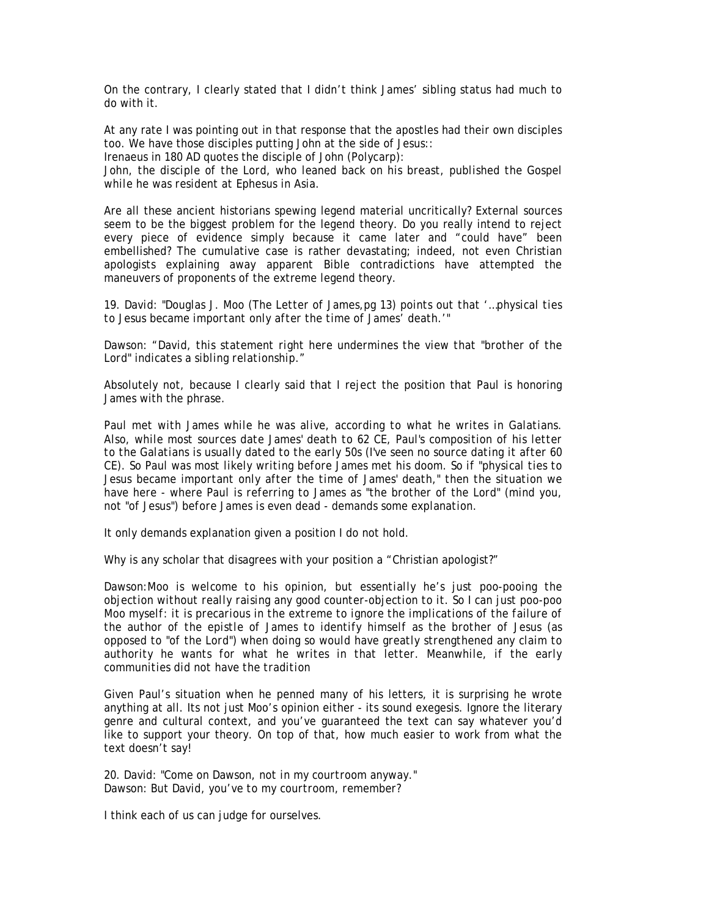On the contrary, I clearly stated that I didn't think James' sibling status had much to do with it.

At any rate I was pointing out in that response that the apostles had their own disciples too. We have those disciples putting John at the side of Jesus::

Irenaeus in 180 AD quotes the disciple of John (Polycarp):

John, the disciple of the Lord, who leaned back on his breast, published the Gospel *while he was resident at Ephesus in Asia.* 

Are all these ancient historians spewing legend material uncritically? External sources seem to be the biggest problem for the legend theory. Do you really intend to reject every piece of evidence simply because it came later and "could have" been embellished? The cumulative case is rather devastating; indeed, not even Christian apologists explaining away apparent Bible contradictions have attempted the maneuvers of proponents of the extreme legend theory.

19. *David: "Douglas J. Moo (The Letter of James,pg 13) points out that '…physical ties to Jesus became important only after the time of James' death.'"* 

*Dawson: "David, this statement right here undermines the view that "brother of the Lord" indicates a sibling relationship."* 

Absolutely not, because I clearly said that I reject the position that Paul is honoring James with the phrase.

*Paul met with James while he was alive, according to what he writes in Galatians. Also, while most sources date James' death to 62 CE, Paul's composition of his letter to the Galatians is usually dated to the early 50s (I've seen no source dating it after 60 CE). So Paul was most likely writing before James met his doom. So if "physical ties to Jesus became important only after the time of James' death," then the situation we have here - where Paul is referring to James as "the brother of the Lord" (mind you, not "of Jesus") before James is even dead - demands some explanation.* 

It only demands explanation given a position I do not hold.

Why is any scholar that disagrees with your position a "Christian apologist?"

Dawson:*Moo is welcome to his opinion, but essentially he's just poo-pooing the objection without really raising any good counter-objection to it. So I can just poo-poo Moo myself: it is precarious in the extreme to ignore the implications of the failure of the author of the epistle of James to identify himself as the brother of Jesus (as opposed to "of the Lord") when doing so would have greatly strengthened any claim to authority he wants for what he writes in that letter. Meanwhile, if the early communities did not have the tradition* 

Given Paul's situation when he penned many of his letters, it is surprising he wrote anything at all. Its not just Moo's opinion either - its sound exegesis. Ignore the literary genre and cultural context, and you've guaranteed the text can say whatever you'd like to support your theory. On top of that, how much easier to work from what the text doesn't say!

20. David: *"Come on Dawson, not in my courtroom anyway."*  Dawson: *But David, you've to my courtroom, remember?* 

I think each of us can judge for ourselves.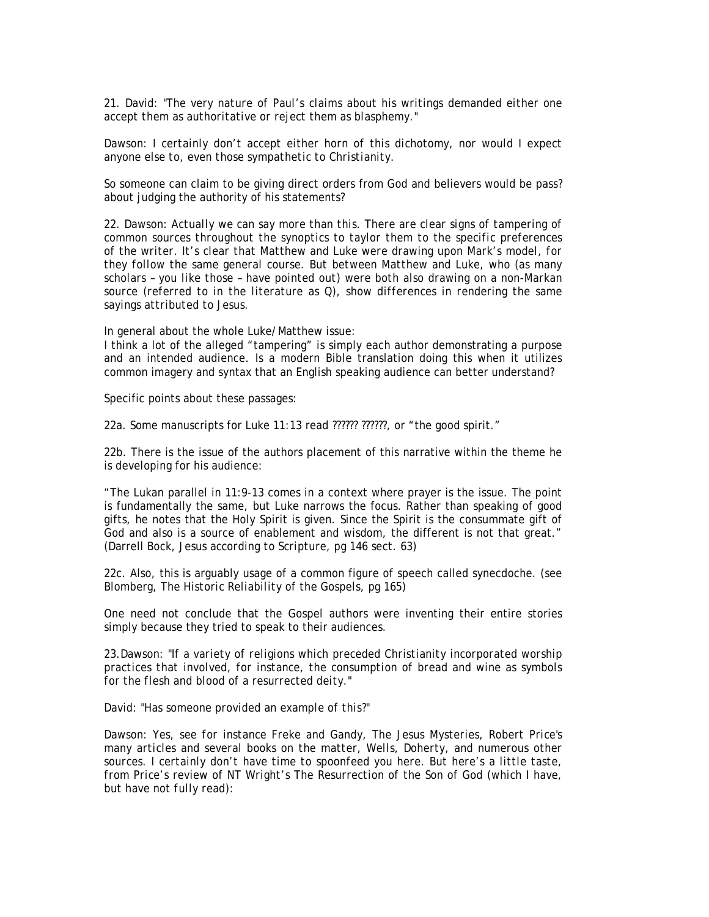21. David: *"The very nature of Paul's claims about his writings demanded either one accept them as authoritative or reject them as blasphemy."* 

Dawson: *I certainly don't accept either horn of this dichotomy, nor would I expect anyone else to, even those sympathetic to Christianity.* 

So someone can claim to be giving direct orders from God and believers would be pass? about judging the authority of his statements?

22. Dawson: *Actually we can say more than this. There are clear signs of tampering of common sources throughout the synoptics to taylor them to the specific preferences of the writer. It's clear that Matthew and Luke were drawing upon Mark's model, for they follow the same general course. But between Matthew and Luke, who (as many scholars – you like those – have pointed out) were both also drawing on a non-Markan source (referred to in the literature as Q), show differences in rendering the same sayings attributed to Jesus.* 

In general about the whole Luke/Matthew issue:

I think a lot of the alleged "tampering" is simply each author demonstrating a purpose and an intended audience. Is a modern Bible translation doing this when it utilizes common imagery and syntax that an English speaking audience can better understand?

Specific points about these passages:

22a. Some manuscripts for Luke 11:13 read ?????? ??????, or "the good spirit."

22b. There is the issue of the authors placement of this narrative within the theme he is developing for his audience:

"The Lukan parallel in 11:9-13 comes in a context where prayer is the issue. The point is fundamentally the same, but Luke narrows the focus. Rather than speaking of good gifts, he notes that the Holy Spirit is given. Since the Spirit is the consummate gift of God and also is a source of enablement and wisdom, the different is not that great." (Darrell Bock, *Jesus according to Scripture*, pg 146 sect. 63)

22c. Also, this is arguably usage of a common figure of speech called synecdoche. (see Blomberg, *The Historic Reliability of the Gospels*, pg 165)

One need not conclude that the Gospel authors were inventing their entire stories simply because they tried to speak to their audiences.

23.Dawson: *"If a variety of religions which preceded Christianity incorporated worship practices that involved, for instance, the consumption of bread and wine as symbols for the flesh and blood of a resurrected deity."* 

David: *"Has someone provided an example of this?"* 

Dawson: *Yes, see for instance Freke and Gandy, The Jesus Mysteries, Robert Price's many articles and several books on the matter, Wells, Doherty, and numerous other sources. I certainly don't have time to spoonfeed you here. But here's a little taste, from Price's review of NT Wright's The Resurrection of the Son of God (which I have, but have not fully read):*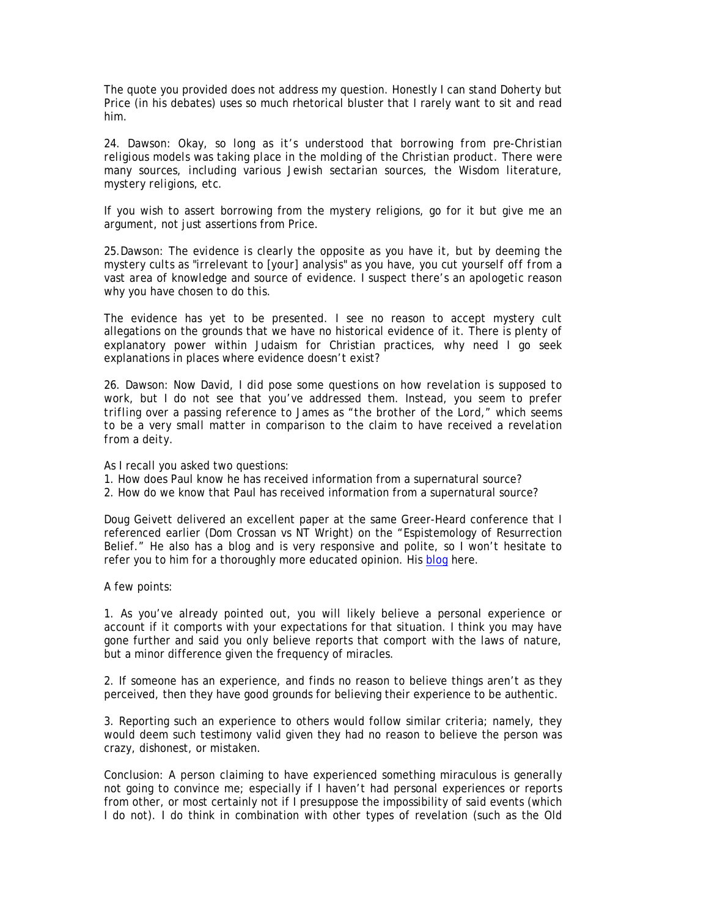The quote you provided does not address my question. Honestly I can stand Doherty but Price (in his debates) uses so much rhetorical bluster that I rarely want to sit and read him.

24. Dawson: *Okay, so long as it's understood that borrowing from pre-Christian religious models was taking place in the molding of the Christian product. There were many sources, including various Jewish sectarian sources, the Wisdom literature, mystery religions, etc.* 

If you wish to assert borrowing from the mystery religions, go for it but give me an argument, not just assertions from Price.

25.Dawson: *The evidence is clearly the opposite as you have it, but by deeming the mystery cults as "irrelevant to [your] analysis" as you have, you cut yourself off from a vast area of knowledge and source of evidence. I suspect there's an apologetic reason why you have chosen to do this.* 

The evidence has yet to be presented. I see no reason to accept mystery cult allegations on the grounds that we have no historical evidence of it. There is plenty of explanatory power within Judaism for Christian practices, why need I go seek explanations in places where evidence doesn't exist?

26. Dawson: *Now David, I did pose some questions on how revelation is supposed to work, but I do not see that you've addressed them. Instead, you seem to prefer trifling over a passing reference to James as "the brother of the Lord," which seems to be a very small matter in comparison to the claim to have received a revelation from a deity.* 

As I recall you asked two questions:

- 1. How does Paul know he has received information from a supernatural source?
- 2. How do we know that Paul has received information from a supernatural source?

Doug Geivett delivered an excellent paper at the same Greer-Heard conference that I referenced earlier (Dom Crossan vs NT Wright) on the "Espistemology of Resurrection Belief." He also has a blog and is very responsive and polite, so I won't hesitate to refer you to him for a thoroughly more educated opinion. His blog here.

A few points:

1. As you've already pointed out, you will likely believe a personal experience or account if it comports with your expectations for that situation. I think you may have gone further and said you only believe reports that comport with the laws of nature, but a minor difference given the frequency of miracles.

2. If someone has an experience, and finds no reason to believe things aren't as they perceived, then they have good grounds for believing their experience to be authentic.

3. Reporting such an experience to others would follow similar criteria; namely, they would deem such testimony valid given they had no reason to believe the person was crazy, dishonest, or mistaken.

Conclusion: A person claiming to have experienced something miraculous is generally not going to convince me; especially if I haven't had personal experiences or reports from other, or most certainly not if I presuppose the impossibility of said events (which I do not). I do think in combination with other types of revelation (such as the Old